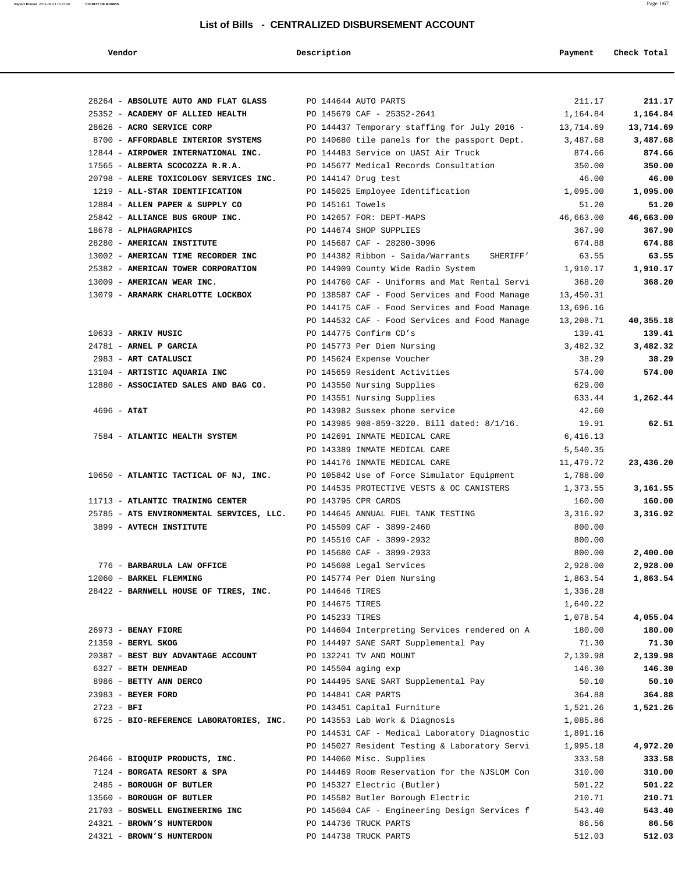**Report Printed** 2016-09-23 15:27:40 **COUNTY OF MORRIS** Page 1/67

#### **List of Bills - CENTRALIZED DISBURSEMENT ACCOUNT**

| ena | т |
|-----|---|

 **Vendor Description Payment Check Total**

| 28264 - ABSOLUTE AUTO AND FLAT GLASS PO 144644 AUTO PARTS                   |                                               | 211.17    | 211.17    |
|-----------------------------------------------------------------------------|-----------------------------------------------|-----------|-----------|
| 25352 - ACADEMY OF ALLIED HEALTH                                            | PO 145679 CAF - 25352-2641                    | 1,164.84  | 1,164.84  |
| 28626 - ACRO SERVICE CORP                                                   | PO 144437 Temporary staffing for July 2016 -  | 13,714.69 | 13,714.69 |
| 8700 - AFFORDABLE INTERIOR SYSTEMS                                          | PO 140680 tile panels for the passport Dept.  | 3,487.68  | 3,487.68  |
| 12844 - AIRPOWER INTERNATIONAL INC.                                         | PO 144483 Service on UASI Air Truck           | 874.66    | 874.66    |
| 17565 - ALBERTA SCOCOZZA R.R.A.                                             | PO 145677 Medical Records Consultation        | 350.00    | 350.00    |
| 20798 - ALERE TOXICOLOGY SERVICES INC.                                      | PO 144147 Drug test                           | 46.00     | 46.00     |
| 1219 - ALL-STAR IDENTIFICATION                                              | PO 145025 Employee Identification             | 1,095.00  | 1,095.00  |
| 12884 - ALLEN PAPER & SUPPLY CO                                             | PO 145161 Towels                              | 51.20     | 51.20     |
| 25842 - ALLIANCE BUS GROUP INC.                                             | PO 142657 FOR: DEPT-MAPS                      | 46,663.00 | 46,663.00 |
| 18678 - ALPHAGRAPHICS                                                       | PO 144674 SHOP SUPPLIES                       | 367.90    | 367.90    |
| 28280 - AMERICAN INSTITUTE                                                  | PO 145687 CAF - 28280-3096                    | 674.88    | 674.88    |
| 13002 - AMERICAN TIME RECORDER INC                                          | PO 144382 Ribbon - Saida/Warrants SHERIFF'    | 63.55     | 63.55     |
| 25382 - AMERICAN TOWER CORPORATION                                          | PO 144909 County Wide Radio System            | 1,910.17  | 1,910.17  |
| 13009 - AMERICAN WEAR INC.                                                  | PO 144760 CAF - Uniforms and Mat Rental Servi | 368.20    | 368.20    |
| 13079 - ARAMARK CHARLOTTE LOCKBOX                                           | PO 138587 CAF - Food Services and Food Manage | 13,450.31 |           |
|                                                                             | PO 144175 CAF - Food Services and Food Manage | 13,696.16 |           |
|                                                                             | PO 144532 CAF - Food Services and Food Manage | 13,208.71 | 40,355.18 |
| 10633 - ARKIV MUSIC                                                         | PO 144775 Confirm CD's                        | 139.41    | 139.41    |
| 24781 - ARNEL P GARCIA                                                      | PO 145773 Per Diem Nursing                    | 3,482.32  | 3,482.32  |
| 2983 - ART CATALUSCI                                                        | PO 145624 Expense Voucher                     | 38.29     | 38.29     |
| 13104 - ARTISTIC AQUARIA INC                                                | PO 145659 Resident Activities                 | 574.00    | 574.00    |
| 12880 - ASSOCIATED SALES AND BAG CO.                                        | PO 143550 Nursing Supplies                    | 629.00    |           |
|                                                                             | PO 143551 Nursing Supplies                    | 633.44    | 1,262.44  |
| $4696 - AT&T$                                                               | PO 143982 Sussex phone service                | 42.60     |           |
|                                                                             | PO 143985 908-859-3220. Bill dated: 8/1/16.   | 19.91     | 62.51     |
| 7584 - ATLANTIC HEALTH SYSTEM                                               | PO 142691 INMATE MEDICAL CARE                 | 6,416.13  |           |
|                                                                             | PO 143389 INMATE MEDICAL CARE                 | 5,540.35  |           |
|                                                                             | PO 144176 INMATE MEDICAL CARE                 | 11,479.72 | 23,436.20 |
| 10650 - ATLANTIC TACTICAL OF NJ, INC.                                       | PO 105842 Use of Force Simulator Equipment    | 1,788.00  |           |
|                                                                             | PO 144535 PROTECTIVE VESTS & OC CANISTERS     | 1,373.55  | 3,161.55  |
| 11713 - ATLANTIC TRAINING CENTER                                            | PO 143795 CPR CARDS                           | 160.00    | 160.00    |
| 25785 - ATS ENVIRONMENTAL SERVICES, LLC. PO 144645 ANNUAL FUEL TANK TESTING |                                               | 3,316.92  | 3,316.92  |
| 3899 - AVTECH INSTITUTE                                                     | PO 145509 CAF - 3899-2460                     | 800.00    |           |
|                                                                             | PO 145510 CAF - 3899-2932                     | 800.00    |           |
|                                                                             | PO 145680 CAF - 3899-2933                     | 800.00    | 2,400.00  |
| 776 - BARBARULA LAW OFFICE                                                  | PO 145608 Legal Services                      | 2,928.00  | 2,928.00  |
| 12060 - BARKEL FLEMMING                                                     | PO 145774 Per Diem Nursing                    | 1,863.54  | 1,863.54  |
| 28422 - BARNWELL HOUSE OF TIRES, INC.                                       | PO 144646 TIRES                               | 1,336.28  |           |
|                                                                             | PO 144675 TIRES                               | 1,640.22  |           |
|                                                                             | PO 145233 TIRES                               | 1,078.54  | 4,055.04  |
| 26973 - BENAY FIORE                                                         | PO 144604 Interpreting Services rendered on A | 180.00    | 180.00    |
| 21359 - BERYL SKOG                                                          | PO 144497 SANE SART Supplemental Pay          | 71.30     | 71.30     |
| 20387 - BEST BUY ADVANTAGE ACCOUNT                                          | PO 132241 TV AND MOUNT                        | 2,139.98  | 2,139.98  |
| 6327 - BETH DENMEAD                                                         | PO 145504 aging exp                           | 146.30    | 146.30    |
| 8986 - BETTY ANN DERCO                                                      | PO 144495 SANE SART Supplemental Pay          | 50.10     | 50.10     |
| 23983 - BEYER FORD                                                          | PO 144841 CAR PARTS                           | 364.88    | 364.88    |
| $2723 - BFI$                                                                | PO 143451 Capital Furniture                   | 1,521.26  | 1,521.26  |
| 6725 - BIO-REFERENCE LABORATORIES, INC.                                     | PO 143553 Lab Work & Diagnosis                | 1,085.86  |           |
|                                                                             | PO 144531 CAF - Medical Laboratory Diagnostic | 1,891.16  |           |
|                                                                             | PO 145027 Resident Testing & Laboratory Servi | 1,995.18  | 4,972.20  |
| 26466 - BIOQUIP PRODUCTS, INC.                                              | PO 144060 Misc. Supplies                      | 333.58    | 333.58    |
| 7124 - BORGATA RESORT & SPA                                                 | PO 144469 Room Reservation for the NJSLOM Con | 310.00    | 310.00    |
| 2485 - BOROUGH OF BUTLER                                                    | PO 145327 Electric (Butler)                   | 501.22    | 501.22    |
| 13560 - BOROUGH OF BUTLER                                                   | PO 145582 Butler Borough Electric             | 210.71    | 210.71    |
| 21703 - BOSWELL ENGINEERING INC                                             | PO 145604 CAF - Engineering Design Services f | 543.40    | 543.40    |
| 24321 - BROWN'S HUNTERDON                                                   | PO 144736 TRUCK PARTS                         | 86.56     | 86.56     |
| 24321 - BROWN'S HUNTERDON                                                   | PO 144738 TRUCK PARTS                         | 512.03    | 512.03    |
|                                                                             |                                               |           |           |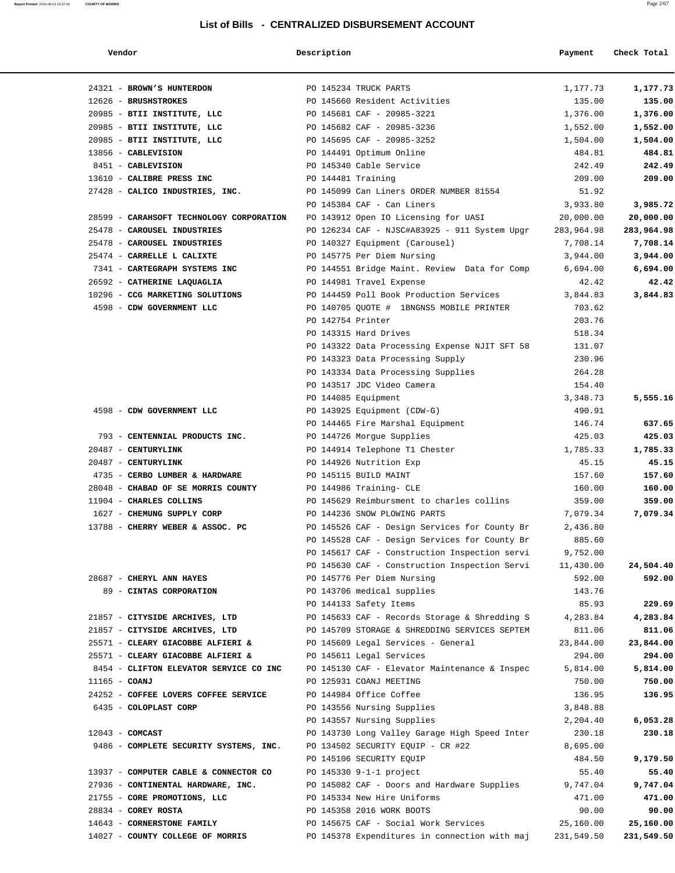#### DISBURSEMENT ACCOUNT

| Vendor                                                                        | Description                                                             | Payment    |
|-------------------------------------------------------------------------------|-------------------------------------------------------------------------|------------|
|                                                                               |                                                                         |            |
| 24321 - BROWN'S HUNTERDON                                                     | PO 145234 TRUCK PARTS                                                   | 1,177.73   |
| 12626 - BRUSHSTROKES                                                          | PO 145660 Resident Activities                                           | 135.00     |
| 20985 - BTII INSTITUTE, LLC                                                   | PO 145681 CAF - 20985-3221                                              | 1,376.00   |
| 20985 - BTII INSTITUTE, LLC                                                   | PO 145682 CAF - 20985-3236                                              | 1,552.00   |
| 20985 - BTII INSTITUTE, LLC                                                   | PO 145695 CAF - 20985-3252                                              | 1,504.00   |
| 13856 - CABLEVISION                                                           | PO 144491 Optimum Online                                                | 484.81     |
| 8451 - CABLEVISION                                                            | PO 145340 Cable Service                                                 | 242.49     |
| 13610 - CALIBRE PRESS INC                                                     | PO 144481 Training                                                      | 209.00     |
|                                                                               | 27428 - CALICO INDUSTRIES, INC. PO 145099 Can Liners ORDER NUMBER 81554 | 51.92      |
|                                                                               | PO 145384 CAF - Can Liners                                              | 3,933.80   |
| 28599 - CARAHSOFT TECHNOLOGY CORPORATION PO 143912 Open IO Licensing for UASI |                                                                         | 20,000.00  |
| 25478 - CAROUSEL INDUSTRIES                                                   | PO 126234 CAF - NJSC#A83925 - 911 System Upgr                           | 283,964.98 |
| 25478 - CAROUSEL INDUSTRIES                                                   | PO 140327 Equipment (Carousel)                                          | 7,708.14   |
| 25474 - CARRELLE L CALIXTE                                                    | PO 145775 Per Diem Nursing                                              | 3,944.00   |
| 7341 - CARTEGRAPH SYSTEMS INC                                                 | PO 144551 Bridge Maint. Review Data for Comp                            | 6,694.00   |
| 26592 - CATHERINE LAQUAGLIA                                                   | PO 144981 Travel Expense                                                | 42.42      |
| 10296 - CCG MARKETING SOLUTIONS                                               | PO 144459 Poll Book Production Services                                 | 3,844.83   |
| 4598 - CDW GOVERNMENT LLC                                                     | PO 140705 QUOTE # 1BNGNS5 MOBILE PRINTER                                | 703.62     |
|                                                                               | PO 142754 Printer                                                       | 203.76     |
|                                                                               | PO 143315 Hard Drives                                                   | 518.34     |
|                                                                               | PO 143322 Data Processing Expense NJIT SFT 58                           | 131.07     |
|                                                                               | PO 143323 Data Processing Supply                                        | 230.96     |
|                                                                               | PO 143334 Data Processing Supplies                                      | 264.28     |
|                                                                               | PO 143517 JDC Video Camera                                              | 154.40     |
|                                                                               | PO 144085 Equipment                                                     | 3,348.73   |
| 4598 - CDW GOVERNMENT LLC                                                     | PO 143925 Equipment (CDW-G)                                             | 490.91     |
|                                                                               | PO 144465 Fire Marshal Equipment                                        | 146.74     |
| 793 - CENTENNIAL PRODUCTS INC.                                                | PO 144726 Morgue Supplies                                               | 425.03     |
| 20487 - CENTURYLINK                                                           | PO 144914 Telephone T1 Chester                                          | 1,785.33   |
| 20487 - CENTURYLINK                                                           | PO 144926 Nutrition Exp                                                 | 45.15      |
| 4735 - CERBO LUMBER & HARDWARE                                                | PO 145115 BUILD MAINT                                                   | 157.60     |
| 28048 - CHABAD OF SE MORRIS COUNTY                                            | PO 144986 Training- CLE                                                 | 160.00     |
| 11904 - CHARLES COLLINS                                                       | PO 145629 Reimbursment to charles collins                               | 359.00     |
| 1627 - CHEMUNG SUPPLY CORP                                                    | PO 144236 SNOW PLOWING PARTS                                            | 7,079.34   |
| 13788 - CHERRY WEBER & ASSOC. PC                                              | PO 145526 CAF - Design Services for County Br                           | 2,436.80   |
|                                                                               | PO 145528 CAF - Design Services for County Br                           | 885.60     |
|                                                                               | PO 145617 CAF - Construction Inspection servi                           | 9,752.00   |
|                                                                               | PO 145630 CAF - Construction Inspection Servi                           | 11,430.00  |
| 28687 - CHERYL ANN HAYES                                                      | PO 145776 Per Diem Nursing                                              | 592.00     |
| 89 - CINTAS CORPORATION                                                       | PO 143706 medical supplies                                              | 143.76     |
|                                                                               | PO 144133 Safety Items                                                  | 85.93      |
| 21857 - CITYSIDE ARCHIVES, LTD                                                | PO 145633 CAF - Records Storage & Shredding S                           | 4,283.84   |
| 21857 - CITYSIDE ARCHIVES, LTD                                                | PO 145709 STORAGE & SHREDDING SERVICES SEPTEM                           | 811.06     |
| 25571 - CLEARY GIACOBBE ALFIERI &                                             | PO 145609 Legal Services - General                                      | 23,844.00  |
| 25571 - CLEARY GIACOBBE ALFIERI &                                             | PO 145611 Legal Services                                                | 294.00     |
| 8454 - CLIFTON ELEVATOR SERVICE CO INC                                        | PO 145130 CAF - Elevator Maintenance & Inspec                           | 5,814.00   |
| $11165 - COANJ$                                                               | PO 125931 COANJ MEETING                                                 | 750.00     |
| 24252 - COFFEE LOVERS COFFEE SERVICE                                          | PO 144984 Office Coffee                                                 | 136.95     |
| 6435 - COLOPLAST CORP                                                         | PO 143556 Nursing Supplies                                              | 3,848.88   |
|                                                                               | PO 143557 Nursing Supplies                                              | 2,204.40   |
| $12043$ - COMCAST                                                             | PO 143730 Long Valley Garage High Speed Inter                           | 230.18     |
| 9486 - COMPLETE SECURITY SYSTEMS, INC.                                        | PO 134502 SECURITY EQUIP - CR #22                                       | 8,695.00   |
|                                                                               | PO 145106 SECURITY EQUIP                                                | 484.50     |
| 13937 - COMPUTER CABLE & CONNECTOR CO                                         | PO 145330 9-1-1 project                                                 | 55.40      |
| 27936 - CONTINENTAL HARDWARE, INC.                                            | PO 145082 CAF - Doors and Hardware Supplies                             | 9,747.04   |

| Vendor                                                | Description       |                                                  | Payment           | Check Total     |
|-------------------------------------------------------|-------------------|--------------------------------------------------|-------------------|-----------------|
| 24321 - BROWN'S HUNTERDON                             |                   | PO 145234 TRUCK PARTS                            | 1,177.73          | 1,177.73        |
| 12626 - BRUSHSTROKES                                  |                   | PO 145660 Resident Activities                    | 135.00            | 135.00          |
| 20985 - BTII INSTITUTE, LLC                           |                   | PO 145681 CAF - 20985-3221                       | 1,376.00          | 1,376.00        |
| 20985 - BTII INSTITUTE, LLC                           |                   | PO 145682 CAF - 20985-3236                       | 1,552.00          | 1,552.00        |
| 20985 - BTII INSTITUTE, LLC                           |                   | PO 145695 CAF - 20985-3252                       | 1,504.00          | 1,504.00        |
| 13856 - CABLEVISION                                   |                   | PO 144491 Optimum Online                         | 484.81            | 484.81          |
| 8451 - CABLEVISION                                    |                   | PO 145340 Cable Service                          | 242.49            | 242.49          |
| 13610 - CALIBRE PRESS INC                             |                   | PO 144481 Training                               | 209.00            | 209.00          |
| 27428 - CALICO INDUSTRIES, INC.                       |                   | PO 145099 Can Liners ORDER NUMBER 81554          | 51.92             |                 |
|                                                       |                   | PO 145384 CAF - Can Liners                       | 3,933.80          | 3,985.72        |
| 28599 - CARAHSOFT TECHNOLOGY CORPORATION              |                   | PO 143912 Open IO Licensing for UASI             | 20,000.00         | 20,000.00       |
| 25478 - CAROUSEL INDUSTRIES                           |                   | PO 126234 CAF - NJSC#A83925 - 911 System Upgr    | 283,964.98        | 283,964.98      |
| 25478 - CAROUSEL INDUSTRIES                           |                   | PO 140327 Equipment (Carousel)                   | 7,708.14          | 7,708.14        |
| 25474 - CARRELLE L CALIXTE                            |                   | PO 145775 Per Diem Nursing                       | 3,944.00          | 3,944.00        |
| 7341 - CARTEGRAPH SYSTEMS INC                         |                   | PO 144551 Bridge Maint. Review Data for Comp     | 6,694.00          | 6,694.00        |
| 26592 - CATHERINE LAQUAGLIA                           |                   | PO 144981 Travel Expense                         | 42.42             | 42.42           |
| 10296 - CCG MARKETING SOLUTIONS                       |                   | PO 144459 Poll Book Production Services          | 3,844.83          | 3,844.83        |
| 4598 - CDW GOVERNMENT LLC                             |                   | PO 140705 OUOTE # 1BNGNS5 MOBILE PRINTER         | 703.62            |                 |
|                                                       | PO 142754 Printer |                                                  | 203.76            |                 |
|                                                       |                   | PO 143315 Hard Drives                            | 518.34            |                 |
|                                                       |                   | PO 143322 Data Processing Expense NJIT SFT 58    | 131.07            |                 |
|                                                       |                   | PO 143323 Data Processing Supply                 | 230.96            |                 |
|                                                       |                   | PO 143334 Data Processing Supplies               | 264.28            |                 |
|                                                       |                   | PO 143517 JDC Video Camera                       | 154.40            |                 |
|                                                       |                   | PO 144085 Equipment                              | 3,348.73          | 5,555.16        |
| 4598 - CDW GOVERNMENT LLC                             |                   | PO 143925 Equipment (CDW-G)                      | 490.91            |                 |
|                                                       |                   | PO 144465 Fire Marshal Equipment                 | 146.74            | 637.65          |
| 793 - CENTENNIAL PRODUCTS INC.                        |                   | PO 144726 Morgue Supplies                        | 425.03            | 425.03          |
| 20487 - CENTURYLINK                                   |                   | PO 144914 Telephone T1 Chester                   | 1,785.33<br>45.15 | 1,785.33        |
| 20487 - CENTURYLINK<br>4735 - CERBO LUMBER & HARDWARE |                   | PO 144926 Nutrition Exp<br>PO 145115 BUILD MAINT | 157.60            | 45.15<br>157.60 |
| 28048 - CHABAD OF SE MORRIS COUNTY                    |                   | PO 144986 Training- CLE                          | 160.00            | 160.00          |
| 11904 - CHARLES COLLINS                               |                   | PO 145629 Reimbursment to charles collins        | 359.00            | 359.00          |
| 1627 - CHEMUNG SUPPLY CORP                            |                   | PO 144236 SNOW PLOWING PARTS                     | 7,079.34          | 7,079.34        |
| 13788 - CHERRY WEBER & ASSOC. PC                      |                   | PO 145526 CAF - Design Services for County Br    | 2,436.80          |                 |
|                                                       |                   | PO 145528 CAF - Design Services for County Br    | 885.60            |                 |
|                                                       |                   | PO 145617 CAF - Construction Inspection servi    | 9,752.00          |                 |
|                                                       |                   | PO 145630 CAF - Construction Inspection Servi    | 11,430.00         | 24,504.40       |
| 28687 - CHERYL ANN HAYES                              |                   | PO 145776 Per Diem Nursing                       | 592.00            | 592.00          |
| 89 - CINTAS CORPORATION                               |                   | PO 143706 medical supplies                       | 143.76            |                 |
|                                                       |                   | PO 144133 Safety Items                           | 85.93             | 229.69          |
| 21857 - CITYSIDE ARCHIVES, LTD                        |                   | PO 145633 CAF - Records Storage & Shredding S    | 4,283.84          | 4,283.84        |
| 21857 - CITYSIDE ARCHIVES, LTD                        |                   | PO 145709 STORAGE & SHREDDING SERVICES SEPTEM    | 811.06            | 811.06          |
| 25571 - CLEARY GIACOBBE ALFIERI &                     |                   | PO 145609 Legal Services - General               | 23,844.00         | 23,844.00       |
| 25571 - CLEARY GIACOBBE ALFIERI &                     |                   | PO 145611 Legal Services                         | 294.00            | 294.00          |
| 8454 - CLIFTON ELEVATOR SERVICE CO INC                |                   | PO 145130 CAF - Elevator Maintenance & Inspec    | 5,814.00          | 5,814.00        |
| $11165$ - COANJ                                       |                   | PO 125931 COANJ MEETING                          | 750.00            | 750.00          |
| 24252 - COFFEE LOVERS COFFEE SERVICE                  |                   | PO 144984 Office Coffee                          | 136.95            | 136.95          |
| 6435 - COLOPLAST CORP                                 |                   | PO 143556 Nursing Supplies                       | 3,848.88          |                 |
|                                                       |                   | PO 143557 Nursing Supplies                       | 2,204.40          | 6,053.28        |
| $12043$ - COMCAST                                     |                   | PO 143730 Long Valley Garage High Speed Inter    | 230.18            | 230.18          |
| 9486 - COMPLETE SECURITY SYSTEMS, INC.                |                   | PO 134502 SECURITY EQUIP - CR #22                | 8,695.00          |                 |
|                                                       |                   | PO 145106 SECURITY EQUIP                         | 484.50            | 9,179.50        |
| 13937 - COMPUTER CABLE & CONNECTOR CO                 |                   | PO 145330 9-1-1 project                          | 55.40             | 55.40           |
| 27936 - CONTINENTAL HARDWARE, INC.                    |                   | PO 145082 CAF - Doors and Hardware Supplies      | 9,747.04          | 9,747.04        |
| 21755 - CORE PROMOTIONS, LLC                          |                   | PO 145334 New Hire Uniforms                      | 471.00            | 471.00          |
| 28834 - COREY ROSTA                                   |                   | PO 145358 2016 WORK BOOTS                        | 90.00             | 90.00           |
| 14643 - CORNERSTONE FAMILY                            |                   | PO 145675 CAF - Social Work Services             | 25,160.00         | 25,160.00       |
| 14027 - COUNTY COLLEGE OF MORRIS                      |                   | PO 145378 Expenditures in connection with maj    | 231,549.50        | 231,549.50      |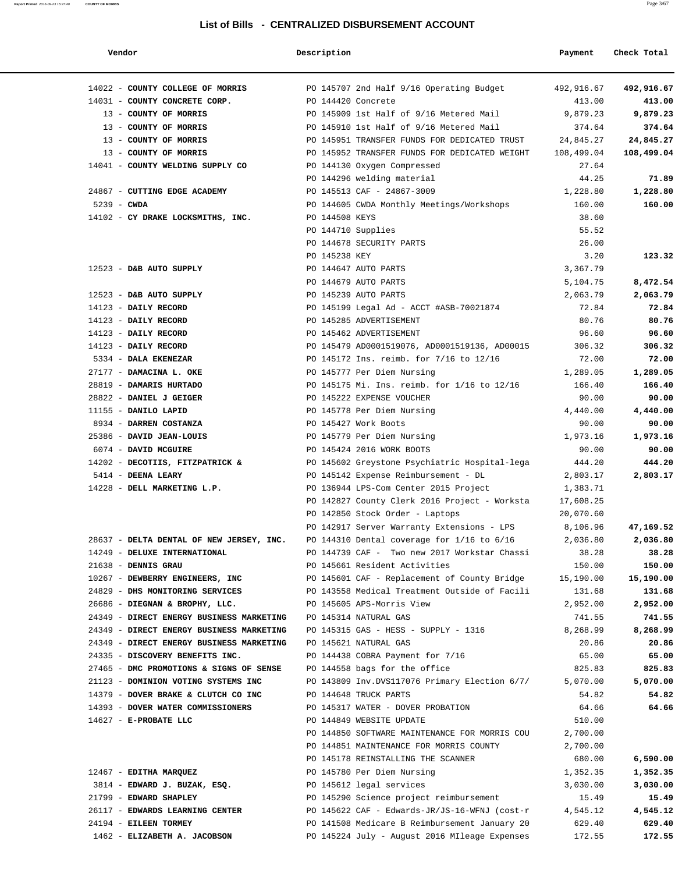| Vendor                                   | Description                                    | Payment    | Check Total |
|------------------------------------------|------------------------------------------------|------------|-------------|
| 14022 - COUNTY COLLEGE OF MORRIS         | PO 145707 2nd Half 9/16 Operating Budget       | 492,916.67 | 492,916.67  |
| 14031 - COUNTY CONCRETE CORP.            | PO 144420 Concrete                             | 413.00     | 413.00      |
| 13 - COUNTY OF MORRIS                    | PO 145909 1st Half of 9/16 Metered Mail        | 9,879.23   | 9,879.23    |
| 13 - COUNTY OF MORRIS                    | PO 145910 1st Half of 9/16 Metered Mail        | 374.64     | 374.64      |
| 13 - COUNTY OF MORRIS                    | PO 145951 TRANSFER FUNDS FOR DEDICATED TRUST   | 24,845.27  | 24,845.27   |
| 13 - COUNTY OF MORRIS                    | PO 145952 TRANSFER FUNDS FOR DEDICATED WEIGHT  | 108,499.04 | 108,499.04  |
| 14041 - COUNTY WELDING SUPPLY CO         | PO 144130 Oxygen Compressed                    | 27.64      |             |
|                                          | PO 144296 welding material                     | 44.25      | 71.89       |
| 24867 - CUTTING EDGE ACADEMY             | PO 145513 CAF - 24867-3009                     | 1,228.80   | 1,228.80    |
| $5239 - CWDA$                            | PO 144605 CWDA Monthly Meetings/Workshops      | 160.00     | 160.00      |
| 14102 - CY DRAKE LOCKSMITHS, INC.        | PO 144508 KEYS                                 | 38.60      |             |
|                                          | PO 144710 Supplies                             | 55.52      |             |
|                                          | PO 144678 SECURITY PARTS                       | 26.00      |             |
|                                          | PO 145238 KEY                                  | 3.20       | 123.32      |
| 12523 - D&B AUTO SUPPLY                  | PO 144647 AUTO PARTS                           | 3,367.79   |             |
|                                          | PO 144679 AUTO PARTS                           | 5,104.75   | 8,472.54    |
| 12523 - D&B AUTO SUPPLY                  | PO 145239 AUTO PARTS                           | 2,063.79   | 2,063.79    |
| 14123 - DAILY RECORD                     | PO 145199 Legal Ad - ACCT #ASB-70021874        | 72.84      | 72.84       |
| 14123 - DAILY RECORD                     | PO 145285 ADVERTISEMENT                        | 80.76      | 80.76       |
| 14123 - DAILY RECORD                     | PO 145462 ADVERTISEMENT                        | 96.60      | 96.60       |
| 14123 - DAILY RECORD                     | PO 145479 AD0001519076, AD0001519136, AD00015  | 306.32     | 306.32      |
| 5334 - DALA EKENEZAR                     | PO 145172 Ins. reimb. for 7/16 to 12/16        | 72.00      | 72.00       |
| 27177 - DAMACINA L. OKE                  | PO 145777 Per Diem Nursing                     | 1,289.05   | 1,289.05    |
| 28819 - DAMARIS HURTADO                  | PO 145175 Mi. Ins. reimb. for 1/16 to 12/16    | 166.40     | 166.40      |
| 28822 - DANIEL J GEIGER                  | PO 145222 EXPENSE VOUCHER                      | 90.00      | 90.00       |
| 11155 - DANILO LAPID                     | PO 145778 Per Diem Nursing                     | 4,440.00   | 4,440.00    |
| 8934 - DARREN COSTANZA                   | PO 145427 Work Boots                           | 90.00      | 90.00       |
| 25386 - DAVID JEAN-LOUIS                 | PO 145779 Per Diem Nursing                     | 1,973.16   | 1,973.16    |
| 6074 - DAVID MCGUIRE                     | PO 145424 2016 WORK BOOTS                      | 90.00      | 90.00       |
| 14202 - DECOTIIS, FITZPATRICK &          | PO 145602 Greystone Psychiatric Hospital-lega  | 444.20     | 444.20      |
| 5414 - DEENA LEARY                       | PO 145142 Expense Reimbursement - DL           | 2,803.17   | 2,803.17    |
| 14228 - DELL MARKETING L.P.              | PO 136944 LPS-Com Center 2015 Project          | 1,383.71   |             |
|                                          | PO 142827 County Clerk 2016 Project - Worksta  | 17,608.25  |             |
|                                          | PO 142850 Stock Order - Laptops                | 20,070.60  |             |
|                                          | PO 142917 Server Warranty Extensions - LPS     | 8,106.96   | 47,169.52   |
| 28637 - DELTA DENTAL OF NEW JERSEY, INC. | PO 144310 Dental coverage for $1/16$ to $6/16$ | 2,036.80   | 2,036.80    |
| 14249 - DELUXE INTERNATIONAL             | PO 144739 CAF - Two new 2017 Workstar Chassi   | 38.28      | 38.28       |
| 21638 - DENNIS GRAU                      | PO 145661 Resident Activities                  | 150.00     | 150.00      |
| 10267 - DEWBERRY ENGINEERS, INC          | PO 145601 CAF - Replacement of County Bridge   | 15,190.00  | 15,190.00   |
| 24829 - DHS MONITORING SERVICES          | PO 143558 Medical Treatment Outside of Facili  | 131.68     | 131.68      |
| 26686 - DIEGNAN & BROPHY, LLC.           | PO 145605 APS-Morris View                      | 2,952.00   | 2,952.00    |
| 24349 - DIRECT ENERGY BUSINESS MARKETING | PO 145314 NATURAL GAS                          | 741.55     | 741.55      |
| 24349 - DIRECT ENERGY BUSINESS MARKETING | PO 145315 GAS - HESS - SUPPLY - 1316           | 8,268.99   | 8,268.99    |
| 24349 - DIRECT ENERGY BUSINESS MARKETING | PO 145621 NATURAL GAS                          | 20.86      | 20.86       |
| 24335 - DISCOVERY BENEFITS INC.          | PO 144438 COBRA Payment for 7/16               | 65.00      | 65.00       |
| 27465 - DMC PROMOTIONS & SIGNS OF SENSE  | PO 144558 bags for the office                  | 825.83     | 825.83      |
| 21123 - DOMINION VOTING SYSTEMS INC      | PO 143809 Inv.DVS117076 Primary Election 6/7/  | 5,070.00   | 5,070.00    |
| 14379 - DOVER BRAKE & CLUTCH CO INC      | PO 144648 TRUCK PARTS                          | 54.82      | 54.82       |
| 14393 - DOVER WATER COMMISSIONERS        | PO 145317 WATER - DOVER PROBATION              | 64.66      | 64.66       |
| $14627 - E - PROBATE$ LLC                | PO 144849 WEBSITE UPDATE                       | 510.00     |             |
|                                          | PO 144850 SOFTWARE MAINTENANCE FOR MORRIS COU  | 2,700.00   |             |
|                                          | PO 144851 MAINTENANCE FOR MORRIS COUNTY        | 2,700.00   |             |
|                                          | PO 145178 REINSTALLING THE SCANNER             | 680.00     | 6,590.00    |
| 12467 - EDITHA MARQUEZ                   | PO 145780 Per Diem Nursing                     | 1,352.35   | 1,352.35    |
| 3814 - EDWARD J. BUZAK, ESQ.             | PO 145612 legal services                       | 3,030.00   | 3,030.00    |
| 21799 - EDWARD SHAPLEY                   | PO 145290 Science project reimbursement        | 15.49      | 15.49       |
| 26117 - EDWARDS LEARNING CENTER          | PO 145622 CAF - Edwards-JR/JS-16-WFNJ (cost-r  | 4,545.12   | 4,545.12    |

- 24194 **EILEEN TORMEY** PO 141508 Medicare B Reimbursement January 20 629.40 **629.40**
- 1462 **ELIZABETH A. JACOBSON** PO 145224 July August 2016 MIleage Expenses 172.55 **172.55**

**Report Printed** 2016-09-23 15:27:40 **COUNTY OF MORRIS** Page 3/67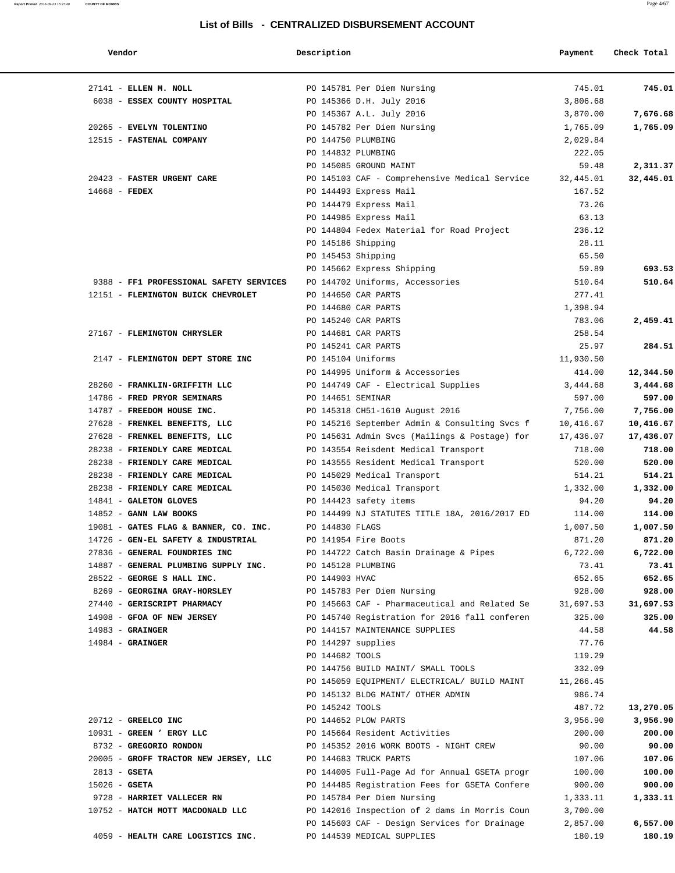| Vendor                                                    | Description                           |                                                                                 | Payment        | Check Total |
|-----------------------------------------------------------|---------------------------------------|---------------------------------------------------------------------------------|----------------|-------------|
| 27141 - ELLEN M. NOLL                                     |                                       | PO 145781 Per Diem Nursing                                                      | 745.01         | 745.01      |
| 6038 - ESSEX COUNTY HOSPITAL                              |                                       | PO 145366 D.H. July 2016                                                        | 3,806.68       |             |
|                                                           |                                       | PO 145367 A.L. July 2016                                                        | 3,870.00       | 7,676.68    |
| 20265 - EVELYN TOLENTINO                                  |                                       | PO 145782 Per Diem Nursing                                                      | 1,765.09       | 1,765.09    |
| 12515 - FASTENAL COMPANY                                  | PO 144750 PLUMBING                    |                                                                                 | 2,029.84       |             |
|                                                           | PO 144832 PLUMBING                    |                                                                                 | 222.05         |             |
|                                                           |                                       | PO 145085 GROUND MAINT                                                          | 59.48          | 2,311.37    |
| 20423 - FASTER URGENT CARE                                |                                       | PO 145103 CAF - Comprehensive Medical Service                                   | 32,445.01      | 32,445.01   |
| 14668 - FEDEX                                             |                                       | PO 144493 Express Mail                                                          | 167.52         |             |
|                                                           |                                       | PO 144479 Express Mail                                                          | 73.26          |             |
|                                                           |                                       | PO 144985 Express Mail                                                          | 63.13          |             |
|                                                           |                                       | PO 144804 Fedex Material for Road Project                                       | 236.12         |             |
|                                                           | PO 145186 Shipping                    |                                                                                 | 28.11          |             |
|                                                           | PO 145453 Shipping                    |                                                                                 | 65.50          |             |
|                                                           |                                       | PO 145662 Express Shipping                                                      | 59.89          | 693.53      |
| 9388 - FF1 PROFESSIONAL SAFETY SERVICES                   |                                       | PO 144702 Uniforms, Accessories                                                 | 510.64         | 510.64      |
| 12151 - FLEMINGTON BUICK CHEVROLET                        |                                       | PO 144650 CAR PARTS                                                             | 277.41         |             |
|                                                           |                                       | PO 144680 CAR PARTS                                                             | 1,398.94       |             |
|                                                           |                                       | PO 145240 CAR PARTS                                                             | 783.06         | 2,459.41    |
| 27167 - FLEMINGTON CHRYSLER                               |                                       | PO 144681 CAR PARTS                                                             | 258.54         |             |
|                                                           |                                       | PO 145241 CAR PARTS                                                             | 25.97          | 284.51      |
| 2147 - FLEMINGTON DEPT STORE INC                          | PO 145104 Uniforms                    |                                                                                 | 11,930.50      |             |
|                                                           |                                       | PO 144995 Uniform & Accessories                                                 | 414.00         | 12,344.50   |
| 28260 - FRANKLIN-GRIFFITH LLC                             |                                       | PO 144749 CAF - Electrical Supplies                                             | 3,444.68       | 3,444.68    |
| 14786 - FRED PRYOR SEMINARS                               | PO 144651 SEMINAR                     |                                                                                 | 597.00         | 597.00      |
| 14787 - FREEDOM HOUSE INC.                                |                                       | PO 145318 CH51-1610 August 2016                                                 | 7,756.00       | 7,756.00    |
| 27628 - FRENKEL BENEFITS, LLC                             |                                       | PO 145216 September Admin & Consulting Svcs f                                   | 10,416.67      | 10,416.67   |
| 27628 - FRENKEL BENEFITS, LLC                             |                                       | PO 145631 Admin Svcs (Mailings & Postage) for                                   | 17,436.07      | 17,436.07   |
| 28238 - FRIENDLY CARE MEDICAL                             |                                       | PO 143554 Reisdent Medical Transport                                            | 718.00         | 718.00      |
| 28238 - FRIENDLY CARE MEDICAL                             |                                       | PO 143555 Resident Medical Transport                                            | 520.00         | 520.00      |
| 28238 - FRIENDLY CARE MEDICAL                             |                                       | PO 145029 Medical Transport                                                     | 514.21         | 514.21      |
| 28238 - FRIENDLY CARE MEDICAL                             |                                       | PO 145030 Medical Transport                                                     | 1,332.00       | 1,332.00    |
| 14841 - GALETON GLOVES                                    |                                       | PO 144423 safety items                                                          | 94.20          | 94.20       |
| $14852$ - GANN LAW BOOKS                                  |                                       | PO 144499 NJ STATUTES TITLE 18A, 2016/2017 ED                                   | 114.00         | 114.00      |
| 19081 - GATES FLAG & BANNER, CO. INC.                     | PO 144830 FLAGS                       |                                                                                 | 1,007.50       | 1,007.50    |
| 14726 - GEN-EL SAFETY & INDUSTRIAL                        |                                       | PO 141954 Fire Boots                                                            | 871.20         | 871.20      |
| 27836 - GENERAL FOUNDRIES INC                             |                                       | PO 144722 Catch Basin Drainage & Pipes                                          | 6,722.00       | 6,722.00    |
| 14887 - GENERAL PLUMBING SUPPLY INC.                      | PO 145128 PLUMBING                    |                                                                                 | 73.41          | 73.41       |
| 28522 - GEORGE S HALL INC.                                | PO 144903 HVAC                        |                                                                                 | 652.65         | 652.65      |
| 8269 - GEORGINA GRAY-HORSLEY                              |                                       | PO 145783 Per Diem Nursing                                                      | 928.00         | 928.00      |
| 27440 - GERISCRIPT PHARMACY<br>14908 - GFOA OF NEW JERSEY |                                       | PO 145663 CAF - Pharmaceutical and Related Se                                   | 31,697.53      | 31,697.53   |
|                                                           |                                       | PO 145740 Registration for 2016 fall conferen<br>PO 144157 MAINTENANCE SUPPLIES | 325.00         | 325.00      |
| $14983$ - GRAINGER<br>$14984 -$ GRAINGER                  |                                       |                                                                                 | 44.58<br>77.76 | 44.58       |
|                                                           | PO 144297 supplies<br>PO 144682 TOOLS |                                                                                 | 119.29         |             |
|                                                           |                                       | PO 144756 BUILD MAINT/ SMALL TOOLS                                              | 332.09         |             |
|                                                           |                                       | PO 145059 EQUIPMENT/ ELECTRICAL/ BUILD MAINT                                    | 11,266.45      |             |
|                                                           |                                       | PO 145132 BLDG MAINT/ OTHER ADMIN                                               | 986.74         |             |
|                                                           | PO 145242 TOOLS                       |                                                                                 | 487.72         | 13,270.05   |
| 20712 - GREELCO INC                                       |                                       | PO 144652 PLOW PARTS                                                            | 3,956.90       | 3,956.90    |
| 10931 - GREEN ' ERGY LLC                                  |                                       | PO 145664 Resident Activities                                                   | 200.00         | 200.00      |
| 8732 - GREGORIO RONDON                                    |                                       | PO 145352 2016 WORK BOOTS - NIGHT CREW                                          | 90.00          | 90.00       |
| 20005 - GROFF TRACTOR NEW JERSEY, LLC                     |                                       | PO 144683 TRUCK PARTS                                                           | 107.06         | 107.06      |
| $2813 - GSETA$                                            |                                       | PO 144005 Full-Page Ad for Annual GSETA progr                                   | 100.00         | 100.00      |
| $15026$ - GSETA                                           |                                       | PO 144485 Registration Fees for GSETA Confere                                   | 900.00         | 900.00      |
| 9728 - HARRIET VALLECER RN                                |                                       | PO 145784 Per Diem Nursing                                                      | 1,333.11       | 1,333.11    |
| 10752 - HATCH MOTT MACDONALD LLC                          |                                       | PO 142016 Inspection of 2 dams in Morris Coun                                   | 3,700.00       |             |
|                                                           |                                       | PO 145603 CAF - Design Services for Drainage                                    | 2,857.00       | 6,557.00    |
| 4059 - HEALTH CARE LOGISTICS INC.                         |                                       | PO 144539 MEDICAL SUPPLIES                                                      | 180.19         | 180.19      |
|                                                           |                                       |                                                                                 |                |             |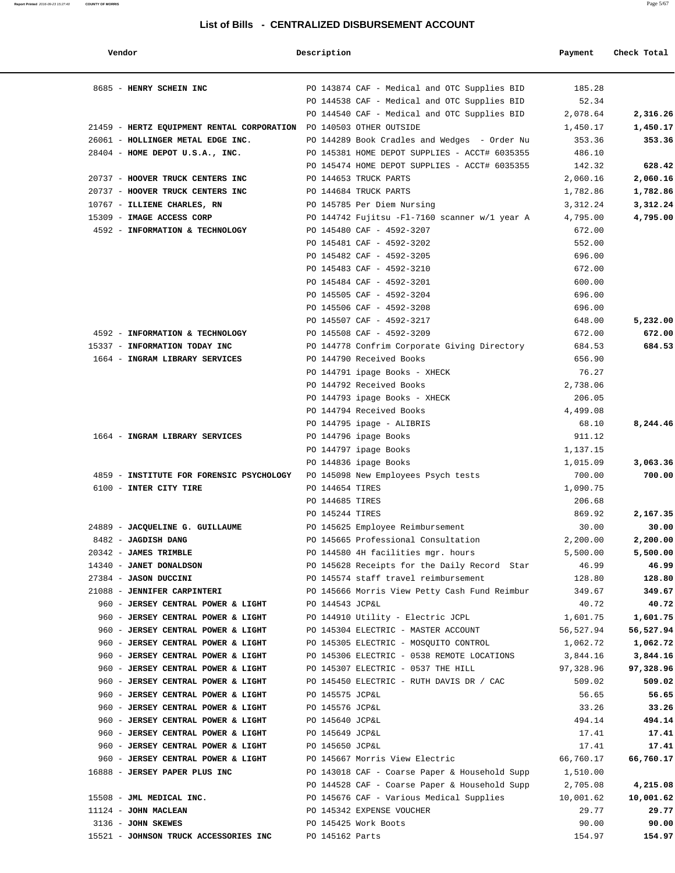| Vendor                                                                       | Description     |                                               | Payment   | Check Total |
|------------------------------------------------------------------------------|-----------------|-----------------------------------------------|-----------|-------------|
| 8685 - HENRY SCHEIN INC                                                      |                 | PO 143874 CAF - Medical and OTC Supplies BID  | 185.28    |             |
|                                                                              |                 | PO 144538 CAF - Medical and OTC Supplies BID  | 52.34     |             |
|                                                                              |                 | PO 144540 CAF - Medical and OTC Supplies BID  | 2,078.64  | 2,316.26    |
| 21459 - HERTZ EQUIPMENT RENTAL CORPORATION PO 140503 OTHER OUTSIDE           |                 |                                               | 1,450.17  | 1,450.17    |
| 26061 - HOLLINGER METAL EDGE INC.                                            |                 | PO 144289 Book Cradles and Wedges - Order Nu  | 353.36    | 353.36      |
| 28404 - HOME DEPOT U.S.A., INC.                                              |                 | PO 145381 HOME DEPOT SUPPLIES - ACCT# 6035355 | 486.10    |             |
|                                                                              |                 | PO 145474 HOME DEPOT SUPPLIES - ACCT# 6035355 | 142.32    | 628.42      |
| 20737 - HOOVER TRUCK CENTERS INC                                             |                 | PO 144653 TRUCK PARTS                         | 2,060.16  | 2,060.16    |
| 20737 - HOOVER TRUCK CENTERS INC                                             |                 | PO 144684 TRUCK PARTS                         | 1,782.86  | 1,782.86    |
| 10767 - ILLIENE CHARLES, RN                                                  |                 | PO 145785 Per Diem Nursing                    | 3,312.24  | 3,312.24    |
| 15309 - IMAGE ACCESS CORP                                                    |                 | PO 144742 Fujitsu -Fl-7160 scanner w/1 year A | 4,795.00  | 4,795.00    |
| 4592 - INFORMATION & TECHNOLOGY                                              |                 | PO 145480 CAF - 4592-3207                     | 672.00    |             |
|                                                                              |                 | PO 145481 CAF - 4592-3202                     | 552.00    |             |
|                                                                              |                 | PO 145482 CAF - 4592-3205                     | 696.00    |             |
|                                                                              |                 | PO 145483 CAF - 4592-3210                     | 672.00    |             |
|                                                                              |                 | PO 145484 CAF - 4592-3201                     | 600.00    |             |
|                                                                              |                 | PO 145505 CAF - 4592-3204                     | 696.00    |             |
|                                                                              |                 | PO 145506 CAF - 4592-3208                     | 696.00    |             |
|                                                                              |                 | PO 145507 CAF - 4592-3217                     | 648.00    | 5,232.00    |
| 4592 - INFORMATION & TECHNOLOGY                                              |                 | PO 145508 CAF - 4592-3209                     | 672.00    | 672.00      |
| 15337 - INFORMATION TODAY INC                                                |                 | PO 144778 Confrim Corporate Giving Directory  | 684.53    | 684.53      |
| 1664 - INGRAM LIBRARY SERVICES                                               |                 | PO 144790 Received Books                      | 656.90    |             |
|                                                                              |                 | PO 144791 ipage Books - XHECK                 | 76.27     |             |
|                                                                              |                 | PO 144792 Received Books                      | 2,738.06  |             |
|                                                                              |                 | PO 144793 ipage Books - XHECK                 | 206.05    |             |
|                                                                              |                 | PO 144794 Received Books                      | 4,499.08  |             |
|                                                                              |                 | PO 144795 ipage - ALIBRIS                     | 68.10     | 8,244.46    |
| 1664 - INGRAM LIBRARY SERVICES                                               |                 | PO 144796 ipage Books                         | 911.12    |             |
|                                                                              |                 | PO 144797 ipage Books                         | 1,137.15  |             |
|                                                                              |                 | PO 144836 ipage Books                         | 1,015.09  | 3,063.36    |
| 4859 - INSTITUTE FOR FORENSIC PSYCHOLOGY PO 145098 New Employees Psych tests |                 |                                               | 700.00    | 700.00      |
| 6100 - INTER CITY TIRE                                                       | PO 144654 TIRES |                                               | 1,090.75  |             |
|                                                                              | PO 144685 TIRES |                                               | 206.68    |             |
|                                                                              | PO 145244 TIRES |                                               | 869.92    | 2,167.35    |
| 24889 - JACQUELINE G. GUILLAUME                                              |                 | PO 145625 Employee Reimbursement              | 30.00     | 30.00       |
| 8482 - JAGDISH DANG                                                          |                 | PO 145665 Professional Consultation           | 2,200.00  | 2,200.00    |
| 20342 - JAMES TRIMBLE                                                        |                 | PO 144580 4H facilities mgr. hours            | 5,500.00  | 5,500.00    |
| 14340 - JANET DONALDSON                                                      |                 | PO 145628 Receipts for the Daily Record Star  | 46.99     | 46.99       |
| 27384 - JASON DUCCINI                                                        |                 | PO 145574 staff travel reimbursement          | 128.80    | 128.80      |
| 21088 - JENNIFER CARPINTERI                                                  |                 | PO 145666 Morris View Petty Cash Fund Reimbur | 349.67    | 349.67      |
| 960 - JERSEY CENTRAL POWER & LIGHT                                           | PO 144543 JCP&L |                                               | 40.72     | 40.72       |
| 960 - JERSEY CENTRAL POWER & LIGHT                                           |                 | PO 144910 Utility - Electric JCPL             | 1,601.75  | 1,601.75    |
| 960 - JERSEY CENTRAL POWER & LIGHT                                           |                 | PO 145304 ELECTRIC - MASTER ACCOUNT           | 56,527.94 | 56,527.94   |
| 960 - JERSEY CENTRAL POWER & LIGHT                                           |                 | PO 145305 ELECTRIC - MOSQUITO CONTROL         | 1,062.72  | 1,062.72    |
| 960 - JERSEY CENTRAL POWER & LIGHT                                           |                 | PO 145306 ELECTRIC - 0538 REMOTE LOCATIONS    | 3,844.16  | 3,844.16    |
| 960 - JERSEY CENTRAL POWER & LIGHT                                           |                 | PO 145307 ELECTRIC - 0537 THE HILL            | 97,328.96 | 97,328.96   |
| 960 - JERSEY CENTRAL POWER & LIGHT                                           |                 | PO 145450 ELECTRIC - RUTH DAVIS DR / CAC      | 509.02    | 509.02      |
| 960 - JERSEY CENTRAL POWER & LIGHT                                           | PO 145575 JCP&L |                                               | 56.65     | 56.65       |
| 960 - JERSEY CENTRAL POWER & LIGHT                                           | PO 145576 JCP&L |                                               | 33.26     | 33.26       |
| 960 - JERSEY CENTRAL POWER & LIGHT                                           | PO 145640 JCP&L |                                               | 494.14    | 494.14      |
| 960 - JERSEY CENTRAL POWER & LIGHT                                           | PO 145649 JCP&L |                                               | 17.41     | 17.41       |
| 960 - JERSEY CENTRAL POWER & LIGHT                                           | PO 145650 JCP&L |                                               | 17.41     | 17.41       |
| 960 - JERSEY CENTRAL POWER & LIGHT                                           |                 | PO 145667 Morris View Electric                | 66,760.17 | 66,760.17   |
| 16888 - JERSEY PAPER PLUS INC                                                |                 | PO 143018 CAF - Coarse Paper & Household Supp | 1,510.00  |             |
|                                                                              |                 | PO 144528 CAF - Coarse Paper & Household Supp | 2,705.08  | 4,215.08    |
| 15508 - JML MEDICAL INC.                                                     |                 | PO 145676 CAF - Various Medical Supplies      | 10,001.62 | 10,001.62   |
| 11124 - JOHN MACLEAN                                                         |                 | PO 145342 EXPENSE VOUCHER                     | 29.77     | 29.77       |
| 3136 - JOHN SKEWES                                                           |                 | PO 145425 Work Boots                          | 90.00     | 90.00       |
| 15521 - JOHNSON TRUCK ACCESSORIES INC                                        | PO 145162 Parts |                                               | 154.97    | 154.97      |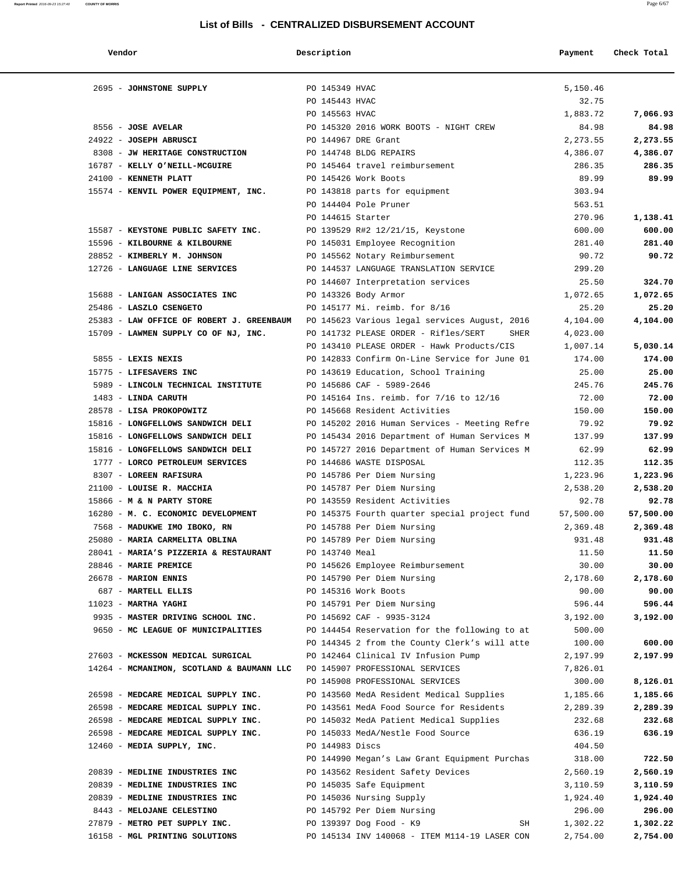| Vendor |  |
|--------|--|
|        |  |

| Vendor                                                                                  | Description                                                                          | Payment              | Check Total          |
|-----------------------------------------------------------------------------------------|--------------------------------------------------------------------------------------|----------------------|----------------------|
| 2695 - JOHNSTONE SUPPLY                                                                 | PO 145349 HVAC                                                                       | 5,150.46             |                      |
|                                                                                         | PO 145443 HVAC                                                                       | 32.75                |                      |
|                                                                                         | PO 145563 HVAC                                                                       | 1,883.72             | 7,066.93             |
| 8556 - JOSE AVELAR                                                                      | PO 145320 2016 WORK BOOTS - NIGHT CREW                                               | 84.98                | 84.98                |
| 24922 - JOSEPH ABRUSCI                                                                  | PO 144967 DRE Grant                                                                  | 2,273.55             | 2,273.55             |
| 8308 - JW HERITAGE CONSTRUCTION                                                         | PO 144748 BLDG REPAIRS                                                               | 4,386.07             | 4,386.07             |
| 16787 - KELLY O'NEILL-MCGUIRE                                                           | PO 145464 travel reimbursement                                                       | 286.35               | 286.35               |
| 24100 - KENNETH PLATT                                                                   | PO 145426 Work Boots                                                                 | 89.99                | 89.99                |
| 15574 - KENVIL POWER EQUIPMENT, INC.                                                    | PO 143818 parts for equipment                                                        | 303.94               |                      |
|                                                                                         | PO 144404 Pole Pruner                                                                | 563.51               |                      |
|                                                                                         | PO 144615 Starter                                                                    | 270.96               | 1,138.41             |
| 15587 - KEYSTONE PUBLIC SAFETY INC.                                                     | PO 139529 R#2 12/21/15, Keystone                                                     | 600.00               | 600.00               |
| 15596 - KILBOURNE & KILBOURNE                                                           | PO 145031 Employee Recognition                                                       | 281.40               | 281.40               |
| 28852 - KIMBERLY M. JOHNSON                                                             | PO 145562 Notary Reimbursement                                                       | 90.72                | 90.72                |
| 12726 - LANGUAGE LINE SERVICES                                                          | PO 144537 LANGUAGE TRANSLATION SERVICE                                               | 299.20               |                      |
|                                                                                         | PO 144607 Interpretation services                                                    | 25.50                | 324.70               |
| 15688 - LANIGAN ASSOCIATES INC                                                          | PO 143326 Body Armor                                                                 | 1,072.65             | 1,072.65             |
| 25486 - LASZLO CSENGETO                                                                 | PO 145177 Mi. reimb. for 8/16                                                        | 25.20                | 25.20                |
| 25383 - LAW OFFICE OF ROBERT J. GREENBAUM PO 145623 Various legal services August, 2016 |                                                                                      | 4,104.00             | 4,104.00             |
| 15709 - LAWMEN SUPPLY CO OF NJ, INC.                                                    | PO 141732 PLEASE ORDER - Rifles/SERT                                                 | SHER<br>4,023.00     |                      |
|                                                                                         | PO 143410 PLEASE ORDER - Hawk Products/CIS                                           | 1,007.14             | 5,030.14             |
| 5855 - LEXIS NEXIS                                                                      | PO 142833 Confirm On-Line Service for June 01                                        | 174.00               | 174.00               |
| 15775 - LIFESAVERS INC                                                                  | PO 143619 Education, School Training                                                 | 25.00                | 25.00                |
| 5989 - LINCOLN TECHNICAL INSTITUTE                                                      | PO 145686 CAF - 5989-2646                                                            | 245.76               | 245.76               |
| 1483 - LINDA CARUTH                                                                     | PO 145164 Ins. reimb. for 7/16 to 12/16                                              | 72.00                | 72.00                |
| 28578 - LISA PROKOPOWITZ                                                                | PO 145668 Resident Activities                                                        | 150.00               | 150.00               |
| 15816 - LONGFELLOWS SANDWICH DELI                                                       | PO 145202 2016 Human Services - Meeting Refre                                        | 79.92                | 79.92                |
| 15816 - LONGFELLOWS SANDWICH DELI                                                       | PO 145434 2016 Department of Human Services M                                        | 137.99               | 137.99               |
| 15816 - LONGFELLOWS SANDWICH DELI                                                       | PO 145727 2016 Department of Human Services M                                        | 62.99                | 62.99                |
| 1777 - LORCO PETROLEUM SERVICES                                                         | PO 144686 WASTE DISPOSAL                                                             | 112.35               | 112.35               |
| 8307 - LOREEN RAFISURA                                                                  | PO 145786 Per Diem Nursing                                                           | 1,223.96             | 1,223.96             |
| 21100 - LOUISE R. MACCHIA                                                               | PO 145787 Per Diem Nursing                                                           | 2,538.20             | 2,538.20             |
| 15866 - M & N PARTY STORE                                                               | PO 143559 Resident Activities                                                        | 92.78                | 92.78                |
| 16280 - M. C. ECONOMIC DEVELOPMENT                                                      | PO 145375 Fourth quarter special project fund                                        | 57,500.00            | 57,500.00            |
| 7568 - MADUKWE IMO IBOKO, RN                                                            | PO 145788 Per Diem Nursing                                                           | 2,369.48             | 2,369.48             |
| 25080 - MARIA CARMELITA OBLINA                                                          | PO 145789 Per Diem Nursing                                                           | 931.48               | 931.48               |
| 28041 - MARIA'S PIZZERIA & RESTAURANT                                                   | PO 143740 Meal                                                                       | 11.50                | 11.50                |
| 28846 - MARIE PREMICE                                                                   | PO 145626 Employee Reimbursement                                                     | 30.00                | 30.00                |
| 26678 - MARION ENNIS                                                                    | PO 145790 Per Diem Nursing                                                           | 2,178.60             | 2,178.60             |
| 687 - MARTELL ELLIS                                                                     | PO 145316 Work Boots                                                                 | 90.00                | 90.00                |
| $11023$ - MARTHA YAGHI                                                                  | PO 145791 Per Diem Nursing                                                           | 596.44               | 596.44               |
| 9935 - MASTER DRIVING SCHOOL INC.                                                       | PO 145692 CAF - 9935-3124                                                            | 3,192.00             | 3,192.00             |
| 9650 - MC LEAGUE OF MUNICIPALITIES                                                      | PO 144454 Reservation for the following to at                                        | 500.00               |                      |
|                                                                                         | PO 144345 2 from the County Clerk's will atte                                        | 100.00               | 600.00               |
| 27603 - MCKESSON MEDICAL SURGICAL                                                       | PO 142464 Clinical IV Infusion Pump<br>PO 145907 PROFESSIONAL SERVICES               | 2,197.99             | 2,197.99             |
| 14264 - MCMANIMON, SCOTLAND & BAUMANN LLC                                               | PO 145908 PROFESSIONAL SERVICES                                                      | 7,826.01<br>300.00   | 8,126.01             |
|                                                                                         |                                                                                      |                      |                      |
| 26598 - MEDCARE MEDICAL SUPPLY INC.<br>26598 - MEDCARE MEDICAL SUPPLY INC.              | PO 143560 MedA Resident Medical Supplies<br>PO 143561 MedA Food Source for Residents | 1,185.66<br>2,289.39 | 1,185.66<br>2,289.39 |
| 26598 - MEDCARE MEDICAL SUPPLY INC.                                                     | PO 145032 MedA Patient Medical Supplies                                              | 232.68               | 232.68               |
| 26598 - MEDCARE MEDICAL SUPPLY INC.                                                     | PO 145033 MedA/Nestle Food Source                                                    | 636.19               | 636.19               |
| 12460 - MEDIA SUPPLY, INC.                                                              | PO 144983 Discs                                                                      | 404.50               |                      |
|                                                                                         | PO 144990 Megan's Law Grant Equipment Purchas                                        | 318.00               | 722.50               |
| 20839 - MEDLINE INDUSTRIES INC                                                          | PO 143562 Resident Safety Devices                                                    | 2,560.19             | 2,560.19             |
| 20839 - MEDLINE INDUSTRIES INC                                                          | PO 145035 Safe Equipment                                                             | 3,110.59             | 3,110.59             |
| 20839 - MEDLINE INDUSTRIES INC                                                          | PO 145036 Nursing Supply                                                             | 1,924.40             | 1,924.40             |
| 8443 - MELOJANE CELESTINO                                                               | PO 145792 Per Diem Nursing                                                           | 296.00               | 296.00               |
| 27879 - METRO PET SUPPLY INC.                                                           | PO 139397 Dog Food - K9                                                              | 1,302.22<br>SH       | 1,302.22             |
| 16158 - MGL PRINTING SOLUTIONS                                                          | PO 145134 INV 140068 - ITEM M114-19 LASER CON                                        | 2,754.00             | 2,754.00             |
|                                                                                         |                                                                                      |                      |                      |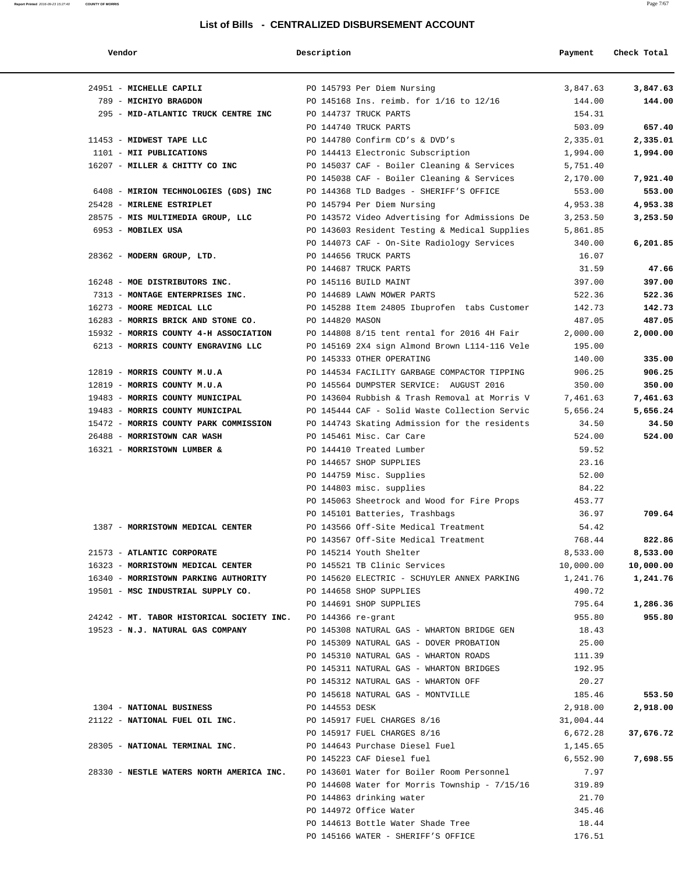| Vendor                                                                             | Description     |                                                   | Payment   | Check Total |
|------------------------------------------------------------------------------------|-----------------|---------------------------------------------------|-----------|-------------|
| 24951 - MICHELLE CAPILI                                                            |                 | PO 145793 Per Diem Nursing                        | 3,847.63  | 3,847.63    |
| 789 - MICHIYO BRAGDON                                                              |                 | PO 145168 Ins. reimb. for 1/16 to 12/16           | 144.00    | 144.00      |
| 295 - MID-ATLANTIC TRUCK CENTRE INC                                                |                 | PO 144737 TRUCK PARTS                             | 154.31    |             |
|                                                                                    |                 | PO 144740 TRUCK PARTS                             | 503.09    | 657.40      |
| 11453 - MIDWEST TAPE LLC                                                           |                 | PO 144780 Confirm CD's & DVD's                    | 2,335.01  | 2,335.01    |
| 1101 - MII PUBLICATIONS                                                            |                 | PO 144413 Electronic Subscription                 | 1,994.00  | 1,994.00    |
| 16207 - MILLER & CHITTY CO INC                                                     |                 | PO 145037 CAF - Boiler Cleaning & Services        | 5,751.40  |             |
|                                                                                    |                 | PO 145038 CAF - Boiler Cleaning & Services        | 2,170.00  | 7,921.40    |
| 6408 - MIRION TECHNOLOGIES (GDS) INC                                               |                 | PO 144368 TLD Badges - SHERIFF'S OFFICE           | 553.00    | 553.00      |
| 25428 - MIRLENE ESTRIPLET                                                          |                 | PO 145794 Per Diem Nursing                        | 4,953.38  | 4,953.38    |
| 28575 - MIS MULTIMEDIA GROUP, LLC                                                  |                 | PO 143572 Video Advertising for Admissions De     | 3,253.50  | 3,253.50    |
| 6953 - MOBILEX USA                                                                 |                 | PO 143603 Resident Testing & Medical Supplies     | 5,861.85  |             |
|                                                                                    |                 | PO 144073 CAF - On-Site Radiology Services        | 340.00    | 6,201.85    |
| 28362 - MODERN GROUP, LTD.                                                         |                 | PO 144656 TRUCK PARTS                             | 16.07     |             |
|                                                                                    |                 | PO 144687 TRUCK PARTS                             | 31.59     | 47.66       |
| 16248 - MOE DISTRIBUTORS INC.                                                      |                 | PO 145116 BUILD MAINT                             | 397.00    | 397.00      |
| 7313 - MONTAGE ENTERPRISES INC.                                                    |                 | PO 144689 LAWN MOWER PARTS                        | 522.36    | 522.36      |
| 16273 - MOORE MEDICAL LLC                                                          |                 | PO 145288 Item 24805 Ibuprofen tabs Customer      | 142.73    | 142.73      |
| 16283 - MORRIS BRICK AND STONE CO.                                                 | PO 144820 MASON |                                                   | 487.05    | 487.05      |
| 15932 - MORRIS COUNTY 4-H ASSOCIATION                                              |                 | PO 144808 8/15 tent rental for 2016 4H Fair       | 2,000.00  | 2,000.00    |
| 6213 - MORRIS COUNTY ENGRAVING LLC                                                 |                 | PO 145169 2X4 sign Almond Brown L114-116 Vele     | 195.00    |             |
|                                                                                    |                 | PO 145333 OTHER OPERATING                         | 140.00    | 335.00      |
| 12819 - MORRIS COUNTY M.U.A                                                        |                 | PO 144534 FACILITY GARBAGE COMPACTOR TIPPING      | 906.25    | 906.25      |
| 12819 - MORRIS COUNTY M.U.A                                                        |                 | PO 145564 DUMPSTER SERVICE: AUGUST 2016           | 350.00    | 350.00      |
| 19483 - MORRIS COUNTY MUNICIPAL                                                    |                 | PO 143604 Rubbish & Trash Removal at Morris V     | 7,461.63  | 7,461.63    |
| 19483 - MORRIS COUNTY MUNICIPAL                                                    |                 | PO 145444 CAF - Solid Waste Collection Servic     | 5,656.24  | 5,656.24    |
| 15472 - MORRIS COUNTY PARK COMMISSION                                              |                 | PO 144743 Skating Admission for the residents     | 34.50     | 34.50       |
| 26488 - MORRISTOWN CAR WASH                                                        |                 | PO 145461 Misc. Car Care                          | 524.00    | 524.00      |
| 16321 - MORRISTOWN LUMBER &                                                        |                 | PO 144410 Treated Lumber                          | 59.52     |             |
|                                                                                    |                 | PO 144657 SHOP SUPPLIES                           | 23.16     |             |
|                                                                                    |                 | PO 144759 Misc. Supplies                          | 52.00     |             |
|                                                                                    |                 | PO 144803 misc. supplies                          | 84.22     |             |
|                                                                                    |                 | PO 145063 Sheetrock and Wood for Fire Props       | 453.77    |             |
|                                                                                    |                 | PO 145101 Batteries, Trashbags                    | 36.97     | 709.64      |
| 1387 - MORRISTOWN MEDICAL CENTER                                                   |                 | PO 143566 Off-Site Medical Treatment              | 54.42     |             |
|                                                                                    |                 | PO 143567 Off-Site Medical Treatment              | 768.44    | 822.86      |
| 21573 - ATLANTIC CORPORATE                                                         |                 | PO 145214 Youth Shelter                           | 8,533.00  | 8,533.00    |
| 16323 - MORRISTOWN MEDICAL CENTER                                                  |                 | PO 145521 TB Clinic Services                      | 10,000.00 | 10,000.00   |
| 16340 - MORRISTOWN PARKING AUTHORITY                                               |                 | PO 145620 ELECTRIC - SCHUYLER ANNEX PARKING       | 1,241.76  | 1,241.76    |
| 19501 - MSC INDUSTRIAL SUPPLY CO.                                                  |                 | PO 144658 SHOP SUPPLIES                           | 490.72    |             |
|                                                                                    |                 | PO 144691 SHOP SUPPLIES                           | 795.64    | 1,286.36    |
| 24242 - MT. TABOR HISTORICAL SOCIETY INC. PO 144366 re-grant                       |                 |                                                   | 955.80    | 955.80      |
| 19523 - N.J. NATURAL GAS COMPANY                                                   |                 | PO 145308 NATURAL GAS - WHARTON BRIDGE GEN        | 18.43     |             |
|                                                                                    |                 | PO 145309 NATURAL GAS - DOVER PROBATION           | 25.00     |             |
|                                                                                    |                 | PO 145310 NATURAL GAS - WHARTON ROADS             | 111.39    |             |
|                                                                                    |                 | PO 145311 NATURAL GAS - WHARTON BRIDGES           | 192.95    |             |
|                                                                                    |                 | PO 145312 NATURAL GAS - WHARTON OFF               | 20.27     |             |
|                                                                                    |                 | PO 145618 NATURAL GAS - MONTVILLE                 | 185.46    | 553.50      |
|                                                                                    |                 |                                                   |           |             |
| 1304 - NATIONAL BUSINESS                                                           | PO 144553 DESK  |                                                   | 2,918.00  | 2,918.00    |
| 21122 - NATIONAL FUEL OIL INC. PO 145917 FUEL CHARGES 8/16                         |                 |                                                   | 31,004.44 |             |
|                                                                                    |                 | PO 145917 FUEL CHARGES 8/16                       | 6,672.28  | 37,676.72   |
| 28305 - NATIONAL TERMINAL INC. PO 144643 Purchase Diesel Fuel                      |                 |                                                   | 1,145.65  |             |
|                                                                                    |                 | PO 145223 CAF Diesel fuel                         | 6,552.90  | 7,698.55    |
| 28330 - NESTLE WATERS NORTH AMERICA INC. PO 143601 Water for Boiler Room Personnel |                 |                                                   | 7.97      |             |
|                                                                                    |                 | PO $144608$ Water for Morris Township - $7/15/16$ | 319.89    |             |
|                                                                                    |                 | PO 144863 drinking water                          | 21.70     |             |
|                                                                                    |                 | PO 144972 Office Water                            | 345.46    |             |
|                                                                                    |                 | PO 144613 Bottle Water Shade Tree                 | 18.44     |             |

PO 145166 WATER - SHERIFF'S OFFICE 176.51

**Report Printed** 2016-09-23 15:27:40 **COUNTY OF MORRIS** Page 7/67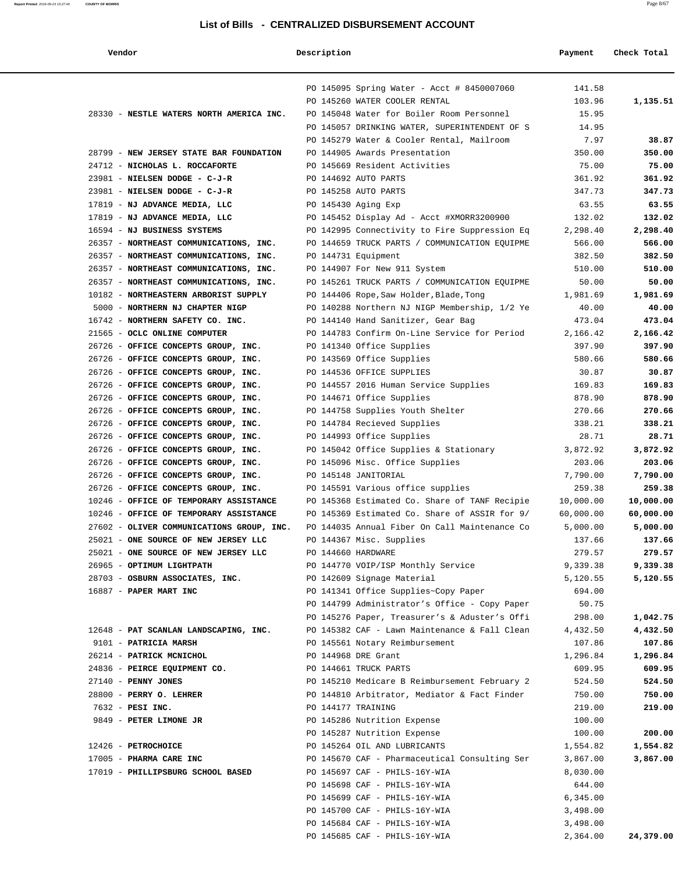#### **Report Printed** 2016-09-23 15:27:40 **COUNTY OF MORRIS** Page 8/67

#### **List of Bills - CENTRALIZED DISBURSEMENT ACCOUNT**

| Vendor                                                                     | Description         |                                                        | Payment         | Check Total      |
|----------------------------------------------------------------------------|---------------------|--------------------------------------------------------|-----------------|------------------|
|                                                                            |                     | PO 145095 Spring Water - Acct # 8450007060             | 141.58          |                  |
|                                                                            |                     | PO 145260 WATER COOLER RENTAL                          | 103.96          | 1,135.51         |
| 28330 - NESTLE WATERS NORTH AMERICA INC.                                   |                     | PO 145048 Water for Boiler Room Personnel              | 15.95           |                  |
|                                                                            |                     | PO 145057 DRINKING WATER, SUPERINTENDENT OF S          | 14.95           |                  |
|                                                                            |                     | PO 145279 Water & Cooler Rental, Mailroom              | 7.97            | 38.87            |
| 28799 - NEW JERSEY STATE BAR FOUNDATION                                    |                     | PO 144905 Awards Presentation                          | 350.00          | 350.00           |
| 24712 - NICHOLAS L. ROCCAFORTE                                             |                     | PO 145669 Resident Activities                          | 75.00           | 75.00            |
| 23981 - NIELSEN DODGE - C-J-R                                              |                     | PO 144692 AUTO PARTS                                   | 361.92          | 361.92           |
| 23981 - NIELSEN DODGE - C-J-R                                              |                     | PO 145258 AUTO PARTS                                   | 347.73          | 347.73           |
| 17819 - NJ ADVANCE MEDIA, LLC                                              | PO 145430 Aging Exp |                                                        | 63.55           | 63.55            |
| 17819 - NJ ADVANCE MEDIA, LLC                                              |                     | PO 145452 Display Ad - Acct #XMORR3200900              | 132.02          | 132.02           |
| 16594 - NJ BUSINESS SYSTEMS                                                |                     | PO 142995 Connectivity to Fire Suppression Eq          | 2,298.40        | 2,298.40         |
| 26357 - NORTHEAST COMMUNICATIONS, INC.                                     |                     | PO 144659 TRUCK PARTS / COMMUNICATION EQUIPME          | 566.00          | 566.00           |
| 26357 - NORTHEAST COMMUNICATIONS, INC.                                     |                     | PO 144731 Equipment                                    | 382.50          | 382.50           |
| 26357 - NORTHEAST COMMUNICATIONS, INC.                                     |                     | PO 144907 For New 911 System                           | 510.00          | 510.00           |
| 26357 - NORTHEAST COMMUNICATIONS, INC.                                     |                     | PO 145261 TRUCK PARTS / COMMUNICATION EQUIPME          | 50.00           | 50.00            |
| 10182 - NORTHEASTERN ARBORIST SUPPLY                                       |                     | PO 144406 Rope, Saw Holder, Blade, Tong                | 1,981.69        | 1,981.69         |
| 5000 - NORTHERN NJ CHAPTER NIGP                                            |                     | PO 140288 Northern NJ NIGP Membership, 1/2 Ye          | 40.00           | 40.00            |
| 16742 - NORTHERN SAFETY CO. INC.                                           |                     | PO 144140 Hand Sanitizer, Gear Bag                     | 473.04          | 473.04           |
| 21565 - OCLC ONLINE COMPUTER                                               |                     | PO 144783 Confirm On-Line Service for Period           | 2,166.42        | 2,166.42         |
| 26726 - OFFICE CONCEPTS GROUP, INC.<br>26726 - OFFICE CONCEPTS GROUP, INC. |                     | PO 141340 Office Supplies                              | 397.90          | 397.90<br>580.66 |
| 26726 - OFFICE CONCEPTS GROUP, INC.                                        |                     | PO 143569 Office Supplies<br>PO 144536 OFFICE SUPPLIES | 580.66<br>30.87 | 30.87            |
| 26726 - OFFICE CONCEPTS GROUP, INC.                                        |                     | PO 144557 2016 Human Service Supplies                  | 169.83          | 169.83           |
| 26726 - OFFICE CONCEPTS GROUP, INC.                                        |                     | PO 144671 Office Supplies                              | 878.90          | 878.90           |
| 26726 - OFFICE CONCEPTS GROUP, INC.                                        |                     | PO 144758 Supplies Youth Shelter                       | 270.66          | 270.66           |
| 26726 - OFFICE CONCEPTS GROUP, INC.                                        |                     | PO 144784 Recieved Supplies                            | 338.21          | 338.21           |
| 26726 - OFFICE CONCEPTS GROUP, INC.                                        |                     | PO 144993 Office Supplies                              | 28.71           | 28.71            |
| 26726 - OFFICE CONCEPTS GROUP, INC.                                        |                     | PO 145042 Office Supplies & Stationary                 | 3,872.92        | 3,872.92         |
| 26726 - OFFICE CONCEPTS GROUP, INC.                                        |                     | PO 145096 Misc. Office Supplies                        | 203.06          | 203.06           |
| 26726 - OFFICE CONCEPTS GROUP, INC.                                        |                     | PO 145148 JANITORIAL                                   | 7,790.00        | 7,790.00         |
| 26726 - OFFICE CONCEPTS GROUP, INC.                                        |                     | PO 145591 Various office supplies                      | 259.38          | 259.38           |
| 10246 - OFFICE OF TEMPORARY ASSISTANCE                                     |                     | PO 145368 Estimated Co. Share of TANF Recipie          | 10,000.00       | 10,000.00        |
| 10246 - OFFICE OF TEMPORARY ASSISTANCE                                     |                     | PO 145369 Estimated Co. Share of ASSIR for 9/          | 60,000.00       | 60,000.00        |
| 27602 - OLIVER COMMUNICATIONS GROUP, INC.                                  |                     | PO 144035 Annual Fiber On Call Maintenance Co          | 5,000.00        | 5,000.00         |
| 25021 - ONE SOURCE OF NEW JERSEY LLC                                       |                     | PO 144367 Misc. Supplies                               | 137.66          | 137.66           |
| 25021 - ONE SOURCE OF NEW JERSEY LLC                                       | PO 144660 HARDWARE  |                                                        | 279.57          | 279.57           |
| 26965 - OPTIMUM LIGHTPATH                                                  |                     | PO 144770 VOIP/ISP Monthly Service                     | 9,339.38        | 9,339.38         |
| 28703 - OSBURN ASSOCIATES, INC.                                            |                     | PO 142609 Signage Material                             | 5,120.55        | 5,120.55         |
| 16887 - PAPER MART INC                                                     |                     | PO 141341 Office Supplies~Copy Paper                   | 694.00          |                  |
|                                                                            |                     | PO 144799 Administrator's Office - Copy Paper          | 50.75           |                  |
|                                                                            |                     | PO 145276 Paper, Treasurer's & Aduster's Offi          | 298.00          | 1,042.75         |
| 12648 - PAT SCANLAN LANDSCAPING, INC.                                      |                     | PO 145382 CAF - Lawn Maintenance & Fall Clean          | 4,432.50        | 4,432.50         |
| 9101 - PATRICIA MARSH                                                      |                     | PO 145561 Notary Reimbursement                         | 107.86          | 107.86           |
| 26214 - PATRICK MCNICHOL                                                   |                     | PO 144968 DRE Grant                                    | 1,296.84        | 1,296.84         |
| 24836 - PEIRCE EQUIPMENT CO.                                               |                     | PO 144661 TRUCK PARTS                                  | 609.95          | 609.95           |
| 27140 - PENNY JONES                                                        |                     | PO 145210 Medicare B Reimbursement February 2          | 524.50          | 524.50           |
| 28800 - PERRY O. LEHRER                                                    |                     | PO 144810 Arbitrator, Mediator & Fact Finder           | 750.00          | 750.00           |
| 7632 - PESI INC.                                                           | PO 144177 TRAINING  |                                                        | 219.00          | 219.00           |
| 9849 - PETER LIMONE JR                                                     |                     | PO 145286 Nutrition Expense                            | 100.00          |                  |
|                                                                            |                     | PO 145287 Nutrition Expense                            | 100.00          | 200.00           |
| 12426 - PETROCHOICE                                                        |                     | PO 145264 OIL AND LUBRICANTS                           | 1,554.82        | 1,554.82         |
| 17005 - PHARMA CARE INC                                                    |                     | PO 145670 CAF - Pharmaceutical Consulting Ser          | 3,867.00        | 3,867.00         |
| 17019 - PHILLIPSBURG SCHOOL BASED                                          |                     | PO 145697 CAF - PHILS-16Y-WIA                          | 8,030.00        |                  |
|                                                                            |                     | PO 145698 CAF - PHILS-16Y-WIA                          | 644.00          |                  |
|                                                                            |                     | PO 145699 CAF - PHILS-16Y-WIA                          | 6,345.00        |                  |
|                                                                            |                     | PO 145700 CAF - PHILS-16Y-WIA                          | 3,498.00        |                  |
|                                                                            |                     | PO 145684 CAF - PHILS-16Y-WIA                          | 3,498.00        |                  |
|                                                                            |                     | PO 145685 CAF - PHILS-16Y-WIA                          | 2,364.00        | 24,379.00        |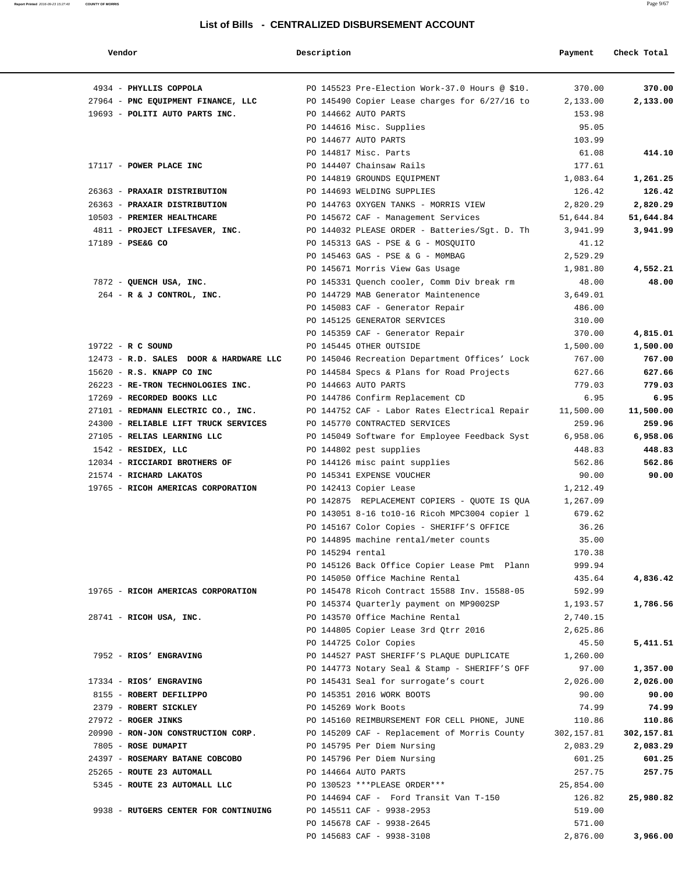| Vendor                                 | Description      |                                                | Payment    | Check Total |
|----------------------------------------|------------------|------------------------------------------------|------------|-------------|
| 4934 - PHYLLIS COPPOLA                 |                  | PO 145523 Pre-Election Work-37.0 Hours @ \$10. | 370.00     | 370.00      |
| 27964 - PNC EQUIPMENT FINANCE, LLC     |                  | PO 145490 Copier Lease charges for 6/27/16 to  | 2,133.00   | 2,133.00    |
| 19693 - POLITI AUTO PARTS INC.         |                  | PO 144662 AUTO PARTS                           | 153.98     |             |
|                                        |                  | PO 144616 Misc. Supplies                       | 95.05      |             |
|                                        |                  | PO 144677 AUTO PARTS                           | 103.99     |             |
|                                        |                  | PO 144817 Misc. Parts                          | 61.08      | 414.10      |
| 17117 - POWER PLACE INC                |                  | PO 144407 Chainsaw Rails                       | 177.61     |             |
|                                        |                  | PO 144819 GROUNDS EQUIPMENT                    | 1,083.64   | 1,261.25    |
| 26363 - PRAXAIR DISTRIBUTION           |                  | PO 144693 WELDING SUPPLIES                     | 126.42     | 126.42      |
| 26363 - PRAXAIR DISTRIBUTION           |                  | PO 144763 OXYGEN TANKS - MORRIS VIEW           | 2,820.29   | 2,820.29    |
| 10503 - PREMIER HEALTHCARE             |                  | PO 145672 CAF - Management Services            | 51,644.84  | 51,644.84   |
| 4811 - PROJECT LIFESAVER, INC.         |                  | PO 144032 PLEASE ORDER - Batteries/Sgt. D. Th  | 3,941.99   | 3,941.99    |
| 17189 - PSE&G CO                       |                  | PO 145313 GAS - PSE & G - MOSQUITO             | 41.12      |             |
|                                        |                  | PO 145463 GAS - PSE & G - MOMBAG               | 2,529.29   |             |
|                                        |                  | PO 145671 Morris View Gas Usage                | 1,981.80   | 4,552.21    |
| 7872 - QUENCH USA, INC.                |                  | PO 145331 Ouench cooler, Comm Div break rm     | 48.00      | 48.00       |
| 264 - R & J CONTROL, INC.              |                  | PO 144729 MAB Generator Maintenence            | 3,649.01   |             |
|                                        |                  | PO 145083 CAF - Generator Repair               | 486.00     |             |
|                                        |                  | PO 145125 GENERATOR SERVICES                   | 310.00     |             |
|                                        |                  | PO 145359 CAF - Generator Repair               | 370.00     | 4,815.01    |
| $19722 - R C$ SOUND                    |                  | PO 145445 OTHER OUTSIDE                        | 1,500.00   | 1,500.00    |
| 12473 - R.D. SALES DOOR & HARDWARE LLC |                  | PO 145046 Recreation Department Offices' Lock  | 767.00     | 767.00      |
| 15620 - R.S. KNAPP CO INC              |                  | PO 144584 Specs & Plans for Road Projects      | 627.66     | 627.66      |
| 26223 - RE-TRON TECHNOLOGIES INC.      |                  | PO 144663 AUTO PARTS                           | 779.03     | 779.03      |
| 17269 - RECORDED BOOKS LLC             |                  | PO 144786 Confirm Replacement CD               | 6.95       | 6.95        |
| 27101 - REDMANN ELECTRIC CO., INC.     |                  | PO 144752 CAF - Labor Rates Electrical Repair  | 11,500.00  | 11,500.00   |
| 24300 - RELIABLE LIFT TRUCK SERVICES   |                  | PO 145770 CONTRACTED SERVICES                  | 259.96     | 259.96      |
| 27105 - RELIAS LEARNING LLC            |                  | PO 145049 Software for Employee Feedback Syst  | 6,958.06   | 6,958.06    |
| 1542 - RESIDEX, LLC                    |                  | PO 144802 pest supplies                        | 448.83     | 448.83      |
| 12034 - RICCIARDI BROTHERS OF          |                  | PO 144126 misc paint supplies                  | 562.86     | 562.86      |
| 21574 - RICHARD LAKATOS                |                  | PO 145341 EXPENSE VOUCHER                      | 90.00      | 90.00       |
| 19765 - RICOH AMERICAS CORPORATION     |                  | PO 142413 Copier Lease                         | 1,212.49   |             |
|                                        |                  | PO 142875 REPLACEMENT COPIERS - QUOTE IS QUA   | 1,267.09   |             |
|                                        |                  | PO 143051 8-16 to10-16 Ricoh MPC3004 copier 1  | 679.62     |             |
|                                        |                  | PO 145167 Color Copies - SHERIFF'S OFFICE      | 36.26      |             |
|                                        |                  | PO 144895 machine rental/meter counts          | 35.00      |             |
|                                        | PO 145294 rental |                                                | 170.38     |             |
|                                        |                  | PO 145126 Back Office Copier Lease Pmt Plann   | 999.94     |             |
|                                        |                  | PO 145050 Office Machine Rental                | 435.64     | 4,836.42    |
| 19765 - RICOH AMERICAS CORPORATION     |                  | PO 145478 Ricoh Contract 15588 Inv. 15588-05   | 592.99     |             |
|                                        |                  | PO 145374 Quarterly payment on MP9002SP        | 1,193.57   | 1,786.56    |
| $28741$ - RICOH USA, INC.              |                  | PO 143570 Office Machine Rental                | 2,740.15   |             |
|                                        |                  | PO 144805 Copier Lease 3rd Qtrr 2016           | 2,625.86   |             |
|                                        |                  | PO 144725 Color Copies                         | 45.50      | 5,411.51    |
| 7952 - RIOS' ENGRAVING                 |                  | PO 144527 PAST SHERIFF'S PLAQUE DUPLICATE      | 1,260.00   |             |
|                                        |                  | PO 144773 Notary Seal & Stamp - SHERIFF'S OFF  | 97.00      | 1,357.00    |
| 17334 - RIOS' ENGRAVING                |                  | PO 145431 Seal for surrogate's court           | 2,026.00   | 2,026.00    |
| 8155 - ROBERT DEFILIPPO                |                  | PO 145351 2016 WORK BOOTS                      | 90.00      | 90.00       |
| 2379 - ROBERT SICKLEY                  |                  | PO 145269 Work Boots                           | 74.99      | 74.99       |
| 27972 - ROGER JINKS                    |                  | PO 145160 REIMBURSEMENT FOR CELL PHONE, JUNE   | 110.86     | 110.86      |
| 20990 - RON-JON CONSTRUCTION CORP.     |                  | PO 145209 CAF - Replacement of Morris County   | 302,157.81 | 302,157.81  |
| 7805 - ROSE DUMAPIT                    |                  | PO 145795 Per Diem Nursing                     | 2,083.29   | 2,083.29    |
| 24397 - ROSEMARY BATANE COBCOBO        |                  | PO 145796 Per Diem Nursing                     | 601.25     | 601.25      |
| 25265 - ROUTE 23 AUTOMALL              |                  | PO 144664 AUTO PARTS                           | 257.75     | 257.75      |
| 5345 - ROUTE 23 AUTOMALL LLC           |                  | PO 130523 ***PLEASE ORDER***                   | 25,854.00  |             |
|                                        |                  | PO 144694 CAF - Ford Transit Van T-150         | 126.82     | 25,980.82   |
| 9938 - RUTGERS CENTER FOR CONTINUING   |                  | PO 145511 CAF - 9938-2953                      | 519.00     |             |
|                                        |                  | PO 145678 CAF - 9938-2645                      | 571.00     |             |
|                                        |                  | PO 145683 CAF - 9938-3108                      | 2,876.00   | 3,966.00    |
|                                        |                  |                                                |            |             |

**Report Printed** 2016-09-23 15:27:40 **COUNTY OF MORRIS** Page 9/67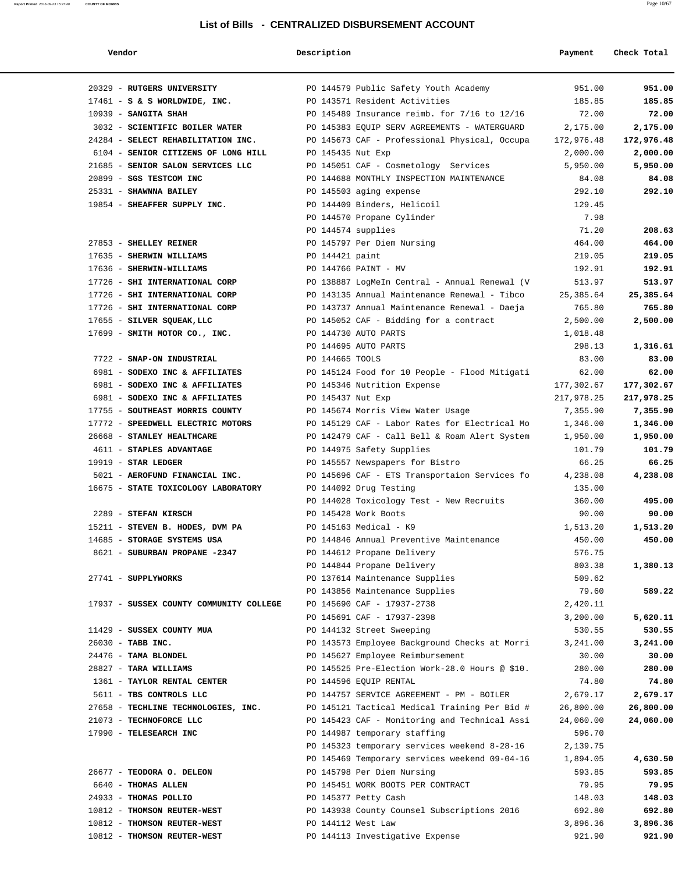#### **Report Printed** 2016-09-23 15:27:40 **COUNTY OF MORRIS** Page 10/67

#### **List of Bills - CENTRALIZED DISBURSEMENT ACCOUNT**

| Vendor                                  | Description        |                                                | Payment    | Check Total |  |
|-----------------------------------------|--------------------|------------------------------------------------|------------|-------------|--|
| 20329 - RUTGERS UNIVERSITY              |                    | PO 144579 Public Safety Youth Academy          | 951.00     | 951.00      |  |
| $17461 - S$ & S WORLDWIDE, INC.         |                    | PO 143571 Resident Activities                  | 185.85     | 185.85      |  |
| $10939$ - SANGITA SHAH                  |                    | PO 145489 Insurance reimb. for 7/16 to 12/16   | 72.00      | 72.00       |  |
| 3032 - SCIENTIFIC BOILER WATER          |                    | PO 145383 EQUIP SERV AGREEMENTS - WATERGUARD   | 2,175.00   | 2,175.00    |  |
| 24284 - SELECT REHABILITATION INC.      |                    | PO 145673 CAF - Professional Physical, Occupa  | 172,976.48 | 172,976.48  |  |
| 6104 - SENIOR CITIZENS OF LONG HILL     | PO 145435 Nut Exp  |                                                | 2,000.00   | 2,000.00    |  |
| 21685 - SENIOR SALON SERVICES LLC       |                    | PO 145051 CAF - Cosmetology Services           | 5,950.00   | 5,950.00    |  |
| 20899 - SGS TESTCOM INC                 |                    | PO 144688 MONTHLY INSPECTION MAINTENANCE       | 84.08      | 84.08       |  |
| 25331 - SHAWNNA BAILEY                  |                    | PO 145503 aging expense                        | 292.10     | 292.10      |  |
| 19854 - SHEAFFER SUPPLY INC.            |                    | PO 144409 Binders, Helicoil                    | 129.45     |             |  |
|                                         |                    | PO 144570 Propane Cylinder                     | 7.98       |             |  |
|                                         | PO 144574 supplies |                                                | 71.20      | 208.63      |  |
| 27853 - SHELLEY REINER                  |                    | PO 145797 Per Diem Nursing                     | 464.00     | 464.00      |  |
| 17635 - SHERWIN WILLIAMS                | PO 144421 paint    |                                                | 219.05     | 219.05      |  |
| 17636 - SHERWIN-WILLIAMS                |                    | PO 144766 PAINT - MV                           | 192.91     | 192.91      |  |
| 17726 - SHI INTERNATIONAL CORP          |                    | PO 138887 LogMeIn Central - Annual Renewal (V  | 513.97     | 513.97      |  |
| 17726 - SHI INTERNATIONAL CORP          |                    | PO 143135 Annual Maintenance Renewal - Tibco   | 25,385.64  | 25,385.64   |  |
| 17726 - SHI INTERNATIONAL CORP          |                    | PO 143737 Annual Maintenance Renewal - Daeja   | 765.80     | 765.80      |  |
| 17655 - SILVER SQUEAK, LLC              |                    | PO 145052 CAF - Bidding for a contract         | 2,500.00   | 2,500.00    |  |
| 17699 - SMITH MOTOR CO., INC.           |                    | PO 144730 AUTO PARTS                           | 1,018.48   |             |  |
|                                         |                    | PO 144695 AUTO PARTS                           | 298.13     | 1,316.61    |  |
| 7722 - SNAP-ON INDUSTRIAL               | PO 144665 TOOLS    |                                                | 83.00      | 83.00       |  |
| 6981 - SODEXO INC & AFFILIATES          |                    | PO 145124 Food for 10 People - Flood Mitigati  | 62.00      | 62.00       |  |
| 6981 - SODEXO INC & AFFILIATES          |                    | PO 145346 Nutrition Expense                    | 177,302.67 | 177,302.67  |  |
| 6981 - SODEXO INC & AFFILIATES          | PO 145437 Nut Exp  |                                                | 217,978.25 | 217,978.25  |  |
| 17755 - SOUTHEAST MORRIS COUNTY         |                    | PO 145674 Morris View Water Usage              | 7,355.90   | 7,355.90    |  |
| 17772 - SPEEDWELL ELECTRIC MOTORS       |                    | PO 145129 CAF - Labor Rates for Electrical Mo  | 1,346.00   | 1,346.00    |  |
| 26668 - STANLEY HEALTHCARE              |                    | PO 142479 CAF - Call Bell & Roam Alert System  | 1,950.00   | 1,950.00    |  |
| 4611 - STAPLES ADVANTAGE                |                    | PO 144975 Safety Supplies                      | 101.79     | 101.79      |  |
| $19919$ - STAR LEDGER                   |                    | PO 145557 Newspapers for Bistro                | 66.25      | 66.25       |  |
| 5021 - AEROFUND FINANCIAL INC.          |                    | PO 145696 CAF - ETS Transportaion Services fo  | 4,238.08   | 4,238.08    |  |
| 16675 - STATE TOXICOLOGY LABORATORY     |                    | PO 144092 Drug Testing                         | 135.00     |             |  |
|                                         |                    | PO 144028 Toxicology Test - New Recruits       | 360.00     | 495.00      |  |
| 2289 - STEFAN KIRSCH                    |                    | PO 145428 Work Boots                           | 90.00      | 90.00       |  |
| 15211 - STEVEN B. HODES, DVM PA         |                    | PO 145163 Medical - K9                         | 1,513.20   | 1,513.20    |  |
| 14685 - STORAGE SYSTEMS USA             |                    | PO 144846 Annual Preventive Maintenance        | 450.00     | 450.00      |  |
| 8621 - SUBURBAN PROPANE -2347           |                    | PO 144612 Propane Delivery                     | 576.75     |             |  |
|                                         |                    | PO 144844 Propane Delivery                     | 803.38     | 1,380.13    |  |
| 27741 - SUPPLYWORKS                     |                    | PO 137614 Maintenance Supplies                 | 509.62     |             |  |
|                                         |                    | PO 143856 Maintenance Supplies                 | 79.60      | 589.22      |  |
| 17937 - SUSSEX COUNTY COMMUNITY COLLEGE |                    | PO 145690 CAF - 17937-2738                     | 2,420.11   |             |  |
|                                         |                    | PO 145691 CAF - 17937-2398                     | 3,200.00   | 5,620.11    |  |
| 11429 - SUSSEX COUNTY MUA               |                    | PO 144132 Street Sweeping                      | 530.55     | 530.55      |  |
| 26030 - TABB INC.                       |                    | PO 143573 Employee Background Checks at Morri  | 3,241.00   | 3,241.00    |  |
| 24476 - TAMA BLONDEL                    |                    | PO 145627 Employee Reimbursement               | 30.00      | 30.00       |  |
| 28827 - TARA WILLIAMS                   |                    | PO 145525 Pre-Election Work-28.0 Hours @ \$10. | 280.00     | 280.00      |  |
| 1361 - TAYLOR RENTAL CENTER             |                    | PO 144596 EQUIP RENTAL                         | 74.80      | 74.80       |  |
| 5611 - TBS CONTROLS LLC                 |                    | PO 144757 SERVICE AGREEMENT - PM - BOILER      | 2,679.17   | 2,679.17    |  |
| 27658 - TECHLINE TECHNOLOGIES, INC.     |                    | PO 145121 Tactical Medical Training Per Bid #  | 26,800.00  | 26,800.00   |  |
| 21073 - TECHNOFORCE LLC                 |                    | PO 145423 CAF - Monitoring and Technical Assi  | 24,060.00  | 24,060.00   |  |
| 17990 - TELESEARCH INC                  |                    | PO 144987 temporary staffing                   | 596.70     |             |  |
|                                         |                    | PO 145323 temporary services weekend 8-28-16   | 2,139.75   |             |  |
|                                         |                    | PO 145469 Temporary services weekend 09-04-16  | 1,894.05   | 4,630.50    |  |
| 26677 - TEODORA O. DELEON               |                    | PO 145798 Per Diem Nursing                     | 593.85     | 593.85      |  |
| 6640 - THOMAS ALLEN                     |                    | PO 145451 WORK BOOTS PER CONTRACT              | 79.95      | 79.95       |  |
| 24933 - THOMAS POLLIO                   |                    | PO 145377 Petty Cash                           | 148.03     | 148.03      |  |

 10812 - **THOMSON REUTER-WEST** PO 143938 County Counsel Subscriptions 2016 692.80 **692.80** 10812 - **THOMSON REUTER-WEST** PO 144112 West Law 3,896.36 **3,896.36** 10812 - **THOMSON REUTER-WEST** PO 144113 Investigative Expense 921.90 **921.90**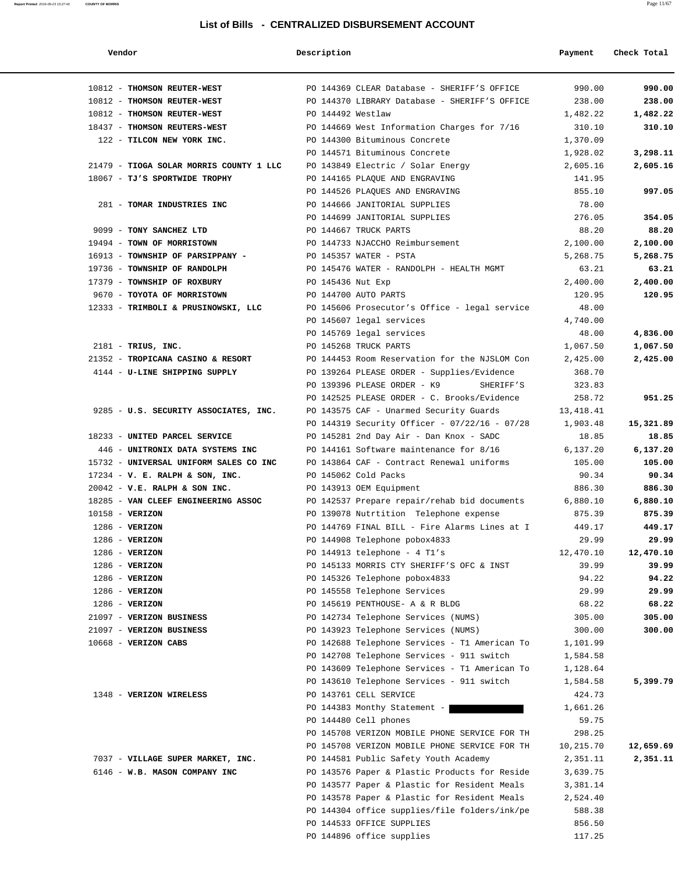**Report Printed** 2016-09-23 15:27:40 **COUNTY OF MORRIS** Page 11/67

| Vendor                                  | Description                                   | Payment   | Check Total |
|-----------------------------------------|-----------------------------------------------|-----------|-------------|
| 10812 - THOMSON REUTER-WEST             | PO 144369 CLEAR Database - SHERIFF'S OFFICE   | 990.00    | 990.00      |
| 10812 - THOMSON REUTER-WEST             | PO 144370 LIBRARY Database - SHERIFF'S OFFICE | 238.00    | 238.00      |
| 10812 - THOMSON REUTER-WEST             | PO 144492 Westlaw                             | 1,482.22  | 1,482.22    |
| 18437 - THOMSON REUTERS-WEST            | PO 144669 West Information Charges for 7/16   | 310.10    | 310.10      |
| 122 - TILCON NEW YORK INC.              | PO 144300 Bituminous Concrete                 | 1,370.09  |             |
|                                         | PO 144571 Bituminous Concrete                 | 1,928.02  | 3,298.11    |
| 21479 - TIOGA SOLAR MORRIS COUNTY 1 LLC | PO 143849 Electric / Solar Energy             | 2,605.16  | 2,605.16    |
| 18067 - TJ'S SPORTWIDE TROPHY           | PO 144165 PLAQUE AND ENGRAVING                | 141.95    |             |
|                                         | PO 144526 PLAQUES AND ENGRAVING               | 855.10    | 997.05      |
| 281 - TOMAR INDUSTRIES INC              | PO 144666 JANITORIAL SUPPLIES                 | 78.00     |             |
|                                         | PO 144699 JANITORIAL SUPPLIES                 | 276.05    | 354.05      |
| 9099 - TONY SANCHEZ LTD                 | PO 144667 TRUCK PARTS                         | 88.20     | 88.20       |
| 19494 - TOWN OF MORRISTOWN              | PO 144733 NJACCHO Reimbursement               | 2,100.00  | 2,100.00    |
| 16913 - TOWNSHIP OF PARSIPPANY -        | PO 145357 WATER - PSTA                        | 5,268.75  | 5,268.75    |
| 19736 - TOWNSHIP OF RANDOLPH            | PO 145476 WATER - RANDOLPH - HEALTH MGMT      | 63.21     | 63.21       |
| 17379 - TOWNSHIP OF ROXBURY             | PO 145436 Nut Exp                             | 2,400.00  | 2,400.00    |
|                                         |                                               | 120.95    | 120.95      |
| 9670 - TOYOTA OF MORRISTOWN             | PO 144700 AUTO PARTS                          |           |             |
| 12333 - TRIMBOLI & PRUSINOWSKI, LLC     | PO 145606 Prosecutor's Office - legal service | 48.00     |             |
|                                         | PO 145607 legal services                      | 4,740.00  |             |
|                                         | PO 145769 legal services                      | 48.00     | 4,836.00    |
| $2181$ - TRIUS, INC.                    | PO 145268 TRUCK PARTS                         | 1,067.50  | 1,067.50    |
| 21352 - TROPICANA CASINO & RESORT       | PO 144453 Room Reservation for the NJSLOM Con | 2,425.00  | 2,425.00    |
| 4144 - U-LINE SHIPPING SUPPLY           | PO 139264 PLEASE ORDER - Supplies/Evidence    | 368.70    |             |
|                                         | PO 139396 PLEASE ORDER - K9<br>SHERIFF'S      | 323.83    |             |
|                                         | PO 142525 PLEASE ORDER - C. Brooks/Evidence   | 258.72    | 951.25      |
| 9285 - U.S. SECURITY ASSOCIATES, INC.   | PO 143575 CAF - Unarmed Security Guards       | 13,418.41 |             |
|                                         | PO 144319 Security Officer - 07/22/16 - 07/28 | 1,903.48  | 15,321.89   |
| 18233 - UNITED PARCEL SERVICE           | PO 145281 2nd Day Air - Dan Knox - SADC       | 18.85     | 18.85       |
| 446 - UNITRONIX DATA SYSTEMS INC        | PO 144161 Software maintenance for 8/16       | 6,137.20  | 6,137.20    |
| 15732 - UNIVERSAL UNIFORM SALES CO INC  | PO 143864 CAF - Contract Renewal uniforms     | 105.00    | 105.00      |
| $17234 - V$ . E. RALPH & SON, INC.      | PO 145062 Cold Packs                          | 90.34     | 90.34       |
| $20042$ - V.E. RALPH & SON INC.         | PO 143913 OEM Equipment                       | 886.30    | 886.30      |
| 18285 - VAN CLEEF ENGINEERING ASSOC     | PO 142537 Prepare repair/rehab bid documents  | 6,880.10  | 6,880.10    |
| $10158 - VERIZON$                       | PO 139078 Nutrtition Telephone expense        | 875.39    | 875.39      |
| $1286$ - VERIZON                        | PO 144769 FINAL BILL - Fire Alarms Lines at I | 449.17    | 449.17      |
| 1286 - VERIZON                          | PO 144908 Telephone pobox4833                 | 29.99     | 29.99       |
| $1286$ - VERIZON                        | PO 144913 telephone - 4 T1's                  | 12,470.10 | 12,470.10   |
| $1286$ - VERIZON                        | PO 145133 MORRIS CTY SHERIFF'S OFC & INST     | 39.99     | 39.99       |
| $1286$ - VERIZON                        | PO 145326 Telephone pobox4833                 | 94.22     | 94.22       |
| $1286$ - VERIZON                        | PO 145558 Telephone Services                  | 29.99     | 29.99       |
| $1286$ - VERIZON                        | PO 145619 PENTHOUSE- A & R BLDG               | 68.22     | 68.22       |
| 21097 - VERIZON BUSINESS                | PO 142734 Telephone Services (NUMS)           | 305.00    | 305.00      |
| 21097 - VERIZON BUSINESS                | PO 143923 Telephone Services (NUMS)           | 300.00    | 300.00      |
| $10668$ - VERIZON CABS                  | PO 142688 Telephone Services - T1 American To | 1,101.99  |             |
|                                         | PO 142708 Telephone Services - 911 switch     | 1,584.58  |             |
|                                         | PO 143609 Telephone Services - T1 American To | 1,128.64  |             |
|                                         | PO 143610 Telephone Services - 911 switch     | 1,584.58  | 5,399.79    |
| 1348 - VERIZON WIRELESS                 | PO 143761 CELL SERVICE                        | 424.73    |             |
|                                         | PO 144383 Monthy Statement -                  | 1,661.26  |             |
|                                         | PO 144480 Cell phones                         | 59.75     |             |
|                                         | PO 145708 VERIZON MOBILE PHONE SERVICE FOR TH | 298.25    |             |
|                                         | PO 145708 VERIZON MOBILE PHONE SERVICE FOR TH | 10,215.70 | 12,659.69   |
| 7037 - VILLAGE SUPER MARKET, INC.       | PO 144581 Public Safety Youth Academy         | 2,351.11  | 2,351.11    |
| 6146 - W.B. MASON COMPANY INC           |                                               |           |             |
|                                         | PO 143576 Paper & Plastic Products for Reside | 3,639.75  |             |
|                                         | PO 143577 Paper & Plastic for Resident Meals  | 3,381.14  |             |
|                                         | PO 143578 Paper & Plastic for Resident Meals  | 2,524.40  |             |
|                                         | PO 144304 office supplies/file folders/ink/pe | 588.38    |             |
|                                         | PO 144533 OFFICE SUPPLIES                     | 856.50    |             |
|                                         | PO 144896 office supplies                     | 117.25    |             |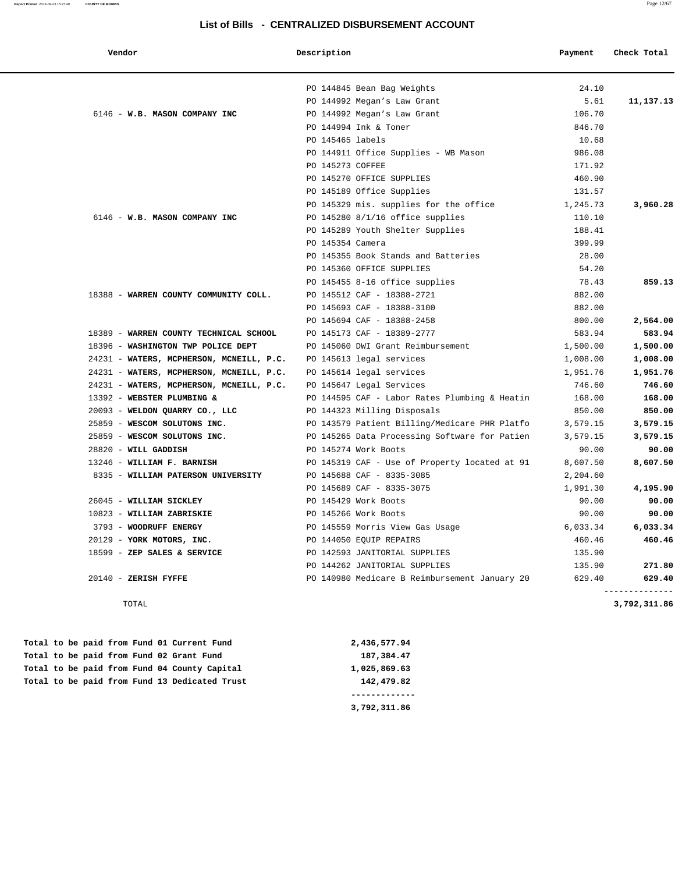| Vendor                                                            | Description      |                                               | Payment  | Check Total                    |
|-------------------------------------------------------------------|------------------|-----------------------------------------------|----------|--------------------------------|
|                                                                   |                  | PO 144845 Bean Bag Weights                    | 24.10    |                                |
|                                                                   |                  | PO 144992 Megan's Law Grant                   | 5.61     | 11,137.13                      |
| 6146 - W.B. MASON COMPANY INC                                     |                  | PO 144992 Megan's Law Grant                   | 106.70   |                                |
|                                                                   |                  | PO 144994 Ink & Toner                         | 846.70   |                                |
|                                                                   | PO 145465 labels |                                               | 10.68    |                                |
|                                                                   |                  | PO 144911 Office Supplies - WB Mason          | 986.08   |                                |
|                                                                   | PO 145273 COFFEE |                                               | 171.92   |                                |
|                                                                   |                  | PO 145270 OFFICE SUPPLIES                     | 460.90   |                                |
|                                                                   |                  | PO 145189 Office Supplies                     | 131.57   |                                |
|                                                                   |                  | PO 145329 mis. supplies for the office        | 1,245.73 | 3,960.28                       |
| 6146 - W.B. MASON COMPANY INC                                     |                  | PO 145280 8/1/16 office supplies              | 110.10   |                                |
|                                                                   |                  | PO 145289 Youth Shelter Supplies              | 188.41   |                                |
|                                                                   | PO 145354 Camera |                                               | 399.99   |                                |
|                                                                   |                  | PO 145355 Book Stands and Batteries           | 28.00    |                                |
|                                                                   |                  | PO 145360 OFFICE SUPPLIES                     | 54.20    |                                |
|                                                                   |                  | PO 145455 8-16 office supplies                | 78.43    | 859.13                         |
| 18388 - WARREN COUNTY COMMUNITY COLL.                             |                  | PO 145512 CAF - 18388-2721                    | 882.00   |                                |
|                                                                   |                  | PO 145693 CAF - 18388-3100                    | 882.00   |                                |
|                                                                   |                  | PO 145694 CAF - 18388-2458                    | 800.00   | 2,564.00                       |
| 18389 - WARREN COUNTY TECHNICAL SCHOOL                            |                  | PO 145173 CAF - 18389-2777                    | 583.94   | 583.94                         |
| 18396 - WASHINGTON TWP POLICE DEPT                                |                  | PO 145060 DWI Grant Reimbursement             | 1,500.00 | 1,500.00                       |
| 24231 - WATERS, MCPHERSON, MCNEILL, P.C.                          |                  | PO 145613 legal services                      | 1,008.00 | 1,008.00                       |
| 24231 - WATERS, MCPHERSON, MCNEILL, P.C. PO 145614 legal services |                  |                                               | 1,951.76 | 1,951.76                       |
| 24231 - WATERS, MCPHERSON, MCNEILL, P.C. PO 145647 Legal Services |                  |                                               | 746.60   | 746.60                         |
| 13392 - WEBSTER PLUMBING &                                        |                  | PO 144595 CAF - Labor Rates Plumbing & Heatin | 168.00   | 168.00                         |
| 20093 - WELDON QUARRY CO., LLC                                    |                  | PO 144323 Milling Disposals                   | 850.00   | 850.00                         |
| 25859 - WESCOM SOLUTONS INC.                                      |                  | PO 143579 Patient Billing/Medicare PHR Platfo | 3,579.15 | 3,579.15                       |
| 25859 - WESCOM SOLUTONS INC.                                      |                  | PO 145265 Data Processing Software for Patien | 3,579.15 | 3,579.15                       |
| 28820 - WILL GADDISH                                              |                  | PO 145274 Work Boots                          | 90.00    | 90.00                          |
| 13246 - WILLIAM F. BARNISH                                        |                  | PO 145319 CAF - Use of Property located at 91 | 8,607.50 | 8,607.50                       |
| 8335 - WILLIAM PATERSON UNIVERSITY                                |                  | PO 145688 CAF - 8335-3085                     | 2,204.60 |                                |
|                                                                   |                  | PO 145689 CAF - 8335-3075                     | 1,991.30 | 4,195.90                       |
| 26045 - WILLIAM SICKLEY                                           |                  | PO 145429 Work Boots                          | 90.00    | 90.00                          |
| 10823 - WILLIAM ZABRISKIE                                         |                  | PO 145266 Work Boots                          | 90.00    | 90.00                          |
| 3793 - WOODRUFF ENERGY                                            |                  | PO 145559 Morris View Gas Usage               | 6,033.34 | 6,033.34                       |
| 20129 - YORK MOTORS, INC.                                         |                  | PO 144050 EQUIP REPAIRS                       | 460.46   | 460.46                         |
| 18599 - ZEP SALES & SERVICE                                       |                  | PO 142593 JANITORIAL SUPPLIES                 | 135.90   |                                |
|                                                                   |                  | PO 144262 JANITORIAL SUPPLIES                 | 135.90   | 271.80                         |
| $20140$ - ZERISH FYFFE                                            |                  | PO 140980 Medicare B Reimbursement January 20 | 629.40   | 629.40                         |
| TOTAL                                                             |                  |                                               |          | --------------<br>3,792,311.86 |

 **Total to be paid from Fund 01 Current Fund 2,436,577.94 Total to be paid from Fund 02 Grant Fund 187,384.47 Total to be paid from Fund 04 County Capital 1,025,869.63 Total to be paid from Fund 13 Dedicated Trust 142,479.82**

 **------------- 3,792,311.86**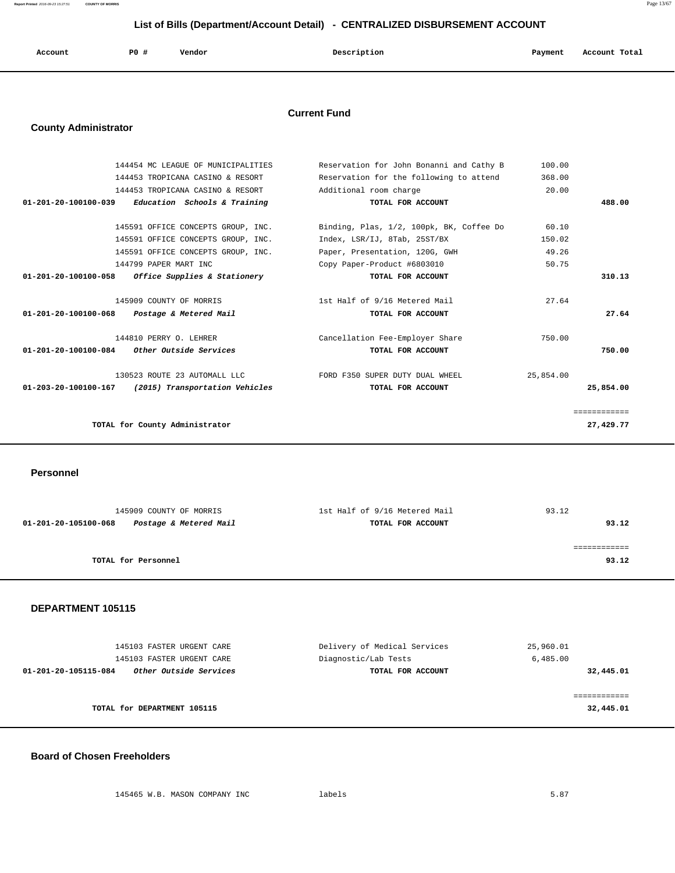**Report Printed** 2016-09-23 15:27:51 **COUNTY OF MORRIS** Page 13/67

## **List of Bills (Department/Account Detail) - CENTRALIZED DISBURSEMENT ACCOUNT**

| Account | P0 # | Vendor | Description | Payment | Account Total |
|---------|------|--------|-------------|---------|---------------|
|         |      |        |             |         |               |

#### **Current Fund**

## **County Administrator**

| 144454 MC LEAGUE OF MUNICIPALITIES                              | Reservation for John Bonanni and Cathy B | 100.00    |              |
|-----------------------------------------------------------------|------------------------------------------|-----------|--------------|
| 144453 TROPICANA CASINO & RESORT                                | Reservation for the following to attend  | 368.00    |              |
| 144453 TROPICANA CASINO & RESORT                                | Additional room charge                   | 20.00     |              |
| Education Schools & Training<br>01-201-20-100100-039            | TOTAL FOR ACCOUNT                        |           | 488.00       |
|                                                                 |                                          |           |              |
| 145591 OFFICE CONCEPTS GROUP, INC.                              | Binding, Plas, 1/2, 100pk, BK, Coffee Do | 60.10     |              |
| 145591 OFFICE CONCEPTS GROUP, INC.                              | Index, LSR/IJ, 8Tab, 25ST/BX             | 150.02    |              |
| 145591 OFFICE CONCEPTS GROUP, INC.                              | Paper, Presentation, 120G, GWH           | 49.26     |              |
| 144799 PAPER MART INC                                           | Copy Paper-Product #6803010              | 50.75     |              |
| 01-201-20-100100-058<br><i>Office Supplies &amp; Stationery</i> | TOTAL FOR ACCOUNT                        |           | 310.13       |
|                                                                 |                                          |           |              |
| 145909 COUNTY OF MORRIS                                         | 1st Half of 9/16 Metered Mail            | 27.64     |              |
| 01-201-20-100100-068<br>Postage & Metered Mail                  | TOTAL FOR ACCOUNT                        |           | 27.64        |
|                                                                 |                                          |           |              |
| 144810 PERRY O. LEHRER                                          | Cancellation Fee-Employer Share          | 750.00    |              |
| 01-201-20-100100-084<br>Other Outside Services                  | TOTAL FOR ACCOUNT                        |           | 750.00       |
| 130523 ROUTE 23 AUTOMALL LLC                                    | FORD F350 SUPER DUTY DUAL WHEEL          | 25,854.00 |              |
| 01-203-20-100100-167<br>(2015) Transportation Vehicles          | TOTAL FOR ACCOUNT                        |           | 25,854.00    |
|                                                                 |                                          |           |              |
|                                                                 |                                          |           | ============ |
| TOTAL for County Administrator                                  |                                          |           | 27,429.77    |
|                                                                 |                                          |           |              |

 **Personnel** 

| 145909 COUNTY OF MORRIS                        | 1st Half of 9/16 Metered Mail | 93.12 |
|------------------------------------------------|-------------------------------|-------|
| Postage & Metered Mail<br>01-201-20-105100-068 | TOTAL FOR ACCOUNT             | 93.12 |
|                                                |                               |       |
|                                                |                               |       |
| TOTAL for Personnel                            |                               | 93.12 |
|                                                |                               |       |

#### **DEPARTMENT 105115**

| 145103 FASTER URGENT CARE<br>145103 FASTER URGENT CARE | Delivery of Medical Services<br>Diagnostic/Lab Tests | 25,960.01<br>6,485.00 |
|--------------------------------------------------------|------------------------------------------------------|-----------------------|
| Other Outside Services<br>01-201-20-105115-084         | TOTAL FOR ACCOUNT                                    | 32,445.01             |
|                                                        |                                                      |                       |
| TOTAL for DEPARTMENT 105115                            |                                                      | 32,445.01             |

## **Board of Chosen Freeholders**

145465 W.B. MASON COMPANY INC labels 5.87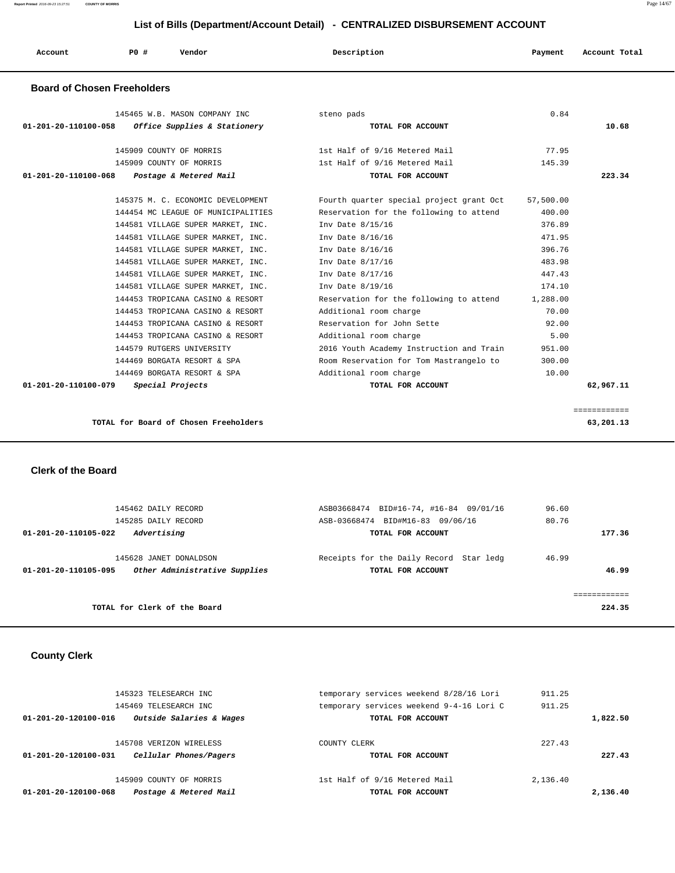| Account<br>. | PO# | Vendor | Description | Payment | Account Total |
|--------------|-----|--------|-------------|---------|---------------|
|              |     |        |             |         |               |

#### **Board of Chosen Freeholders**

| 145465 W.B. MASON COMPANY INC                        | steno pads                               | 0.84      |              |
|------------------------------------------------------|------------------------------------------|-----------|--------------|
| 01-201-20-110100-058<br>Office Supplies & Stationery | TOTAL FOR ACCOUNT                        |           | 10.68        |
| 145909 COUNTY OF MORRIS                              | 1st Half of 9/16 Metered Mail            | 77.95     |              |
| 145909 COUNTY OF MORRIS                              | 1st Half of 9/16 Metered Mail            | 145.39    |              |
| Postage & Metered Mail<br>01-201-20-110100-068       | TOTAL FOR ACCOUNT                        |           | 223.34       |
|                                                      |                                          |           |              |
| 145375 M. C. ECONOMIC DEVELOPMENT                    | Fourth quarter special project grant Oct | 57,500.00 |              |
| 144454 MC LEAGUE OF MUNICIPALITIES                   | Reservation for the following to attend  | 400.00    |              |
| 144581 VILLAGE SUPER MARKET, INC.                    | Inv Date 8/15/16                         | 376.89    |              |
| 144581 VILLAGE SUPER MARKET, INC.                    | Inv Date 8/16/16                         | 471.95    |              |
| 144581 VILLAGE SUPER MARKET, INC.                    | Inv Date 8/16/16                         | 396.76    |              |
| 144581 VILLAGE SUPER MARKET, INC.                    | Inv Date 8/17/16                         | 483.98    |              |
| 144581 VILLAGE SUPER MARKET, INC.                    | Inv Date 8/17/16                         | 447.43    |              |
| 144581 VILLAGE SUPER MARKET, INC.                    | Inv Date 8/19/16                         | 174.10    |              |
| 144453 TROPICANA CASINO & RESORT                     | Reservation for the following to attend  | 1,288.00  |              |
| 144453 TROPICANA CASINO & RESORT                     | Additional room charge                   | 70.00     |              |
| 144453 TROPICANA CASINO & RESORT                     | Reservation for John Sette               | 92.00     |              |
| 144453 TROPICANA CASINO & RESORT                     | Additional room charge                   | 5.00      |              |
| 144579 RUTGERS UNIVERSITY                            | 2016 Youth Academy Instruction and Train | 951.00    |              |
| 144469 BORGATA RESORT & SPA                          | Room Reservation for Tom Mastrangelo to  | 300.00    |              |
| 144469 BORGATA RESORT & SPA                          | Additional room charge                   | 10.00     |              |
| $01 - 201 - 20 - 110100 - 079$<br>Special Projects   | TOTAL FOR ACCOUNT                        |           | 62,967.11    |
|                                                      |                                          |           |              |
|                                                      |                                          |           | ============ |

**TOTAL for Board of Chosen Freeholders 63,201.13**

 **Clerk of the Board** 

|        | 96.60<br>80.76 | ASB03668474 BID#16-74, #16-84 09/01/16<br>BID#M16-83 09/06/16<br>ASB-03668474 | 145462 DAILY RECORD<br>145285 DAILY RECORD              |                      |
|--------|----------------|-------------------------------------------------------------------------------|---------------------------------------------------------|----------------------|
| 177.36 |                | TOTAL FOR ACCOUNT                                                             | Advertising                                             | 01-201-20-110105-022 |
| 46.99  | 46.99          | Receipts for the Daily Record Star ledg<br>TOTAL FOR ACCOUNT                  | 145628 JANET DONALDSON<br>Other Administrative Supplies | 01-201-20-110105-095 |
| 224.35 |                |                                                                               | TOTAL for Clerk of the Board                            |                      |

## **County Clerk**

| Postage & Metered Mail<br>01-201-20-120100-068   | TOTAL FOR ACCOUNT                        |          | 2,136.40 |
|--------------------------------------------------|------------------------------------------|----------|----------|
| 145909 COUNTY OF MORRIS                          | 1st Half of 9/16 Metered Mail            | 2,136.40 |          |
| 01-201-20-120100-031<br>Cellular Phones/Pagers   | TOTAL FOR ACCOUNT                        |          | 227.43   |
| 145708 VERIZON WIRELESS                          | COUNTY CLERK                             | 227.43   |          |
| Outside Salaries & Wages<br>01-201-20-120100-016 | TOTAL FOR ACCOUNT                        |          | 1,822.50 |
| 145469 TELESEARCH INC                            | temporary services weekend 9-4-16 Lori C | 911.25   |          |
| 145323 TELESEARCH INC                            | temporary services weekend 8/28/16 Lori  | 911.25   |          |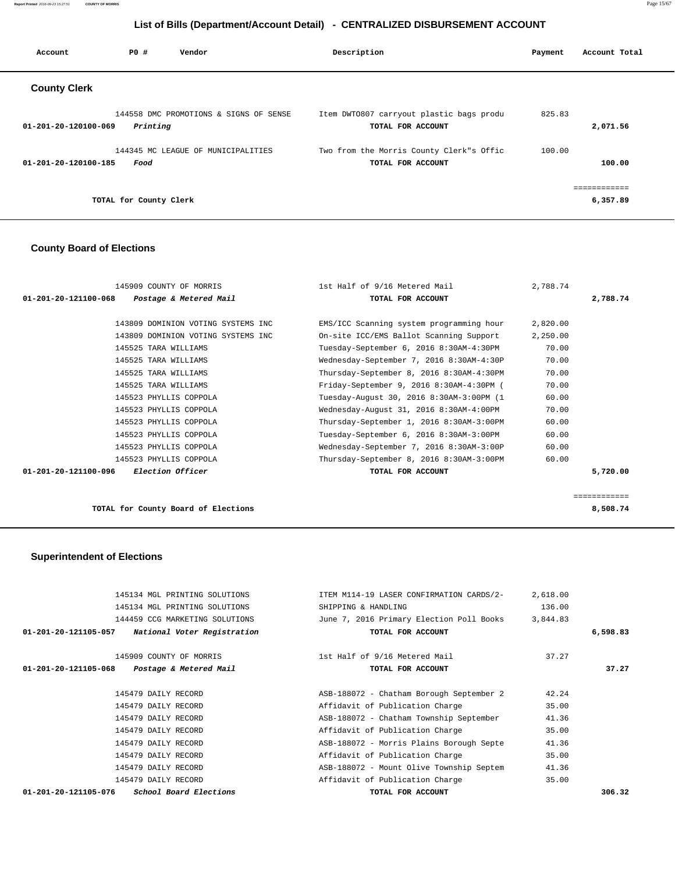**Report Printed** 2016-09-23 15:27:51 **COUNTY OF MORRIS** Page 15/67

## **List of Bills (Department/Account Detail) - CENTRALIZED DISBURSEMENT ACCOUNT**

| Account                        | PO#                    | Vendor                                 | Description                                                   | Payment | Account Total      |  |
|--------------------------------|------------------------|----------------------------------------|---------------------------------------------------------------|---------|--------------------|--|
| <b>County Clerk</b>            |                        |                                        |                                                               |         |                    |  |
| $01 - 201 - 20 - 120100 - 069$ | Printing               | 144558 DMC PROMOTIONS & SIGNS OF SENSE | Item DWT0807 carryout plastic bags produ<br>TOTAL FOR ACCOUNT |         | 825.83<br>2,071.56 |  |
| 01-201-20-120100-185           | Food                   | 144345 MC LEAGUE OF MUNICIPALITIES     | Two from the Morris County Clerk"s Offic<br>TOTAL FOR ACCOUNT |         | 100.00<br>100.00   |  |
|                                | TOTAL for County Clerk |                                        |                                                               |         | 6,357.89           |  |

## **County Board of Elections**

| 145909 COUNTY OF MORRIS                         | 1st Half of 9/16 Metered Mail            | 2,788.74 |              |
|-------------------------------------------------|------------------------------------------|----------|--------------|
| 01-201-20-121100-068<br>Postage & Metered Mail  | TOTAL FOR ACCOUNT                        |          | 2,788.74     |
|                                                 |                                          |          |              |
| 143809 DOMINION VOTING SYSTEMS INC              | EMS/ICC Scanning system programming hour | 2,820.00 |              |
| 143809 DOMINION VOTING SYSTEMS INC              | On-site ICC/EMS Ballot Scanning Support  | 2,250.00 |              |
| 145525 TARA WILLIAMS                            | Tuesday-September 6, 2016 8:30AM-4:30PM  | 70.00    |              |
| 145525 TARA WILLIAMS                            | Wednesday-September 7, 2016 8:30AM-4:30P | 70.00    |              |
| 145525 TARA WILLIAMS                            | Thursday-September 8, 2016 8:30AM-4:30PM | 70.00    |              |
| 145525 TARA WILLIAMS                            | Friday-September 9, 2016 8:30AM-4:30PM ( | 70.00    |              |
| 145523 PHYLLIS COPPOLA                          | Tuesday-August 30, 2016 8:30AM-3:00PM (1 | 60.00    |              |
| 145523 PHYLLIS COPPOLA                          | Wednesday-August 31, 2016 8:30AM-4:00PM  | 70.00    |              |
| 145523 PHYLLIS COPPOLA                          | Thursday-September 1, 2016 8:30AM-3:00PM | 60.00    |              |
| 145523 PHYLLIS COPPOLA                          | Tuesday-September 6, 2016 8:30AM-3:00PM  | 60.00    |              |
| 145523 PHYLLIS COPPOLA                          | Wednesday-September 7, 2016 8:30AM-3:00P | 60.00    |              |
| 145523 PHYLLIS COPPOLA                          | Thursday-September 8, 2016 8:30AM-3:00PM | 60.00    |              |
| 01-201-20-121100-096<br><i>Election Officer</i> | TOTAL FOR ACCOUNT                        |          | 5,720.00     |
|                                                 |                                          |          |              |
|                                                 |                                          |          | ============ |

**TOTAL for County Board of Elections 8,508.74**

# **Superintendent of Elections**

| 145134 MGL PRINTING SOLUTIONS                         | ITEM M114-19 LASER CONFIRMATION CARDS/2- | 2,618.00 |          |
|-------------------------------------------------------|------------------------------------------|----------|----------|
| 145134 MGL PRINTING SOLUTIONS                         | SHIPPING & HANDLING                      | 136.00   |          |
| 144459 CCG MARKETING SOLUTIONS                        | June 7, 2016 Primary Election Poll Books | 3,844.83 |          |
| National Voter Registration<br>01-201-20-121105-057   | TOTAL FOR ACCOUNT                        |          | 6,598.83 |
| 145909 COUNTY OF MORRIS                               | 1st Half of 9/16 Metered Mail            | 37.27    |          |
| 01-201-20-121105-068<br>Postage & Metered Mail        | TOTAL FOR ACCOUNT                        |          | 37.27    |
| 145479 DAILY RECORD                                   | ASB-188072 - Chatham Borough September 2 | 42.24    |          |
| 145479 DAILY RECORD                                   | Affidavit of Publication Charge          | 35.00    |          |
| 145479 DAILY RECORD                                   | ASB-188072 - Chatham Township September  | 41.36    |          |
| 145479 DAILY RECORD                                   | Affidavit of Publication Charge          | 35.00    |          |
| 145479 DAILY RECORD                                   | ASB-188072 - Morris Plains Borough Septe | 41.36    |          |
| 145479 DAILY RECORD                                   | Affidavit of Publication Charge          | 35.00    |          |
| 145479 DAILY RECORD                                   | ASB-188072 - Mount Olive Township Septem | 41.36    |          |
| 145479 DAILY RECORD                                   | Affidavit of Publication Charge          | 35.00    |          |
| 01-201-20-121105-076<br><i>School Board Elections</i> | TOTAL FOR ACCOUNT                        |          | 306.32   |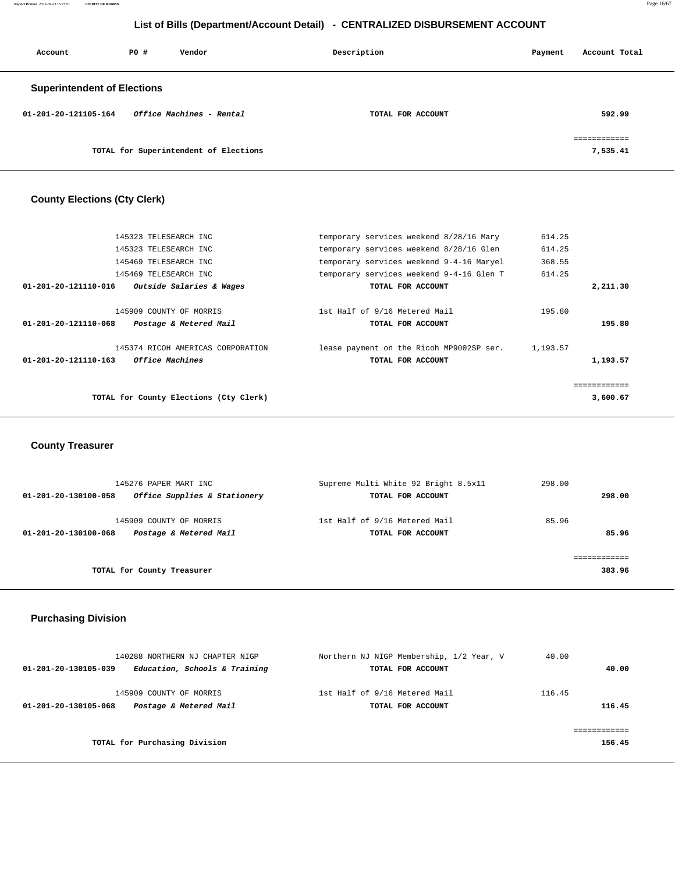**Report Printed** 2016-09-23 15:27:51 **COUNTY OF MORRIS** Page 16/67

## **List of Bills (Department/Account Detail) - CENTRALIZED DISBURSEMENT ACCOUNT**

| Account                            | PO# | Vendor                                | Description       | Payment | Account Total |
|------------------------------------|-----|---------------------------------------|-------------------|---------|---------------|
| <b>Superintendent of Elections</b> |     |                                       |                   |         |               |
| 01-201-20-121105-164               |     | Office Machines - Rental              | TOTAL FOR ACCOUNT |         | 592.99        |
|                                    |     |                                       |                   |         | essessessess  |
|                                    |     | TOTAL for Superintendent of Elections |                   |         | 7,535.41      |

# **County Elections (Cty Clerk)**

|                                | 145323 TELESEARCH INC                  | temporary services weekend 8/28/16 Mary  | 614.25   |             |
|--------------------------------|----------------------------------------|------------------------------------------|----------|-------------|
|                                | 145323 TELESEARCH INC                  | temporary services weekend 8/28/16 Glen  | 614.25   |             |
|                                | 145469 TELESEARCH INC                  | temporary services weekend 9-4-16 Maryel | 368.55   |             |
|                                | 145469 TELESEARCH INC                  | temporary services weekend 9-4-16 Glen T | 614.25   |             |
| 01-201-20-121110-016           | Outside Salaries & Wages               | TOTAL FOR ACCOUNT                        |          | 2,211.30    |
|                                |                                        |                                          |          |             |
|                                | 145909 COUNTY OF MORRIS                | 1st Half of 9/16 Metered Mail            | 195.80   |             |
| 01-201-20-121110-068           | Postage & Metered Mail                 | TOTAL FOR ACCOUNT                        |          | 195.80      |
|                                | 145374 RICOH AMERICAS CORPORATION      | lease payment on the Ricoh MP9002SP ser. | 1,193.57 |             |
| $01 - 201 - 20 - 121110 - 163$ | <i>Office Machines</i>                 | TOTAL FOR ACCOUNT                        |          | 1,193.57    |
|                                |                                        |                                          |          |             |
|                                |                                        |                                          |          | ----------- |
|                                | TOTAL for County Elections (Cty Clerk) |                                          |          | 3,600.67    |
|                                |                                        |                                          |          |             |

# **County Treasurer**

| 145276 PAPER MART INC<br>Office Supplies & Stationery<br>01-201-20-130100-058 | Supreme Multi White 92 Bright 8.5x11<br>TOTAL FOR ACCOUNT | 298.00<br>298.00 |
|-------------------------------------------------------------------------------|-----------------------------------------------------------|------------------|
| 145909 COUNTY OF MORRIS<br>Postage & Metered Mail<br>01-201-20-130100-068     | 1st Half of 9/16 Metered Mail<br>TOTAL FOR ACCOUNT        | 85.96<br>85.96   |
| TOTAL for County Treasurer                                                    |                                                           | 383.96           |

## **Purchasing Division**

| 140288 NORTHERN NJ CHAPTER NIGP                       | Northern NJ NIGP Membership, 1/2 Year, V | 40.00  |
|-------------------------------------------------------|------------------------------------------|--------|
| Education, Schools & Training<br>01-201-20-130105-039 | TOTAL FOR ACCOUNT                        | 40.00  |
| 145909 COUNTY OF MORRIS                               | 1st Half of 9/16 Metered Mail            | 116.45 |
| Postage & Metered Mail<br>01-201-20-130105-068        | TOTAL FOR ACCOUNT                        | 116.45 |
|                                                       |                                          |        |
| TOTAL for Purchasing Division                         |                                          | 156.45 |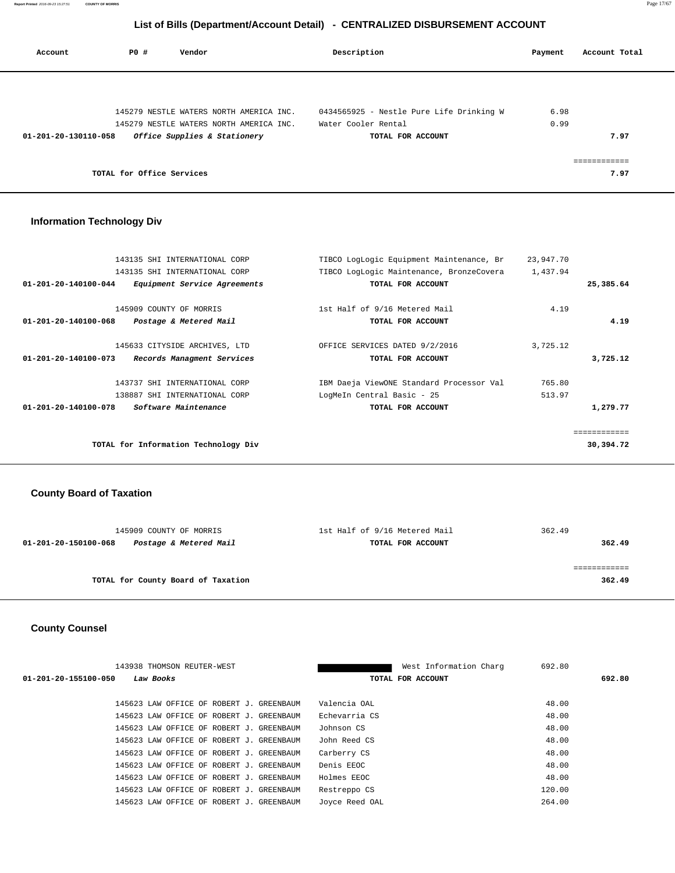| Account              | PO#                       | Vendor                                                                  | Description                              | Payment | Account Total |
|----------------------|---------------------------|-------------------------------------------------------------------------|------------------------------------------|---------|---------------|
|                      |                           |                                                                         |                                          |         |               |
|                      |                           | 145279 NESTLE WATERS NORTH AMERICA INC.                                 | 0434565925 - Nestle Pure Life Drinking W | 6.98    |               |
| 01-201-20-130110-058 |                           | 145279 NESTLE WATERS NORTH AMERICA INC.<br>Office Supplies & Stationery | Water Cooler Rental<br>TOTAL FOR ACCOUNT | 0.99    | 7.97          |
|                      |                           |                                                                         |                                          |         |               |
|                      | TOTAL for Office Services |                                                                         |                                          |         | 7.97          |

# **Information Technology Div**

| 143135 SHI INTERNATIONAL CORP                                  | TIBCO LogLogic Equipment Maintenance, Br | 23,947.70 |              |
|----------------------------------------------------------------|------------------------------------------|-----------|--------------|
| 143135 SHI INTERNATIONAL CORP                                  | TIBCO LogLogic Maintenance, BronzeCovera | 1,437.94  |              |
| $01 - 201 - 20 - 140100 - 044$<br>Equipment Service Agreements | TOTAL FOR ACCOUNT                        |           | 25,385.64    |
| 145909 COUNTY OF MORRIS                                        | 1st Half of 9/16 Metered Mail            | 4.19      |              |
| 01-201-20-140100-068<br>Postage & Metered Mail                 | TOTAL FOR ACCOUNT                        |           | 4.19         |
| 145633 CITYSIDE ARCHIVES, LTD                                  | OFFICE SERVICES DATED 9/2/2016           | 3,725.12  |              |
| Records Managment Services<br>01-201-20-140100-073             | TOTAL FOR ACCOUNT                        |           | 3,725.12     |
| 143737 SHI INTERNATIONAL CORP                                  | IBM Daeja ViewONE Standard Processor Val | 765.80    |              |
| 138887 SHI INTERNATIONAL CORP                                  | LogMeIn Central Basic - 25               | 513.97    |              |
| $01 - 201 - 20 - 140100 - 078$<br>Software Maintenance         | TOTAL FOR ACCOUNT                        |           | 1,279.77     |
|                                                                |                                          |           | ============ |
| TOTAL for Information Technology Div                           |                                          |           | 30,394.72    |
|                                                                |                                          |           |              |

# **County Board of Taxation**

| 145909 COUNTY OF MORRIS                        | 1st Half of 9/16 Metered Mail | 362.49 |
|------------------------------------------------|-------------------------------|--------|
| Postage & Metered Mail<br>01-201-20-150100-068 | TOTAL FOR ACCOUNT             | 362.49 |
|                                                |                               |        |
|                                                |                               |        |
| TOTAL for County Board of Taxation             |                               | 362.49 |
|                                                |                               |        |

# **County Counsel**

| 143938 THOMSON REUTER-WEST               |                | 692.80<br>West Information Charg |        |
|------------------------------------------|----------------|----------------------------------|--------|
| 01-201-20-155100-050<br>Law Books        |                | TOTAL FOR ACCOUNT                | 692.80 |
|                                          |                |                                  |        |
| 145623 LAW OFFICE OF ROBERT J. GREENBAUM | Valencia OAL   | 48.00                            |        |
| 145623 LAW OFFICE OF ROBERT J. GREENBAUM | Echevarria CS  | 48.00                            |        |
| 145623 LAW OFFICE OF ROBERT J. GREENBAUM | Johnson CS     | 48.00                            |        |
| 145623 LAW OFFICE OF ROBERT J. GREENBAUM | John Reed CS   | 48.00                            |        |
| 145623 LAW OFFICE OF ROBERT J. GREENBAUM | Carberry CS    | 48.00                            |        |
| 145623 LAW OFFICE OF ROBERT J. GREENBAUM | Denis EEOC     | 48.00                            |        |
| 145623 LAW OFFICE OF ROBERT J. GREENBAUM | Holmes EEOC    | 48.00                            |        |
| 145623 LAW OFFICE OF ROBERT J. GREENBAUM | Restreppo CS   | 120.00                           |        |
| 145623 LAW OFFICE OF ROBERT J. GREENBAUM | Joyce Reed OAL | 264.00                           |        |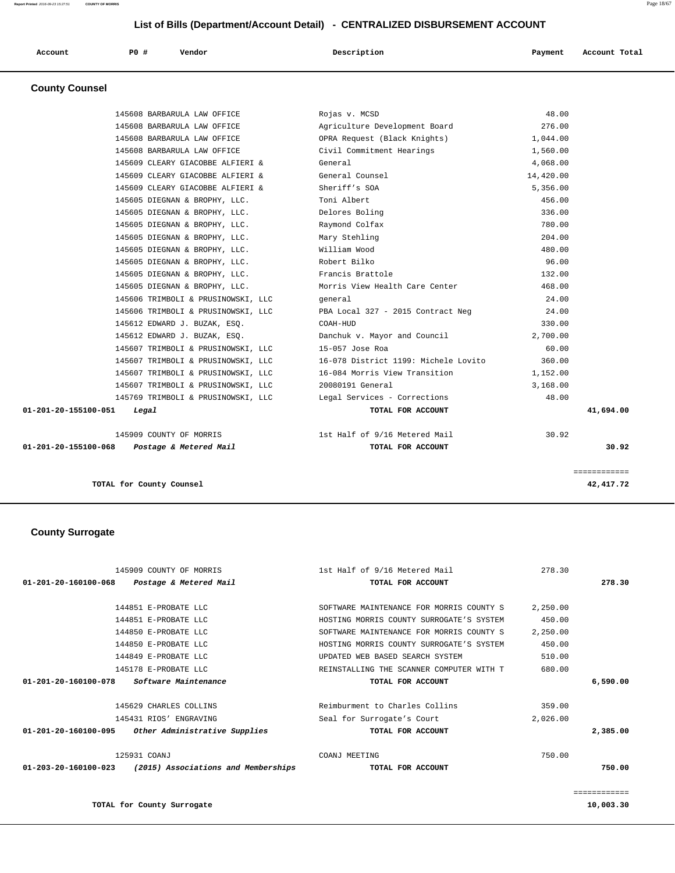| Account | P0 # | Vendor | Description | Payment | Account Total |
|---------|------|--------|-------------|---------|---------------|
|         |      |        |             |         |               |

 **County Counsel** 

| TOTAL for County Counsel                                   |                                         |           | ============<br>42,417.72 |
|------------------------------------------------------------|-----------------------------------------|-----------|---------------------------|
| $01 - 201 - 20 - 155100 - 068$ Postage & Metered Mail      | TOTAL FOR ACCOUNT                       |           | 30.92                     |
| 145909 COUNTY OF MORRIS                                    | 1st Half of 9/16 Metered Mail           | 30.92     |                           |
| 01-201-20-155100-051<br>Legal                              | TOTAL FOR ACCOUNT                       |           | 41,694.00                 |
| 145769 TRIMBOLI & PRUSINOWSKI, LLC                         | Legal Services - Corrections            | 48.00     |                           |
| 145607 TRIMBOLI & PRUSINOWSKI, LLC                         | 20080191 General                        | 3,168.00  |                           |
| 145607 TRIMBOLI & PRUSINOWSKI, LLC                         | 16-084 Morris View Transition           | 1,152.00  |                           |
| 145607 TRIMBOLI & PRUSINOWSKI, LLC                         | 16-078 District 1199: Michele Lovito    | 360.00    |                           |
| 145607 TRIMBOLI & PRUSINOWSKI, LLC                         | $15-057$ Jose Roa                       | 60.00     |                           |
| 145612 EDWARD J. BUZAK, ESQ.                               | Danchuk v. Mayor and Council            | 2,700.00  |                           |
| 145612 EDWARD J. BUZAK, ESQ.                               | COAH-HUD                                | 330.00    |                           |
| 145606 TRIMBOLI & PRUSINOWSKI, LLC                         | PBA Local 327 - 2015 Contract Neg 24.00 |           |                           |
| 145606 TRIMBOLI & PRUSINOWSKI, LLC                         | general                                 | 24.00     |                           |
| 145605 DIEGNAN & BROPHY, LLC.                              | Morris View Health Care Center          | 468.00    |                           |
| 145605 DIEGNAN & BROPHY, LLC.                              | Francis Brattole                        | 132.00    |                           |
| 145605 DIEGNAN & BROPHY, LLC.                              | Robert Bilko                            | 96.00     |                           |
| 145605 DIEGNAN & BROPHY, LLC.                              | William Wood                            | 480.00    |                           |
| 145605 DIEGNAN & BROPHY, LLC.                              | Mary Stehling                           | 204.00    |                           |
| 145605 DIEGNAN & BROPHY, LLC.                              | Raymond Colfax                          | 780.00    |                           |
| 145605 DIEGNAN & BROPHY, LLC.                              | Delores Boling                          | 336.00    |                           |
| 145605 DIEGNAN & BROPHY, LLC.                              | Toni Albert                             | 456.00    |                           |
| 145609 CLEARY GIACOBBE ALFIERI &                           | Sheriff's SOA                           | 5,356.00  |                           |
| 145609 CLEARY GIACOBBE ALFIERI &                           | General Counsel                         | 14,420.00 |                           |
| 145609 CLEARY GIACOBBE ALFIERI &                           | General                                 | 4,068.00  |                           |
| 145608 BARBARULA LAW OFFICE                                | Civil Commitment Hearings               | 1,560.00  |                           |
| 145608 BARBARULA LAW OFFICE                                | OPRA Request (Black Knights)            | 1,044.00  |                           |
| 145608 BARBARULA LAW OFFICE<br>145608 BARBARULA LAW OFFICE | Agriculture Development Board           | 276.00    |                           |

# **County Surrogate**

| 145909 COUNTY OF MORRIS                                               | 1st Half of 9/16 Metered Mail            | 278.30   |              |
|-----------------------------------------------------------------------|------------------------------------------|----------|--------------|
| 01-201-20-160100-068<br>Postage & Metered Mail                        | TOTAL FOR ACCOUNT                        |          | 278.30       |
|                                                                       |                                          |          |              |
| 144851 E-PROBATE LLC                                                  | SOFTWARE MAINTENANCE FOR MORRIS COUNTY S | 2,250.00 |              |
| 144851 E-PROBATE LLC                                                  | HOSTING MORRIS COUNTY SURROGATE'S SYSTEM | 450.00   |              |
| 144850 E-PROBATE LLC                                                  | SOFTWARE MAINTENANCE FOR MORRIS COUNTY S | 2,250.00 |              |
| 144850 E-PROBATE LLC                                                  | HOSTING MORRIS COUNTY SURROGATE'S SYSTEM | 450.00   |              |
| 144849 E-PROBATE LLC                                                  | UPDATED WEB BASED SEARCH SYSTEM          | 510.00   |              |
| 145178 E-PROBATE LLC                                                  | REINSTALLING THE SCANNER COMPUTER WITH T | 680.00   |              |
| $01 - 201 - 20 - 160100 - 078$<br>Software Maintenance                | TOTAL FOR ACCOUNT                        |          | 6,590.00     |
|                                                                       |                                          |          |              |
| 145629 CHARLES COLLINS                                                | Reimburment to Charles Collins           | 359.00   |              |
| 145431 RIOS' ENGRAVING                                                | Seal for Surrogate's Court               | 2,026.00 |              |
| Other Administrative Supplies<br>01-201-20-160100-095                 | TOTAL FOR ACCOUNT                        |          | 2,385.00     |
| 125931 COANJ                                                          | COANJ MEETING                            | 750.00   |              |
| $01 - 203 - 20 - 160100 - 023$<br>(2015) Associations and Memberships | TOTAL FOR ACCOUNT                        |          | 750.00       |
|                                                                       |                                          |          | ============ |
| TOTAL for County Surrogate                                            |                                          |          | 10,003.30    |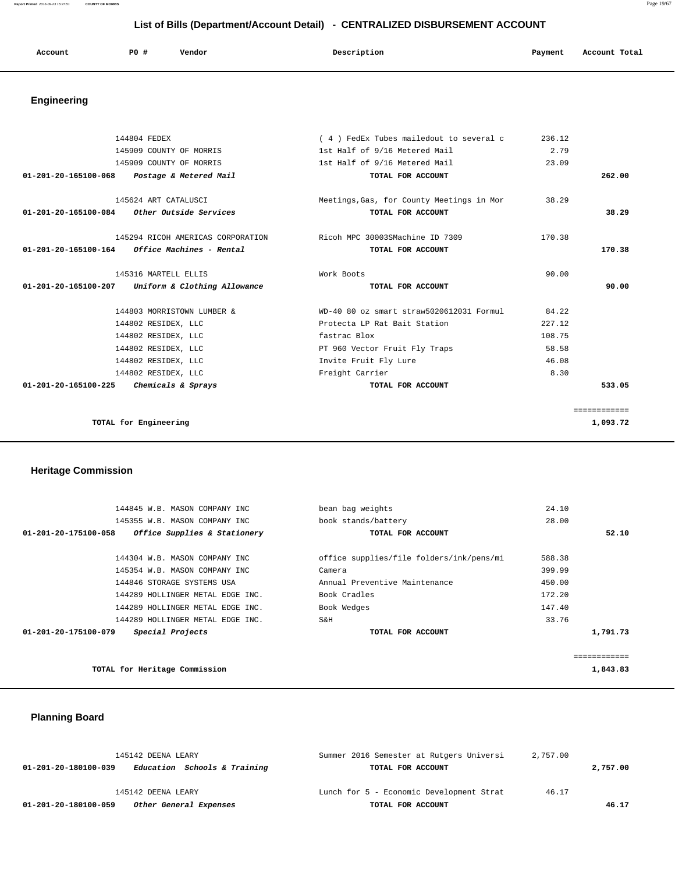|  | Account | <b>PO #</b> | Vendor | Description | Account Total<br>Payment |
|--|---------|-------------|--------|-------------|--------------------------|
|--|---------|-------------|--------|-------------|--------------------------|

# **Engineering**

| 144804 FEDEX                                            | (4) FedEx Tubes mailedout to several c    | 236.12 |              |
|---------------------------------------------------------|-------------------------------------------|--------|--------------|
| 145909 COUNTY OF MORRIS                                 | 1st Half of 9/16 Metered Mail             | 2.79   |              |
| 145909 COUNTY OF MORRIS                                 | 1st Half of 9/16 Metered Mail             | 23.09  |              |
| 01-201-20-165100-068 Postage & Metered Mail             | TOTAL FOR ACCOUNT                         |        | 262.00       |
| 145624 ART CATALUSCI                                    | Meetings, Gas, for County Meetings in Mor | 38.29  |              |
| $01-201-20-165100-084$ Other Outside Services           | TOTAL FOR ACCOUNT                         |        | 38.29        |
| 145294 RICOH AMERICAS CORPORATION                       | Ricoh MPC 30003SMachine ID 7309           | 170.38 |              |
| $01 - 201 - 20 - 165100 - 164$ Office Machines - Rental | TOTAL FOR ACCOUNT                         |        | 170.38       |
| 145316 MARTELL ELLIS                                    | Work Boots                                | 90.00  |              |
| 01-201-20-165100-207<br>Uniform & Clothing Allowance    | TOTAL FOR ACCOUNT                         |        | 90.00        |
| 144803 MORRISTOWN LUMBER &                              | WD-40 80 oz smart straw5020612031 Formul  | 84.22  |              |
| 144802 RESIDEX, LLC                                     | Protecta LP Rat Bait Station              | 227.12 |              |
| 144802 RESIDEX, LLC                                     | fastrac Blox                              | 108.75 |              |
| 144802 RESIDEX, LLC                                     | PT 960 Vector Fruit Fly Traps             | 58.58  |              |
| 144802 RESIDEX, LLC                                     | Invite Fruit Fly Lure                     | 46.08  |              |
| 144802 RESIDEX, LLC                                     | Freight Carrier                           | 8.30   |              |
| $01 - 201 - 20 - 165100 - 225$<br>Chemicals & Sprays    | TOTAL FOR ACCOUNT                         |        | 533.05       |
|                                                         |                                           |        | ============ |
| TOTAL for Engineering                                   |                                           |        | 1,093.72     |

# **Heritage Commission**

| 144845 W.B. MASON COMPANY INC<br>145355 W.B. MASON COMPANY INC | bean bag weights<br>book stands/battery  | 24.10<br>28.00 |
|----------------------------------------------------------------|------------------------------------------|----------------|
| 01-201-20-175100-058<br>Office Supplies & Stationery           | TOTAL FOR ACCOUNT                        | 52.10          |
| 144304 W.B. MASON COMPANY INC                                  | office supplies/file folders/ink/pens/mi | 588.38         |
| 145354 W.B. MASON COMPANY INC                                  | Camera                                   | 399.99         |
| 144846 STORAGE SYSTEMS USA                                     | Annual Preventive Maintenance            | 450.00         |
| 144289 HOLLINGER METAL EDGE INC.                               | Book Cradles                             | 172.20         |
| 144289 HOLLINGER METAL EDGE INC.                               | Book Wedges                              | 147.40         |
| 144289 HOLLINGER METAL EDGE INC.                               | S&H                                      | 33.76          |
| Special Projects<br>01-201-20-175100-079                       | TOTAL FOR ACCOUNT                        | 1,791.73       |
|                                                                |                                          |                |
| TOTAL for Heritage Commission                                  |                                          | 1,843.83       |

# **Planning Board**

| 145142 DEENA LEARY                                   | Summer 2016 Semester at Rutgers Universi | 2,757.00 |          |
|------------------------------------------------------|------------------------------------------|----------|----------|
| Education Schools & Training<br>01-201-20-180100-039 | TOTAL FOR ACCOUNT                        |          | 2,757.00 |
|                                                      |                                          |          |          |
| 145142 DEENA LEARY                                   | Lunch for 5 - Economic Development Strat | 46.17    |          |
| Other General Expenses<br>01-201-20-180100-059       | TOTAL FOR ACCOUNT                        |          | 46.17    |

**Report Printed** 2016-09-23 15:27:51 **COUNTY OF MORRIS** Page 19/67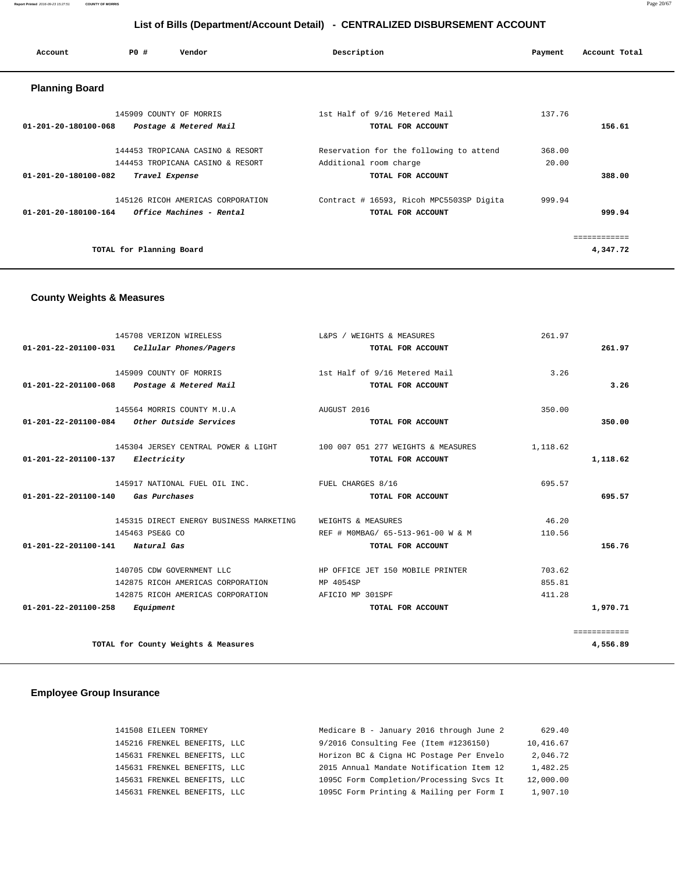| Account                        | PO#                      | Vendor                                                                          | Description                                                                            | Payment         | Account Total            |
|--------------------------------|--------------------------|---------------------------------------------------------------------------------|----------------------------------------------------------------------------------------|-----------------|--------------------------|
| <b>Planning Board</b>          |                          |                                                                                 |                                                                                        |                 |                          |
| $01 - 201 - 20 - 180100 - 068$ |                          | 145909 COUNTY OF MORRIS<br>Postage & Metered Mail                               | 1st Half of 9/16 Metered Mail<br>TOTAL FOR ACCOUNT                                     | 137.76          | 156.61                   |
| $01 - 201 - 20 - 180100 - 082$ |                          | 144453 TROPICANA CASINO & RESORT<br>144453 TROPICANA CASINO & RESORT            | Reservation for the following to attend<br>Additional room charge<br>TOTAL FOR ACCOUNT | 368.00<br>20.00 | 388.00                   |
| 01-201-20-180100-164           |                          | Travel Expense<br>145126 RICOH AMERICAS CORPORATION<br>Office Machines - Rental | Contract # 16593, Ricoh MPC5503SP Digita<br>TOTAL FOR ACCOUNT                          | 999.94          | 999.94                   |
|                                | TOTAL for Planning Board |                                                                                 |                                                                                        |                 | ============<br>4,347.72 |

## **County Weights & Measures**

| 145708 VERIZON WIRELESS                                                | L&PS / WEIGHTS & MEASURES         | 261.97   |              |
|------------------------------------------------------------------------|-----------------------------------|----------|--------------|
| Cellular Phones/Pagers<br>01-201-22-201100-031                         | TOTAL FOR ACCOUNT                 |          | 261.97       |
| 145909 COUNTY OF MORRIS                                                | 1st Half of 9/16 Metered Mail     | 3.26     |              |
| 01-201-22-201100-068 Postage & Metered Mail                            | TOTAL FOR ACCOUNT                 |          | 3.26         |
| 145564 MORRIS COUNTY M.U.A                                             | AUGUST 2016                       | 350.00   |              |
| $01-201-22-201100-084$ Other Outside Services                          | TOTAL FOR ACCOUNT                 |          | 350.00       |
| 145304 JERSEY CENTRAL POWER & LIGHT 100 007 051 277 WEIGHTS & MEASURES |                                   | 1,118.62 |              |
| 01-201-22-201100-137<br>Electricity                                    | TOTAL FOR ACCOUNT                 |          | 1,118.62     |
| 145917 NATIONAL FUEL OIL INC. TUEL CHARGES 8/16                        |                                   | 695.57   |              |
| 01-201-22-201100-140<br>Gas Purchases                                  | TOTAL FOR ACCOUNT                 |          | 695.57       |
| 145315 DIRECT ENERGY BUSINESS MARKETING                                | WEIGHTS & MEASURES                | 46.20    |              |
| 145463 PSE&G CO                                                        | REF # MOMBAG/ 65-513-961-00 W & M | 110.56   |              |
| 01-201-22-201100-141 Natural Gas                                       | TOTAL FOR ACCOUNT                 |          | 156.76       |
| 140705 CDW GOVERNMENT LLC                                              | HP OFFICE JET 150 MOBILE PRINTER  | 703.62   |              |
| 142875 RICOH AMERICAS CORPORATION                                      | MP 4054SP                         | 855.81   |              |
| 142875 RICOH AMERICAS CORPORATION                                      | AFICIO MP 301SPF                  | 411.28   |              |
| 01-201-22-201100-258<br>Equipment                                      | TOTAL FOR ACCOUNT                 |          | 1,970.71     |
|                                                                        |                                   |          | ============ |
| TOTAL for County Weights & Measures                                    |                                   |          | 4,556.89     |

## **Employee Group Insurance**

| 141508 EILEEN TORMEY         | Medicare B - January 2016 through June 2 | 629.40    |
|------------------------------|------------------------------------------|-----------|
| 145216 FRENKEL BENEFITS, LLC | 9/2016 Consulting Fee (Item #1236150)    | 10,416.67 |
| 145631 FRENKEL BENEFITS, LLC | Horizon BC & Cigna HC Postage Per Envelo | 2,046.72  |
| 145631 FRENKEL BENEFITS, LLC | 2015 Annual Mandate Notification Item 12 | 1,482.25  |
| 145631 FRENKEL BENEFITS, LLC | 1095C Form Completion/Processing Svcs It | 12,000.00 |
| 145631 FRENKEL BENEFITS, LLC | 1095C Form Printing & Mailing per Form I | 1,907.10  |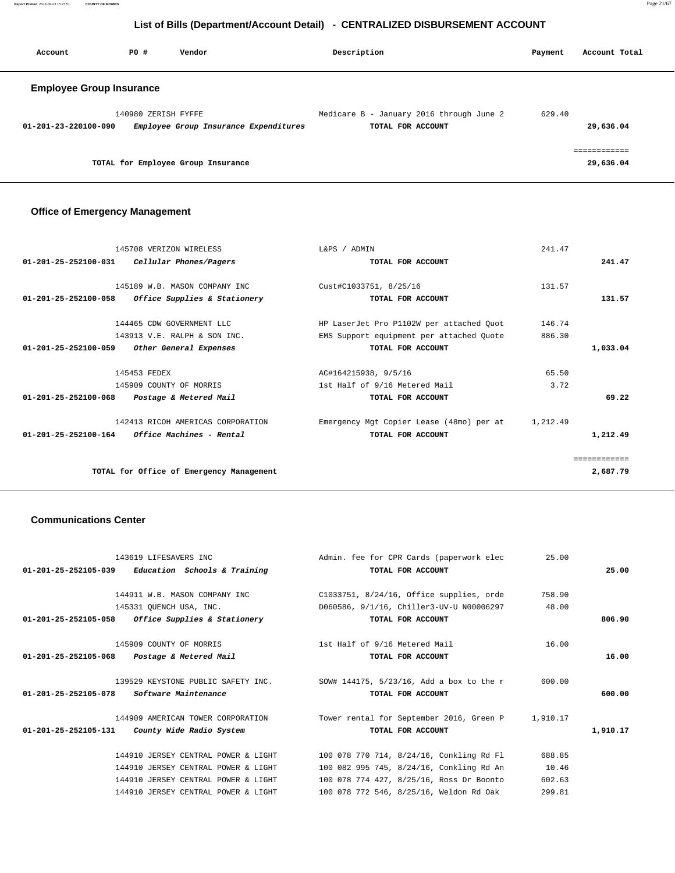| Account                         | PO#                 | Vendor                                | Description                                                   | Payment | Account Total           |
|---------------------------------|---------------------|---------------------------------------|---------------------------------------------------------------|---------|-------------------------|
| <b>Employee Group Insurance</b> |                     |                                       |                                                               |         |                         |
| 01-201-23-220100-090            | 140980 ZERISH FYFFE | Employee Group Insurance Expenditures | Medicare B - January 2016 through June 2<br>TOTAL FOR ACCOUNT | 629.40  | 29,636.04               |
|                                 |                     | TOTAL for Employee Group Insurance    |                                                               |         | ==========<br>29,636.04 |

# **Office of Emergency Management**

| 145708 VERIZON WIRELESS                                           | L&PS / ADMIN                             | 241.47   |              |
|-------------------------------------------------------------------|------------------------------------------|----------|--------------|
| Cellular Phones/Pagers<br>$01 - 201 - 25 - 252100 - 031$          | TOTAL FOR ACCOUNT                        |          | 241.47       |
| 145189 W.B. MASON COMPANY INC                                     | Cust#C1033751, 8/25/16                   | 131.57   |              |
| Office Supplies & Stationery<br>$01 - 201 - 25 - 252100 - 058$    | TOTAL FOR ACCOUNT                        |          | 131.57       |
|                                                                   |                                          |          |              |
| 144465 CDW GOVERNMENT LLC                                         | HP LaserJet Pro P1102W per attached Quot | 146.74   |              |
| 143913 V.E. RALPH & SON INC.                                      | EMS Support equipment per attached Quote | 886.30   |              |
| $01 - 201 - 25 - 252100 - 059$<br>Other General Expenses          | TOTAL FOR ACCOUNT                        |          | 1,033.04     |
| 145453 FEDEX                                                      | AC#164215938, 9/5/16                     | 65.50    |              |
| 145909 COUNTY OF MORRIS                                           | 1st Half of 9/16 Metered Mail            | 3.72     |              |
| Postage & Metered Mail<br>$01 - 201 - 25 - 252100 - 068$          | TOTAL FOR ACCOUNT                        |          | 69.22        |
| 142413 RICOH AMERICAS CORPORATION                                 | Emergency Mgt Copier Lease (48mo) per at | 1,212.49 |              |
| $01 - 201 - 25 - 252100 - 164$<br><i>Office Machines - Rental</i> | TOTAL FOR ACCOUNT                        |          | 1,212.49     |
|                                                                   |                                          |          | ============ |
| TOTAL for Office of Emergency Management                          |                                          |          | 2,687.79     |
|                                                                   |                                          |          |              |

## **Communications Center**

|          |          | Admin. fee for CPR Cards (paperwork elec 35.00                              | 143619 LIFESAVERS INC                               |  |
|----------|----------|-----------------------------------------------------------------------------|-----------------------------------------------------|--|
| 25.00    |          | TOTAL FOR ACCOUNT                                                           | $01-201-25-252105-039$ Education Schools & Training |  |
|          | 758.90   | C1033751, 8/24/16, Office supplies, orde                                    | 144911 W.B. MASON COMPANY INC                       |  |
|          | 48.00    | D060586, 9/1/16, Chiller3-UV-U N00006297                                    | 145331 QUENCH USA, INC.                             |  |
| 806.90   |          | TOTAL FOR ACCOUNT                                                           | 01-201-25-252105-058 Office Supplies & Stationery   |  |
|          | 16.00    | 1st Half of 9/16 Metered Mail                                               | 145909 COUNTY OF MORRIS                             |  |
| 16.00    |          | TOTAL FOR ACCOUNT                                                           | Postage & Metered Mail<br>01-201-25-252105-068      |  |
|          | 600.00   | 139529 KEYSTONE PUBLIC SAFETY INC. SOW# 144175, 5/23/16, Add a box to the r |                                                     |  |
| 600.00   |          | TOTAL FOR ACCOUNT                                                           | $01-201-25-252105-078$ Software Maintenance         |  |
|          | 1,910.17 | Tower rental for September 2016, Green P                                    | 144909 AMERICAN TOWER CORPORATION                   |  |
| 1,910.17 |          | TOTAL FOR ACCOUNT                                                           | $01-201-25-252105-131$ County Wide Radio System     |  |
|          | 688.85   | 100 078 770 714, 8/24/16, Conkling Rd Fl                                    | 144910 JERSEY CENTRAL POWER & LIGHT                 |  |
|          | 10.46    | 100 082 995 745, 8/24/16, Conkling Rd An                                    | 144910 JERSEY CENTRAL POWER & LIGHT                 |  |
|          | 602.63   | 100 078 774 427, 8/25/16, Ross Dr Boonto                                    | 144910 JERSEY CENTRAL POWER & LIGHT                 |  |
|          | 299.81   | 100 078 772 546, 8/25/16, Weldon Rd Oak                                     | 144910 JERSEY CENTRAL POWER & LIGHT                 |  |
|          |          |                                                                             |                                                     |  |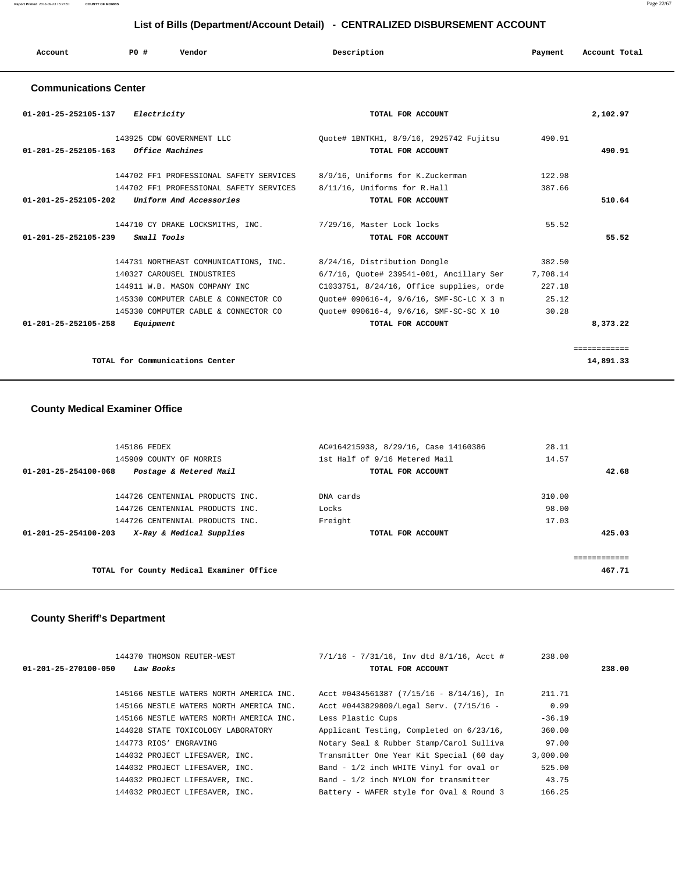| Account                      | PO# | Vendor | Description | Payment | Account Total |
|------------------------------|-----|--------|-------------|---------|---------------|
| <b>Communications Center</b> |     |        |             |         |               |

| 01-201-25-252105-137 | Electricity                                                 | TOTAL FOR ACCOUNT                        |          | 2,102.97     |
|----------------------|-------------------------------------------------------------|------------------------------------------|----------|--------------|
|                      | 143925 CDW GOVERNMENT LLC                                   | Quote# 1BNTKH1, 8/9/16, 2925742 Fujitsu  | 490.91   |              |
| 01-201-25-252105-163 | <i><b>Office Machines</b></i>                               | TOTAL FOR ACCOUNT                        |          | 490.91       |
|                      | 144702 FF1 PROFESSIONAL SAFETY SERVICES                     | 8/9/16, Uniforms for K.Zuckerman         | 122.98   |              |
|                      | 144702 FF1 PROFESSIONAL SAFETY SERVICES                     | 8/11/16, Uniforms for R.Hall             | 387.66   |              |
| 01-201-25-252105-202 | Uniform And Accessories                                     | TOTAL FOR ACCOUNT                        |          | 510.64       |
|                      | 144710 CY DRAKE LOCKSMITHS, INC. 7/29/16, Master Lock locks |                                          | 55.52    |              |
| 01-201-25-252105-239 | Small Tools                                                 | TOTAL FOR ACCOUNT                        |          | 55.52        |
|                      |                                                             |                                          |          |              |
|                      | 144731 NORTHEAST COMMUNICATIONS, INC.                       | 8/24/16, Distribution Dongle             | 382.50   |              |
|                      | 140327 CAROUSEL INDUSTRIES                                  | 6/7/16, Quote# 239541-001, Ancillary Ser | 7,708.14 |              |
|                      | 144911 W.B. MASON COMPANY INC                               | C1033751, 8/24/16, Office supplies, orde | 227.18   |              |
|                      | 145330 COMPUTER CABLE & CONNECTOR CO                        | Ouote# 090616-4, 9/6/16, SMF-SC-LC X 3 m | 25.12    |              |
|                      | 145330 COMPUTER CABLE & CONNECTOR CO                        | Quote# 090616-4, 9/6/16, SMF-SC-SC X 10  | 30.28    |              |
| 01-201-25-252105-258 | Equipment                                                   | TOTAL FOR ACCOUNT                        |          | 8,373.22     |
|                      |                                                             |                                          |          | ------------ |

**TOTAL for Communications Center 14,891.33**

## **County Medical Examiner Office**

| 145186 FEDEX                                     | AC#164215938, 8/29/16, Case 14160386 | 28.11                   |
|--------------------------------------------------|--------------------------------------|-------------------------|
| 145909 COUNTY OF MORRIS                          | 1st Half of 9/16 Metered Mail        | 14.57                   |
| Postage & Metered Mail<br>01-201-25-254100-068   | TOTAL FOR ACCOUNT                    | 42.68                   |
|                                                  |                                      |                         |
| 144726 CENTENNIAL PRODUCTS INC.                  | DNA cards                            | 310.00                  |
| 144726 CENTENNIAL PRODUCTS INC.                  | Locks                                | 98.00                   |
| 144726 CENTENNIAL PRODUCTS INC.                  | Freight                              | 17.03                   |
| X-Ray & Medical Supplies<br>01-201-25-254100-203 | TOTAL FOR ACCOUNT                    | 425.03                  |
|                                                  |                                      |                         |
|                                                  |                                      | . = = = = = = = = = = = |
| TOTAL for County Medical Examiner Office         |                                      | 467.71                  |
|                                                  |                                      |                         |

## **County Sheriff's Department**

| 144370 THOMSON REUTER-WEST                  | $7/1/16$ - $7/31/16$ , Inv dtd $8/1/16$ , Acct # | 238.00   |        |
|---------------------------------------------|--------------------------------------------------|----------|--------|
| Law Books<br>$01 - 201 - 25 - 270100 - 050$ | TOTAL FOR ACCOUNT                                |          | 238.00 |
| 145166 NESTLE WATERS NORTH AMERICA INC.     | Acct #0434561387 $(7/15/16 - 8/14/16)$ , In      | 211.71   |        |
| 145166 NESTLE WATERS NORTH AMERICA INC.     | Acct #0443829809/Legal Serv. (7/15/16 -          | 0.99     |        |
| 145166 NESTLE WATERS NORTH AMERICA INC.     | Less Plastic Cups                                | $-36.19$ |        |
| 144028 STATE TOXICOLOGY LABORATORY          | Applicant Testing, Completed on 6/23/16,         | 360.00   |        |
| 144773 RIOS' ENGRAVING                      | Notary Seal & Rubber Stamp/Carol Sulliva         | 97.00    |        |
| 144032 PROJECT LIFESAVER, INC.              | Transmitter One Year Kit Special (60 day         | 3,000.00 |        |
| 144032 PROJECT LIFESAVER, INC.              | Band - 1/2 inch WHITE Vinyl for oval or          | 525.00   |        |
| 144032 PROJECT LIFESAVER, INC.              | Band - 1/2 inch NYLON for transmitter            | 43.75    |        |
| 144032 PROJECT LIFESAVER, INC.              | Battery - WAFER style for Oval & Round 3         | 166.25   |        |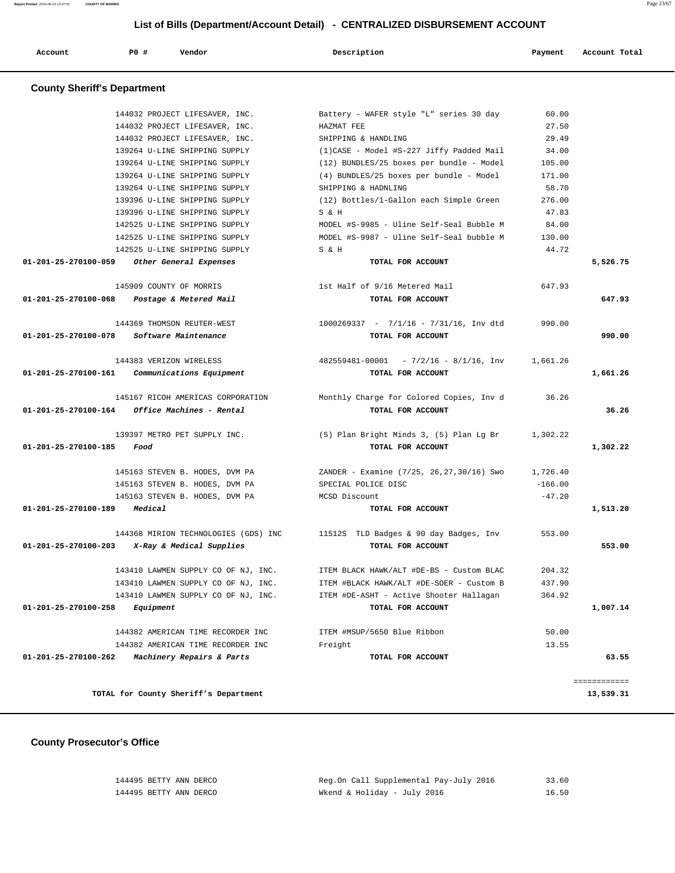| Account | <b>PO #</b> | Vendor | Description | Payment | Account Total |
|---------|-------------|--------|-------------|---------|---------------|
|         |             |        |             |         |               |

# **County Sheriff's Department**

|                                     | 144032 PROJECT LIFESAVER, INC.                          | Battery - WAFER style "L" series 30 day                                     | 60.00     |              |
|-------------------------------------|---------------------------------------------------------|-----------------------------------------------------------------------------|-----------|--------------|
|                                     | 144032 PROJECT LIFESAVER, INC.                          | HAZMAT FEE                                                                  | 27.50     |              |
|                                     | 144032 PROJECT LIFESAVER, INC.                          | SHIPPING & HANDLING                                                         | 29.49     |              |
|                                     | 139264 U-LINE SHIPPING SUPPLY                           | (1) CASE - Model #S-227 Jiffy Padded Mail                                   | 34.00     |              |
|                                     | 139264 U-LINE SHIPPING SUPPLY                           | (12) BUNDLES/25 boxes per bundle - Model                                    | 105.00    |              |
|                                     | 139264 U-LINE SHIPPING SUPPLY                           | (4) BUNDLES/25 boxes per bundle - Model                                     | 171.00    |              |
|                                     | 139264 U-LINE SHIPPING SUPPLY                           | SHIPPING & HADNLING                                                         | 58.70     |              |
|                                     | 139396 U-LINE SHIPPING SUPPLY                           | (12) Bottles/1-Gallon each Simple Green                                     | 276.00    |              |
|                                     | 139396 U-LINE SHIPPING SUPPLY                           | S & H                                                                       | 47.83     |              |
|                                     | 142525 U-LINE SHIPPING SUPPLY                           | MODEL #S-9985 - Uline Self-Seal Bubble M                                    | 84.00     |              |
|                                     | 142525 U-LINE SHIPPING SUPPLY                           | MODEL #S-9987 - Uline Self-Seal bubble M                                    | 130.00    |              |
|                                     | 142525 U-LINE SHIPPING SUPPLY                           | S & H                                                                       | 44.72     |              |
|                                     | 01-201-25-270100-059 Other General Expenses             | TOTAL FOR ACCOUNT                                                           |           | 5,526.75     |
|                                     |                                                         |                                                                             |           |              |
|                                     | 145909 COUNTY OF MORRIS                                 | 1st Half of 9/16 Metered Mail                                               | 647.93    |              |
|                                     | 01-201-25-270100-068 Postage & Metered Mail             | TOTAL FOR ACCOUNT                                                           |           | 647.93       |
|                                     | 144369 THOMSON REUTER-WEST                              | $1000269337 - 7/1/16 - 7/31/16$ , Inv dtd                                   | 990.00    |              |
| 01-201-25-270100-078                | <i>Software Maintenance</i>                             | TOTAL FOR ACCOUNT                                                           |           | 990.00       |
|                                     |                                                         |                                                                             |           |              |
|                                     | 144383 VERIZON WIRELESS                                 | $482559481-00001$ - $7/2/16$ - $8/1/16$ , Inv                               | 1,661.26  |              |
|                                     | 01-201-25-270100-161 Communications Equipment           | TOTAL FOR ACCOUNT                                                           |           | 1,661.26     |
|                                     |                                                         |                                                                             |           |              |
|                                     | 145167 RICOH AMERICAS CORPORATION                       | Monthly Charge for Colored Copies, Inv d                                    | 36.26     |              |
|                                     | $01 - 201 - 25 - 270100 - 164$ Office Machines - Rental | TOTAL FOR ACCOUNT                                                           |           | 36.26        |
|                                     |                                                         |                                                                             |           |              |
|                                     | 139397 METRO PET SUPPLY INC.                            | (5) Plan Bright Minds 3, (5) Plan Lg Br                                     | 1,302.22  |              |
| $01 - 201 - 25 - 270100 - 185$ Food |                                                         | TOTAL FOR ACCOUNT                                                           |           | 1,302.22     |
|                                     |                                                         |                                                                             |           |              |
|                                     | 145163 STEVEN B. HODES, DVM PA                          | ZANDER – Examine (7/25, 26,27,30/16) Swo                                    | 1,726.40  |              |
|                                     | 145163 STEVEN B. HODES, DVM PA                          | SPECIAL POLICE DISC                                                         | $-166.00$ |              |
|                                     | 145163 STEVEN B. HODES, DVM PA                          | MCSD Discount                                                               | $-47.20$  |              |
| 01-201-25-270100-189                | Medical                                                 | TOTAL FOR ACCOUNT                                                           |           | 1,513.20     |
|                                     |                                                         |                                                                             |           |              |
|                                     |                                                         | 144368 MIRION TECHNOLOGIES (GDS) INC 11512S TLD Badges & 90 day Badges, Inv | 553.00    |              |
|                                     | 01-201-25-270100-203 X-Ray & Medical Supplies           | TOTAL FOR ACCOUNT                                                           |           | 553.00       |
|                                     |                                                         |                                                                             |           |              |
|                                     | 143410 LAWMEN SUPPLY CO OF NJ, INC.                     | ITEM BLACK HAWK/ALT #DE-BS - Custom BLAC                                    | 204.32    |              |
|                                     | 143410 LAWMEN SUPPLY CO OF NJ, INC.                     | ITEM #BLACK HAWK/ALT #DE-SOER - Custom B                                    | 437.90    |              |
|                                     | 143410 LAWMEN SUPPLY CO OF NJ, INC.                     | ITEM #DE-ASHT - Active Shooter Hallagan                                     | 364.92    |              |
| 01-201-25-270100-258                | Equipment                                               | TOTAL FOR ACCOUNT                                                           |           | 1,007.14     |
|                                     |                                                         |                                                                             |           |              |
|                                     | 144382 AMERICAN TIME RECORDER INC                       | ITEM #MSUP/5650 Blue Ribbon                                                 | 50.00     |              |
|                                     | 144382 AMERICAN TIME RECORDER INC                       | Freight                                                                     | 13.55     |              |
| 01-201-25-270100-262                | Machinery Repairs & Parts                               | TOTAL FOR ACCOUNT                                                           |           | 63.55        |
|                                     |                                                         |                                                                             |           | ============ |
|                                     | TOTAL for County Sheriff's Department                   |                                                                             |           | 13,539.31    |
|                                     |                                                         |                                                                             |           |              |
|                                     |                                                         |                                                                             |           |              |

 **County Prosecutor's Office**

| 144495 BETTY ANN DERCO | Reg.On Call Supplemental Pay-July 2016 | 33.60 |
|------------------------|----------------------------------------|-------|
| 144495 BETTY ANN DERCO | Wkend & Holidav - Julv 2016            | 16.50 |

**Report Printed** 2016-09-23 15:27:51 **COUNTY OF MORRIS** Page 23/67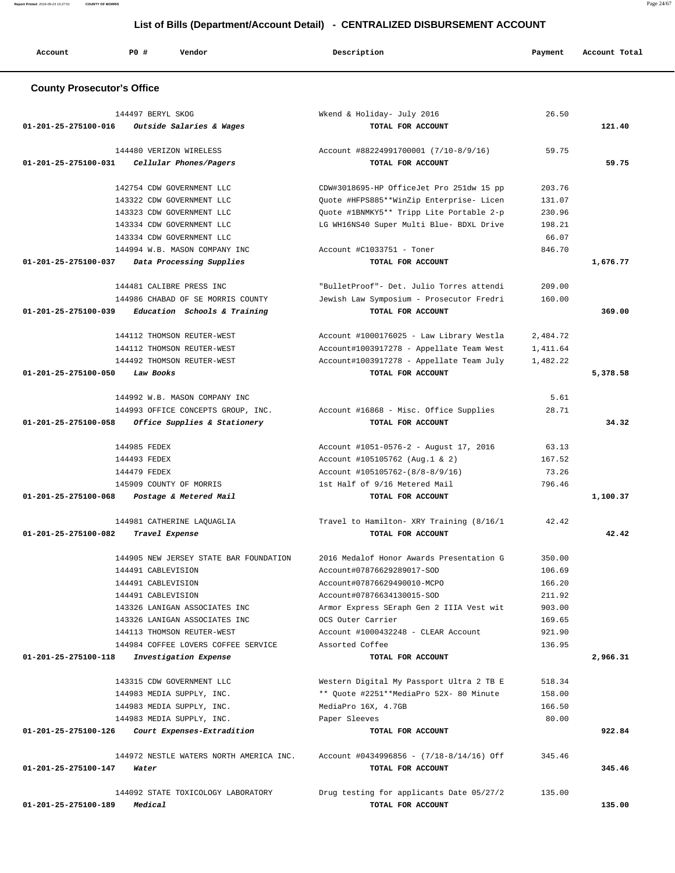**Account P0 # Vendor Description Payment Account Total County Prosecutor's Office** 144497 BERYL SKOG Wkend & Holiday- July 2016 26.50  **01-201-25-275100-016 Outside Salaries & Wages TOTAL FOR ACCOUNT 121.40** 144480 VERIZON WIRELESS Account #88224991700001 (7/10-8/9/16) 59.75  **01-201-25-275100-031 Cellular Phones/Pagers TOTAL FOR ACCOUNT 59.75** 142754 CDW GOVERNMENT LLC CDW#3018695-HP OfficeJet Pro 251dw 15 pp 203.76 143322 CDW GOVERNMENT LLC Quote #HFPS885\*\*WinZip Enterprise- Licen 131.07 143323 CDW GOVERNMENT LLC Quote #1BNMKY5\*\* Tripp Lite Portable 2-p 230.96 143334 CDW GOVERNMENT LLC LG WH16NS40 Super Multi Blue- BDXL Drive 198.21 143334 CDW GOVERNMENT LLC 66.07 144994 W.B. MASON COMPANY INC Account #C1033751 - Toner 846.70  **01-201-25-275100-037 Data Processing Supplies TOTAL FOR ACCOUNT 1,676.77** 144481 CALIBRE PRESS INC "BulletProof"- Det. Julio Torres attendi 209.00 144986 CHABAD OF SE MORRIS COUNTY Jewish Law Symposium - Prosecutor Fredri 160.00  **01-201-25-275100-039 Education Schools & Training TOTAL FOR ACCOUNT 369.00** 144112 THOMSON REUTER-WEST Account #1000176025 - Law Library Westla 2,484.72 144112 THOMSON REUTER-WEST Account#1003917278 - Appellate Team West 1,411.64 144492 THOMSON REUTER-WEST Account#1003917278 - Appellate Team July 1,482.22  **01-201-25-275100-050 Law Books TOTAL FOR ACCOUNT 5,378.58** 144992 W.B. MASON COMPANY INC 6.61 144993 OFFICE CONCEPTS GROUP, INC. Account #16868 - Misc. Office Supplies 28.71  **01-201-25-275100-058 Office Supplies & Stationery TOTAL FOR ACCOUNT 34.32** 144985 FEDEX Account #1051-0576-2 - August 17, 2016 63.13 144493 FEDEX Account #105105762 (Aug.1 & 2) 167.52 144479 FEDEX Account #105105762-(8/8-8/9/16) 73.26 145909 COUNTY OF MORRIS 1st Half of 9/16 Metered Mail 796.46  **01-201-25-275100-068 Postage & Metered Mail TOTAL FOR ACCOUNT 1,100.37** 144981 CATHERINE LAQUAGLIA Travel to Hamilton- XRY Training (8/16/1 42.42  **01-201-25-275100-082 Travel Expense TOTAL FOR ACCOUNT 42.42** 144905 NEW JERSEY STATE BAR FOUNDATION 2016 Medalof Honor Awards Presentation G 350.00 144491 CABLEVISION Account#07876629289017-SOD 106.69 144491 CABLEVISION Account#07876629490010-MCPO 166.20 144491 CABLEVISION Account#07876634130015-SOD 211.92 143326 LANIGAN ASSOCIATES INC Armor Express SEraph Gen 2 IIIA Vest wit 903.00 143326 LANIGAN ASSOCIATES INC OCS Outer Carrier 169.65 144113 THOMSON REUTER-WEST Account #1000432248 - CLEAR Account 921.90 144984 COFFEE LOVERS COFFEE SERVICE Assorted Coffee 136.95  **01-201-25-275100-118 Investigation Expense TOTAL FOR ACCOUNT 2,966.31** 143315 CDW GOVERNMENT LLC Western Digital My Passport Ultra 2 TB E 518.34 144983 MEDIA SUPPLY, INC. \*\* Quote #2251\*\*MediaPro 52X- 80 Minute 158.00 144983 MEDIA SUPPLY, INC. MediaPro 16X, 4.7GB 166.50 144983 MEDIA SUPPLY, INC. Paper Sleeves 80.00  **01-201-25-275100-126 Court Expenses-Extradition TOTAL FOR ACCOUNT 922.84** 144972 NESTLE WATERS NORTH AMERICA INC. Account #0434996856 - (7/18-8/14/16) Off 345.46  **01-201-25-275100-147 Water TOTAL FOR ACCOUNT 345.46** 144092 STATE TOXICOLOGY LABORATORY Drug testing for applicants Date 05/27/2 135.00

 **01-201-25-275100-189 Medical TOTAL FOR ACCOUNT 135.00**

 **List of Bills (Department/Account Detail) - CENTRALIZED DISBURSEMENT ACCOUNT**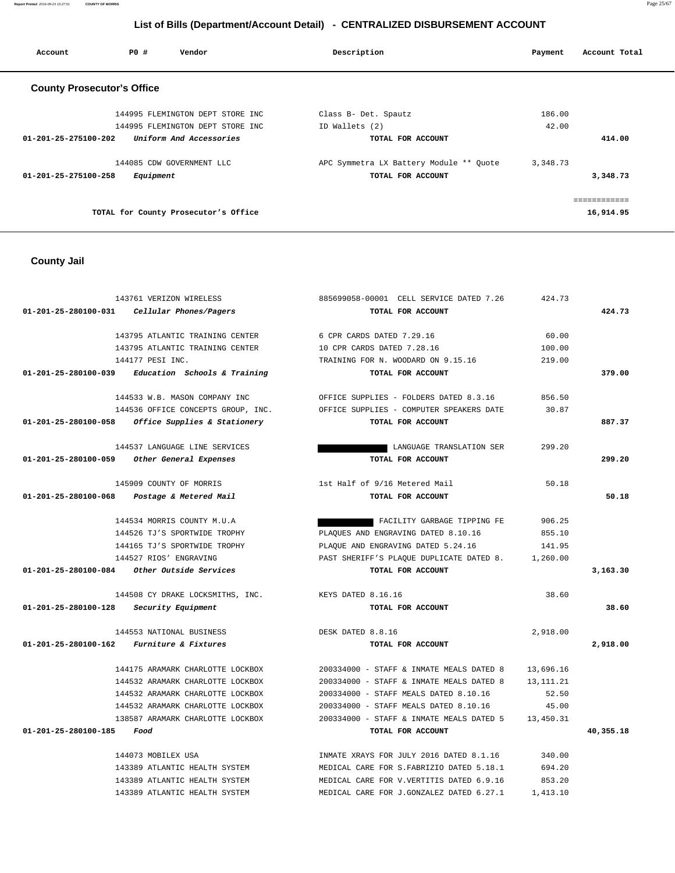**Report Printed** 2016-09-23 15:27:51 **COUNTY OF MORRIS** Page 25/67

# **List of Bills (Department/Account Detail) - CENTRALIZED DISBURSEMENT ACCOUNT**

| Account                           | PO#       | Vendor                               | Description                             | Payment  | Account Total |
|-----------------------------------|-----------|--------------------------------------|-----------------------------------------|----------|---------------|
| <b>County Prosecutor's Office</b> |           |                                      |                                         |          |               |
|                                   |           | 144995 FLEMINGTON DEPT STORE INC     | Class B- Det. Spautz                    | 186.00   |               |
|                                   |           | 144995 FLEMINGTON DEPT STORE INC     | ID Wallets (2)                          | 42.00    |               |
| 01-201-25-275100-202              |           | Uniform And Accessories              | TOTAL FOR ACCOUNT                       |          | 414.00        |
|                                   |           | 144085 CDW GOVERNMENT LLC            | APC Symmetra LX Battery Module ** Quote | 3,348.73 |               |
| $01 - 201 - 25 - 275100 - 258$    | Equipment |                                      | TOTAL FOR ACCOUNT                       |          | 3,348.73      |
|                                   |           |                                      |                                         |          | ============  |
|                                   |           | TOTAL for County Prosecutor's Office |                                         |          | 16,914.95     |

# **County Jail**

|                                | 143761 VERIZON WIRELESS                           | 885699058-00001 CELL SERVICE DATED 7.26   | 424.73      |           |
|--------------------------------|---------------------------------------------------|-------------------------------------------|-------------|-----------|
| $01 - 201 - 25 - 280100 - 031$ | Cellular Phones/Pagers                            | TOTAL FOR ACCOUNT                         |             | 424.73    |
|                                | 143795 ATLANTIC TRAINING CENTER                   | 6 CPR CARDS DATED 7.29.16                 | 60.00       |           |
|                                | 143795 ATLANTIC TRAINING CENTER                   | 10 CPR CARDS DATED 7.28.16                | 100.00      |           |
|                                | 144177 PESI INC.                                  | TRAINING FOR N. WOODARD ON 9.15.16        | 219.00      |           |
| 01-201-25-280100-039           | Education Schools & Training                      | TOTAL FOR ACCOUNT                         |             | 379.00    |
|                                | 144533 W.B. MASON COMPANY INC                     | OFFICE SUPPLIES - FOLDERS DATED 8.3.16    | 856.50      |           |
|                                | 144536 OFFICE CONCEPTS GROUP, INC.                | OFFICE SUPPLIES - COMPUTER SPEAKERS DATE  | 30.87       |           |
|                                | 01-201-25-280100-058 Office Supplies & Stationery | TOTAL FOR ACCOUNT                         |             | 887.37    |
|                                | 144537 LANGUAGE LINE SERVICES                     | LANGUAGE TRANSLATION SER                  | 299.20      |           |
| 01-201-25-280100-059           | Other General Expenses                            | TOTAL FOR ACCOUNT                         |             | 299.20    |
|                                | 145909 COUNTY OF MORRIS                           | 1st Half of 9/16 Metered Mail             | 50.18       |           |
| 01-201-25-280100-068           | Postage & Metered Mail                            | TOTAL FOR ACCOUNT                         |             | 50.18     |
|                                | 144534 MORRIS COUNTY M.U.A                        | FACILITY GARBAGE TIPPING FE               | 906.25      |           |
|                                | 144526 TJ'S SPORTWIDE TROPHY                      | PLAQUES AND ENGRAVING DATED 8.10.16       | 855.10      |           |
|                                | 144165 TJ'S SPORTWIDE TROPHY                      | PLAQUE AND ENGRAVING DATED 5.24.16        | 141.95      |           |
|                                | 144527 RIOS' ENGRAVING                            | PAST SHERIFF'S PLAQUE DUPLICATE DATED 8.  | 1,260.00    |           |
|                                | 01-201-25-280100-084     Other Outside Services   | TOTAL FOR ACCOUNT                         |             | 3,163.30  |
|                                | 144508 CY DRAKE LOCKSMITHS, INC.                  | KEYS DATED 8.16.16                        | 38.60       |           |
| 01-201-25-280100-128           | <i>Security Equipment</i>                         | TOTAL FOR ACCOUNT                         |             | 38.60     |
|                                | 144553 NATIONAL BUSINESS                          | DESK DATED 8.8.16                         | 2,918.00    |           |
|                                | 01-201-25-280100-162 Furniture & Fixtures         | TOTAL FOR ACCOUNT                         |             | 2,918.00  |
|                                | 144175 ARAMARK CHARLOTTE LOCKBOX                  | 200334000 - STAFF & INMATE MEALS DATED 8  | 13,696.16   |           |
|                                | 144532 ARAMARK CHARLOTTE LOCKBOX                  | 200334000 - STAFF & INMATE MEALS DATED 8  | 13, 111. 21 |           |
|                                | 144532 ARAMARK CHARLOTTE LOCKBOX                  | 200334000 - STAFF MEALS DATED 8.10.16     | 52.50       |           |
|                                | 144532 ARAMARK CHARLOTTE LOCKBOX                  | 200334000 - STAFF MEALS DATED 8.10.16     | 45.00       |           |
|                                | 138587 ARAMARK CHARLOTTE LOCKBOX                  | 200334000 - STAFF & INMATE MEALS DATED 5  | 13,450.31   |           |
| 01-201-25-280100-185           | Food                                              | TOTAL FOR ACCOUNT                         |             | 40,355.18 |
|                                | 144073 MOBILEX USA                                | INMATE XRAYS FOR JULY 2016 DATED 8.1.16   | 340.00      |           |
|                                | 143389 ATLANTIC HEALTH SYSTEM                     | MEDICAL CARE FOR S. FABRIZIO DATED 5.18.1 | 694.20      |           |
|                                | 143389 ATLANTIC HEALTH SYSTEM                     | MEDICAL CARE FOR V. VERTITIS DATED 6.9.16 | 853.20      |           |
|                                | 143389 ATLANTIC HEALTH SYSTEM                     | MEDICAL CARE FOR J.GONZALEZ DATED 6.27.1  | 1,413.10    |           |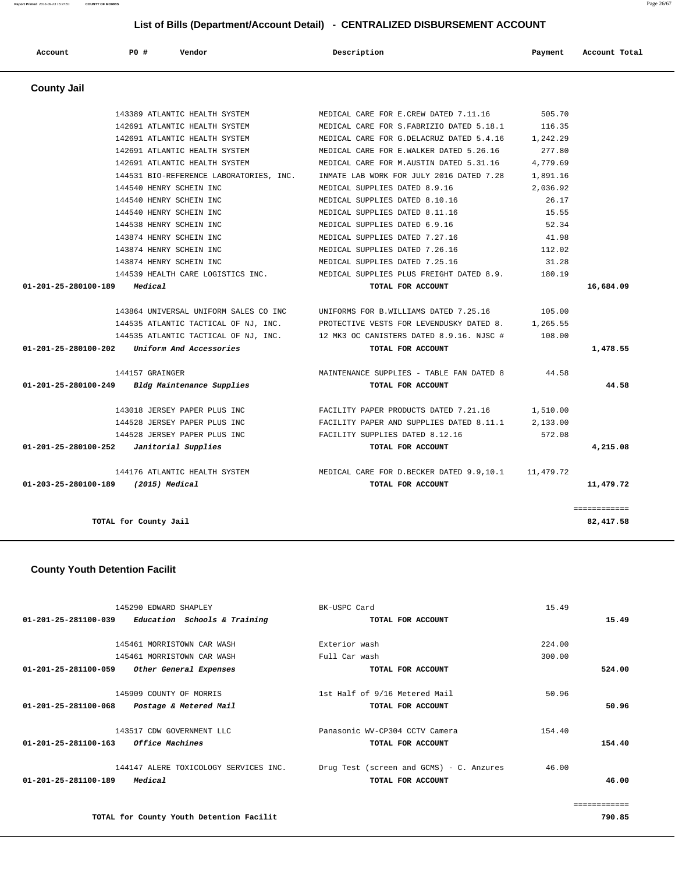| 2016-09-23 15:27:51<br>the contract of the contract of the contract of the contract of the contract of the contract of the contract of | <b>COUNTY OF MORRIS</b> | Page |
|----------------------------------------------------------------------------------------------------------------------------------------|-------------------------|------|
|                                                                                                                                        |                         |      |

| Account              | P0#<br>Vendor                           | Description                               | Payment   | Account Total |
|----------------------|-----------------------------------------|-------------------------------------------|-----------|---------------|
| <b>County Jail</b>   |                                         |                                           |           |               |
|                      | 143389 ATLANTIC HEALTH SYSTEM           | MEDICAL CARE FOR E.CREW DATED 7.11.16     | 505.70    |               |
|                      | 142691 ATLANTIC HEALTH SYSTEM           | MEDICAL CARE FOR S. FABRIZIO DATED 5.18.1 | 116.35    |               |
|                      | 142691 ATLANTIC HEALTH SYSTEM           | MEDICAL CARE FOR G.DELACRUZ DATED 5.4.16  | 1,242.29  |               |
|                      | 142691 ATLANTIC HEALTH SYSTEM           | MEDICAL CARE FOR E.WALKER DATED 5.26.16   | 277.80    |               |
|                      | 142691 ATLANTIC HEALTH SYSTEM           | MEDICAL CARE FOR M.AUSTIN DATED 5.31.16   | 4,779.69  |               |
|                      | 144531 BIO-REFERENCE LABORATORIES, INC. | INMATE LAB WORK FOR JULY 2016 DATED 7.28  | 1,891.16  |               |
|                      | 144540 HENRY SCHEIN INC                 | MEDICAL SUPPLIES DATED 8.9.16             | 2,036.92  |               |
|                      | 144540 HENRY SCHEIN INC                 | MEDICAL SUPPLIES DATED 8.10.16            | 26.17     |               |
|                      | 144540 HENRY SCHEIN INC                 | MEDICAL SUPPLIES DATED 8.11.16            | 15.55     |               |
|                      | 144538 HENRY SCHEIN INC                 | MEDICAL SUPPLIES DATED 6.9.16             | 52.34     |               |
|                      | 143874 HENRY SCHEIN INC                 | MEDICAL SUPPLIES DATED 7.27.16            | 41.98     |               |
|                      | 143874 HENRY SCHEIN INC                 | MEDICAL SUPPLIES DATED 7.26.16            | 112.02    |               |
|                      | 143874 HENRY SCHEIN INC                 | MEDICAL SUPPLIES DATED 7.25.16            | 31.28     |               |
|                      | 144539 HEALTH CARE LOGISTICS INC.       | MEDICAL SUPPLIES PLUS FREIGHT DATED 8.9.  | 180.19    |               |
| 01-201-25-280100-189 | Medical                                 | TOTAL FOR ACCOUNT                         |           | 16,684.09     |
|                      | 143864 UNIVERSAL UNIFORM SALES CO INC   | UNIFORMS FOR B.WILLIAMS DATED 7.25.16     | 105.00    |               |
|                      | 144535 ATLANTIC TACTICAL OF NJ, INC.    | PROTECTIVE VESTS FOR LEVENDUSKY DATED 8.  | 1,265.55  |               |
|                      | 144535 ATLANTIC TACTICAL OF NJ, INC.    | 12 MK3 OC CANISTERS DATED 8.9.16. NJSC #  | 108.00    |               |
| 01-201-25-280100-202 | Uniform And Accessories                 | TOTAL FOR ACCOUNT                         |           | 1,478.55      |
|                      | 144157 GRAINGER                         | MAINTENANCE SUPPLIES - TABLE FAN DATED 8  | 44.58     |               |
| 01-201-25-280100-249 | Bldg Maintenance Supplies               | TOTAL FOR ACCOUNT                         |           | 44.58         |
|                      | 143018 JERSEY PAPER PLUS INC            | FACILITY PAPER PRODUCTS DATED 7.21.16     | 1,510.00  |               |
|                      | 144528 JERSEY PAPER PLUS INC            | FACILITY PAPER AND SUPPLIES DATED 8.11.1  | 2,133.00  |               |
|                      | 144528 JERSEY PAPER PLUS INC            | FACILITY SUPPLIES DATED 8.12.16           | 572.08    |               |
| 01-201-25-280100-252 | Janitorial Supplies                     | TOTAL FOR ACCOUNT                         |           | 4,215.08      |
|                      | 144176 ATLANTIC HEALTH SYSTEM           | MEDICAL CARE FOR D. BECKER DATED 9.9,10.1 | 11,479.72 |               |
| 01-203-25-280100-189 | $(2015)$ Medical                        | TOTAL FOR ACCOUNT                         |           | 11,479.72     |
|                      |                                         |                                           |           | ============  |
|                      | TOTAL for County Jail                   |                                           |           | 82, 417.58    |

## **County Youth Detention Facilit**

| 145290 EDWARD SHAPLEY                                | BK-USPC Card                             | 15.49        |
|------------------------------------------------------|------------------------------------------|--------------|
| 01-201-25-281100-039<br>Education Schools & Training | TOTAL FOR ACCOUNT                        | 15.49        |
|                                                      |                                          |              |
| 145461 MORRISTOWN CAR WASH                           | Exterior wash                            | 224.00       |
| 145461 MORRISTOWN CAR WASH                           | Full Car wash                            | 300.00       |
| 01-201-25-281100-059<br>Other General Expenses       | TOTAL FOR ACCOUNT                        | 524.00       |
|                                                      |                                          |              |
| 145909 COUNTY OF MORRIS                              | 1st Half of 9/16 Metered Mail            | 50.96        |
| 01-201-25-281100-068<br>Postage & Metered Mail       | TOTAL FOR ACCOUNT                        | 50.96        |
| 143517 CDW GOVERNMENT LLC                            | Panasonic WV-CP304 CCTV Camera           | 154.40       |
| <i>Office Machines</i><br>01-201-25-281100-163       | TOTAL FOR ACCOUNT                        | 154.40       |
| 144147 ALERE TOXICOLOGY SERVICES INC.                | Drug Test (screen and GCMS) - C. Anzures | 46.00        |
| Medical<br>01-201-25-281100-189                      | TOTAL FOR ACCOUNT                        | 46.00        |
|                                                      |                                          | ============ |

**TOTAL for County Youth Detention Facilit 790.85**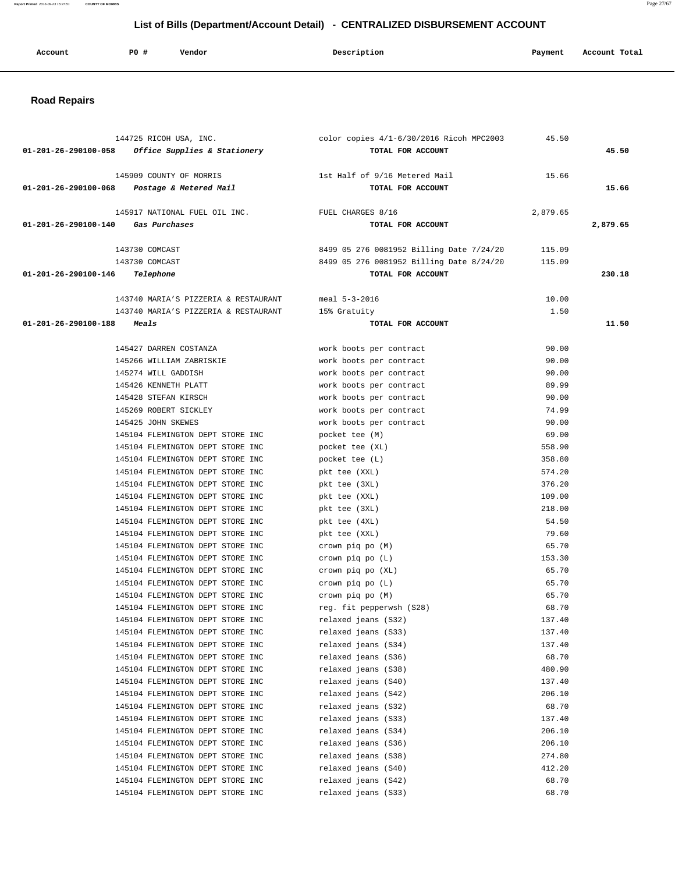| Account | P0 # | Vendor | Description | Payment | Account Total |
|---------|------|--------|-------------|---------|---------------|
|         |      |        |             |         |               |

## **Road Repairs**

|                                    | 144725 RICOH USA, INC.                                               | color copies 4/1-6/30/2016 Ricoh MPC2003   | 45.50            |          |
|------------------------------------|----------------------------------------------------------------------|--------------------------------------------|------------------|----------|
|                                    | $01-201-26-290100-058$ Office Supplies & Stationery                  | TOTAL FOR ACCOUNT                          |                  | 45.50    |
|                                    |                                                                      |                                            |                  |          |
|                                    | 145909 COUNTY OF MORRIS                                              | 1st Half of 9/16 Metered Mail              | 15.66            |          |
|                                    | 01-201-26-290100-068 Postage & Metered Mail                          | TOTAL FOR ACCOUNT                          |                  | 15.66    |
|                                    | 145917 NATIONAL FUEL OIL INC.                                        | FUEL CHARGES 8/16                          | 2,879.65         |          |
| 01-201-26-290100-140 Gas Purchases |                                                                      | TOTAL FOR ACCOUNT                          |                  | 2,879.65 |
|                                    |                                                                      |                                            |                  |          |
|                                    | 143730 COMCAST                                                       | 8499 05 276 0081952 Billing Date 7/24/20   | 115.09           |          |
|                                    | 143730 COMCAST                                                       | 8499 05 276 0081952 Billing Date 8/24/20   | 115.09           |          |
| 01-201-26-290100-146               | Telephone                                                            | TOTAL FOR ACCOUNT                          |                  | 230.18   |
|                                    |                                                                      |                                            |                  |          |
|                                    | 143740 MARIA'S PIZZERIA & RESTAURANT                                 | meal 5-3-2016                              | 10.00            |          |
|                                    | 143740 MARIA'S PIZZERIA & RESTAURANT                                 | 15% Gratuity                               | 1.50             |          |
| 01-201-26-290100-188 Meals         |                                                                      | TOTAL FOR ACCOUNT                          |                  | 11.50    |
|                                    | 145427 DARREN COSTANZA                                               | work boots per contract                    | 90.00            |          |
|                                    | 145266 WILLIAM ZABRISKIE                                             | work boots per contract                    | 90.00            |          |
|                                    | 145274 WILL GADDISH                                                  | work boots per contract                    | 90.00            |          |
|                                    | 145426 KENNETH PLATT                                                 | work boots per contract                    | 89.99            |          |
|                                    | 145428 STEFAN KIRSCH                                                 | work boots per contract                    | 90.00            |          |
|                                    | 145269 ROBERT SICKLEY                                                | work boots per contract                    | 74.99            |          |
|                                    | 145425 JOHN SKEWES                                                   | work boots per contract                    | 90.00            |          |
|                                    | 145104 FLEMINGTON DEPT STORE INC                                     | pocket tee (M)                             | 69.00            |          |
|                                    | 145104 FLEMINGTON DEPT STORE INC                                     | pocket tee (XL)                            | 558.90           |          |
|                                    | 145104 FLEMINGTON DEPT STORE INC                                     | pocket tee (L)                             | 358.80           |          |
|                                    | 145104 FLEMINGTON DEPT STORE INC                                     | pkt tee (XXL)                              | 574.20           |          |
|                                    | 145104 FLEMINGTON DEPT STORE INC                                     | pkt tee (3XL)                              | 376.20           |          |
|                                    | 145104 FLEMINGTON DEPT STORE INC                                     | pkt tee (XXL)                              | 109.00           |          |
|                                    | 145104 FLEMINGTON DEPT STORE INC                                     | pkt tee (3XL)                              | 218.00           |          |
|                                    | 145104 FLEMINGTON DEPT STORE INC                                     | pkt tee (4XL)                              | 54.50            |          |
|                                    | 145104 FLEMINGTON DEPT STORE INC                                     | pkt tee (XXL)                              | 79.60            |          |
|                                    | 145104 FLEMINGTON DEPT STORE INC                                     | crown piq po (M)                           | 65.70            |          |
|                                    | 145104 FLEMINGTON DEPT STORE INC                                     | crown piq po (L)                           | 153.30           |          |
|                                    | 145104 FLEMINGTON DEPT STORE INC                                     | crown piq po (XL)                          | 65.70            |          |
|                                    | 145104 FLEMINGTON DEPT STORE INC                                     | crown piq po (L)                           | 65.70            |          |
|                                    | 145104 FLEMINGTON DEPT STORE INC                                     | crown piq po (M)                           | 65.70            |          |
|                                    | 145104 FLEMINGTON DEPT STORE INC<br>145104 FLEMINGTON DEPT STORE INC | reg. fit pepperwsh (S28)                   | 68.70            |          |
|                                    |                                                                      | relaxed jeans (S32)                        | 137.40<br>137.40 |          |
|                                    | 145104 FLEMINGTON DEPT STORE INC<br>145104 FLEMINGTON DEPT STORE INC | relaxed jeans (S33)<br>relaxed jeans (S34) | 137.40           |          |
|                                    | 145104 FLEMINGTON DEPT STORE INC                                     | relaxed jeans (S36)                        | 68.70            |          |
|                                    | 145104 FLEMINGTON DEPT STORE INC                                     | relaxed jeans (S38)                        | 480.90           |          |
|                                    | 145104 FLEMINGTON DEPT STORE INC                                     | relaxed jeans (S40)                        | 137.40           |          |
|                                    | 145104 FLEMINGTON DEPT STORE INC                                     | relaxed jeans (S42)                        | 206.10           |          |
|                                    | 145104 FLEMINGTON DEPT STORE INC                                     | relaxed jeans (S32)                        | 68.70            |          |
|                                    | 145104 FLEMINGTON DEPT STORE INC                                     | relaxed jeans (S33)                        | 137.40           |          |
|                                    | 145104 FLEMINGTON DEPT STORE INC                                     | relaxed jeans (S34)                        | 206.10           |          |
|                                    | 145104 FLEMINGTON DEPT STORE INC                                     | relaxed jeans (S36)                        | 206.10           |          |
|                                    | 145104 FLEMINGTON DEPT STORE INC                                     | relaxed jeans (S38)                        | 274.80           |          |
|                                    | 145104 FLEMINGTON DEPT STORE INC                                     | relaxed jeans (S40)                        | 412.20           |          |
|                                    | 145104 FLEMINGTON DEPT STORE INC                                     | relaxed jeans (S42)                        | 68.70            |          |
|                                    | 145104 FLEMINGTON DEPT STORE INC                                     | relaxed jeans (S33)                        | 68.70            |          |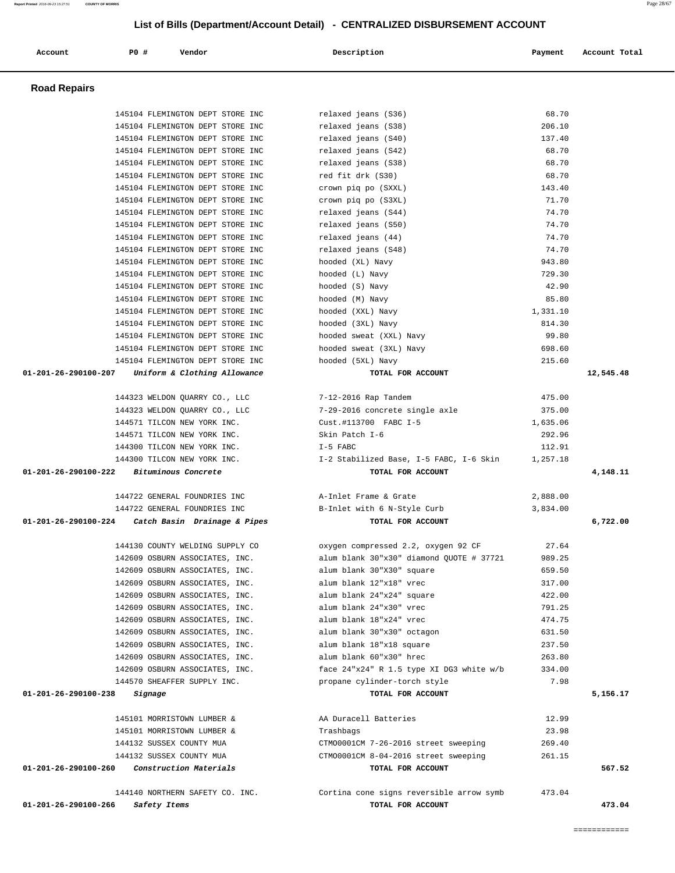| Account              | P0 #    | Vendor                           | Description                              | Payment  | Account Total |
|----------------------|---------|----------------------------------|------------------------------------------|----------|---------------|
| <b>Road Repairs</b>  |         |                                  |                                          |          |               |
|                      |         | 145104 FLEMINGTON DEPT STORE INC | relaxed jeans (S36)                      | 68.70    |               |
|                      |         | 145104 FLEMINGTON DEPT STORE INC | relaxed jeans (S38)                      | 206.10   |               |
|                      |         | 145104 FLEMINGTON DEPT STORE INC | relaxed jeans (S40)                      | 137.40   |               |
|                      |         | 145104 FLEMINGTON DEPT STORE INC | relaxed jeans (S42)                      | 68.70    |               |
|                      |         | 145104 FLEMINGTON DEPT STORE INC | relaxed jeans (S38)                      | 68.70    |               |
|                      |         | 145104 FLEMINGTON DEPT STORE INC | red fit drk (S30)                        | 68.70    |               |
|                      |         | 145104 FLEMINGTON DEPT STORE INC | crown piq po (SXXL)                      | 143.40   |               |
|                      |         | 145104 FLEMINGTON DEPT STORE INC | crown piq po (S3XL)                      | 71.70    |               |
|                      |         | 145104 FLEMINGTON DEPT STORE INC | relaxed jeans (S44)                      | 74.70    |               |
|                      |         | 145104 FLEMINGTON DEPT STORE INC | relaxed jeans (S50)                      | 74.70    |               |
|                      |         | 145104 FLEMINGTON DEPT STORE INC | relaxed jeans (44)                       | 74.70    |               |
|                      |         | 145104 FLEMINGTON DEPT STORE INC | relaxed jeans (S48)                      | 74.70    |               |
|                      |         | 145104 FLEMINGTON DEPT STORE INC | hooded (XL) Navy                         | 943.80   |               |
|                      |         | 145104 FLEMINGTON DEPT STORE INC | hooded (L) Navy                          | 729.30   |               |
|                      |         | 145104 FLEMINGTON DEPT STORE INC | hooded (S) Navy                          | 42.90    |               |
|                      |         | 145104 FLEMINGTON DEPT STORE INC | hooded (M) Navy                          | 85.80    |               |
|                      |         | 145104 FLEMINGTON DEPT STORE INC | hooded (XXL) Navy                        | 1,331.10 |               |
|                      |         | 145104 FLEMINGTON DEPT STORE INC | hooded (3XL) Navy                        | 814.30   |               |
|                      |         | 145104 FLEMINGTON DEPT STORE INC | hooded sweat (XXL) Navy                  | 99.80    |               |
|                      |         | 145104 FLEMINGTON DEPT STORE INC | hooded sweat (3XL) Navy                  | 698.60   |               |
|                      |         | 145104 FLEMINGTON DEPT STORE INC | hooded (5XL) Navy                        | 215.60   |               |
| 01-201-26-290100-207 |         | Uniform & Clothing Allowance     | TOTAL FOR ACCOUNT                        |          | 12,545.48     |
|                      |         | 144323 WELDON QUARRY CO., LLC    | 7-12-2016 Rap Tandem                     | 475.00   |               |
|                      |         | 144323 WELDON QUARRY CO., LLC    | 7-29-2016 concrete single axle           | 375.00   |               |
|                      |         | 144571 TILCON NEW YORK INC.      | Cust.#113700 FABC I-5                    | 1,635.06 |               |
|                      |         | 144571 TILCON NEW YORK INC.      | Skin Patch I-6                           | 292.96   |               |
|                      |         | 144300 TILCON NEW YORK INC.      | $I-5$ FABC                               | 112.91   |               |
|                      |         | 144300 TILCON NEW YORK INC.      | I-2 Stabilized Base, I-5 FABC, I-6 Skin  | 1,257.18 |               |
| 01-201-26-290100-222 |         | Bituminous Concrete              | TOTAL FOR ACCOUNT                        |          | 4,148.11      |
|                      |         | 144722 GENERAL FOUNDRIES INC     | A-Inlet Frame & Grate                    | 2,888.00 |               |
|                      |         | 144722 GENERAL FOUNDRIES INC     | B-Inlet with 6 N-Style Curb              | 3,834.00 |               |
| 01-201-26-290100-224 |         | Catch Basin Drainage & Pipes     | TOTAL FOR ACCOUNT                        |          | 6,722.00      |
|                      |         | 144130 COUNTY WELDING SUPPLY CO  | oxygen compressed 2.2, oxygen 92 CF      | 27.64    |               |
|                      |         | 142609 OSBURN ASSOCIATES, INC.   | alum blank 30"x30" diamond QUOTE # 37721 | 989.25   |               |
|                      |         | 142609 OSBURN ASSOCIATES, INC.   | alum blank 30"X30" square                | 659.50   |               |
|                      |         | 142609 OSBURN ASSOCIATES, INC.   | alum blank 12"x18" vrec                  | 317.00   |               |
|                      |         | 142609 OSBURN ASSOCIATES, INC.   | alum blank 24"x24" square                | 422.00   |               |
|                      |         | 142609 OSBURN ASSOCIATES, INC.   | alum blank 24"x30" vrec                  | 791.25   |               |
|                      |         | 142609 OSBURN ASSOCIATES, INC.   | alum blank 18"x24" vrec                  | 474.75   |               |
|                      |         | 142609 OSBURN ASSOCIATES, INC.   | alum blank 30"x30" octagon               | 631.50   |               |
|                      |         | 142609 OSBURN ASSOCIATES, INC.   | alum blank 18"x18 square                 | 237.50   |               |
|                      |         | 142609 OSBURN ASSOCIATES, INC.   | alum blank 60"x30" hrec                  | 263.80   |               |
|                      |         | 142609 OSBURN ASSOCIATES, INC.   | face 24"x24" R 1.5 type XI DG3 white w/b | 334.00   |               |
|                      |         | 144570 SHEAFFER SUPPLY INC.      | propane cylinder-torch style             | 7.98     |               |
| 01-201-26-290100-238 | Signage |                                  | TOTAL FOR ACCOUNT                        |          | 5,156.17      |
|                      |         | 145101 MORRISTOWN LUMBER &       | AA Duracell Batteries                    | 12.99    |               |
|                      |         | 145101 MORRISTOWN LUMBER &       | Trashbags                                | 23.98    |               |
|                      |         | 144132 SUSSEX COUNTY MUA         | CTM00001CM 7-26-2016 street sweeping     | 269.40   |               |
|                      |         | 144132 SUSSEX COUNTY MUA         | CTM00001CM 8-04-2016 street sweeping     | 261.15   |               |
|                      |         | Construction Materials           | TOTAL FOR ACCOUNT                        |          | 567.52        |
| 01-201-26-290100-260 |         |                                  |                                          |          |               |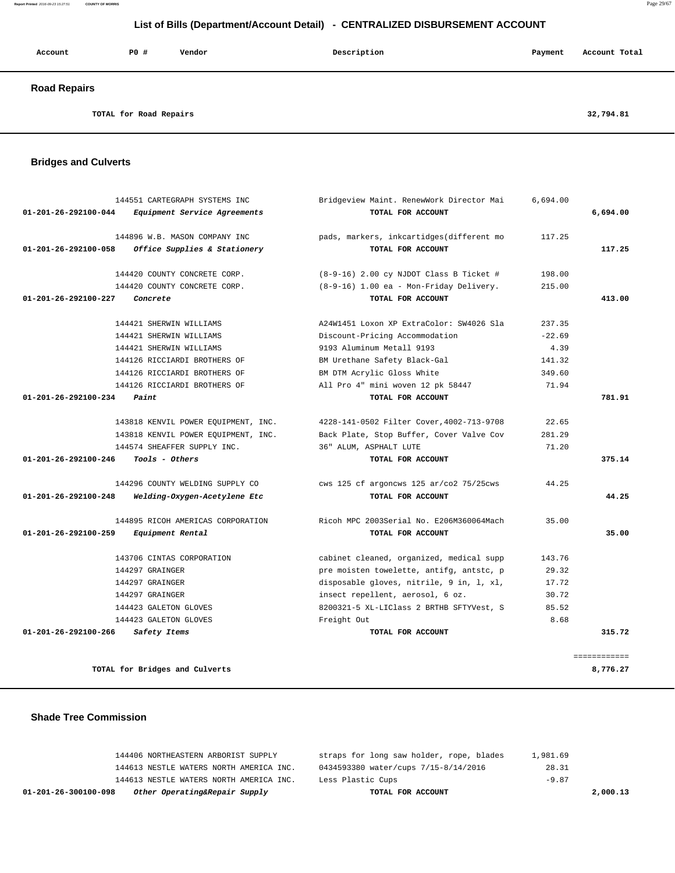| Account             | P0 #                   | Vendor | Description | Payment | Account Total |
|---------------------|------------------------|--------|-------------|---------|---------------|
| <b>Road Repairs</b> |                        |        |             |         |               |
|                     | TOTAL for Road Repairs |        |             |         | 32,794.81     |

## **Bridges and Culverts**

| 144551 CARTEGRAPH SYSTEMS INC                                  | Bridgeview Maint. RenewWork Director Mai  | 6,694.00 |              |
|----------------------------------------------------------------|-------------------------------------------|----------|--------------|
| $01 - 201 - 26 - 292100 - 044$<br>Equipment Service Agreements | TOTAL FOR ACCOUNT                         |          | 6,694.00     |
| 144896 W.B. MASON COMPANY INC.                                 | pads, markers, inkcartidges(different mo  | 117.25   |              |
| 01-201-26-292100-058<br>Office Supplies & Stationery           | TOTAL FOR ACCOUNT                         |          | 117.25       |
| 144420 COUNTY CONCRETE CORP.                                   | $(8-9-16)$ 2.00 cy NJDOT Class B Ticket # | 198.00   |              |
| 144420 COUNTY CONCRETE CORP.                                   | (8-9-16) 1.00 ea - Mon-Friday Delivery.   | 215.00   |              |
| 01-201-26-292100-227<br>Concrete                               | TOTAL FOR ACCOUNT                         |          | 413.00       |
| 144421 SHERWIN WILLIAMS                                        | A24W1451 Loxon XP ExtraColor: SW4026 Sla  | 237.35   |              |
| 144421 SHERWIN WILLIAMS                                        | Discount-Pricing Accommodation            | $-22.69$ |              |
| 144421 SHERWIN WILLIAMS                                        | 9193 Aluminum Metall 9193                 | 4.39     |              |
| 144126 RICCIARDI BROTHERS OF                                   | BM Urethane Safety Black-Gal              | 141.32   |              |
| 144126 RICCIARDI BROTHERS OF                                   | BM DTM Acrylic Gloss White                | 349.60   |              |
| 144126 RICCIARDI BROTHERS OF                                   | All Pro 4" mini woven 12 pk 58447         | 71.94    |              |
| 01-201-26-292100-234<br>Paint                                  | TOTAL FOR ACCOUNT                         |          | 781.91       |
| 143818 KENVIL POWER EQUIPMENT, INC.                            | 4228-141-0502 Filter Cover, 4002-713-9708 | 22.65    |              |
| 143818 KENVIL POWER EQUIPMENT, INC.                            | Back Plate, Stop Buffer, Cover Valve Cov  | 281.29   |              |
| 144574 SHEAFFER SUPPLY INC.                                    | 36" ALUM, ASPHALT LUTE                    | 71.20    |              |
| 01-201-26-292100-246<br>Tools - Others                         | TOTAL FOR ACCOUNT                         |          | 375.14       |
| 144296 COUNTY WELDING SUPPLY CO                                | cws 125 cf argoncws 125 ar/co2 75/25cws   | 44.25    |              |
| 01-201-26-292100-248<br>Welding-Oxygen-Acetylene Etc           | TOTAL FOR ACCOUNT                         |          | 44.25        |
| 144895 RICOH AMERICAS CORPORATION                              | Ricoh MPC 2003Serial No. E206M360064Mach  | 35.00    |              |
| $01 - 201 - 26 - 292100 - 259$<br>Equipment Rental             | TOTAL FOR ACCOUNT                         |          | 35.00        |
| 143706 CINTAS CORPORATION                                      | cabinet cleaned, organized, medical supp  | 143.76   |              |
| 144297 GRAINGER                                                | pre moisten towelette, antifg, antstc, p  | 29.32    |              |
| 144297 GRAINGER                                                | disposable gloves, nitrile, 9 in, 1, xl,  | 17.72    |              |
| 144297 GRAINGER                                                | insect repellent, aerosol, 6 oz.          | 30.72    |              |
| 144423 GALETON GLOVES                                          | 8200321-5 XL-LIClass 2 BRTHB SFTYVest, S  | 85.52    |              |
| 144423 GALETON GLOVES                                          | Freight Out                               | 8.68     |              |
| $01 - 201 - 26 - 292100 - 266$<br>Safety Items                 | TOTAL FOR ACCOUNT                         |          | 315.72       |
|                                                                |                                           |          | ============ |
| TOTAL for Bridges and Culverts                                 |                                           |          | 8,776.27     |

#### **Shade Tree Commission**

| 2,000.13 | TOTAL FOR ACCOUNT                        | Other Operating&Repair Supply           | 01-201-26-300100-098 |
|----------|------------------------------------------|-----------------------------------------|----------------------|
| $-9.87$  | Less Plastic Cups                        | 144613 NESTLE WATERS NORTH AMERICA INC. |                      |
| 28.31    | 0434593380 water/cups 7/15-8/14/2016     | 144613 NESTLE WATERS NORTH AMERICA INC. |                      |
| 1,981.69 | straps for long saw holder, rope, blades | 144406 NORTHEASTERN ARBORIST SUPPLY     |                      |
|          |                                          |                                         |                      |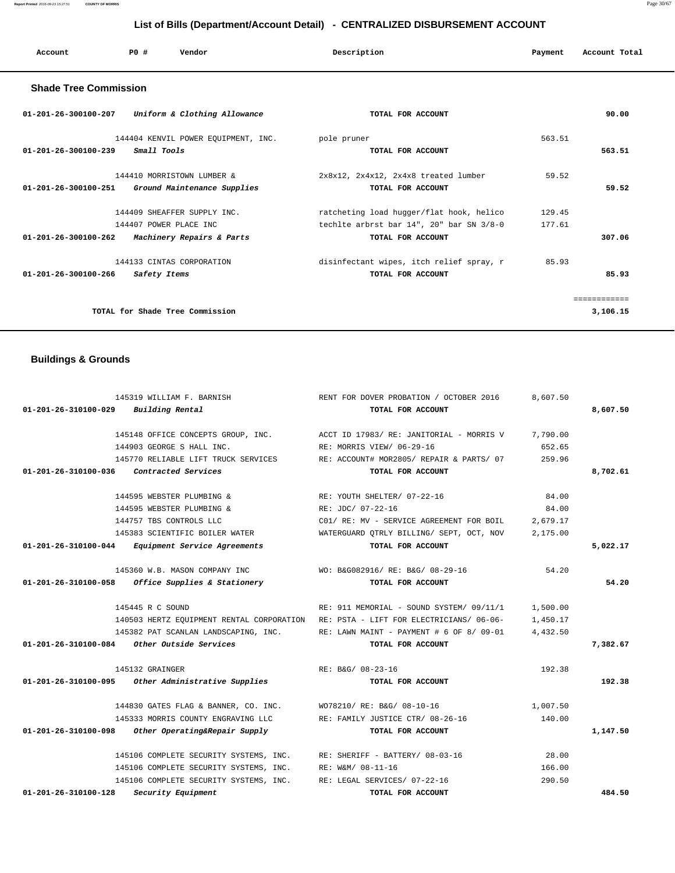# **01-201-26-310100-029 Building Rental TOTAL FOR ACCOUNT 8,607.50** 145148 OFFICE CONCEPTS GROUP, INC. ACCT ID 17983/ RE: JANITORIAL - MORRIS V 7,790.00 144903 GEORGE S HALL INC. RE: MORRIS VIEW/ 06-29-16 652.65 145770 RELIABLE LIFT TRUCK SERVICES RE: ACCOUNT# MOR2805/ REPAIR & PARTS/ 07 259.96  **01-201-26-310100-036 Contracted Services TOTAL FOR ACCOUNT 8,702.61** 144595 WEBSTER PLUMBING & RE: YOUTH SHELTER/ 07-22-16 84.00 144595 WEBSTER PLUMBING & RE: JDC/ 07-22-16 84.00 144757 TBS CONTROLS LLC C01/ RE: MV - SERVICE AGREEMENT FOR BOIL 2,679.17 145383 SCIENTIFIC BOILER WATER WATERGUARD QTRLY BILLING/ SEPT, OCT, NOV 2,175.00  **01-201-26-310100-044 Equipment Service Agreements TOTAL FOR ACCOUNT 5,022.17** 145360 W.B. MASON COMPANY INC WO: B&G082916/ RE: B&G/ 08-29-16 54.20  **01-201-26-310100-058 Office Supplies & Stationery TOTAL FOR ACCOUNT 54.20** 145445 R C SOUND RE: 911 MEMORIAL - SOUND SYSTEM/ 09/11/1 1,500.00 140503 HERTZ EQUIPMENT RENTAL CORPORATION RE: PSTA - LIFT FOR ELECTRICIANS/ 06-06- 1,450.17 145382 PAT SCANLAN LANDSCAPING, INC. RE: LAWN MAINT - PAYMENT # 6 OF 8/ 09-01 4,432.50  **01-201-26-310100-084 Other Outside Services TOTAL FOR ACCOUNT 7,382.67** 145132 GRAINGER 192.38 RE: B&G/ 08-23-16 192.38  **01-201-26-310100-095 Other Administrative Supplies TOTAL FOR ACCOUNT 192.38** 144830 GATES FLAG & BANNER, CO. INC. WO78210/ RE: B&G/ 08-10-16 1,007.50 145333 MORRIS COUNTY ENGRAVING LLC RE: FAMILY JUSTICE CTR/ 08-26-16 140.00  **01-201-26-310100-098 Other Operating&Repair Supply TOTAL FOR ACCOUNT 1,147.50** 145106 COMPLETE SECURITY SYSTEMS, INC. RE: SHERIFF - BATTERY/ 08-03-16 28.00 145106 COMPLETE SECURITY SYSTEMS, INC. RE: W&M/ 08-11-16 166.00 145106 COMPLETE SECURITY SYSTEMS, INC. RE: LEGAL SERVICES/ 07-22-16 290.50  **01-201-26-310100-128 Security Equipment TOTAL FOR ACCOUNT 484.50**

#### **Buildings & Grounds**

 **Shade Tree Commission** 

| Uniform & Clothing Allowance<br>01-201-26-300100-207                                                       | TOTAL FOR ACCOUNT                                                                                         | 90.00                      |
|------------------------------------------------------------------------------------------------------------|-----------------------------------------------------------------------------------------------------------|----------------------------|
| 144404 KENVIL POWER EQUIPMENT, INC.<br>Small Tools<br>01-201-26-300100-239                                 | pole pruner<br>TOTAL FOR ACCOUNT                                                                          | 563.51<br>563.51           |
| 144410 MORRISTOWN LUMBER &<br>$01 - 201 - 26 - 300100 - 251$<br>Ground Maintenance Supplies                | 2x8x12, 2x4x12, 2x4x8 treated lumber<br>TOTAL FOR ACCOUNT                                                 | 59.52<br>59.52             |
| 144409 SHEAFFER SUPPLY INC.<br>144407 POWER PLACE INC<br>01-201-26-300100-262<br>Machinery Repairs & Parts | ratcheting load hugger/flat hook, helico<br>techlte arbrst bar 14", 20" bar SN 3/8-0<br>TOTAL FOR ACCOUNT | 129.45<br>177.61<br>307.06 |
| 144133 CINTAS CORPORATION<br>$01 - 201 - 26 - 300100 - 266$<br>Safety Items                                | disinfectant wipes, itch relief spray, r<br>TOTAL FOR ACCOUNT                                             | 85.93<br>85.93             |
| TOTAL for Shade Tree Commission                                                                            |                                                                                                           | 3,106.15                   |

145319 WILLIAM F. BARNISH RENT FOR DOVER PROBATION / OCTOBER 2016 8,607.50

# **List of Bills (Department/Account Detail) - CENTRALIZED DISBURSEMENT ACCOUNT**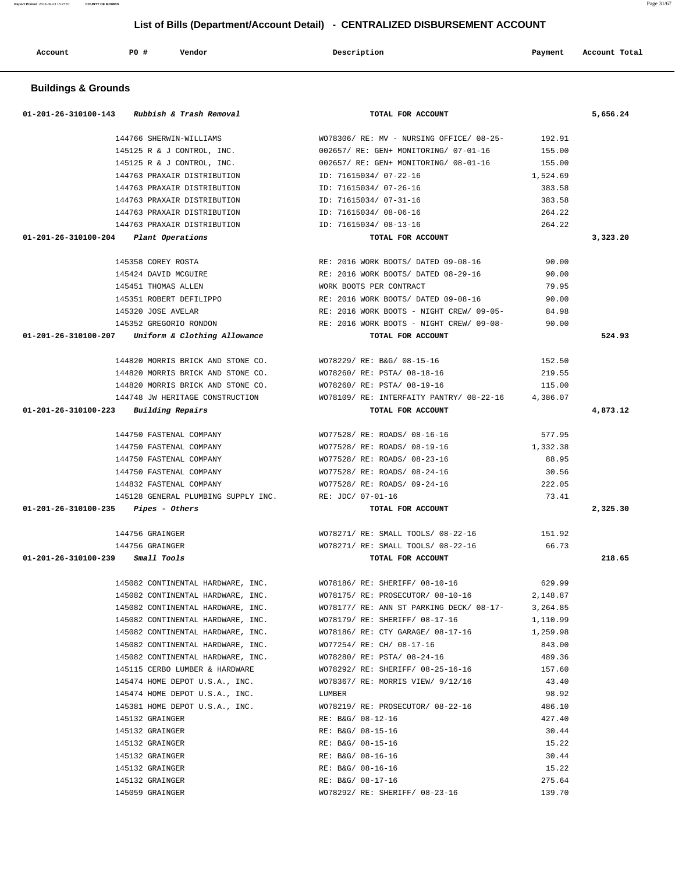| <b>Buildings &amp; Grounds</b>                                               |                                                    |          |
|------------------------------------------------------------------------------|----------------------------------------------------|----------|
| 01-201-26-310100-143<br>Rubbish & Trash Removal                              | TOTAL FOR ACCOUNT                                  | 5,656.24 |
| 144766 SHERWIN-WILLIAMS                                                      | WO78306/ RE: MV - NURSING OFFICE/ 08-25-<br>192.91 |          |
| 145125 R & J CONTROL, INC.                                                   | 155.00<br>002657/ RE: GEN+ MONITORING/ 07-01-16    |          |
| 145125 R & J CONTROL, INC.                                                   | 002657/RE: GEN+ MONITORING/ 08-01-16<br>155.00     |          |
| 144763 PRAXAIR DISTRIBUTION                                                  | ID: 71615034/ 07-22-16<br>1,524.69                 |          |
| 144763 PRAXAIR DISTRIBUTION                                                  | ID: 71615034/ 07-26-16<br>383.58                   |          |
| 144763 PRAXAIR DISTRIBUTION                                                  | ID: 71615034/ 07-31-16<br>383.58                   |          |
| 144763 PRAXAIR DISTRIBUTION                                                  | ID: 71615034/ 08-06-16<br>264.22                   |          |
| 144763 PRAXAIR DISTRIBUTION                                                  | ID: 71615034/ 08-13-16<br>264.22                   |          |
| 01-201-26-310100-204 Plant Operations                                        | TOTAL FOR ACCOUNT                                  | 3,323.20 |
| 145358 COREY ROSTA                                                           | RE: 2016 WORK BOOTS/ DATED 09-08-16<br>90.00       |          |
| 145424 DAVID MCGUIRE                                                         | RE: 2016 WORK BOOTS/ DATED 08-29-16<br>90.00       |          |
| 145451 THOMAS ALLEN                                                          | 79.95<br>WORK BOOTS PER CONTRACT                   |          |
| 145351 ROBERT DEFILIPPO                                                      | RE: 2016 WORK BOOTS/ DATED 09-08-16<br>90.00       |          |
| 145320 JOSE AVELAR                                                           | RE: 2016 WORK BOOTS - NIGHT CREW/ 09-05-<br>84.98  |          |
| 145352 GREGORIO RONDON                                                       | RE: 2016 WORK BOOTS - NIGHT CREW/ 09-08-<br>90.00  |          |
| 01-201-26-310100-207 Uniform & Clothing Allowance                            | TOTAL FOR ACCOUNT                                  | 524.93   |
| 144820 MORRIS BRICK AND STONE CO.                                            | WO78229/ RE: B&G/ 08-15-16<br>152.50               |          |
| 144820 MORRIS BRICK AND STONE CO.                                            | WO78260/ RE: PSTA/ 08-18-16<br>219.55              |          |
| 144820 MORRIS BRICK AND STONE CO.                                            | WO78260/ RE: PSTA/ 08-19-16<br>115.00              |          |
| 144748 JW HERITAGE CONSTRUCTION                                              | WO78109/ RE: INTERFAITY PANTRY/ 08-22-16 4,386.07  |          |
| 01-201-26-310100-223 Building Repairs                                        | TOTAL FOR ACCOUNT                                  | 4,873.12 |
|                                                                              |                                                    |          |
| 144750 FASTENAL COMPANY                                                      | WO77528/ RE: ROADS/ 08-16-16<br>577.95             |          |
| 144750 FASTENAL COMPANY                                                      | WO77528/ RE: ROADS/ 08-19-16<br>1,332.38           |          |
| 144750 FASTENAL COMPANY                                                      | WO77528/ RE: ROADS/ 08-23-16<br>88.95              |          |
| 144750 FASTENAL COMPANY                                                      | WO77528/ RE: ROADS/ 08-24-16<br>30.56              |          |
| 144832 FASTENAL COMPANY                                                      | WO77528/ RE: ROADS/ 09-24-16<br>222.05             |          |
| 145128 GENERAL PLUMBING SUPPLY INC.<br>$01-201-26-310100-235$ Pipes - Others | RE: JDC/ 07-01-16<br>73.41<br>TOTAL FOR ACCOUNT    | 2,325.30 |
| 144756 GRAINGER                                                              | WO78271/ RE: SMALL TOOLS/ 08-22-16<br>151.92       |          |
| 144756 GRAINGER                                                              | WO78271/ RE: SMALL TOOLS/ 08-22-16<br>66.73        |          |
| 01-201-26-310100-239<br>Small Tools                                          | TOTAL FOR ACCOUNT                                  | 218.65   |
|                                                                              |                                                    |          |
| 145082 CONTINENTAL HARDWARE, INC.                                            | 629.99<br>WO78186/ RE: SHERIFF/ 08-10-16           |          |
| 145082 CONTINENTAL HARDWARE, INC.                                            | WO78175/ RE: PROSECUTOR/ 08-10-16 2,148.87         |          |
| 145082 CONTINENTAL HARDWARE, INC.                                            | WO78177/ RE: ANN ST PARKING DECK/ 08-17- 3,264.85  |          |
| 145082 CONTINENTAL HARDWARE, INC.                                            | WO78179/ RE: SHERIFF/ 08-17-16<br>1,110.99         |          |
| 145082 CONTINENTAL HARDWARE, INC.                                            | WO78186/ RE: CTY GARAGE/ 08-17-16<br>1,259.98      |          |
| 145082 CONTINENTAL HARDWARE, INC.                                            | WO77254/ RE: CH/ 08-17-16<br>843.00                |          |
| 145082 CONTINENTAL HARDWARE, INC.                                            | WO78280/ RE: PSTA/ 08-24-16<br>489.36              |          |
| 145115 CERBO LUMBER & HARDWARE                                               | 157.60<br>WO78292/ RE: SHERIFF/ 08-25-16-16        |          |
| 145474 HOME DEPOT U.S.A., INC.                                               | WO78367/ RE: MORRIS VIEW/ 9/12/16<br>43.40         |          |
| 145474 HOME DEPOT U.S.A., INC.                                               | 98.92<br>LUMBER                                    |          |
| 145381 HOME DEPOT U.S.A., INC.                                               | WO78219/ RE: PROSECUTOR/ 08-22-16<br>486.10        |          |
| 145132 GRAINGER                                                              | RE: B&G/ 08-12-16<br>427.40                        |          |
| 145132 GRAINGER                                                              | RE: B&G/ 08-15-16<br>30.44                         |          |
| 145132 GRAINGER                                                              | 15.22<br>RE: B&G/ 08-15-16                         |          |
| 145132 GRAINGER                                                              | RE: B&G/ 08-16-16<br>30.44                         |          |
| 145132 GRAINGER                                                              | RE: B&G/ 08-16-16<br>15.22                         |          |
| 145132 GRAINGER                                                              | RE: B&G/ 08-17-16<br>275.64                        |          |
| 145059 GRAINGER                                                              | WO78292/ RE: SHERIFF/ 08-23-16<br>139.70           |          |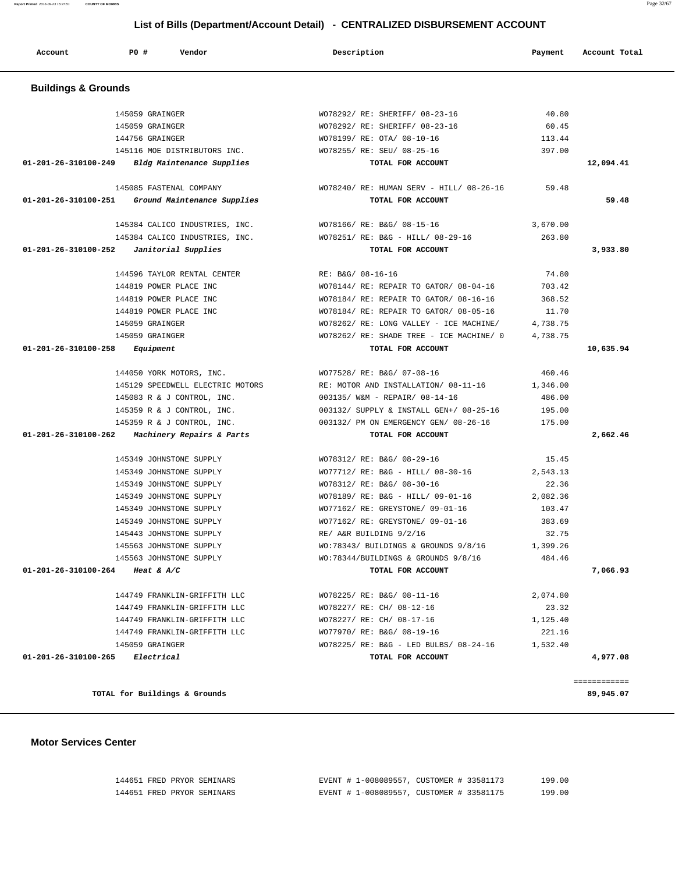| 144651 FRED PRYOR SEMINARS |  | EVENT # 1-008089557, CUSTOMER # 33581173 | 199.00 |
|----------------------------|--|------------------------------------------|--------|
| 144651 FRED PRYOR SEMINARS |  | EVENT # 1-008089557, CUSTOMER # 33581175 | 199.00 |

**TOTAL for Buildings & Grounds 89,945.07**

============

#### **Motor Services Center**

 **Buildings & Grounds**  145059 GRAINGER WO78292/ RE: SHERIFF/ 08-23-16 40.80 145059 GRAINGER WO78292/ RE: SHERIFF/ 08-23-16 60.45 144756 GRAINGER WO78199/ RE: OTA/ 08-10-16 113.44 145116 MOE DISTRIBUTORS INC. WO78255/ RE: SEU/ 08-25-16 397.00  **01-201-26-310100-249 Bldg Maintenance Supplies TOTAL FOR ACCOUNT 12,094.41** 145085 FASTENAL COMPANY WO78240/ RE: HUMAN SERV - HILL/ 08-26-16 59.48  **01-201-26-310100-251 Ground Maintenance Supplies TOTAL FOR ACCOUNT 59.48** 145384 CALICO INDUSTRIES, INC. WO78166/ RE: B&G/ 08-15-16 3,670.00 145384 CALICO INDUSTRIES, INC. WO78251/ RE: B&G - HILL/ 08-29-16 263.80  **01-201-26-310100-252 Janitorial Supplies TOTAL FOR ACCOUNT 3,933.80** 144596 TAYLOR RENTAL CENTER RE: B&G/ 08-16-16 74.80 144819 POWER PLACE INC WO78144/ RE: REPAIR TO GATOR/ 08-04-16 703.42 144819 POWER PLACE INC WO78184/ RE: REPAIR TO GATOR/ 08-16-16 368.52 144819 POWER PLACE INC WO78184/ RE: REPAIR TO GATOR/ 08-05-16 11.70 145059 GRAINGER WO78262/ RE: LONG VALLEY - ICE MACHINE/ 4,738.75 145059 GRAINGER WO78262/ RE: SHADE TREE - ICE MACHINE/ 0 4,738.75  **01-201-26-310100-258 Equipment TOTAL FOR ACCOUNT 10,635.94** 144050 YORK MOTORS, INC. WO77528/ RE: B&G/ 07-08-16 460.46 RE: MOTOR AND INSTALLATION/  $08-11-16$  1,346.00 145083 R & J CONTROL, INC. 003135/ W&M - REPAIR/ 08-14-16 486.00 145359 R & J CONTROL, INC. 003132/ SUPPLY & INSTALL GEN+/ 08-25-16 195.00 145359 R & J CONTROL, INC. 003132/ PM ON EMERGENCY GEN/ 08-26-16 175.00  **01-201-26-310100-262 Machinery Repairs & Parts TOTAL FOR ACCOUNT 2,662.46** 145349 JOHNSTONE SUPPLY WO78312/ RE: B&G/ 08-29-16 15.45 145349 JOHNSTONE SUPPLY WO77712/ RE: B&G - HILL/ 08-30-16 2,543.13 145349 JOHNSTONE SUPPLY WO78312/ RE: B&G/ 08-30-16 22.36 145349 JOHNSTONE SUPPLY WO78189/ RE: B&G - HILL/ 09-01-16 2,082.36 145349 JOHNSTONE SUPPLY WO77162/ RE: GREYSTONE/ 09-01-16 103.47 145349 JOHNSTONE SUPPLY WO77162/ RE: GREYSTONE/ 09-01-16 383.69 145443 JOHNSTONE SUPPLY RE/ A&R BUILDING 9/2/16 32.75 145563 JOHNSTONE SUPPLY WO:78343/ BUILDINGS & GROUNDS 9/8/16 1,399.26 145563 JOHNSTONE SUPPLY WO:78344/BUILDINGS & GROUNDS 9/8/16 484.46  **01-201-26-310100-264 Heat & A/C TOTAL FOR ACCOUNT 7,066.93** 144749 FRANKLIN-GRIFFITH LLC WO78225/ RE: B&G/ 08-11-16 2,074.80 144749 FRANKLIN-GRIFFITH LLC WO78227/ RE: CH/ 08-12-16 23.32 144749 FRANKLIN-GRIFFITH LLC WO78227/ RE: CH/ 08-17-16 1,125.40 144749 FRANKLIN-GRIFFITH LLC WO77970/ RE: B&G/ 08-19-16 221.16 145059 GRAINGER WO78225/ RE: B&G - LED BULBS/ 08-24-16 1,532.40  **01-201-26-310100-265 Electrical TOTAL FOR ACCOUNT 4,977.08**

## **List of Bills (Department/Account Detail) - CENTRALIZED DISBURSEMENT ACCOUNT**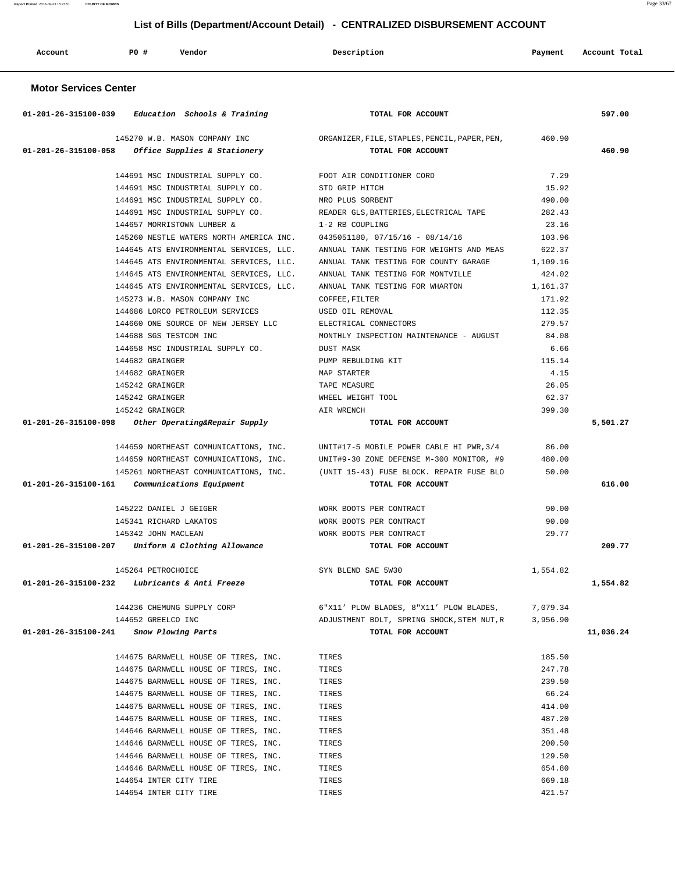| Account | PO# | Vendor | Description | Payment | Account Total |
|---------|-----|--------|-------------|---------|---------------|
|         |     |        |             |         |               |

## **Motor Services Center**

|                      | 01-201-26-315100-039 Education Schools & Training                       | TOTAL FOR ACCOUNT                                                                    |          | 597.00    |
|----------------------|-------------------------------------------------------------------------|--------------------------------------------------------------------------------------|----------|-----------|
|                      |                                                                         | 145270 W.B. MASON COMPANY INC ORGANIZER, FILE, STAPLES, PENCIL, PAPER, PEN, 460.90   |          |           |
|                      | $01-201-26-315100-058$ Office Supplies & Stationery                     | TOTAL FOR ACCOUNT                                                                    |          | 460.90    |
|                      |                                                                         |                                                                                      |          |           |
|                      | 144691 MSC INDUSTRIAL SUPPLY CO. FOOT AIR CONDITIONER CORD              |                                                                                      | 7.29     |           |
|                      | 144691 MSC INDUSTRIAL SUPPLY CO.                                        | STD GRIP HITCH                                                                       | 15.92    |           |
|                      | 144691 MSC INDUSTRIAL SUPPLY CO.                                        | MRO PLUS SORBENT                                                                     | 490.00   |           |
|                      | 144691 MSC INDUSTRIAL SUPPLY CO.                                        | READER GLS, BATTERIES, ELECTRICAL TAPE                                               | 282.43   |           |
|                      | 144657 MORRISTOWN LUMBER &                                              | 1-2 RB COUPLING                                                                      | 23.16    |           |
|                      | 145260 NESTLE WATERS NORTH AMERICA INC. 0435051180, 07/15/16 - 08/14/16 |                                                                                      | 103.96   |           |
|                      | 144645 ATS ENVIRONMENTAL SERVICES, LLC.                                 | ANNUAL TANK TESTING FOR WEIGHTS AND MEAS                                             | 622.37   |           |
|                      | 144645 ATS ENVIRONMENTAL SERVICES, LLC.                                 | ANNUAL TANK TESTING FOR COUNTY GARAGE                                                | 1,109.16 |           |
|                      | 144645 ATS ENVIRONMENTAL SERVICES, LLC.                                 | ANNUAL TANK TESTING FOR MONTVILLE                                                    | 424.02   |           |
|                      | 144645 ATS ENVIRONMENTAL SERVICES, LLC.                                 | ANNUAL TANK TESTING FOR WHARTON                                                      | 1,161.37 |           |
|                      | 145273 W.B. MASON COMPANY INC                                           | COFFEE, FILTER                                                                       | 171.92   |           |
|                      | 144686 LORCO PETROLEUM SERVICES                                         | USED OIL REMOVAL                                                                     | 112.35   |           |
|                      | 144660 ONE SOURCE OF NEW JERSEY LLC                                     | ELECTRICAL CONNECTORS                                                                | 279.57   |           |
|                      | 144688 SGS TESTCOM INC                                                  | MONTHLY INSPECTION MAINTENANCE - AUGUST 84.08                                        |          |           |
|                      | 144658 MSC INDUSTRIAL SUPPLY CO.                                        | DUST MASK                                                                            | 6.66     |           |
|                      | 144682 GRAINGER                                                         | PUMP REBULDING KIT                                                                   | 115.14   |           |
|                      | 144682 GRAINGER                                                         | MAP STARTER                                                                          | 4.15     |           |
|                      | 145242 GRAINGER                                                         | TAPE MEASURE                                                                         | 26.05    |           |
|                      | 145242 GRAINGER                                                         | WHEEL WEIGHT TOOL                                                                    | 62.37    |           |
|                      | 145242 GRAINGER                                                         | AIR WRENCH                                                                           | 399.30   |           |
| 01-201-26-315100-098 | Other Operating&Repair Supply                                           | TOTAL FOR ACCOUNT                                                                    |          | 5,501.27  |
|                      |                                                                         |                                                                                      |          |           |
|                      |                                                                         | 144659 NORTHEAST COMMUNICATIONS, INC. UNIT#17-5 MOBILE POWER CABLE HI PWR, 3/4 86.00 |          |           |
|                      |                                                                         | 144659 NORTHEAST COMMUNICATIONS, INC. UNIT#9-30 ZONE DEFENSE M-300 MONITOR, #9       | 480.00   |           |
|                      |                                                                         | 145261 NORTHEAST COMMUNICATIONS, INC. (UNIT 15-43) FUSE BLOCK. REPAIR FUSE BLO       | 50.00    |           |
|                      | 01-201-26-315100-161 Communications Equipment                           | TOTAL FOR ACCOUNT                                                                    |          | 616.00    |
|                      | 145222 DANIEL J GEIGER                                                  | WORK BOOTS PER CONTRACT                                                              | 90.00    |           |
|                      | 145341 RICHARD LAKATOS                                                  | WORK BOOTS PER CONTRACT                                                              | 90.00    |           |
|                      | 145342 JOHN MACLEAN                                                     | WORK BOOTS PER CONTRACT                                                              | 29.77    |           |
|                      | 01-201-26-315100-207 Uniform & Clothing Allowance                       | TOTAL FOR ACCOUNT                                                                    |          | 209.77    |
|                      |                                                                         |                                                                                      |          |           |
|                      | 145264 PETROCHOICE                                                      | SYN BLEND SAE 5W30                                                                   | 1,554.82 |           |
|                      | $01-201-26-315100-232$ Lubricants & Anti Freeze                         | TOTAL FOR ACCOUNT                                                                    |          | 1,554.82  |
|                      |                                                                         |                                                                                      |          |           |
|                      | 144236 CHEMUNG SUPPLY CORP                                              | 6"X11' PLOW BLADES, 8"X11' PLOW BLADES,                                              | 7,079.34 |           |
|                      | 144652 GREELCO INC                                                      | ADJUSTMENT BOLT, SPRING SHOCK, STEM NUT, R                                           | 3,956.90 |           |
| 01-201-26-315100-241 | Snow Plowing Parts                                                      | TOTAL FOR ACCOUNT                                                                    |          | 11,036.24 |
|                      |                                                                         |                                                                                      |          |           |
|                      | 144675 BARNWELL HOUSE OF TIRES, INC.                                    | TIRES                                                                                | 185.50   |           |
|                      | 144675 BARNWELL HOUSE OF TIRES, INC.                                    | TIRES                                                                                | 247.78   |           |
|                      | 144675 BARNWELL HOUSE OF TIRES, INC.                                    | TIRES                                                                                | 239.50   |           |
|                      | 144675 BARNWELL HOUSE OF TIRES, INC.                                    | TIRES                                                                                | 66.24    |           |
|                      | 144675 BARNWELL HOUSE OF TIRES, INC.                                    | TIRES                                                                                | 414.00   |           |
|                      | 144675 BARNWELL HOUSE OF TIRES, INC.                                    | TIRES                                                                                | 487.20   |           |
|                      | 144646 BARNWELL HOUSE OF TIRES, INC.                                    | TIRES                                                                                | 351.48   |           |
|                      | 144646 BARNWELL HOUSE OF TIRES, INC.                                    | TIRES                                                                                | 200.50   |           |
|                      | 144646 BARNWELL HOUSE OF TIRES, INC.                                    | TIRES                                                                                | 129.50   |           |
|                      | 144646 BARNWELL HOUSE OF TIRES, INC.                                    | TIRES                                                                                | 654.80   |           |
|                      | 144654 INTER CITY TIRE                                                  | TIRES                                                                                | 669.18   |           |
|                      | 144654 INTER CITY TIRE                                                  | TIRES                                                                                | 421.57   |           |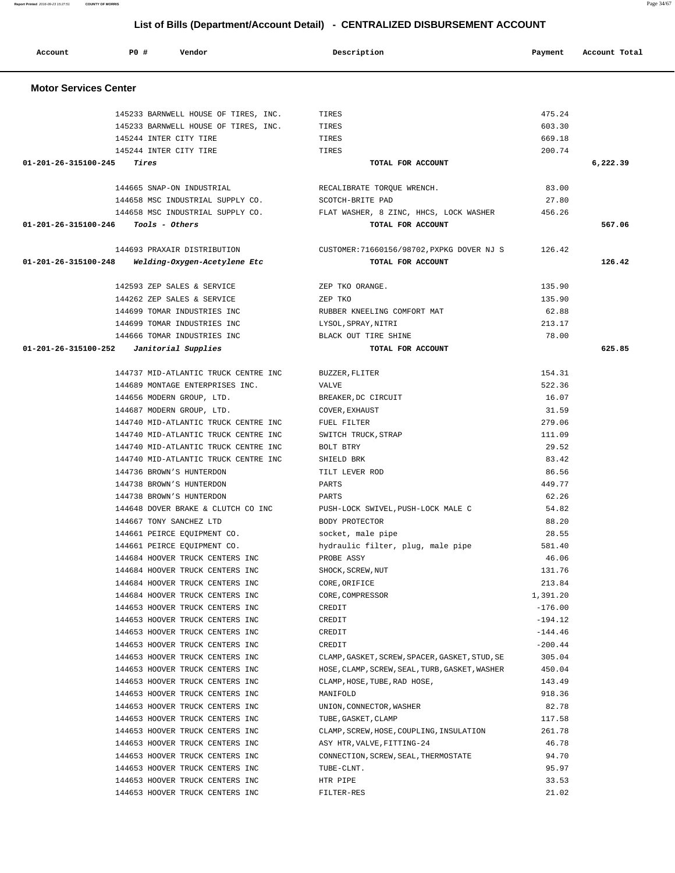**Account P0 # Vendor Description Payment Account Total**

 145233 BARNWELL HOUSE OF TIRES, INC. TIRES 475.24 145233 BARNWELL HOUSE OF TIRES, INC. TIRES 603.30 145244 INTER CITY TIRE TIRES 669.18 145244 INTER CITY TIRE TIRES 200.74  **01-201-26-315100-245 Tires TOTAL FOR ACCOUNT 6,222.39**

 144665 SNAP-ON INDUSTRIAL RECALIBRATE TORQUE WRENCH. 83.00 144658 MSC INDUSTRIAL SUPPLY CO. SCOTCH-BRITE PAD 27.80 144658 MSC INDUSTRIAL SUPPLY CO. FLAT WASHER, 8 ZINC, HHCS, LOCK WASHER 456.26  **01-201-26-315100-246 Tools - Others TOTAL FOR ACCOUNT 567.06**

 144693 PRAXAIR DISTRIBUTION CUSTOMER:71660156/98702,PXPKG DOVER NJ S 126.42  **01-201-26-315100-248 Welding-Oxygen-Acetylene Etc TOTAL FOR ACCOUNT 126.42**

142593 ZEP SALES & SERVICE THE ZEP TKO ORANGE. 144262 ZEP SALES & SERVICE 2EP TKO 2009 22 22 22 23 35.90 144699 TOMAR INDUSTRIES INC RUBBER KNEELING COMFORT MAT 62.88 144699 TOMAR INDUSTRIES INC LYSOL,SPRAY,NITRI 213.17 144666 TOMAR INDUSTRIES INC BLACK OUT TIRE SHINE 78.00  **01-201-26-315100-252 Janitorial Supplies TOTAL FOR ACCOUNT 625.85**

> 144737 MID-ATLANTIC TRUCK CENTRE INC BUZZER,FLITER 154.31 144689 MONTAGE ENTERPRISES INC. VALVE 522.36 144656 MODERN GROUP, LTD. BREAKER,DC CIRCUIT 16.07 144687 MODERN GROUP, LTD. COVER,EXHAUST 31.59 144740 MID-ATLANTIC TRUCK CENTRE INC FUEL FILTER 279.06 144740 MID-ATLANTIC TRUCK CENTRE INC SWITCH TRUCK,STRAP 111.09 144740 MID-ATLANTIC TRUCK CENTRE INC BOLT BTRY 29.52 144740 MID-ATLANTIC TRUCK CENTRE INC SHIELD BRK 83.42 144736 BROWN'S HUNTERDON TILT LEVER ROD 86.56 144738 BROWN'S HUNTERDON PARTS 449.77 144738 BROWN'S HUNTERDON PARTS 62.26 144648 DOVER BRAKE & CLUTCH CO INC PUSH-LOCK SWIVEL,PUSH-LOCK MALE C 54.82 144667 TONY SANCHEZ LTD BODY PROTECTOR 88.20 144661 PEIRCE EQUIPMENT CO. socket, male pipe 28.55 144661 PEIRCE EQUIPMENT CO. hydraulic filter, plug, male pipe 581.40 144684 HOOVER TRUCK CENTERS INC PROBE ASSY 46.06 144684 HOOVER TRUCK CENTERS INC SHOCK, SCREW, NUT 131.76 144684 HOOVER TRUCK CENTERS INC CORE,ORIFICE 213.84 144684 HOOVER TRUCK CENTERS INC CORE,COMPRESSOR 1,391.20 144653 HOOVER TRUCK CENTERS INC CREDIT -176.00 144653 HOOVER TRUCK CENTERS INC CREDIT -194.12 144653 HOOVER TRUCK CENTERS INC CREDIT CREDIT CONSTRUCTS: 144.46 144653 HOOVER TRUCK CENTERS INC CREDIT -200.44 144653 HOOVER TRUCK CENTERS INC CLAMP,GASKET,SCREW,SPACER,GASKET,STUD,SE 305.04 144653 HOOVER TRUCK CENTERS INC HOSE,CLAMP,SCREW,SEAL,TURB,GASKET,WASHER 450.04 144653 HOOVER TRUCK CENTERS INC CLAMP,HOSE,TUBE,RAD HOSE, 143.49 144653 HOOVER TRUCK CENTERS INC MANIFOLD 918.36 144653 HOOVER TRUCK CENTERS INC UNION,CONNECTOR,WASHER 82.78 144653 HOOVER TRUCK CENTERS INC TUBE, GASKET, CLAMP 117.58 144653 HOOVER TRUCK CENTERS INC CLAMP,SCREW,HOSE,COUPLING,INSULATION 261.78 144653 HOOVER TRUCK CENTERS INC ASY HTR, VALVE, FITTING-24 46.78 144653 HOOVER TRUCK CENTERS INC CONNECTION,SCREW,SEAL,THERMOSTATE 94.70 144653 HOOVER TRUCK CENTERS INC TUBE-CLNT. 95.97 144653 HOOVER TRUCK CENTERS INC HTR PIPE 33.53 144653 HOOVER TRUCK CENTERS INC FILTER-RES 21.02

 **Motor Services Center**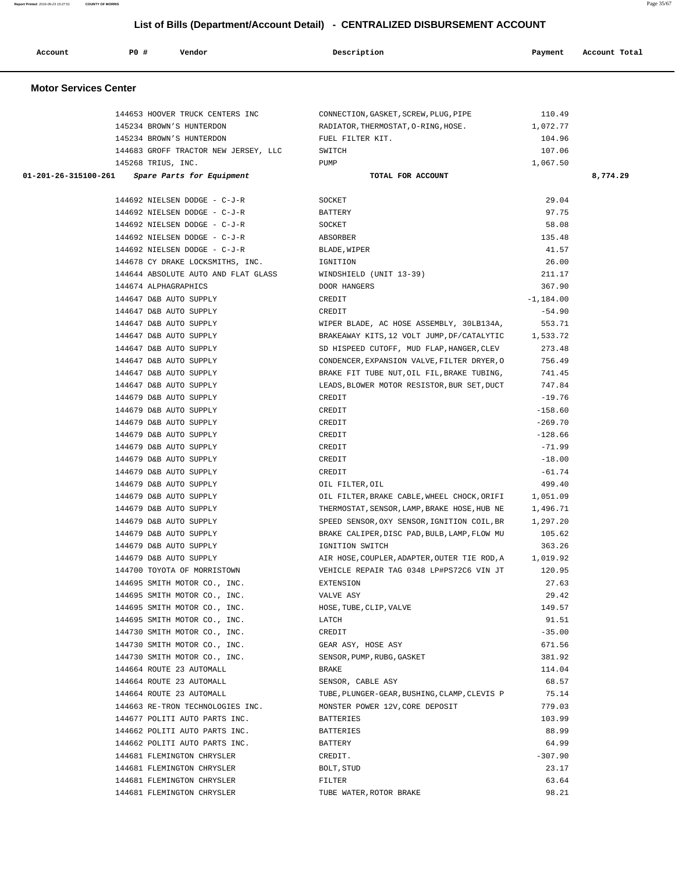| Report Printed 2016-09-23 15:27:51 | <b>COUNTY OF MORRIS</b> |                                                              | List of Bills (Department/Account Detail) - CENTRALIZED DISBURSEMENT ACCOUNT |                | Page 35/67    |
|------------------------------------|-------------------------|--------------------------------------------------------------|------------------------------------------------------------------------------|----------------|---------------|
| Account                            | P0 #                    | Vendor                                                       | Description                                                                  | Payment        | Account Total |
| <b>Motor Services Center</b>       |                         |                                                              |                                                                              |                |               |
|                                    |                         | 144653 HOOVER TRUCK CENTERS INC                              | CONNECTION, GASKET, SCREW, PLUG, PIPE                                        | 110.49         |               |
|                                    |                         | 145234 BROWN'S HUNTERDON                                     | RADIATOR, THERMOSTAT, O-RING, HOSE.                                          | 1,072.77       |               |
|                                    |                         | 145234 BROWN'S HUNTERDON                                     | FUEL FILTER KIT.                                                             | 104.96         |               |
|                                    |                         | 144683 GROFF TRACTOR NEW JERSEY, LLC                         | SWITCH                                                                       | 107.06         |               |
|                                    |                         | 145268 TRIUS, INC.                                           | PUMP                                                                         | 1,067.50       |               |
| 01-201-26-315100-261               |                         | Spare Parts for Equipment                                    | TOTAL FOR ACCOUNT                                                            |                | 8,774.29      |
|                                    |                         | 144692 NIELSEN DODGE - C-J-R                                 | SOCKET                                                                       | 29.04          |               |
|                                    |                         | 144692 NIELSEN DODGE - C-J-R                                 | BATTERY                                                                      | 97.75          |               |
|                                    |                         | 144692 NIELSEN DODGE - C-J-R                                 | SOCKET                                                                       | 58.08          |               |
|                                    |                         | 144692 NIELSEN DODGE - C-J-R                                 | ABSORBER                                                                     | 135.48         |               |
|                                    |                         | 144692 NIELSEN DODGE - C-J-R                                 | BLADE, WIPER                                                                 | 41.57          |               |
|                                    |                         | 144678 CY DRAKE LOCKSMITHS, INC.                             | IGNITION                                                                     | 26.00          |               |
|                                    |                         | 144644 ABSOLUTE AUTO AND FLAT GLASS                          | WINDSHIELD (UNIT 13-39)                                                      | 211.17         |               |
|                                    |                         | 144674 ALPHAGRAPHICS                                         | DOOR HANGERS                                                                 | 367.90         |               |
|                                    |                         | 144647 D&B AUTO SUPPLY                                       | CREDIT                                                                       | $-1,184.00$    |               |
|                                    |                         | 144647 D&B AUTO SUPPLY                                       | CREDIT                                                                       | $-54.90$       |               |
|                                    |                         | 144647 D&B AUTO SUPPLY                                       | WIPER BLADE, AC HOSE ASSEMBLY, 30LB134A,                                     | 553.71         |               |
|                                    |                         | 144647 D&B AUTO SUPPLY                                       | BRAKEAWAY KITS, 12 VOLT JUMP, DF/CATALYTIC                                   | 1,533.72       |               |
|                                    |                         | 144647 D&B AUTO SUPPLY                                       | SD HISPEED CUTOFF, MUD FLAP, HANGER, CLEV                                    | 273.48         |               |
|                                    |                         | 144647 D&B AUTO SUPPLY                                       | CONDENCER, EXPANSION VALVE, FILTER DRYER, O                                  | 756.49         |               |
|                                    |                         | 144647 D&B AUTO SUPPLY                                       | BRAKE FIT TUBE NUT, OIL FIL, BRAKE TUBING,                                   | 741.45         |               |
|                                    |                         | 144647 D&B AUTO SUPPLY                                       | LEADS, BLOWER MOTOR RESISTOR, BUR SET, DUCT                                  | 747.84         |               |
|                                    |                         | 144679 D&B AUTO SUPPLY                                       | CREDIT                                                                       | $-19.76$       |               |
|                                    |                         | 144679 D&B AUTO SUPPLY                                       | CREDIT                                                                       | $-158.60$      |               |
|                                    |                         | 144679 D&B AUTO SUPPLY                                       | CREDIT                                                                       | $-269.70$      |               |
|                                    |                         | 144679 D&B AUTO SUPPLY                                       | CREDIT                                                                       | $-128.66$      |               |
|                                    |                         | 144679 D&B AUTO SUPPLY                                       | CREDIT                                                                       | -71.99         |               |
|                                    |                         | 144679 D&B AUTO SUPPLY                                       | CREDIT                                                                       | $-18.00$       |               |
|                                    |                         | 144679 D&B AUTO SUPPLY                                       | CREDIT                                                                       | $-61.74$       |               |
|                                    |                         | 144679 D&B AUTO SUPPLY                                       | OIL FILTER, OIL                                                              | 499.40         |               |
|                                    |                         | 144679 D&B AUTO SUPPLY                                       | OIL FILTER, BRAKE CABLE, WHEEL CHOCK, ORIFI                                  | 1,051.09       |               |
|                                    |                         | 144679 D&B AUTO SUPPLY                                       | THERMOSTAT, SENSOR, LAMP, BRAKE HOSE, HUB NE                                 | 1,496.71       |               |
|                                    |                         | 144679 D&B AUTO SUPPLY                                       | SPEED SENSOR, OXY SENSOR, IGNITION COIL, BR                                  | 1,297.20       |               |
|                                    |                         | 144679 D&B AUTO SUPPLY                                       | BRAKE CALIPER, DISC PAD, BULB, LAMP, FLOW MU                                 | 105.62         |               |
|                                    |                         | 144679 D&B AUTO SUPPLY                                       | IGNITION SWITCH                                                              | 363.26         |               |
|                                    |                         | 144679 D&B AUTO SUPPLY                                       | AIR HOSE, COUPLER, ADAPTER, OUTER TIE ROD, A                                 | 1,019.92       |               |
|                                    |                         | 144700 TOYOTA OF MORRISTOWN                                  | VEHICLE REPAIR TAG 0348 LP#PS72C6 VIN JT                                     | 120.95         |               |
|                                    |                         | 144695 SMITH MOTOR CO., INC.<br>144695 SMITH MOTOR CO., INC. | EXTENSION<br>VALVE ASY                                                       | 27.63<br>29.42 |               |
|                                    |                         | 144695 SMITH MOTOR CO., INC.                                 | HOSE, TUBE, CLIP, VALVE                                                      | 149.57         |               |
|                                    |                         | 144695 SMITH MOTOR CO., INC.                                 | LATCH                                                                        | 91.51          |               |
|                                    |                         | 144730 SMITH MOTOR CO., INC.                                 | CREDIT                                                                       | $-35.00$       |               |
|                                    |                         | 144730 SMITH MOTOR CO., INC.                                 | GEAR ASY, HOSE ASY                                                           | 671.56         |               |
|                                    |                         | 144730 SMITH MOTOR CO., INC.                                 | SENSOR, PUMP, RUBG, GASKET                                                   | 381.92         |               |
|                                    |                         | 144664 ROUTE 23 AUTOMALL                                     | BRAKE                                                                        | 114.04         |               |
|                                    |                         | 144664 ROUTE 23 AUTOMALL                                     | SENSOR, CABLE ASY                                                            | 68.57          |               |
|                                    |                         | 144664 ROUTE 23 AUTOMALL                                     | TUBE, PLUNGER-GEAR, BUSHING, CLAMP, CLEVIS P                                 | 75.14          |               |
|                                    |                         | 144663 RE-TRON TECHNOLOGIES INC.                             | MONSTER POWER 12V, CORE DEPOSIT                                              | 779.03         |               |
|                                    |                         | 144677 POLITI AUTO PARTS INC.                                | BATTERIES                                                                    | 103.99         |               |

 144662 POLITI AUTO PARTS INC. BATTERIES 88.99 144662 POLITI AUTO PARTS INC. BATTERY 64.99

144681 FLEMINGTON CHRYSLER CREDIT. CREDIT. 144681 FLEMINGTON CHRYSLER BOLT,STUD 23.17 144681 FLEMINGTON CHRYSLER FILTER 63.64 144681 FLEMINGTON CHRYSLER TUBE WATER,ROTOR BRAKE 98.21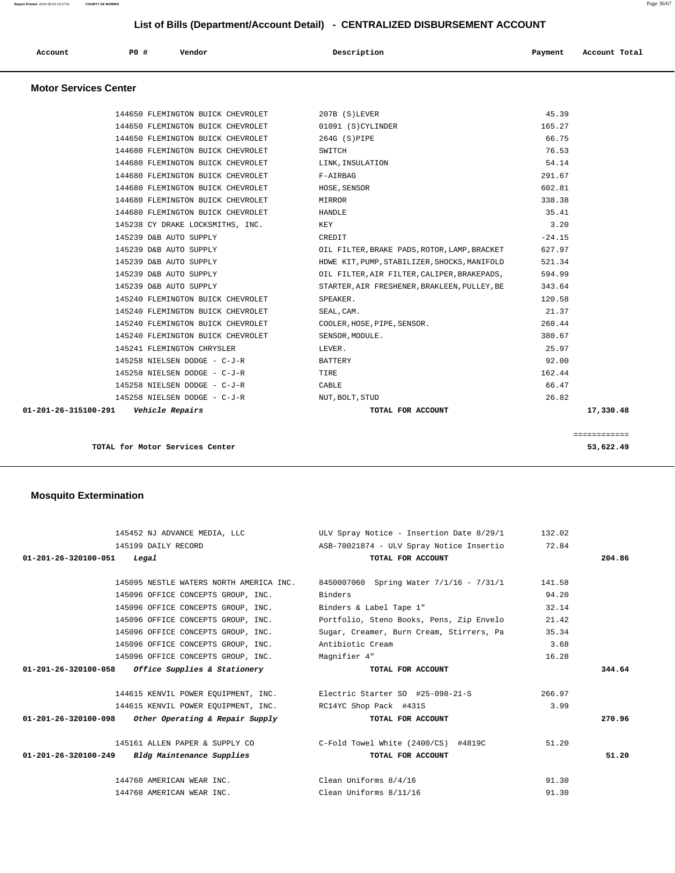| PO#<br>Vendor<br>Description<br>Payment<br>Account<br>Account Total |  |
|---------------------------------------------------------------------|--|
|---------------------------------------------------------------------|--|

## **Motor Services Center**

| TOTAL for Motor Services Center              |                                              | ============<br>53,622.49 |
|----------------------------------------------|----------------------------------------------|---------------------------|
| 01-201-26-315100-291    Vehicle Repairs      | TOTAL FOR ACCOUNT                            | 17,330.48                 |
| 145258 NIELSEN DODGE - C-J-R NUT, BOLT, STUD |                                              | 26.82                     |
| 145258 NIELSEN DODGE - C-J-R                 | CABLE                                        | 66.47                     |
| 145258 NIELSEN DODGE - C-J-R                 | TIRE                                         | 162.44                    |
| 145258 NIELSEN DODGE - C-J-R                 | BATTERY                                      | 92.00                     |
| 145241 FLEMINGTON CHRYSLER                   | LEVER.                                       | 25.97                     |
| 145240 FLEMINGTON BUICK CHEVROLET            | SENSOR, MODULE.                              | 380.67                    |
| 145240 FLEMINGTON BUICK CHEVROLET            | COOLER, HOSE, PIPE, SENSOR.                  | 260.44                    |
| 145240 FLEMINGTON BUICK CHEVROLET            | SEAL, CAM.                                   | 21.37                     |
| 145240 FLEMINGTON BUICK CHEVROLET            | SPEAKER.                                     | 120.58                    |
| 145239 D&B AUTO SUPPLY                       | STARTER, AIR FRESHENER, BRAKLEEN, PULLEY, BE | 343.64                    |
| 145239 D&B AUTO SUPPLY                       | OIL FILTER, AIR FILTER, CALIPER, BRAKEPADS,  | 594.99                    |
| 145239 D&B AUTO SUPPLY                       | HDWE KIT, PUMP, STABILIZER, SHOCKS, MANIFOLD | 521.34                    |
| 145239 D&B AUTO SUPPLY                       | OIL FILTER, BRAKE PADS, ROTOR, LAMP, BRACKET | 627.97                    |
| 145239 D&B AUTO SUPPLY                       | CREDIT                                       | $-24.15$                  |
| 145238 CY DRAKE LOCKSMITHS, INC.             | KEY                                          | 3.20                      |
| 144680 FLEMINGTON BUICK CHEVROLET            | <b>HANDLE</b>                                | 35.41                     |
| 144680 FLEMINGTON BUICK CHEVROLET            | MIRROR                                       | 338.38                    |
| 144680 FLEMINGTON BUICK CHEVROLET            | HOSE, SENSOR                                 | 602.81                    |
| 144680 FLEMINGTON BUICK CHEVROLET            | F-AIRBAG                                     | 291.67                    |
| 144680 FLEMINGTON BUICK CHEVROLET            | LINK, INSULATION                             | 54.14                     |
| 144680 FLEMINGTON BUICK CHEVROLET            | SWITCH                                       | 76.53                     |
| 144650 FLEMINGTON BUICK CHEVROLET            | 264G (S)PIPE                                 | 66.75                     |
| 144650 FLEMINGTON BUICK CHEVROLET            | 01091 (S)CYLINDER                            | 165.27                    |
| 144650 FLEMINGTON BUICK CHEVROLET            | 207B (S)LEVER                                | 45.39                     |
|                                              |                                              |                           |

## **Mosquito Extermination**

|                                      | 145452 NJ ADVANCE MEDIA, LLC                                       | ULV Spray Notice - Insertion Date 8/29/1                                        | 132.02 |        |
|--------------------------------------|--------------------------------------------------------------------|---------------------------------------------------------------------------------|--------|--------|
|                                      | 145199 DAILY RECORD                                                | ASB-70021874 - ULV Spray Notice Insertio 72.84                                  |        |        |
| $01 - 201 - 26 - 320100 - 051$ Legal |                                                                    | TOTAL FOR ACCOUNT                                                               |        | 204.86 |
|                                      |                                                                    |                                                                                 |        |        |
|                                      |                                                                    | 145095 NESTLE WATERS NORTH AMERICA INC. 8450007060 Spring Water 7/1/16 - 7/31/1 | 141.58 |        |
|                                      | 145096 OFFICE CONCEPTS GROUP, INC.                                 | Binders                                                                         | 94.20  |        |
|                                      | 145096 OFFICE CONCEPTS GROUP, INC.                                 | Binders & Label Tape 1"                                                         | 32.14  |        |
|                                      | 145096 OFFICE CONCEPTS GROUP, INC.                                 | Portfolio, Steno Books, Pens, Zip Envelo                                        | 21.42  |        |
|                                      | 145096 OFFICE CONCEPTS GROUP, INC.                                 | Sugar, Creamer, Burn Cream, Stirrers, Pa                                        | 35.34  |        |
|                                      | 145096 OFFICE CONCEPTS GROUP, INC.                                 | Antibiotic Cream                                                                | 3.68   |        |
|                                      | 145096 OFFICE CONCEPTS GROUP, INC. Magnifier 4"                    |                                                                                 | 16.28  |        |
|                                      |                                                                    |                                                                                 |        |        |
|                                      | $01-201-26-320100-058$ Office Supplies & Stationery                | TOTAL FOR ACCOUNT                                                               |        | 344.64 |
|                                      |                                                                    |                                                                                 |        |        |
|                                      |                                                                    | 144615 KENVIL POWER EQUIPMENT, INC. Electric Starter SO #25-098-21-S            | 266.97 |        |
|                                      | 144615 KENVIL POWER EQUIPMENT, INC. RC14YC Shop Pack #431S         |                                                                                 | 3.99   |        |
|                                      | 01-201-26-320100-098 Other Operating & Repair Supply               | TOTAL FOR ACCOUNT                                                               |        | 270.96 |
|                                      |                                                                    |                                                                                 |        |        |
|                                      | 145161 ALLEN PAPER & SUPPLY CO C-Fold Towel White (2400/CS) #4819C |                                                                                 | 51.20  |        |
|                                      | $01-201-26-320100-249$ Bldg Maintenance Supplies                   | TOTAL FOR ACCOUNT                                                               |        | 51.20  |
|                                      |                                                                    |                                                                                 |        |        |
|                                      | 144760 AMERICAN WEAR INC.                                          | Clean Uniforms 8/4/16                                                           | 91.30  |        |
|                                      | 144760 AMERICAN WEAR INC.                                          | Clean Uniforms 8/11/16                                                          | 91.30  |        |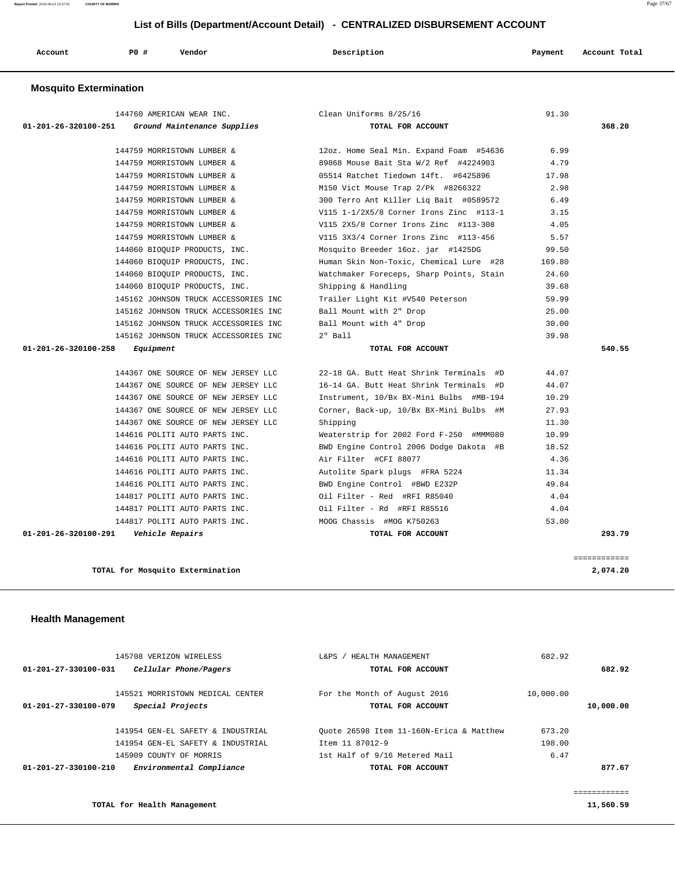**Report Printed** 2016-09-23 15:27:51 **COUNTY OF MORRIS** Page 37/67

#### **List of Bills (Department/Account Detail) - CENTRALIZED DISBURSEMENT ACCOUNT**

| Account | <b>PO #</b> | Vendor | Description | Payment | Account Total |
|---------|-------------|--------|-------------|---------|---------------|
|         |             |        |             |         |               |

#### **Mosquito Extermination**

|                                | 144760 AMERICAN WEAR INC.            | Clean Uniforms 8/25/16                   | 91.30  |              |
|--------------------------------|--------------------------------------|------------------------------------------|--------|--------------|
| 01-201-26-320100-251           | Ground Maintenance Supplies          | TOTAL FOR ACCOUNT                        |        | 368.20       |
|                                |                                      |                                          |        |              |
|                                | 144759 MORRISTOWN LUMBER &           | 12oz. Home Seal Min. Expand Foam #54636  | 6.99   |              |
|                                | 144759 MORRISTOWN LUMBER &           | 89868 Mouse Bait Sta W/2 Ref #4224903    | 4.79   |              |
|                                | 144759 MORRISTOWN LUMBER &           | 05514 Ratchet Tiedown 14ft. #6425896     | 17.98  |              |
|                                | 144759 MORRISTOWN LUMBER &           | M150 Vict Mouse Trap 2/Pk #8266322       | 2.98   |              |
|                                | 144759 MORRISTOWN LUMBER &           | 300 Terro Ant Killer Liq Bait #0589572   | 6.49   |              |
|                                | 144759 MORRISTOWN LUMBER &           | V115 1-1/2X5/8 Corner Irons Zinc #113-1  | 3.15   |              |
|                                | 144759 MORRISTOWN LUMBER &           | V115 2X5/8 Corner Irons Zinc #113-308    | 4.05   |              |
|                                | 144759 MORRISTOWN LUMBER &           | V115 3X3/4 Corner Irons Zinc #113-456    | 5.57   |              |
|                                | 144060 BIOQUIP PRODUCTS, INC.        | Mosquito Breeder 16oz. jar #1425DG       | 99.50  |              |
|                                | 144060 BIOQUIP PRODUCTS, INC.        | Human Skin Non-Toxic, Chemical Lure #28  | 169.80 |              |
|                                | 144060 BIOQUIP PRODUCTS, INC.        | Watchmaker Foreceps, Sharp Points, Stain | 24.60  |              |
|                                | 144060 BIOQUIP PRODUCTS, INC.        | Shipping & Handling                      | 39.68  |              |
|                                | 145162 JOHNSON TRUCK ACCESSORIES INC | Trailer Light Kit #V540 Peterson         | 59.99  |              |
|                                | 145162 JOHNSON TRUCK ACCESSORIES INC | Ball Mount with 2" Drop                  | 25.00  |              |
|                                | 145162 JOHNSON TRUCK ACCESSORIES INC | Ball Mount with 4" Drop                  | 30.00  |              |
|                                | 145162 JOHNSON TRUCK ACCESSORIES INC | $2"$ Ball                                | 39.98  |              |
| $01 - 201 - 26 - 320100 - 258$ | Equipment                            | TOTAL FOR ACCOUNT                        |        | 540.55       |
|                                |                                      |                                          |        |              |
|                                | 144367 ONE SOURCE OF NEW JERSEY LLC  | 22-18 GA. Butt Heat Shrink Terminals #D  | 44.07  |              |
|                                | 144367 ONE SOURCE OF NEW JERSEY LLC  | 16-14 GA. Butt Heat Shrink Terminals #D  | 44.07  |              |
|                                | 144367 ONE SOURCE OF NEW JERSEY LLC  | Instrument, 10/Bx BX-Mini Bulbs #MB-194  | 10.29  |              |
|                                | 144367 ONE SOURCE OF NEW JERSEY LLC  | Corner, Back-up, 10/Bx BX-Mini Bulbs #M  | 27.93  |              |
|                                | 144367 ONE SOURCE OF NEW JERSEY LLC  | Shipping                                 | 11.30  |              |
|                                | 144616 POLITI AUTO PARTS INC.        | Weaterstrip for 2002 Ford F-250 #MMM080  | 10.99  |              |
|                                | 144616 POLITI AUTO PARTS INC.        | BWD Engine Control 2006 Dodge Dakota #B  | 18.52  |              |
|                                | 144616 POLITI AUTO PARTS INC.        | Air Filter #CFI 88077                    | 4.36   |              |
|                                | 144616 POLITI AUTO PARTS INC.        | Autolite Spark plugs #FRA 5224           | 11.34  |              |
|                                | 144616 POLITI AUTO PARTS INC.        | BWD Engine Control #BWD E232P            | 49.84  |              |
|                                | 144817 POLITI AUTO PARTS INC.        | Oil Filter - Red #RFI R85040             | 4.04   |              |
|                                | 144817 POLITI AUTO PARTS INC.        | Oil Filter - Rd #RFI R85516              | 4.04   |              |
|                                | 144817 POLITI AUTO PARTS INC.        | MOOG Chassis #MOG K750263                | 53.00  |              |
| 01-201-26-320100-291           | <i><b>Vehicle Repairs</b></i>        | TOTAL FOR ACCOUNT                        |        | 293.79       |
|                                |                                      |                                          |        |              |
|                                |                                      |                                          |        | ============ |

# 145708 VERIZON WIRELESS L&PS / HEALTH MANAGEMENT 682.92  **01-201-27-330100-031 Cellular Phone/Pagers TOTAL FOR ACCOUNT 682.92** 145521 MORRISTOWN MEDICAL CENTER For the Month of August 2016 10,000.00  **01-201-27-330100-079 Special Projects TOTAL FOR ACCOUNT 10,000.00** 141954 GEN-EL SAFETY & INDUSTRIAL Quote 26598 Item 11-160N-Erica & Matthew 673.20 141954 GEN-EL SAFETY & INDUSTRIAL Item 11 87012-9 198.00 145909 COUNTY OF MORRIS 1st Half of 9/16 Metered Mail 6.47  **01-201-27-330100-210 Environmental Compliance TOTAL FOR ACCOUNT 877.67** ============

**TOTAL for Health Management 11,560.59**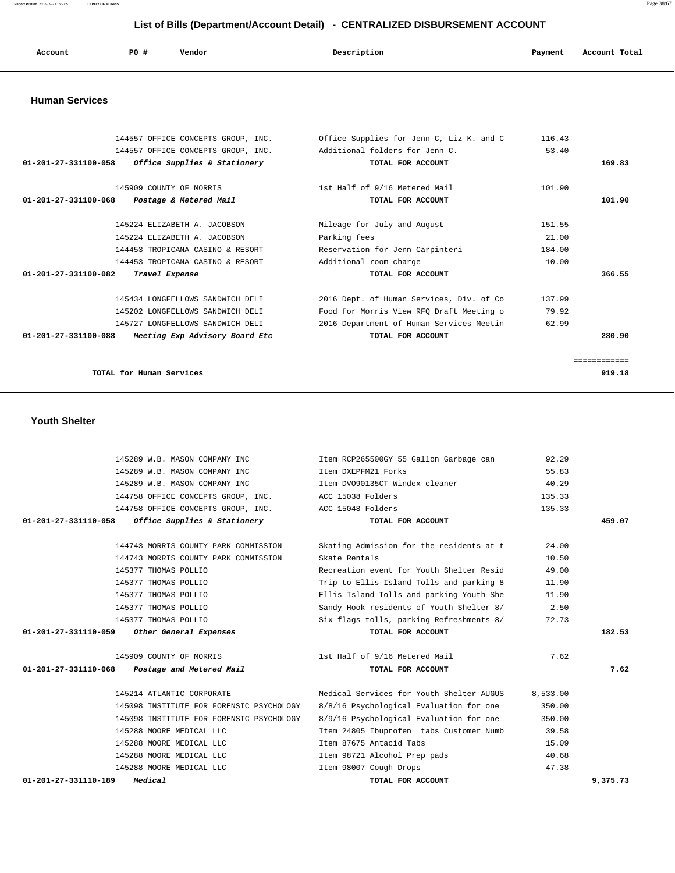| Account | P0 | Vendor | Description | Payment | Account Total |
|---------|----|--------|-------------|---------|---------------|
|---------|----|--------|-------------|---------|---------------|

#### **Human Services**

|                                | 144557 OFFICE CONCEPTS GROUP, INC. | Office Supplies for Jenn C, Liz K, and C | 116.43 |              |
|--------------------------------|------------------------------------|------------------------------------------|--------|--------------|
|                                | 144557 OFFICE CONCEPTS GROUP, INC. | Additional folders for Jenn C.           | 53.40  |              |
| $01 - 201 - 27 - 331100 - 058$ | Office Supplies & Stationery       | TOTAL FOR ACCOUNT                        |        | 169.83       |
|                                | 145909 COUNTY OF MORRIS            | 1st Half of 9/16 Metered Mail            | 101.90 |              |
| 01-201-27-331100-068           | Postage & Metered Mail             | TOTAL FOR ACCOUNT                        |        | 101.90       |
|                                | 145224 ELIZABETH A. JACOBSON       | Mileage for July and August              | 151.55 |              |
|                                | 145224 ELIZABETH A. JACOBSON       | Parking fees                             | 21.00  |              |
|                                | 144453 TROPICANA CASINO & RESORT   | Reservation for Jenn Carpinteri          | 184.00 |              |
|                                | 144453 TROPICANA CASINO & RESORT   | Additional room charge                   | 10.00  |              |
| $01 - 201 - 27 - 331100 - 082$ | Travel Expense                     | TOTAL FOR ACCOUNT                        |        | 366.55       |
|                                | 145434 LONGFELLOWS SANDWICH DELI   | 2016 Dept. of Human Services, Div. of Co | 137.99 |              |
|                                | 145202 LONGFELLOWS SANDWICH DELI   | Food for Morris View RFO Draft Meeting o | 79.92  |              |
|                                | 145727 LONGFELLOWS SANDWICH DELI   | 2016 Department of Human Services Meetin | 62.99  |              |
| $01 - 201 - 27 - 331100 - 088$ | Meeting Exp Advisory Board Etc     | TOTAL FOR ACCOUNT                        |        | 280.90       |
|                                |                                    |                                          |        | ============ |
|                                | TOTAL for Human Services           |                                          |        | 919.18       |

#### **Youth Shelter**

|          | 92.29    | Item RCP265500GY 55 Gallon Garbage can   | 145289 W.B. MASON COMPANY INC                        |
|----------|----------|------------------------------------------|------------------------------------------------------|
|          | 55.83    | Item DXEPFM21 Forks                      | 145289 W.B. MASON COMPANY INC                        |
|          | 40.29    | Item DV090135CT Windex cleaner           | 145289 W.B. MASON COMPANY INC                        |
|          | 135.33   |                                          | 144758 OFFICE CONCEPTS GROUP, INC. ACC 15038 Folders |
|          | 135.33   |                                          | 144758 OFFICE CONCEPTS GROUP, INC. ACC 15048 Folders |
| 459.07   |          | TOTAL FOR ACCOUNT                        | $01-201-27-331110-058$ Office Supplies & Stationery  |
|          |          |                                          |                                                      |
|          | 24.00    | Skating Admission for the residents at t | 144743 MORRIS COUNTY PARK COMMISSION                 |
|          | 10.50    | Skate Rentals                            | 144743 MORRIS COUNTY PARK COMMISSION                 |
|          | 49.00    | Recreation event for Youth Shelter Resid | 145377 THOMAS POLLIO                                 |
|          | 11.90    | Trip to Ellis Island Tolls and parking 8 | 145377 THOMAS POLLIO                                 |
|          | 11.90    | Ellis Island Tolls and parking Youth She | 145377 THOMAS POLLIO                                 |
|          | 2.50     | Sandy Hook residents of Youth Shelter 8/ | 145377 THOMAS POLLIO                                 |
|          | 72.73    | Six flags tolls, parking Refreshments 8/ | 145377 THOMAS POLLIO                                 |
| 182.53   |          | TOTAL FOR ACCOUNT                        | 01-201-27-331110-059 Other General Expenses          |
|          |          |                                          |                                                      |
|          | 7.62     | 1st Half of 9/16 Metered Mail            | 145909 COUNTY OF MORRIS                              |
| 7.62     |          | TOTAL FOR ACCOUNT                        | $01-201-27-331110-068$ Postage and Metered Mail      |
|          | 8,533.00 | Medical Services for Youth Shelter AUGUS | 145214 ATLANTIC CORPORATE                            |
|          | 350.00   | 8/8/16 Psychological Evaluation for one  | 145098 INSTITUTE FOR FORENSIC PSYCHOLOGY             |
|          | 350.00   | 8/9/16 Psychological Evaluation for one  | 145098 INSTITUTE FOR FORENSIC PSYCHOLOGY             |
|          | 39.58    | Item 24805 Ibuprofen tabs Customer Numb  | 145288 MOORE MEDICAL LLC                             |
|          | 15.09    | Item 87675 Antacid Tabs                  | 145288 MOORE MEDICAL LLC                             |
|          | 40.68    | Item 98721 Alcohol Prep pads             | 145288 MOORE MEDICAL LLC                             |
|          | 47.38    | Item 98007 Cough Drops                   | 145288 MOORE MEDICAL LLC                             |
| 9,375.73 |          | TOTAL FOR ACCOUNT                        | $01 - 201 - 27 - 331110 - 189$<br>Medical            |
|          |          |                                          |                                                      |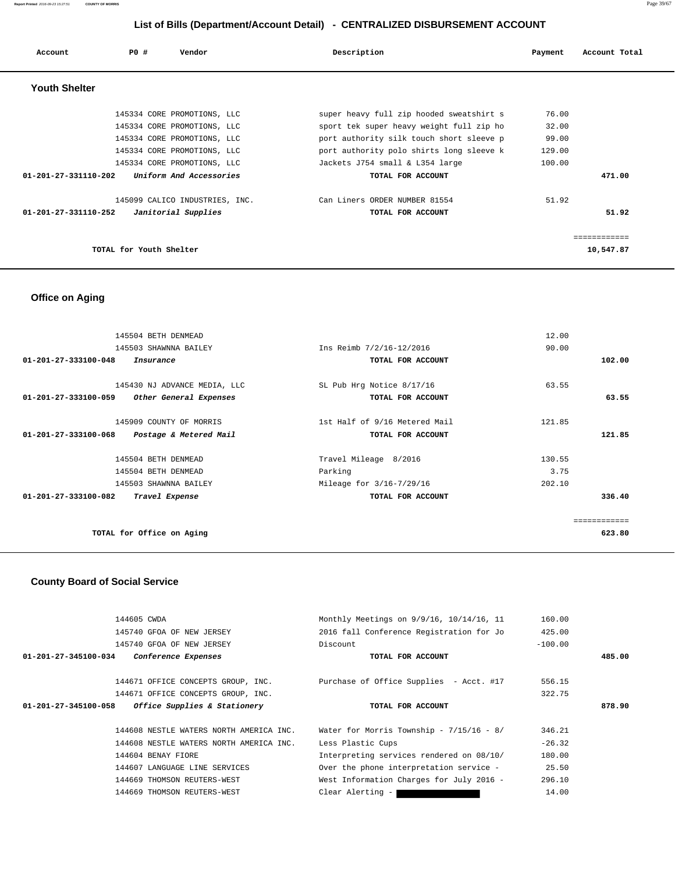| Account              | PO#                     | Vendor                         | Description                              | Payment | Account Total |
|----------------------|-------------------------|--------------------------------|------------------------------------------|---------|---------------|
| <b>Youth Shelter</b> |                         |                                |                                          |         |               |
|                      |                         | 145334 CORE PROMOTIONS, LLC    | super heavy full zip hooded sweatshirt s | 76.00   |               |
|                      |                         | 145334 CORE PROMOTIONS, LLC    | sport tek super heavy weight full zip ho | 32.00   |               |
|                      |                         | 145334 CORE PROMOTIONS, LLC    | port authority silk touch short sleeve p | 99.00   |               |
|                      |                         | 145334 CORE PROMOTIONS, LLC    | port authority polo shirts long sleeve k | 129.00  |               |
|                      |                         | 145334 CORE PROMOTIONS, LLC    | Jackets J754 small & L354 large          | 100.00  |               |
| 01-201-27-331110-202 |                         | Uniform And Accessories        | TOTAL FOR ACCOUNT                        |         | 471.00        |
|                      |                         | 145099 CALICO INDUSTRIES, INC. | Can Liners ORDER NUMBER 81554            | 51.92   |               |
| 01-201-27-331110-252 |                         | Janitorial Supplies            | TOTAL FOR ACCOUNT                        |         | 51.92         |
|                      |                         |                                |                                          |         | ------------  |
|                      | TOTAL for Youth Shelter |                                |                                          |         | 10,547.87     |

## **Office on Aging**

| 145504 BETH DENMEAD                            |                               | 12.00        |
|------------------------------------------------|-------------------------------|--------------|
| 145503 SHAWNNA BAILEY                          | Ins Reimb 7/2/16-12/2016      | 90.00        |
| 01-201-27-333100-048<br>Insurance              | TOTAL FOR ACCOUNT             | 102.00       |
| 145430 NJ ADVANCE MEDIA, LLC                   | SL Pub Hrg Notice 8/17/16     | 63.55        |
| 01-201-27-333100-059<br>Other General Expenses | TOTAL FOR ACCOUNT             | 63.55        |
| 145909 COUNTY OF MORRIS                        | 1st Half of 9/16 Metered Mail | 121.85       |
| 01-201-27-333100-068<br>Postage & Metered Mail | TOTAL FOR ACCOUNT             | 121.85       |
| 145504 BETH DENMEAD                            | Travel Mileage 8/2016         | 130.55       |
| 145504 BETH DENMEAD                            | Parking                       | 3.75         |
| 145503 SHAWNNA BAILEY                          | Mileage for 3/16-7/29/16      | 202.10       |
| 01-201-27-333100-082<br>Travel Expense         | TOTAL FOR ACCOUNT             | 336.40       |
|                                                |                               | ------------ |
| TOTAL for Office on Aging                      |                               | 623.80       |

## **County Board of Social Service**

| 144605 CWDA          |                                         | Monthly Meetings on 9/9/16, 10/14/16, 11   | 160.00    |        |
|----------------------|-----------------------------------------|--------------------------------------------|-----------|--------|
|                      | 145740 GFOA OF NEW JERSEY               | 2016 fall Conference Registration for Jo   | 425.00    |        |
|                      | 145740 GFOA OF NEW JERSEY               | Discount                                   | $-100.00$ |        |
| 01-201-27-345100-034 | Conference Expenses                     | TOTAL FOR ACCOUNT                          |           | 485.00 |
|                      |                                         |                                            |           |        |
|                      | 144671 OFFICE CONCEPTS GROUP, INC.      | Purchase of Office Supplies - Acct. #17    | 556.15    |        |
|                      | 144671 OFFICE CONCEPTS GROUP, INC.      |                                            | 322.75    |        |
|                      |                                         |                                            |           |        |
| 01-201-27-345100-058 | <i>Office Supplies &amp; Stationery</i> | TOTAL FOR ACCOUNT                          |           | 878.90 |
|                      | 144608 NESTLE WATERS NORTH AMERICA INC. | Water for Morris Township - $7/15/16 - 8/$ | 346.21    |        |
|                      | 144608 NESTLE WATERS NORTH AMERICA INC. | Less Plastic Cups                          | $-26.32$  |        |
|                      | 144604 BENAY FIORE                      | Interpreting services rendered on 08/10/   | 180.00    |        |
|                      | 144607 LANGUAGE LINE SERVICES           | Over the phone interpretation service -    | 25.50     |        |
|                      | 144669 THOMSON REUTERS-WEST             | West Information Charges for July 2016 -   | 296.10    |        |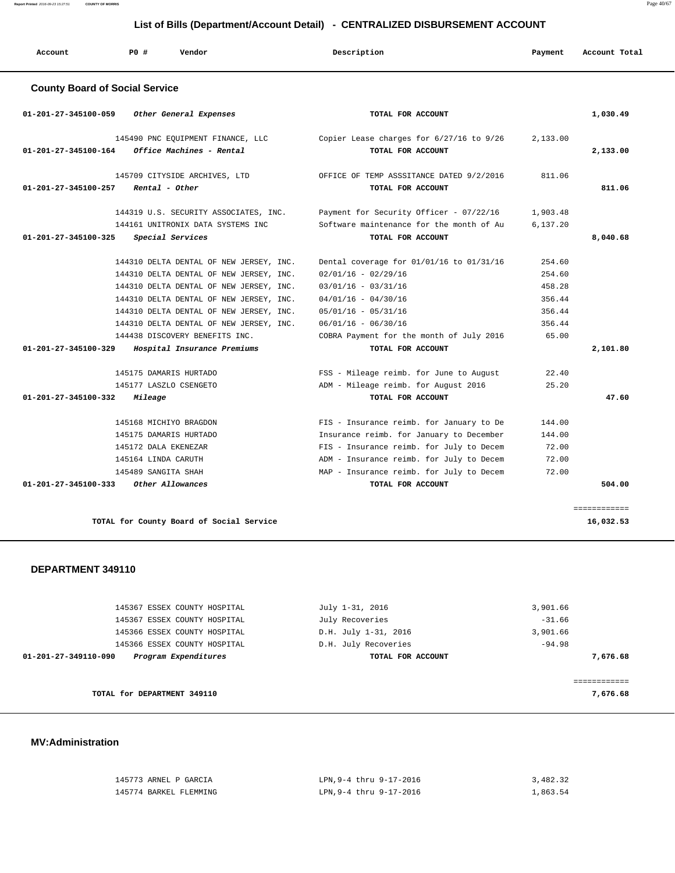| Account                               | PO#            | Vendor                                                                     | Description |                                                                                     | Payment              | Account Total |
|---------------------------------------|----------------|----------------------------------------------------------------------------|-------------|-------------------------------------------------------------------------------------|----------------------|---------------|
| <b>County Board of Social Service</b> |                |                                                                            |             |                                                                                     |                      |               |
| 01-201-27-345100-059                  |                | Other General Expenses                                                     |             | TOTAL FOR ACCOUNT                                                                   |                      | 1,030.49      |
| 01-201-27-345100-164                  |                | 145490 PNC EOUIPMENT FINANCE, LLC<br>Office Machines - Rental              |             | Copier Lease charges for 6/27/16 to 9/26<br>TOTAL FOR ACCOUNT                       | 2,133.00             | 2,133.00      |
| 01-201-27-345100-257                  | Rental - Other | 145709 CITYSIDE ARCHIVES, LTD                                              |             | OFFICE OF TEMP ASSSITANCE DATED 9/2/2016<br>TOTAL FOR ACCOUNT                       | 811.06               | 811.06        |
|                                       |                | 144319 U.S. SECURITY ASSOCIATES, INC.<br>144161 UNITRONIX DATA SYSTEMS INC |             | Payment for Security Officer - 07/22/16<br>Software maintenance for the month of Au | 1,903.48<br>6,137.20 |               |

| <i>Special Services</i><br>01-201-27-345100-325  | TOTAL FOR ACCOUNT                        |        | 8,040.68 |
|--------------------------------------------------|------------------------------------------|--------|----------|
| 144310 DELTA DENTAL OF NEW JERSEY, INC.          | Dental coverage for 01/01/16 to 01/31/16 | 254.60 |          |
| 144310 DELTA DENTAL OF NEW JERSEY, INC.          | $02/01/16 - 02/29/16$                    | 254.60 |          |
| 144310 DELTA DENTAL OF NEW JERSEY, INC.          | $03/01/16 - 03/31/16$                    | 458.28 |          |
| 144310 DELTA DENTAL OF NEW JERSEY, INC.          | $04/01/16 - 04/30/16$                    | 356.44 |          |
| 144310 DELTA DENTAL OF NEW JERSEY, INC.          | $05/01/16 - 05/31/16$                    | 356.44 |          |
| 144310 DELTA DENTAL OF NEW JERSEY, INC.          | $06/01/16 - 06/30/16$                    | 356.44 |          |
| 144438 DISCOVERY BENEFITS INC.                   | COBRA Payment for the month of July 2016 | 65.00  |          |
| 01-201-27-345100-329 Hospital Insurance Premiums | TOTAL FOR ACCOUNT                        |        | 2,101.80 |
| 145175 DAMARIS HURTADO                           | FSS - Mileage reimb. for June to August  | 22.40  |          |
| 145177 LASZLO CSENGETO                           | ADM - Mileage reimb. for August 2016     | 25.20  |          |
| $01 - 201 - 27 - 345100 - 332$ Mileage           | TOTAL FOR ACCOUNT                        |        | 47.60    |
| 145168 MICHIYO BRAGDON                           | FIS - Insurance reimb. for January to De | 144.00 |          |
| 145175 DAMARIS HURTADO                           | Insurance reimb. for January to December | 144.00 |          |
| 145172 DALA EKENEZAR                             | FIS - Insurance reimb. for July to Decem | 72.00  |          |
| 145164 LINDA CARUTH                              | ADM - Insurance reimb. for July to Decem | 72.00  |          |
| 145489 SANGITA SHAH                              | MAP - Insurance reimb. for July to Decem | 72.00  |          |
| 01-201-27-345100-333 Other Allowances            | TOTAL FOR ACCOUNT                        |        | 504.00   |
|                                                  |                                          |        |          |

============

**TOTAL for County Board of Social Service 16,032.53**

#### **DEPARTMENT 349110**

| 145367 ESSEX COUNTY HOSPITAL                 | July 1-31, 2016      | 3,901.66 |
|----------------------------------------------|----------------------|----------|
| 145367 ESSEX COUNTY HOSPITAL                 | July Recoveries      | $-31.66$ |
| 145366 ESSEX COUNTY HOSPITAL                 | D.H. July 1-31, 2016 | 3,901.66 |
| 145366 ESSEX COUNTY HOSPITAL                 | D.H. July Recoveries | $-94.98$ |
| Program Expenditures<br>01-201-27-349110-090 | TOTAL FOR ACCOUNT    | 7,676.68 |
|                                              |                      |          |
|                                              |                      |          |
| TOTAL for DEPARTMENT 349110                  |                      | 7,676.68 |
|                                              |                      |          |

#### **MV:Administration**

| 145773 ARNEL P GARCIA  | LPN.9-4 thru 9-17-2016 | 3,482.32 |
|------------------------|------------------------|----------|
| 145774 BARKEL FLEMMING | LPN.9-4 thru 9-17-2016 | 1,863.54 |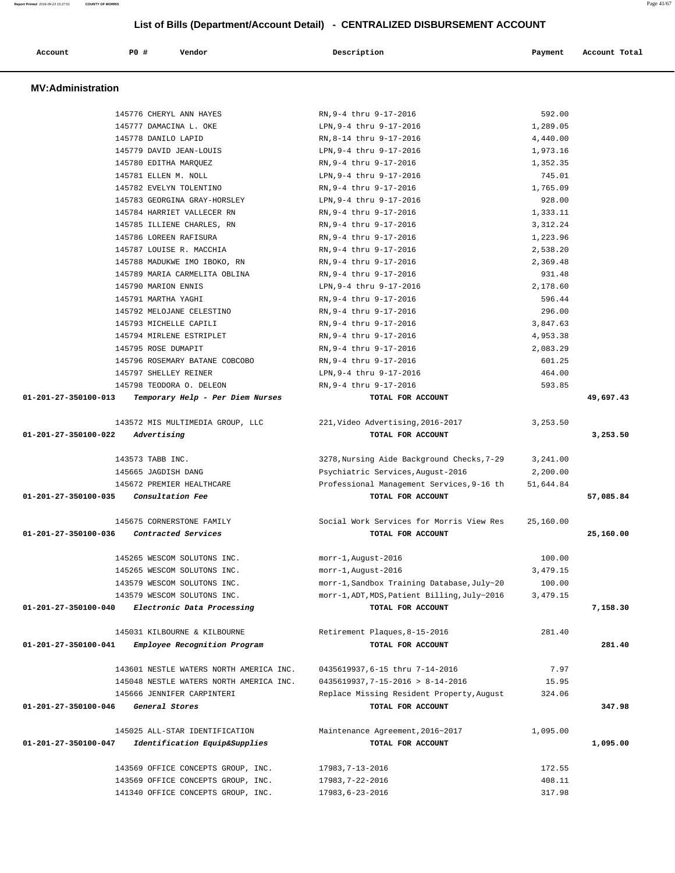| Account                  | <b>PO #</b><br>Vendor                   | Description                                  | Payment    | Account Total |
|--------------------------|-----------------------------------------|----------------------------------------------|------------|---------------|
| <b>MV:Administration</b> |                                         |                                              |            |               |
|                          | 145776 CHERYL ANN HAYES                 | RN, 9-4 thru 9-17-2016                       | 592.00     |               |
|                          | 145777 DAMACINA L. OKE                  | LPN, 9-4 thru 9-17-2016                      | 1,289.05   |               |
|                          | 145778 DANILO LAPID                     | RN, 8-14 thru 9-17-2016                      | 4,440.00   |               |
|                          | 145779 DAVID JEAN-LOUIS                 | LPN, 9-4 thru 9-17-2016                      | 1,973.16   |               |
|                          | 145780 EDITHA MARQUEZ                   | RN.9-4 thru 9-17-2016                        | 1,352.35   |               |
|                          | 145781 ELLEN M. NOLL                    | LPN, 9-4 thru 9-17-2016                      | 745.01     |               |
|                          | 145782 EVELYN TOLENTINO                 | RN, 9-4 thru 9-17-2016                       | 1,765.09   |               |
|                          | 145783 GEORGINA GRAY-HORSLEY            | LPN, 9-4 thru 9-17-2016                      | 928.00     |               |
|                          | 145784 HARRIET VALLECER RN              | RN, 9-4 thru 9-17-2016                       | 1,333.11   |               |
|                          | 145785 ILLIENE CHARLES, RN              | RN, 9-4 thru 9-17-2016                       | 3, 312. 24 |               |
|                          | 145786 LOREEN RAFISURA                  | RN, 9-4 thru 9-17-2016                       | 1,223.96   |               |
|                          | 145787 LOUISE R. MACCHIA                | RN, 9-4 thru 9-17-2016                       | 2,538.20   |               |
|                          | 145788 MADUKWE IMO IBOKO, RN            | RN, 9-4 thru 9-17-2016                       | 2,369.48   |               |
|                          | 145789 MARIA CARMELITA OBLINA           | RN, 9-4 thru 9-17-2016                       | 931.48     |               |
|                          | 145790 MARION ENNIS                     | LPN, 9-4 thru 9-17-2016                      | 2,178.60   |               |
|                          | 145791 MARTHA YAGHI                     | RN.9-4 thru 9-17-2016                        | 596.44     |               |
|                          | 145792 MELOJANE CELESTINO               | RN, 9-4 thru 9-17-2016                       | 296.00     |               |
|                          | 145793 MICHELLE CAPILI                  | RN, 9-4 thru 9-17-2016                       | 3,847.63   |               |
|                          | 145794 MIRLENE ESTRIPLET                | RN, 9-4 thru 9-17-2016                       | 4,953.38   |               |
|                          | 145795 ROSE DUMAPIT                     | RN, 9-4 thru 9-17-2016                       | 2,083.29   |               |
|                          | 145796 ROSEMARY BATANE COBCOBO          | RN, 9-4 thru 9-17-2016                       | 601.25     |               |
|                          | 145797 SHELLEY REINER                   | LPN, 9-4 thru 9-17-2016                      | 464.00     |               |
|                          | 145798 TEODORA O. DELEON                | RN, 9-4 thru 9-17-2016                       | 593.85     |               |
| 01-201-27-350100-013     | Temporary Help - Per Diem Nurses        | TOTAL FOR ACCOUNT                            |            | 49,697.43     |
|                          | 143572 MIS MULTIMEDIA GROUP, LLC        | 221, Video Advertising, 2016-2017            | 3,253.50   |               |
| 01-201-27-350100-022     | Advertising                             | TOTAL FOR ACCOUNT                            |            | 3,253.50      |
|                          | 143573 TABB INC.                        | 3278, Nursing Aide Background Checks, 7-29   | 3,241.00   |               |
|                          | 145665 JAGDISH DANG                     | Psychiatric Services, August-2016            | 2,200.00   |               |
|                          | 145672 PREMIER HEALTHCARE               | Professional Management Services, 9-16 th    | 51,644.84  |               |
| 01-201-27-350100-035     | Consultation Fee                        | TOTAL FOR ACCOUNT                            |            | 57,085.84     |
|                          | 145675 CORNERSTONE FAMILY               | Social Work Services for Morris View Res     | 25,160.00  |               |
| 01-201-27-350100-036     | Contracted Services                     | TOTAL FOR ACCOUNT                            |            | 25,160.00     |
|                          | 145265 WESCOM SOLUTONS INC.             | morr-1, August-2016                          | 100.00     |               |
|                          | 145265 WESCOM SOLUTONS INC.             | morr-1, August-2016                          | 3,479.15   |               |
|                          | 143579 WESCOM SOLUTONS INC.             | morr-1, Sandbox Training Database, July~20   | 100.00     |               |
|                          | 143579 WESCOM SOLUTONS INC.             | morr-1, ADT, MDS, Patient Billing, July~2016 | 3,479.15   |               |
| 01-201-27-350100-040     | Electronic Data Processing              | TOTAL FOR ACCOUNT                            |            | 7,158.30      |
|                          | 145031 KILBOURNE & KILBOURNE            | Retirement Plaques, 8-15-2016                | 281.40     |               |
| 01-201-27-350100-041     | Employee Recognition Program            | TOTAL FOR ACCOUNT                            |            | 281.40        |
|                          | 143601 NESTLE WATERS NORTH AMERICA INC. | 0435619937, 6-15 thru 7-14-2016              | 7.97       |               |
|                          | 145048 NESTLE WATERS NORTH AMERICA INC. | $0435619937, 7 - 15 - 2016 > 8 - 14 - 2016$  | 15.95      |               |
|                          | 145666 JENNIFER CARPINTERI              | Replace Missing Resident Property, August    | 324.06     |               |
| 01-201-27-350100-046     | General Stores                          | TOTAL FOR ACCOUNT                            |            | 347.98        |
|                          | 145025 ALL-STAR IDENTIFICATION          | Maintenance Agreement, 2016~2017             | 1,095.00   |               |
| 01-201-27-350100-047     | Identification Equip&Supplies           | TOTAL FOR ACCOUNT                            |            | 1,095.00      |

| 143569 OFFICE CONCEPTS GROUP, INC. | 17983.7-13-2016 | 172.55 |
|------------------------------------|-----------------|--------|
| 143569 OFFICE CONCEPTS GROUP, INC. | 17983.7-22-2016 | 408.11 |
| 141340 OFFICE CONCEPTS GROUP, INC. | 17983.6-23-2016 | 317.98 |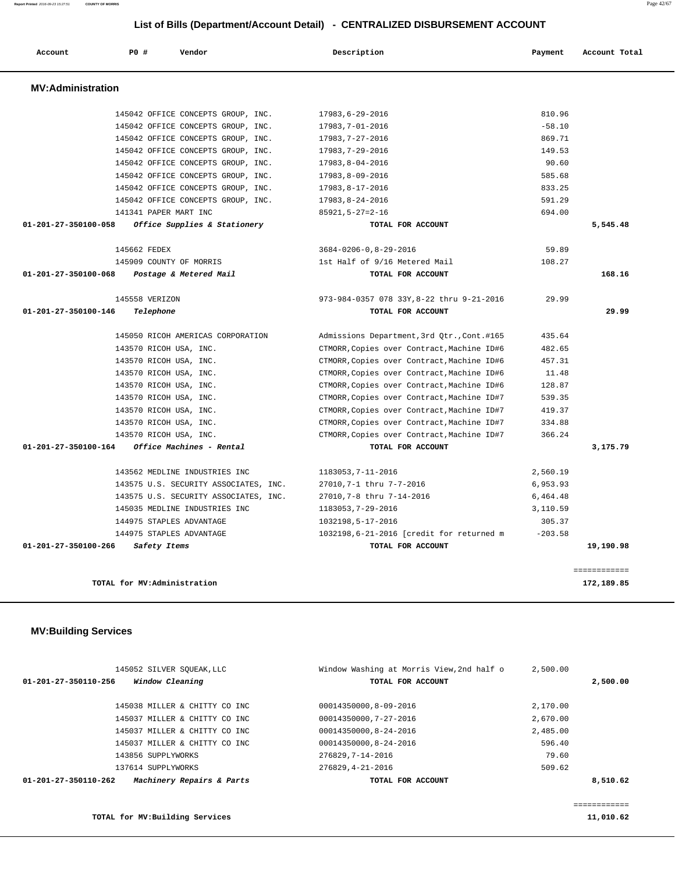| Account                  | P0 #                        | Vendor                                | Description                                | Payment   | Account Total              |
|--------------------------|-----------------------------|---------------------------------------|--------------------------------------------|-----------|----------------------------|
| <b>MV:Administration</b> |                             |                                       |                                            |           |                            |
|                          |                             | 145042 OFFICE CONCEPTS GROUP, INC.    | 17983,6-29-2016                            | 810.96    |                            |
|                          |                             | 145042 OFFICE CONCEPTS GROUP, INC.    | 17983,7-01-2016                            | $-58.10$  |                            |
|                          |                             | 145042 OFFICE CONCEPTS GROUP, INC.    | 17983,7-27-2016                            | 869.71    |                            |
|                          |                             | 145042 OFFICE CONCEPTS GROUP, INC.    | 17983,7-29-2016                            | 149.53    |                            |
|                          |                             | 145042 OFFICE CONCEPTS GROUP, INC.    | 17983,8-04-2016                            | 90.60     |                            |
|                          |                             | 145042 OFFICE CONCEPTS GROUP, INC.    | 17983,8-09-2016                            | 585.68    |                            |
|                          |                             | 145042 OFFICE CONCEPTS GROUP, INC.    | 17983,8-17-2016                            | 833.25    |                            |
|                          |                             | 145042 OFFICE CONCEPTS GROUP, INC.    | 17983,8-24-2016                            | 591.29    |                            |
|                          | 141341 PAPER MART INC       |                                       | $85921, 5 - 27 = 2 - 16$                   | 694.00    |                            |
| 01-201-27-350100-058     |                             | Office Supplies & Stationery          | TOTAL FOR ACCOUNT                          |           | 5,545.48                   |
|                          | 145662 FEDEX                |                                       | $3684 - 0206 - 0, 8 - 29 - 2016$           | 59.89     |                            |
|                          |                             | 145909 COUNTY OF MORRIS               | 1st Half of 9/16 Metered Mail              | 108.27    |                            |
| 01-201-27-350100-068     |                             | Postage & Metered Mail                | TOTAL FOR ACCOUNT                          |           | 168.16                     |
|                          | 145558 VERIZON              |                                       | 973-984-0357 078 33Y, 8-22 thru 9-21-2016  | 29.99     |                            |
| 01-201-27-350100-146     | Telephone                   |                                       | TOTAL FOR ACCOUNT                          |           | 29.99                      |
|                          |                             | 145050 RICOH AMERICAS CORPORATION     | Admissions Department, 3rd Qtr., Cont.#165 | 435.64    |                            |
|                          | 143570 RICOH USA, INC.      |                                       | CTMORR, Copies over Contract, Machine ID#6 | 482.65    |                            |
|                          | 143570 RICOH USA, INC.      |                                       | CTMORR, Copies over Contract, Machine ID#6 | 457.31    |                            |
|                          | 143570 RICOH USA, INC.      |                                       | CTMORR, Copies over Contract, Machine ID#6 | 11.48     |                            |
|                          | 143570 RICOH USA, INC.      |                                       | CTMORR, Copies over Contract, Machine ID#6 | 128.87    |                            |
|                          | 143570 RICOH USA, INC.      |                                       | CTMORR, Copies over Contract, Machine ID#7 | 539.35    |                            |
|                          | 143570 RICOH USA, INC.      |                                       | CTMORR, Copies over Contract, Machine ID#7 | 419.37    |                            |
|                          | 143570 RICOH USA, INC.      |                                       | CTMORR, Copies over Contract, Machine ID#7 | 334.88    |                            |
|                          | 143570 RICOH USA, INC.      |                                       | CTMORR, Copies over Contract, Machine ID#7 | 366.24    |                            |
| 01-201-27-350100-164     |                             | Office Machines - Rental              | TOTAL FOR ACCOUNT                          |           | 3,175.79                   |
|                          |                             | 143562 MEDLINE INDUSTRIES INC         | 1183053,7-11-2016                          | 2,560.19  |                            |
|                          |                             | 143575 U.S. SECURITY ASSOCIATES, INC. | 27010,7-1 thru 7-7-2016                    | 6,953.93  |                            |
|                          |                             | 143575 U.S. SECURITY ASSOCIATES, INC. | 27010,7-8 thru 7-14-2016                   | 6,464.48  |                            |
|                          |                             | 145035 MEDLINE INDUSTRIES INC         | 1183053,7-29-2016                          | 3,110.59  |                            |
|                          |                             | 144975 STAPLES ADVANTAGE              | 1032198,5-17-2016                          | 305.37    |                            |
|                          |                             | 144975 STAPLES ADVANTAGE              | 1032198,6-21-2016 [credit for returned m   | $-203.58$ |                            |
| 01-201-27-350100-266     | Safety Items                |                                       | TOTAL FOR ACCOUNT                          |           | 19,190.98                  |
|                          | TOTAL for MV:Administration |                                       |                                            |           | ============<br>172,189.85 |

| 145052 SILVER SOUEAK, LLC                         | Window Washing at Morris View, 2nd half o | 2,500.00 |
|---------------------------------------------------|-------------------------------------------|----------|
| Window Cleaning<br>01-201-27-350110-256           | TOTAL FOR ACCOUNT                         | 2,500.00 |
| 145038 MILLER & CHITTY CO INC                     | 00014350000,8-09-2016                     | 2,170.00 |
| 145037 MILLER & CHITTY CO INC                     | 00014350000.7-27-2016                     | 2,670.00 |
| 145037 MILLER & CHITTY CO INC                     | 00014350000,8-24-2016                     | 2,485.00 |
| 145037 MILLER & CHITTY CO INC                     | 00014350000,8-24-2016                     | 596.40   |
| 143856 SUPPLYWORKS                                | 276829, 7-14-2016                         | 79.60    |
| 137614 SUPPLYWORKS                                | 276829, 4-21-2016                         | 509.62   |
| Machinery Repairs & Parts<br>01-201-27-350110-262 | TOTAL FOR ACCOUNT                         | 8,510.62 |
|                                                   |                                           |          |
|                                                   |                                           |          |

**TOTAL for MV:Building Services 11,010.62**

============

**Report Printed** 2016-09-23 15:27:51 **COUNTY OF MORRIS** Page 42/67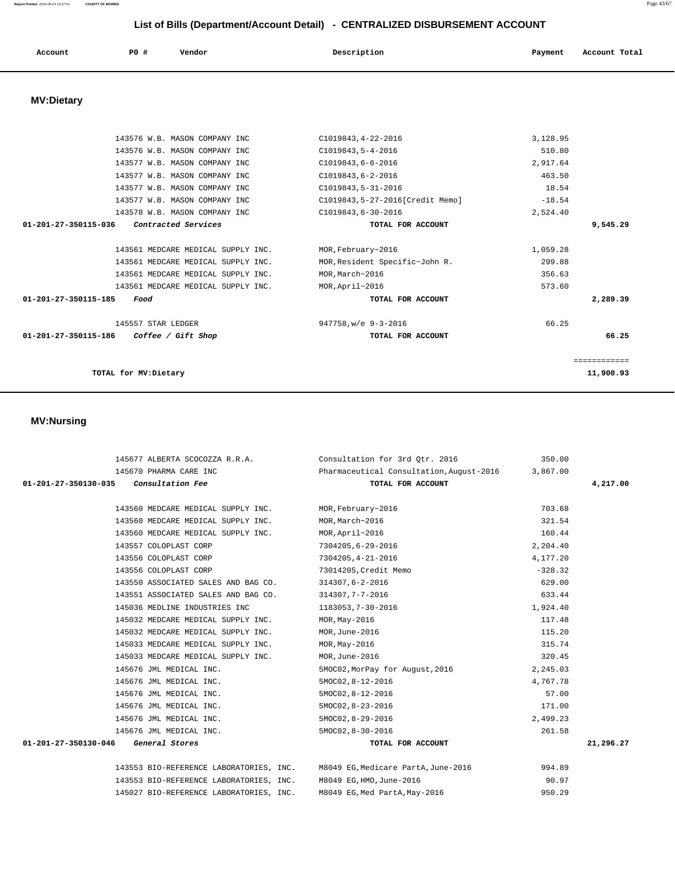#### **Report Printed** 2016-09-23 15:27:51 **COUNTY OF MORRIS** Page 43/67

# **List of Bills (Department/Account Detail) - CENTRALIZED DISBURSEMENT ACCOUNT**

| P0 #<br>Description<br>Vendor<br>Account<br>Account Total<br>Payment |  |
|----------------------------------------------------------------------|--|
|----------------------------------------------------------------------|--|

## **MV:Dietary**

| C1019843, 4-22-2016              | 3,128.95    |
|----------------------------------|-------------|
| $C1019843, 5 - 4 - 2016$         | 510.80      |
| $C1019843, 6 - 6 - 2016$         | 2,917.64    |
| $C1019843.6 - 2 - 2016$          | 463.50      |
| C1019843, 5-31-2016              | 18.54       |
| C1019843, 5-27-2016[Credit Memo] | $-18.54$    |
| C1019843,6-30-2016               | 2,524.40    |
| TOTAL FOR ACCOUNT                | 9,545.29    |
|                                  |             |
| MOR, February~2016               | 1,059.28    |
| MOR, Resident Specific~John R.   | 299.88      |
| MOR, March~2016                  | 356.63      |
| MOR, April~2016                  | 573.60      |
| TOTAL FOR ACCOUNT                | 2,289.39    |
| 947758, w/e 9-3-2016             | 66.25       |
| TOTAL FOR ACCOUNT                | 66.25       |
|                                  |             |
|                                  | =========== |
|                                  | 11,900.93   |
|                                  |             |

#### **MV:Nursing**

|                                                                             | 145677 ALBERTA SCOCOZZA R.R.A. Consultation for 3rd Otr. 2016 | 350.00    |           |
|-----------------------------------------------------------------------------|---------------------------------------------------------------|-----------|-----------|
| 145670 PHARMA CARE INC                                                      | Pharmaceutical Consultation, August-2016                      | 3,867.00  |           |
| Consultation Fee<br>01-201-27-350130-035                                    | TOTAL FOR ACCOUNT                                             |           | 4,217.00  |
|                                                                             |                                                               |           |           |
| 143560 MEDCARE MEDICAL SUPPLY INC.                                          | MOR, February~2016                                            | 703.68    |           |
| 143560 MEDCARE MEDICAL SUPPLY INC.                                          | MOR, March~2016                                               | 321.54    |           |
| 143560 MEDCARE MEDICAL SUPPLY INC.                                          | MOR, April~2016                                               | 160.44    |           |
| 143557 COLOPLAST CORP                                                       | 7304205,6-29-2016                                             | 2,204.40  |           |
| 143556 COLOPLAST CORP                                                       | 7304205, 4-21-2016                                            | 4,177.20  |           |
| 143556 COLOPLAST CORP                                                       | 73014205, Credit Memo                                         | $-328.32$ |           |
| 143550 ASSOCIATED SALES AND BAG CO.                                         | 314307,6-2-2016                                               | 629.00    |           |
| 143551 ASSOCIATED SALES AND BAG CO.                                         | 314307,7-7-2016                                               | 633.44    |           |
| 145036 MEDLINE INDUSTRIES INC                                               | 1183053,7-30-2016                                             | 1,924.40  |           |
| 145032 MEDCARE MEDICAL SUPPLY INC.                                          | $MOR$ , $May-2016$                                            | 117.48    |           |
| 145032 MEDCARE MEDICAL SUPPLY INC.                                          | MOR, June-2016                                                | 115.20    |           |
| 145033 MEDCARE MEDICAL SUPPLY INC.                                          | $MOR, May-2016$                                               | 315.74    |           |
| 145033 MEDCARE MEDICAL SUPPLY INC.                                          | MOR, June-2016                                                | 320.45    |           |
| 145676 JML MEDICAL INC.                                                     | 5MOC02, MorPay for August, 2016                               | 2,245.03  |           |
| 145676 JML MEDICAL INC.                                                     | 5MOC02, 8-12-2016                                             | 4,767.78  |           |
| 145676 JML MEDICAL INC.                                                     | 5MOC02, 8-12-2016                                             | 57.00     |           |
| 145676 JML MEDICAL INC.                                                     | 5MOC02, 8-23-2016                                             | 171.00    |           |
| 145676 JML MEDICAL INC.                                                     | 5MOC02, 8-29-2016                                             | 2,499.23  |           |
| 145676 JML MEDICAL INC.                                                     | 5MOC02, 8-30-2016                                             | 261.58    |           |
| 01-201-27-350130-046 General Stores                                         | TOTAL FOR ACCOUNT                                             |           | 21,296.27 |
|                                                                             |                                                               |           |           |
| 143553 BIO-REFERENCE LABORATORIES, INC. M8049 EG, Medicare PartA, June-2016 |                                                               | 994.89    |           |
| 143553 BIO-REFERENCE LABORATORIES, INC.                                     | M8049 EG, HMO, June-2016                                      | 90.97     |           |

145027 BIO-REFERENCE LABORATORIES, INC. M8049 EG,Med PartA,May-2016 950.29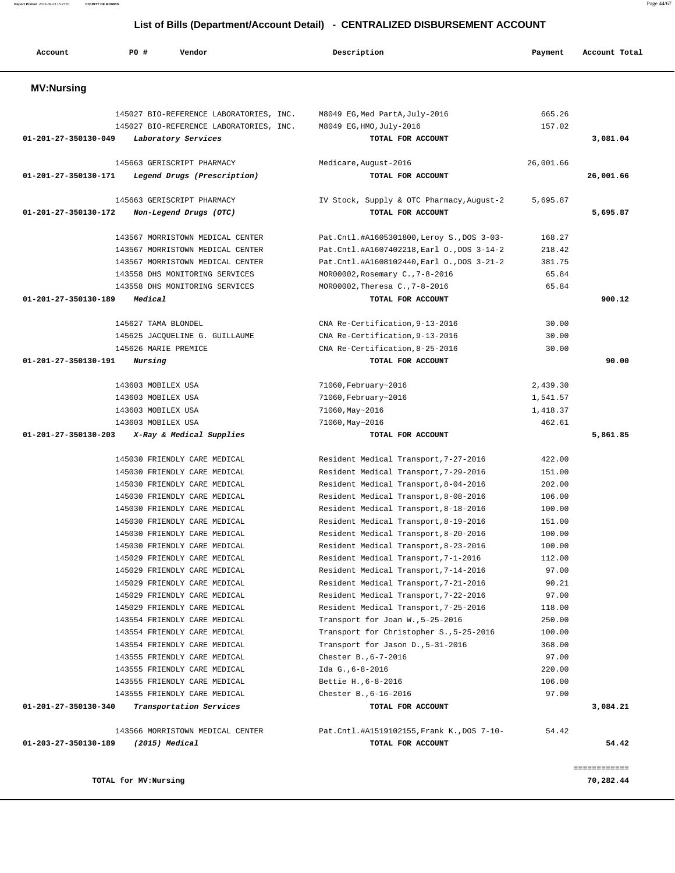**Report Printed** 2016-09-23 15:27:51 **COUNTY OF MORRIS** Page 44/67  **List of Bills (Department/Account Detail) - CENTRALIZED DISBURSEMENT ACCOUNT Account P0 # Vendor Description Payment Account Total MV:Nursing**  145027 BIO-REFERENCE LABORATORIES, INC. M8049 EG,Med PartA,July-2016 665.26 145027 BIO-REFERENCE LABORATORIES, INC. M8049 EG,HMO,July-2016 157.02  **01-201-27-350130-049 Laboratory Services TOTAL FOR ACCOUNT 3,081.04** 145663 GERISCRIPT PHARMACY Medicare,August-2016 26,001.66  **01-201-27-350130-171 Legend Drugs (Prescription) TOTAL FOR ACCOUNT 26,001.66** 145663 GERISCRIPT PHARMACY IV Stock, Supply & OTC Pharmacy,August-2 5,695.87  **01-201-27-350130-172 Non-Legend Drugs (OTC) TOTAL FOR ACCOUNT 5,695.87** 143567 MORRISTOWN MEDICAL CENTER Pat.Cntl.#A1605301800,Leroy S.,DOS 3-03- 168.27 143567 MORRISTOWN MEDICAL CENTER Pat.Cntl.#A1607402218,Earl O.,DOS 3-14-2 218.42 143567 MORRISTOWN MEDICAL CENTER Pat.Cntl.#A1608102440,Earl O.,DOS 3-21-2 381.75 143558 DHS MONITORING SERVICES MOR00002,Rosemary C.,7-8-2016 65.84 143558 DHS MONITORING SERVICES MOR00002,Theresa C.,7-8-2016 65.84  **01-201-27-350130-189 Medical TOTAL FOR ACCOUNT 900.12** 145627 TAMA BLONDEL CNA Re-Certification,9-13-2016 30.00 145625 JACQUELINE G. GUILLAUME CNA Re-Certification,9-13-2016 30.00 145626 MARIE PREMICE CNA Re-Certification,8-25-2016 30.00  **01-201-27-350130-191 Nursing TOTAL FOR ACCOUNT 90.00** 143603 MOBILEX USA 71060,February~2016 2,439.30 143603 MOBILEX USA 71060,February~2016 1,541.57 143603 MOBILEX USA 71060,May~2016 1,418.37 143603 MOBILEX USA 71060,May~2016 462.61  **01-201-27-350130-203 X-Ray & Medical Supplies TOTAL FOR ACCOUNT 5,861.85** 145030 FRIENDLY CARE MEDICAL Resident Medical Transport,7-27-2016 422.00 145030 FRIENDLY CARE MEDICAL Resident Medical Transport,7-29-2016 151.00 145030 FRIENDLY CARE MEDICAL Resident Medical Transport,8-04-2016 202.00 145030 FRIENDLY CARE MEDICAL Resident Medical Transport,8-08-2016 106.00 145030 FRIENDLY CARE MEDICAL Resident Medical Transport,8-18-2016 100.00 145030 FRIENDLY CARE MEDICAL Resident Medical Transport,8-19-2016 151.00 145030 FRIENDLY CARE MEDICAL Resident Medical Transport,8-20-2016 100.00 145030 FRIENDLY CARE MEDICAL Resident Medical Transport,8-23-2016 100.00 145029 FRIENDLY CARE MEDICAL Resident Medical Transport,7-1-2016 112.00 145029 FRIENDLY CARE MEDICAL Resident Medical Transport,7-14-2016 97.00 145029 FRIENDLY CARE MEDICAL Resident Medical Transport,7-21-2016 90.21 145029 FRIENDLY CARE MEDICAL Resident Medical Transport,7-22-2016 97.00 145029 FRIENDLY CARE MEDICAL Resident Medical Transport,7-25-2016 118.00 143554 FRIENDLY CARE MEDICAL Transport for Joan W.,5-25-2016 250.00 143554 FRIENDLY CARE MEDICAL Transport for Christopher S.,5-25-2016 100.00 143554 FRIENDLY CARE MEDICAL Transport for Jason D.,5-31-2016 368.00 143555 FRIENDLY CARE MEDICAL Chester B.,6-7-2016 97.00 143555 FRIENDLY CARE MEDICAL Ida G.,6-8-2016 220.00

 143555 FRIENDLY CARE MEDICAL Bettie H.,6-8-2016 106.00 143555 FRIENDLY CARE MEDICAL Chester B.,6-16-2016 97.00  **01-201-27-350130-340 Transportation Services TOTAL FOR ACCOUNT 3,084.21**

 143566 MORRISTOWN MEDICAL CENTER Pat.Cntl.#A1519102155,Frank K.,DOS 7-10- 54.42  **01-203-27-350130-189 (2015) Medical TOTAL FOR ACCOUNT 54.42**

**TOTAL for MV:Nursing 70,282.44**

============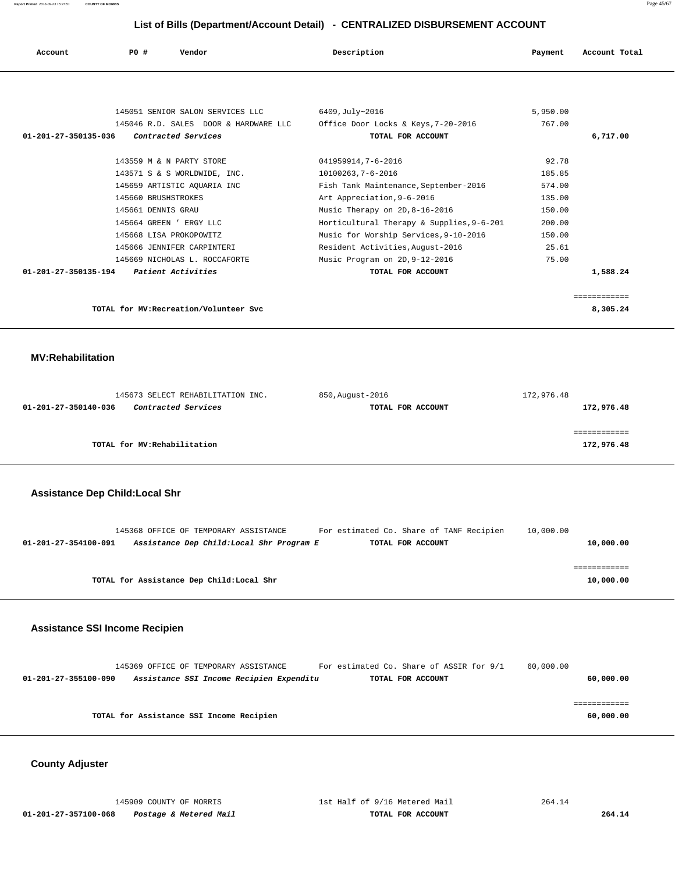**Report Printed** 2016-09-23 15:27:51 **COUNTY OF MORRIS** Page 45/67

# **List of Bills (Department/Account Detail) - CENTRALIZED DISBURSEMENT ACCOUNT**

|                      |                     |                                       | List of Dills (Department/Account Detail) - OLIVITALIZED DIODOROLINENT ACCOUNT |          |               |
|----------------------|---------------------|---------------------------------------|--------------------------------------------------------------------------------|----------|---------------|
| Account              | PO#                 | Vendor                                | Description                                                                    | Payment  | Account Total |
|                      |                     |                                       |                                                                                |          |               |
|                      |                     | 145051 SENIOR SALON SERVICES LLC      | 6409, July~2016                                                                | 5,950.00 |               |
|                      |                     | 145046 R.D. SALES DOOR & HARDWARE LLC | Office Door Locks & Keys, 7-20-2016                                            | 767.00   |               |
| 01-201-27-350135-036 |                     | Contracted Services                   | TOTAL FOR ACCOUNT                                                              |          | 6,717.00      |
|                      |                     |                                       |                                                                                |          |               |
|                      |                     | 143559 M & N PARTY STORE              | 041959914,7-6-2016                                                             | 92.78    |               |
|                      |                     | 143571 S & S WORLDWIDE, INC.          | 10100263,7-6-2016                                                              | 185.85   |               |
|                      |                     | 145659 ARTISTIC AQUARIA INC           | Fish Tank Maintenance, September-2016                                          | 574.00   |               |
|                      | 145660 BRUSHSTROKES |                                       | Art Appreciation, 9-6-2016                                                     | 135.00   |               |
|                      | 145661 DENNIS GRAU  |                                       | Music Therapy on 2D, 8-16-2016                                                 | 150.00   |               |
|                      |                     | 145664 GREEN ' ERGY LLC               | Horticultural Therapy & Supplies, 9-6-201                                      | 200.00   |               |
|                      |                     | 145668 LISA PROKOPOWITZ               | Music for Worship Services, 9-10-2016                                          | 150.00   |               |
|                      |                     | 145666 JENNIFER CARPINTERI            | Resident Activities, August-2016                                               | 25.61    |               |
|                      |                     | 145669 NICHOLAS L. ROCCAFORTE         | Music Program on 2D, 9-12-2016                                                 | 75.00    |               |
| 01-201-27-350135-194 |                     | Patient Activities                    | TOTAL FOR ACCOUNT                                                              |          | 1,588.24      |

 ============ **TOTAL for MV:Recreation/Volunteer Svc 8,305.24**

 **MV:Rehabilitation** 

| 145673 SELECT REHABILITATION INC.                  | 850, August-2016  | 172,976.48 |
|----------------------------------------------------|-------------------|------------|
| <i>Contracted Services</i><br>01-201-27-350140-036 | TOTAL FOR ACCOUNT | 172,976.48 |
|                                                    |                   |            |
|                                                    |                   |            |
| TOTAL for MV:Rehabilitation                        |                   | 172,976.48 |

### **Assistance Dep Child:Local Shr**

|                      | 145368 OFFICE OF TEMPORARY ASSISTANCE     | For estimated Co. Share of TANF Recipien | 10,000.00 |
|----------------------|-------------------------------------------|------------------------------------------|-----------|
| 01-201-27-354100-091 | Assistance Dep Child:Local Shr Program E  | TOTAL FOR ACCOUNT                        | 10,000.00 |
|                      |                                           |                                          |           |
|                      |                                           |                                          |           |
|                      | TOTAL for Assistance Dep Child: Local Shr |                                          | 10,000.00 |

#### **Assistance SSI Income Recipien**

| 145369 OFFICE OF TEMPORARY ASSISTANCE                            | For estimated Co. Share of ASSIR for 9/1 | 60,000.00 |
|------------------------------------------------------------------|------------------------------------------|-----------|
| Assistance SSI Income Recipien Expenditu<br>01-201-27-355100-090 | TOTAL FOR ACCOUNT                        | 60,000.00 |
|                                                                  |                                          |           |
|                                                                  |                                          |           |
| TOTAL for Assistance SSI Income Recipien                         |                                          | 60,000.00 |
|                                                                  |                                          |           |

#### **County Adjuster**

 **01-201-27-357100-068 Postage & Metered Mail TOTAL FOR ACCOUNT 264.14**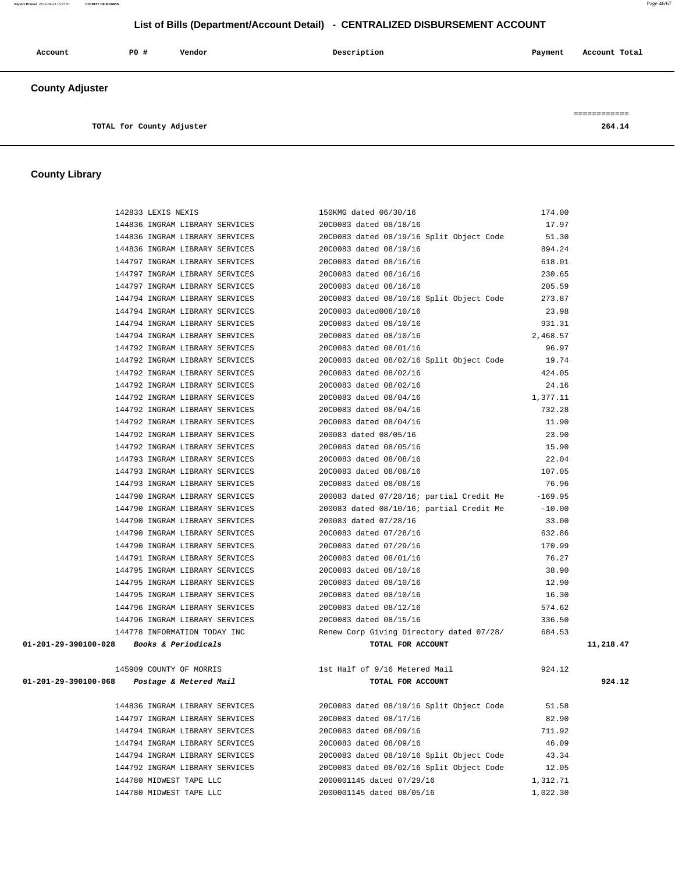#### **Report Printed** 2016-09-23 15:27:51 **COUNTY OF MORRIS** Page 46/67

## **List of Bills (Department/Account Detail) - CENTRALIZED DISBURSEMENT ACCOUNT**

| Account                | P0 # | Vendor | Description | Payment | Account Total |
|------------------------|------|--------|-------------|---------|---------------|
| <b>County Adjuster</b> |      |        |             |         | ------------  |

**TOTAL for County Adjuster 264.14**

# **County Library**

| 142833 LEXIS NEXIS                          | 150KMG dated 06/30/16                            | 174.00   |           |
|---------------------------------------------|--------------------------------------------------|----------|-----------|
| 144836 INGRAM LIBRARY SERVICES              | 20C0083 dated 08/18/16                           | 17.97    |           |
| 144836 INGRAM LIBRARY SERVICES              | 20C0083 dated 08/19/16 Split Object Code         | 51.30    |           |
| 144836 INGRAM LIBRARY SERVICES              | 20C0083 dated 08/19/16                           | 894.24   |           |
| 144797 INGRAM LIBRARY SERVICES              | 20C0083 dated 08/16/16                           | 618.01   |           |
| 144797 INGRAM LIBRARY SERVICES              | 20C0083 dated 08/16/16                           | 230.65   |           |
| 144797 INGRAM LIBRARY SERVICES              | 20C0083 dated 08/16/16                           | 205.59   |           |
| 144794 INGRAM LIBRARY SERVICES              | 20C0083 dated 08/10/16 Split Object Code         | 273.87   |           |
| 144794 INGRAM LIBRARY SERVICES              | 20C0083 dated008/10/16                           | 23.98    |           |
| 144794 INGRAM LIBRARY SERVICES              | 20C0083 dated 08/10/16                           | 931.31   |           |
| 144794 INGRAM LIBRARY SERVICES              | 20C0083 dated 08/10/16                           | 2,468.57 |           |
| 144792 INGRAM LIBRARY SERVICES              | 20C0083 dated 08/01/16                           | 96.97    |           |
| 144792 INGRAM LIBRARY SERVICES              | 20C0083 dated 08/02/16 Split Object Code         | 19.74    |           |
| 144792 INGRAM LIBRARY SERVICES              | 20C0083 dated 08/02/16                           | 424.05   |           |
|                                             |                                                  |          |           |
| 144792 INGRAM LIBRARY SERVICES              | 20C0083 dated 08/02/16                           | 24.16    |           |
| 144792 INGRAM LIBRARY SERVICES              | 20C0083 dated 08/04/16                           | 1,377.11 |           |
| 144792 INGRAM LIBRARY SERVICES              | 20C0083 dated 08/04/16                           | 732.28   |           |
| 144792 INGRAM LIBRARY SERVICES              | 20C0083 dated 08/04/16                           | 11.90    |           |
| 144792 INGRAM LIBRARY SERVICES              | 200083 dated 08/05/16                            | 23.90    |           |
| 144792 INGRAM LIBRARY SERVICES              | 20C0083 dated 08/05/16                           | 15.90    |           |
| 144793 INGRAM LIBRARY SERVICES              | 20C0083 dated 08/08/16                           | 22.04    |           |
| 144793 INGRAM LIBRARY SERVICES              | 20C0083 dated 08/08/16                           | 107.05   |           |
| 144793 INGRAM LIBRARY SERVICES              | 20C0083 dated 08/08/16                           | 76.96    |           |
| 144790 INGRAM LIBRARY SERVICES              | 200083 dated 07/28/16; partial Credit Me -169.95 |          |           |
| 144790 INGRAM LIBRARY SERVICES              | 200083 dated 08/10/16; partial Credit Me         | $-10.00$ |           |
| 144790 INGRAM LIBRARY SERVICES              | 200083 dated 07/28/16                            | 33.00    |           |
| 144790 INGRAM LIBRARY SERVICES              | 20C0083 dated 07/28/16                           | 632.86   |           |
| 144790 INGRAM LIBRARY SERVICES              | 20C0083 dated 07/29/16                           | 170.99   |           |
| 144791 INGRAM LIBRARY SERVICES              | 20C0083 dated 08/01/16                           | 76.27    |           |
| 144795 INGRAM LIBRARY SERVICES              | 20C0083 dated 08/10/16                           | 38.90    |           |
| 144795 INGRAM LIBRARY SERVICES              | 20C0083 dated 08/10/16                           | 12.90    |           |
| 144795 INGRAM LIBRARY SERVICES              | 20C0083 dated 08/10/16                           | 16.30    |           |
| 144796 INGRAM LIBRARY SERVICES              | 20C0083 dated 08/12/16                           | 574.62   |           |
| 144796 INGRAM LIBRARY SERVICES              | 20C0083 dated 08/15/16                           | 336.50   |           |
| 144778 INFORMATION TODAY INC                | Renew Corp Giving Directory dated 07/28/         | 684.53   |           |
| 01-201-29-390100-028 Books & Periodicals    | TOTAL FOR ACCOUNT                                |          | 11,218.47 |
|                                             |                                                  |          |           |
| 145909 COUNTY OF MORRIS                     | 1st Half of 9/16 Metered Mail                    | 924.12   |           |
| 01-201-29-390100-068 Postage & Metered Mail | TOTAL FOR ACCOUNT                                |          | 924.12    |
|                                             |                                                  |          |           |
| 144836 INGRAM LIBRARY SERVICES              | 20C0083 dated 08/19/16 Split Object Code         | 51.58    |           |
| 144797 INGRAM LIBRARY SERVICES              | 20C0083 dated 08/17/16                           | 82.90    |           |
| 144794 INGRAM LIBRARY SERVICES              | 20C0083 dated 08/09/16                           | 711.92   |           |
| 144794 INGRAM LIBRARY SERVICES              |                                                  | 46.09    |           |
|                                             | 20C0083 dated 08/09/16                           |          |           |
| 144794 INGRAM LIBRARY SERVICES              | 20C0083 dated 08/10/16 Split Object Code         | 43.34    |           |
| 144792 INGRAM LIBRARY SERVICES              | 20C0083 dated 08/02/16 Split Object Code         | 12.05    |           |
| 144780 MIDWEST TAPE LLC                     | 2000001145 dated 07/29/16                        | 1,312.71 |           |
| 144780 MIDWEST TAPE LLC                     | 2000001145 dated 08/05/16                        | 1,022.30 |           |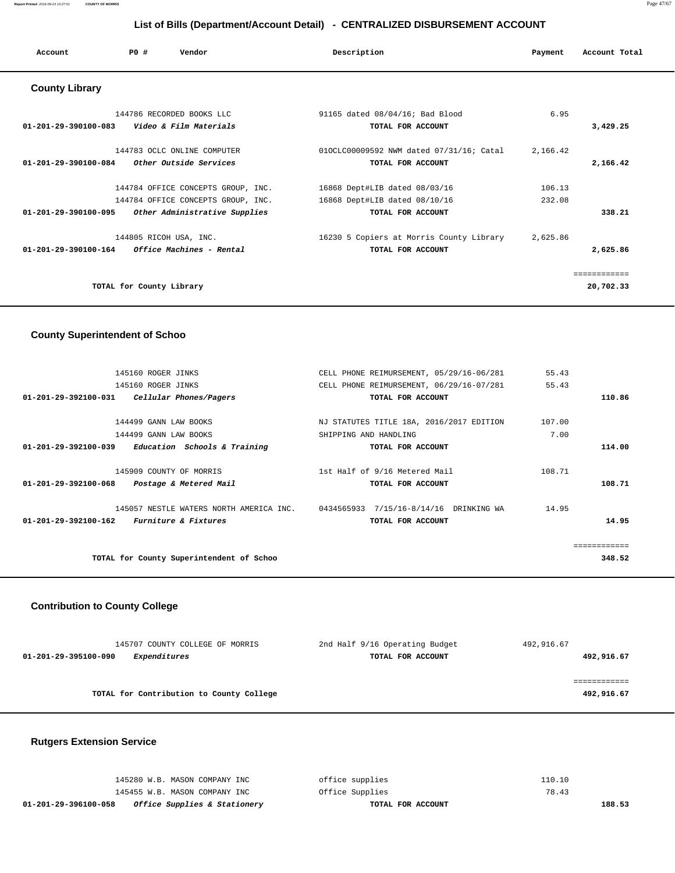| Account                                        | PO#                      | Vendor                             | Description                              | Payment  | Account Total |
|------------------------------------------------|--------------------------|------------------------------------|------------------------------------------|----------|---------------|
| <b>County Library</b>                          |                          |                                    |                                          |          |               |
|                                                |                          | 144786 RECORDED BOOKS LLC          | 91165 dated 08/04/16; Bad Blood          | 6.95     |               |
| 01-201-29-390100-083    Video & Film Materials |                          |                                    | TOTAL FOR ACCOUNT                        |          | 3,429.25      |
|                                                |                          | 144783 OCLC ONLINE COMPUTER        | 010CLC00009592 NWM dated 07/31/16; Catal | 2,166.42 |               |
| 01-201-29-390100-084                           |                          | Other Outside Services             | TOTAL FOR ACCOUNT                        |          | 2,166.42      |
|                                                |                          | 144784 OFFICE CONCEPTS GROUP, INC. | 16868 Dept#LIB dated 08/03/16            | 106.13   |               |
|                                                |                          | 144784 OFFICE CONCEPTS GROUP, INC. | 16868 Dept#LIB dated 08/10/16            | 232.08   |               |
| 01-201-29-390100-095                           |                          | Other Administrative Supplies      | TOTAL FOR ACCOUNT                        |          | 338.21        |
|                                                | 144805 RICOH USA, INC.   |                                    | 16230 5 Copiers at Morris County Library | 2,625.86 |               |
| 01-201-29-390100-164                           |                          | Office Machines - Rental           | TOTAL FOR ACCOUNT                        |          | 2,625.86      |
|                                                |                          |                                    |                                          |          | ============  |
|                                                | TOTAL for County Library |                                    |                                          |          | 20,702.33     |
|                                                |                          |                                    |                                          |          |               |

## **County Superintendent of Schoo**

| 145160 ROGER JINKS                                       | CELL PHONE REIMURSEMENT, 05/29/16-06/281 | 55.43  |
|----------------------------------------------------------|------------------------------------------|--------|
| 145160 ROGER JINKS                                       | CELL PHONE REIMURSEMENT, 06/29/16-07/281 | 55.43  |
| Cellular Phones/Pagers<br>$01 - 201 - 29 - 392100 - 031$ | TOTAL FOR ACCOUNT                        | 110.86 |
|                                                          |                                          |        |
| 144499 GANN LAW BOOKS                                    | NJ STATUTES TITLE 18A, 2016/2017 EDITION | 107.00 |
| 144499 GANN LAW BOOKS                                    | SHIPPING AND HANDLING                    | 7.00   |
| 01-201-29-392100-039<br>Education Schools & Training     | TOTAL FOR ACCOUNT                        | 114.00 |
| 145909 COUNTY OF MORRIS                                  | 1st Half of 9/16 Metered Mail            | 108.71 |
| $01 - 201 - 29 - 392100 - 068$<br>Postage & Metered Mail | TOTAL FOR ACCOUNT                        | 108.71 |
| 145057 NESTLE WATERS NORTH AMERICA INC.                  | 0434565933 7/15/16-8/14/16 DRINKING WA   | 14.95  |
| 01-201-29-392100-162<br><i>Furniture &amp; Fixtures</i>  | TOTAL FOR ACCOUNT                        | 14.95  |
|                                                          |                                          |        |
| TOTAL for County Superintendent of Schoo                 |                                          | 348.52 |

## **Contribution to County College**

| 145707 COUNTY COLLEGE OF MORRIS          | 2nd Half 9/16 Operating Budget | 492,916.67 |
|------------------------------------------|--------------------------------|------------|
| Expenditures<br>01-201-29-395100-090     | TOTAL FOR ACCOUNT              | 492,916.67 |
|                                          |                                |            |
|                                          |                                |            |
| TOTAL for Contribution to County College |                                | 492,916.67 |

# **Rutgers Extension Service**

| 01-201-29-396100-058<br><i>Office Supplies &amp; Stationery</i> | TOTAL FOR ACCOUNT | 188.53 |
|-----------------------------------------------------------------|-------------------|--------|
| 145455 W.B. MASON COMPANY INC                                   | Office Supplies   | 78.43  |
| 145280 W.B. MASON COMPANY INC                                   | office supplies   | 110.10 |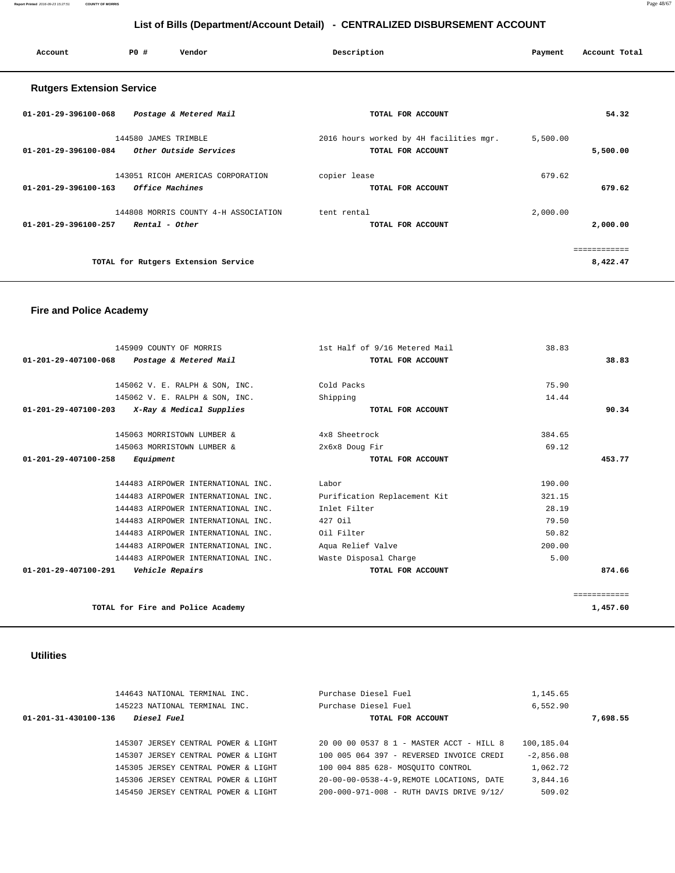| Account                          | PO#                    | Vendor                               | Description  |                                         | Payment  | Account Total |
|----------------------------------|------------------------|--------------------------------------|--------------|-----------------------------------------|----------|---------------|
| <b>Rutgers Extension Service</b> |                        |                                      |              |                                         |          |               |
| 01-201-29-396100-068             | Postage & Metered Mail |                                      |              | TOTAL FOR ACCOUNT                       |          | 54.32         |
|                                  | 144580 JAMES TRIMBLE   |                                      |              | 2016 hours worked by 4H facilities mgr. | 5,500.00 |               |
| 01-201-29-396100-084             | Other Outside Services |                                      |              | TOTAL FOR ACCOUNT                       |          | 5,500.00      |
|                                  |                        | 143051 RICOH AMERICAS CORPORATION    | copier lease |                                         | 679.62   |               |
| $01 - 201 - 29 - 396100 - 163$   | Office Machines        |                                      |              | TOTAL FOR ACCOUNT                       |          | 679.62        |
|                                  |                        | 144808 MORRIS COUNTY 4-H ASSOCIATION | tent rental  |                                         | 2,000.00 |               |
| 01-201-29-396100-257             | Rental - Other         |                                      |              | TOTAL FOR ACCOUNT                       |          | 2,000.00      |
|                                  |                        |                                      |              |                                         |          | ============  |
|                                  |                        | TOTAL for Rutgers Extension Service  |              |                                         |          | 8,422.47      |

## **Fire and Police Academy**

| 145909 COUNTY OF MORRIS                                  | 1st Half of 9/16 Metered Mail | 38.83  |              |
|----------------------------------------------------------|-------------------------------|--------|--------------|
| $01 - 201 - 29 - 407100 - 068$<br>Postage & Metered Mail | TOTAL FOR ACCOUNT             |        | 38.83        |
| 145062 V. E. RALPH & SON, INC.                           | Cold Packs                    | 75.90  |              |
| 145062 V. E. RALPH & SON, INC.                           | Shipping                      | 14.44  |              |
| 01-201-29-407100-203<br>X-Ray & Medical Supplies         | TOTAL FOR ACCOUNT             |        | 90.34        |
| 145063 MORRISTOWN LUMBER &                               | 4x8 Sheetrock                 | 384.65 |              |
| 145063 MORRISTOWN LUMBER &                               | 2x6x8 Doug Fir                | 69.12  |              |
| 01-201-29-407100-258<br>Equipment                        | TOTAL FOR ACCOUNT             |        | 453.77       |
| 144483 AIRPOWER INTERNATIONAL INC.                       | Labor                         | 190.00 |              |
| 144483 AIRPOWER INTERNATIONAL INC.                       | Purification Replacement Kit  | 321.15 |              |
| 144483 AIRPOWER INTERNATIONAL INC.                       | Inlet Filter                  | 28.19  |              |
| 144483 AIRPOWER INTERNATIONAL INC.                       | 427 Oil                       | 79.50  |              |
| 144483 AIRPOWER INTERNATIONAL INC.                       | Oil Filter                    | 50.82  |              |
| 144483 AIRPOWER INTERNATIONAL INC.                       | Aqua Relief Valve             | 200.00 |              |
| 144483 AIRPOWER INTERNATIONAL INC.                       | Waste Disposal Charge         | 5.00   |              |
| 01-201-29-407100-291<br>Vehicle Repairs                  | TOTAL FOR ACCOUNT             |        | 874.66       |
|                                                          |                               |        | ============ |
| TOTAL for Fire and Police Academy                        |                               |        | 1,457.60     |

## **Utilities**

| 144643 NATIONAL TERMINAL INC.              | Purchase Diesel Fuel                     | 1,145.65    |
|--------------------------------------------|------------------------------------------|-------------|
| 145223 NATIONAL TERMINAL INC.              | Purchase Diesel Fuel                     | 6,552.90    |
| 01-201-31-430100-136<br><i>Diesel Fuel</i> | TOTAL FOR ACCOUNT                        | 7,698.55    |
|                                            |                                          |             |
| 145307 JERSEY CENTRAL POWER & LIGHT        | 20 00 00 0537 8 1 - MASTER ACCT - HILL 8 | 100,185.04  |
| 145307 JERSEY CENTRAL POWER & LIGHT        | 100 005 064 397 - REVERSED INVOICE CREDI | $-2.856.08$ |
| 145305 JERSEY CENTRAL POWER & LIGHT        | 100 004 885 628- MOSOUITO CONTROL        | 1,062.72    |
| 145306 JERSEY CENTRAL POWER & LIGHT        | 20-00-00-0538-4-9.REMOTE LOCATIONS, DATE | 3,844.16    |
| 145450 JERSEY CENTRAL POWER & LIGHT        | 200-000-971-008 - RUTH DAVIS DRIVE 9/12/ | 509.02      |
|                                            |                                          |             |

**Report Printed** 2016-09-23 15:27:51 **COUNTY OF MORRIS** Page 48/67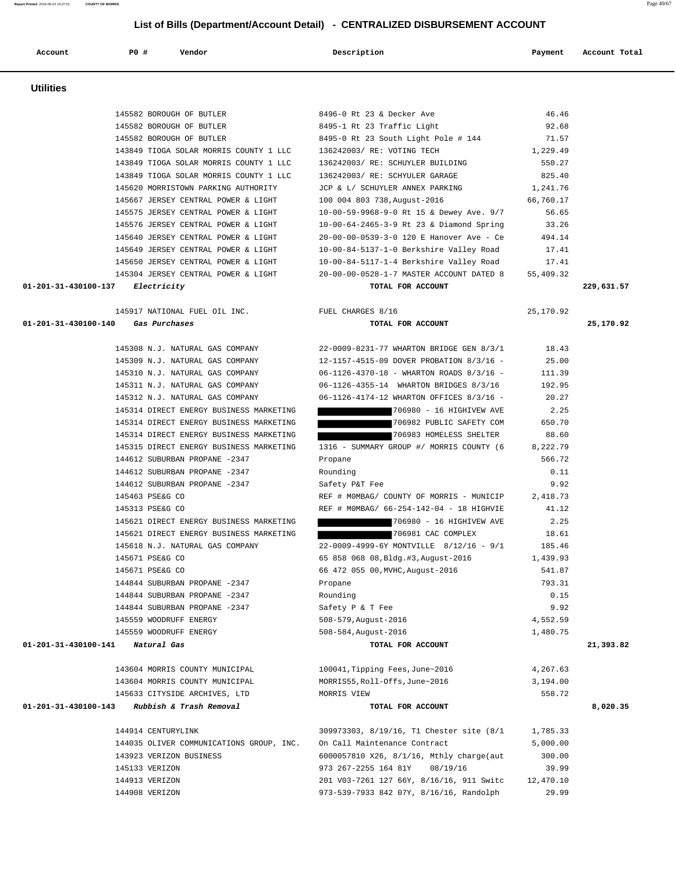**Utilities**  145582 BOROUGH OF BUTLER 8496-0 Rt 23 & Decker Ave 46.46 145582 BOROUGH OF BUTLER 8495-1 Rt 23 Traffic Light 92.68 145582 BOROUGH OF BUTLER 8495-0 Rt 23 South Light Pole # 144 71.57 143849 TIOGA SOLAR MORRIS COUNTY 1 LLC 136242003/ RE: VOTING TECH 1,229.49 143849 TIOGA SOLAR MORRIS COUNTY 1 LLC 136242003/ RE: SCHUYLER BUILDING 550.27 143849 TIOGA SOLAR MORRIS COUNTY 1 LLC 136242003/ RE: SCHYULER GARAGE 825.40 145620 MORRISTOWN PARKING AUTHORITY JCP & L/ SCHUYLER ANNEX PARKING 1,241.76 145667 JERSEY CENTRAL POWER & LIGHT 100 004 803 738,August-2016 66,760.17 145575 JERSEY CENTRAL POWER & LIGHT 10-00-59-9968-9-0 Rt 15 & Dewey Ave. 9/7 56.65 145576 JERSEY CENTRAL POWER & LIGHT 10-00-64-2465-3-9 Rt 23 & Diamond Spring 33.26 145640 JERSEY CENTRAL POWER & LIGHT 20-00-00-0539-3-0 120 E Hanover Ave - Ce 494.14 145649 JERSEY CENTRAL POWER & LIGHT 10-00-84-5137-1-0 Berkshire Valley Road 17.41 145650 JERSEY CENTRAL POWER & LIGHT 10-00-84-5117-1-4 Berkshire Valley Road 17.41 145304 JERSEY CENTRAL POWER & LIGHT 20-00-00-0528-1-7 MASTER ACCOUNT DATED 8 55,409.32  **01-201-31-430100-137 Electricity TOTAL FOR ACCOUNT 229,631.57** 145917 NATIONAL FUEL OIL INC. FUEL CHARGES 8/16 25,170.92  **01-201-31-430100-140 Gas Purchases TOTAL FOR ACCOUNT 25,170.92** 145308 N.J. NATURAL GAS COMPANY 22-0009-8231-77 WHARTON BRIDGE GEN 8/3/1 18.43 145309 N.J. NATURAL GAS COMPANY 12-1157-4515-09 DOVER PROBATION 8/3/16 - 25.00 145310 N.J. NATURAL GAS COMPANY 06-1126-4370-18 - WHARTON ROADS 8/3/16 - 111.39 145311 N.J. NATURAL GAS COMPANY 06-1126-4355-14 WHARTON BRIDGES 8/3/16 192.95 145312 N.J. NATURAL GAS COMPANY 06-1126-4174-12 WHARTON OFFICES 8/3/16 - 20.27 145314 DIRECT ENERGY BUSINESS MARKETING 706980 - 16 HIGHIVEW AVE 2.25 145314 DIRECT ENERGY BUSINESS MARKETING 706982 PUBLIC SAFETY COM 650.70 145314 DIRECT ENERGY BUSINESS MARKETING 706983 HOMELESS SHELTER 88.60 145315 DIRECT ENERGY BUSINESS MARKETING 1316 - SUMMARY GROUP #/ MORRIS COUNTY (6 8,222.79 144612 SUBURBAN PROPANE -2347 Propane 566.72 144612 SUBURBAN PROPANE -2347 Rounding Rounding 0.11 144612 SUBURBAN PROPANE -2347 Safety P&T Fee 9.92 145463 PSE&G CO REF # M0MBAG/ COUNTY OF MORRIS - MUNICIP 2,418.73 145313 PSE&G CO REF # M0MBAG/ 66-254-142-04 - 18 HIGHVIE 41.12 145621 DIRECT ENERGY BUSINESS MARKETING 706980 - 16 HIGHIVEW AVE 2.25 145621 DIRECT ENERGY BUSINESS MARKETING 706981 CAC COMPLEX 18.61 145618 N.J. NATURAL GAS COMPANY 22-0009-4999-6Y MONTVILLE 8/12/16 - 9/1 185.46 145671 PSE&G CO 65 858 068 08,Bldg.#3,August-2016 1,439.93 145671 PSE&G CO 66 472 055 00,MVHC,August-2016 541.87 144844 SUBURBAN PROPANE -2347 Propane 793.31 144844 SUBURBAN PROPANE -2347 Rounding 0.15 144844 SUBURBAN PROPANE -2347 Safety P & T Fee 9.92 145559 WOODRUFF ENERGY 508-579,August-2016 4,552.59 145559 WOODRUFF ENERGY 508-584,August-2016 1,480.75  **01-201-31-430100-141 Natural Gas TOTAL FOR ACCOUNT 21,393.82** 143604 MORRIS COUNTY MUNICIPAL 100041,Tipping Fees,June~2016 4,267.63 143604 MORRIS COUNTY MUNICIPAL MORRIS55,Roll-Offs,June~2016 3,194.00 145633 CITYSIDE ARCHIVES, LTD MORRIS VIEW 558.72  **01-201-31-430100-143 Rubbish & Trash Removal TOTAL FOR ACCOUNT 8,020.35** 144914 CENTURYLINK 309973303, 8/19/16, T1 Chester site (8/1 1,785.33 144035 OLIVER COMMUNICATIONS GROUP, INC. On Call Maintenance Contract 5,000.00 143923 VERIZON BUSINESS 6000057810 X26, 8/1/16, Mthly charge(aut 300.00 145133 VERIZON 973 267-2255 164 81Y 08/19/16 39.99 144913 VERIZON 201 V03-7261 127 66Y, 8/16/16, 911 Switc 12,470.10

144908 VERIZON 973-539-7933 842 07Y, 8/16/16, Randolph 29.99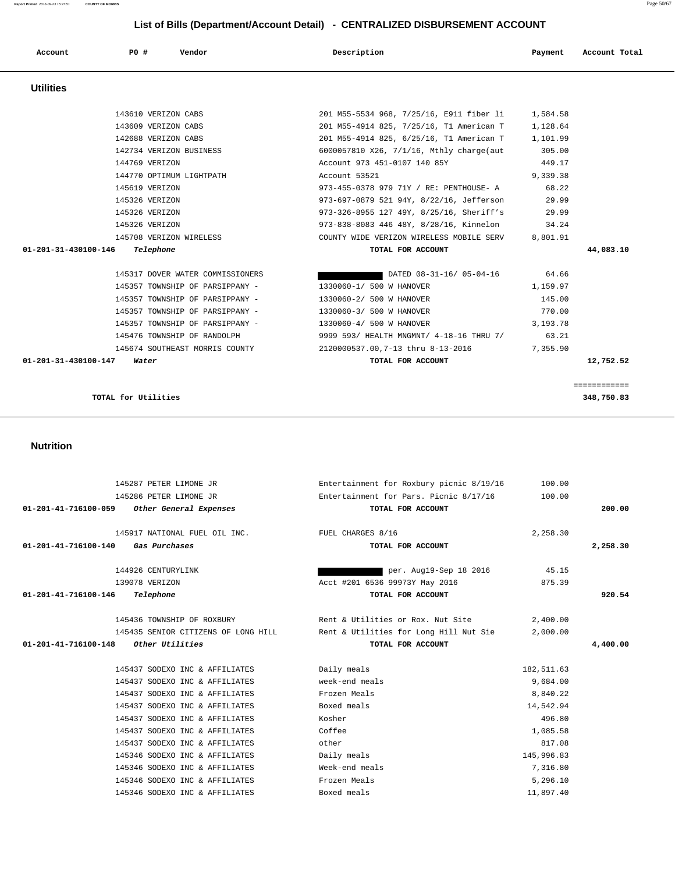## **01-201-41-716100-140 Gas Purchases TOTAL FOR ACCOUNT 2,258.30** 144926 CENTURYLINK per. Aug19-Sep 18 2016 45.15 139078 VERIZON Acct #201 6536 99973Y May 2016 875.39  **01-201-41-716100-146 Telephone TOTAL FOR ACCOUNT 920.54** 145436 TOWNSHIP OF ROXBURY Rent & Utilities or Rox. Nut Site 2,400.00 145435 SENIOR CITIZENS OF LONG HILL Rent & Utilities for Long Hill Nut Sie 2,000.00  **01-201-41-716100-148 Other Utilities TOTAL FOR ACCOUNT 4,400.00** 145437 SODEXO INC & AFFILIATES Daily meals 182,511.63 145437 SODEXO INC & AFFILIATES week-end meals 9,684.00 145437 SODEXO INC & AFFILIATES Frozen Meals 8,840.22 145437 SODEXO INC & AFFILIATES Boxed meals 14,542.94 145437 SODEXO INC & AFFILIATES Kosher 496.80 145437 SODEXO INC & AFFILIATES Coffee 1,085.58 145437 SODEXO INC & AFFILIATES other 817.08 145346 SODEXO INC & AFFILIATES Daily meals 145,996.83 145346 SODEXO INC & AFFILIATES Week-end meals 7,316.80 145346 SODEXO INC & AFFILIATES Frozen Meals 5,296.10 145346 SODEXO INC & AFFILIATES Boxed meals 11,897.40

# **Nutrition**

|                      | 1447734 VERIAUN BUSINESS         | $00000037010$ $\Delta 20$ , $1/1/10$ , Mulliy Chargetaut | 303.UU   |           |
|----------------------|----------------------------------|----------------------------------------------------------|----------|-----------|
|                      | 144769 VERIZON                   | Account 973 451-0107 140 85Y 449.17                      |          |           |
|                      | 144770 OPTIMUM LIGHTPATH         | Account 53521                                            | 9,339.38 |           |
|                      | 145619 VERIZON                   | 973-455-0378 979 71Y / RE: PENTHOUSE- A                  | 68.22    |           |
|                      | 145326 VERIZON                   | 973-697-0879 521 94Y, 8/22/16, Jefferson                 | 29.99    |           |
|                      | 145326 VERIZON                   | 973-326-8955 127 49Y, 8/25/16, Sheriff's                 | 29.99    |           |
|                      | 145326 VERIZON                   | 973-838-8083 446 48Y, 8/28/16, Kinnelon 34.24            |          |           |
|                      | 145708 VERIZON WIRELESS          | COUNTY WIDE VERIZON WIRELESS MOBILE SERV                 | 8,801.91 |           |
|                      |                                  |                                                          |          |           |
| 01-201-31-430100-146 | Telephone                        | TOTAL FOR ACCOUNT                                        |          | 44,083.10 |
|                      |                                  |                                                          |          |           |
|                      | 145317 DOVER WATER COMMISSIONERS | DATED 08-31-16/05-04-16 64.66                            |          |           |
|                      | 145357 TOWNSHIP OF PARSIPPANY -  | 1330060-1/ 500 W HANOVER                                 | 1,159.97 |           |
|                      | 145357 TOWNSHIP OF PARSIPPANY -  | 1330060-2/ 500 W HANOVER                                 | 145.00   |           |
|                      | 145357 TOWNSHIP OF PARSIPPANY -  | 1330060-3/ 500 W HANOVER                                 | 770.00   |           |
|                      | 145357 TOWNSHIP OF PARSIPPANY -  | 1330060-4/ 500 W HANOVER                                 | 3,193.78 |           |
|                      | 145476 TOWNSHIP OF RANDOLPH      | 9999 593/ HEALTH MNGMNT/ 4-18-16 THRU 7/ 63.21           |          |           |

 **01-201-31-430100-147 Water TOTAL FOR ACCOUNT 12,752.52**

**TOTAL for Utilities 348,750.83**

 145287 PETER LIMONE JR Entertainment for Roxbury picnic 8/19/16 100.00 145286 PETER LIMONE JR Entertainment for Pars. Picnic 8/17/16 100.00  **01-201-41-716100-059 Other General Expenses TOTAL FOR ACCOUNT 200.00**

145917 NATIONAL FUEL OIL INC. FUEL CHARGES 8/16 2,258.30

============

# **Account P0 # Vendor Description Payment Account Total Utilities**  143610 VERIZON CABS 201 M55-5534 968, 7/25/16, E911 fiber li 1,584.58 143609 VERIZON CABS 201 M55-4914 825, 7/25/16, T1 American T 1,128.64 142688 VERIZON CABS 201 M55-4914 825, 6/25/16, T1 American T 1,101.99 142734 VERIZON BUSINESS 6000057810 X26, 7/1/16, Mthly charge(aut 305.00 144769 VERIZON Account 973 451-0107 140 85Y 449.17 144770 OPTIMUM LIGHTPATH Account 53521 9,339.38 145619 VERIZON 973-455-0378 979 71Y / RE: PENTHOUSE- A 68.22 145326 VERIZON 973-697-0879 521 94Y, 8/22/16, Jefferson 29.99 145326 VERIZON 973-326-8955 127 49Y, 8/25/16, Sheriff's 29.99 145326 VERIZON 973-838-8083 446 48Y, 8/28/16, Kinnelon 34.24 145708 VERIZON WIRELESS COUNTY WIDE VERIZON WIRELESS MOBILE SERV 8,801.91  **01-201-31-430100-146 Telephone TOTAL FOR ACCOUNT 44,083.10**

## **List of Bills (Department/Account Detail) - CENTRALIZED DISBURSEMENT ACCOUNT**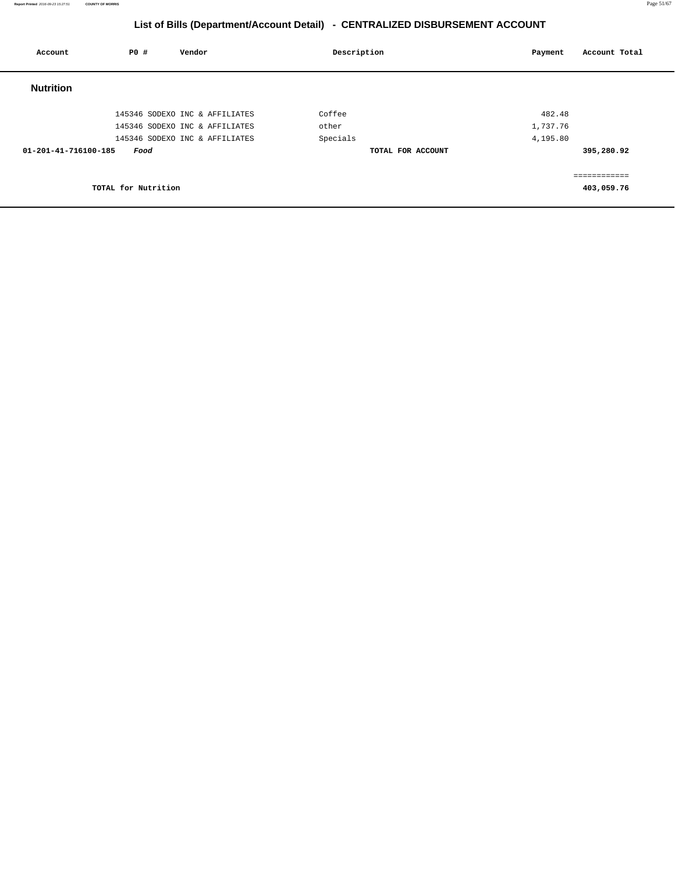| Account              | <b>PO #</b><br>Vendor          | Description       | Payment  | Account Total |
|----------------------|--------------------------------|-------------------|----------|---------------|
| <b>Nutrition</b>     |                                |                   |          |               |
|                      | 145346 SODEXO INC & AFFILIATES | Coffee            | 482.48   |               |
|                      | 145346 SODEXO INC & AFFILIATES | other             | 1,737.76 |               |
|                      | 145346 SODEXO INC & AFFILIATES | Specials          | 4,195.80 |               |
| 01-201-41-716100-185 | Food                           | TOTAL FOR ACCOUNT |          | 395,280.92    |
|                      |                                |                   |          | ------------  |
|                      | TOTAL for Nutrition            |                   |          | 403,059.76    |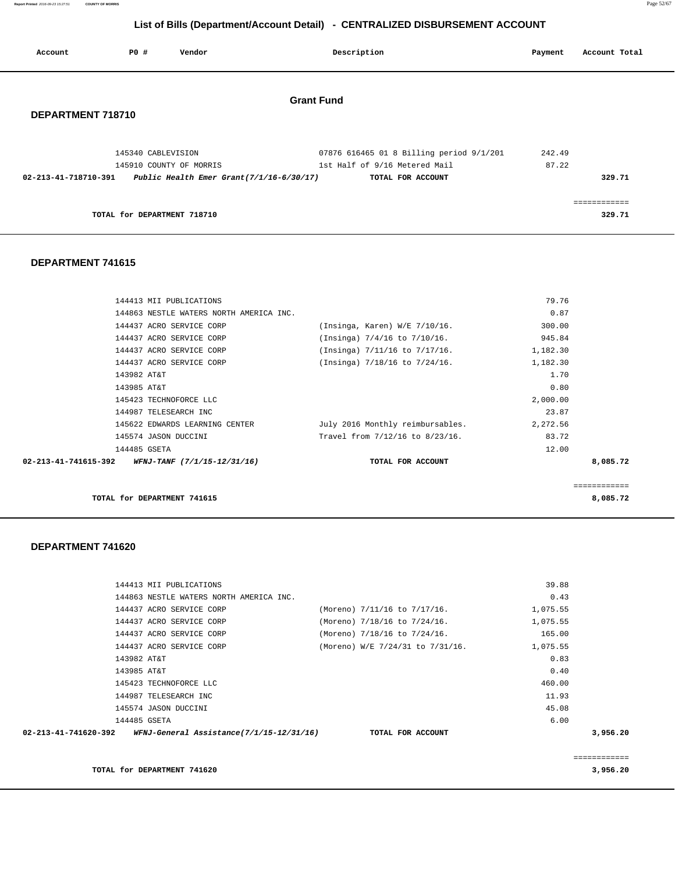**Report Printed** 2016-09-23 15:27:51 **COUNTY OF MORRIS** Page 52/67

## **List of Bills (Department/Account Detail) - CENTRALIZED DISBURSEMENT ACCOUNT**

| Account              | <b>PO #</b>                 | Vendor                  | Description                                                                                                                                   | Payment         | Account Total          |
|----------------------|-----------------------------|-------------------------|-----------------------------------------------------------------------------------------------------------------------------------------------|-----------------|------------------------|
| DEPARTMENT 718710    |                             |                         | <b>Grant Fund</b>                                                                                                                             |                 |                        |
| 02-213-41-718710-391 | 145340 CABLEVISION          | 145910 COUNTY OF MORRIS | 07876 616465 01 8 Billing period 9/1/201<br>1st Half of 9/16 Metered Mail<br>Public Health Emer Grant $(7/1/16-6/30/17)$<br>TOTAL FOR ACCOUNT | 242.49<br>87.22 | 329.71                 |
|                      | TOTAL for DEPARTMENT 718710 |                         |                                                                                                                                               |                 | ------------<br>329.71 |

#### **DEPARTMENT 741615**

| 144413 MII PUBLICATIONS                                    |                                  | 79.76    |          |
|------------------------------------------------------------|----------------------------------|----------|----------|
| 144863 NESTLE WATERS NORTH AMERICA INC.                    |                                  | 0.87     |          |
| 144437 ACRO SERVICE CORP                                   | (Insinga, Karen) W/E 7/10/16.    | 300.00   |          |
| 144437 ACRO SERVICE CORP                                   | $(Insinga)$ 7/4/16 to 7/10/16.   | 945.84   |          |
| 144437 ACRO SERVICE CORP                                   | (Insinga) 7/11/16 to 7/17/16.    | 1,182.30 |          |
| 144437 ACRO SERVICE CORP                                   | (Insinga) 7/18/16 to 7/24/16.    | 1,182.30 |          |
| 143982 AT&T                                                |                                  | 1.70     |          |
| 143985 AT&T                                                |                                  | 0.80     |          |
| 145423 TECHNOFORCE LLC                                     |                                  | 2,000.00 |          |
| 144987 TELESEARCH INC                                      |                                  | 23.87    |          |
| 145622 EDWARDS LEARNING CENTER                             | July 2016 Monthly reimbursables. | 2,272.56 |          |
| 145574 JASON DUCCINI                                       | Travel from 7/12/16 to 8/23/16.  | 83.72    |          |
| 144485 GSETA                                               |                                  | 12.00    |          |
| $02 - 213 - 41 - 741615 - 392$ WFNJ-TANF (7/1/15-12/31/16) | TOTAL FOR ACCOUNT                |          | 8,085.72 |
|                                                            |                                  |          |          |
|                                                            |                                  |          |          |

**TOTAL for DEPARTMENT 741615 8,085.72**

| 144413 MII PUBLICATIONS                                                         |                                  | 39.88    |          |
|---------------------------------------------------------------------------------|----------------------------------|----------|----------|
| 144863 NESTLE WATERS NORTH AMERICA INC.                                         |                                  | 0.43     |          |
| 144437 ACRO SERVICE CORP                                                        | (Moreno) 7/11/16 to 7/17/16.     | 1,075.55 |          |
| 144437 ACRO SERVICE CORP                                                        | (Moreno) 7/18/16 to 7/24/16.     | 1,075.55 |          |
| 144437 ACRO SERVICE CORP                                                        | (Moreno) 7/18/16 to 7/24/16.     | 165.00   |          |
| 144437 ACRO SERVICE CORP                                                        | (Moreno) W/E 7/24/31 to 7/31/16. | 1,075.55 |          |
| 143982 AT&T                                                                     |                                  | 0.83     |          |
| 143985 AT&T                                                                     |                                  | 0.40     |          |
| 145423 TECHNOFORCE LLC                                                          |                                  | 460.00   |          |
| 144987 TELESEARCH INC                                                           |                                  | 11.93    |          |
| 145574 JASON DUCCINI                                                            |                                  | 45.08    |          |
| 144485 GSETA                                                                    |                                  | 6.00     |          |
| 02-213-41-741620-392 WFNJ-General Assistance(7/1/15-12/31/16) TOTAL FOR ACCOUNT |                                  |          | 3,956.20 |
|                                                                                 |                                  |          |          |
|                                                                                 |                                  |          |          |
| TOTAL for DEPARTMENT 741620                                                     |                                  |          | 3,956.20 |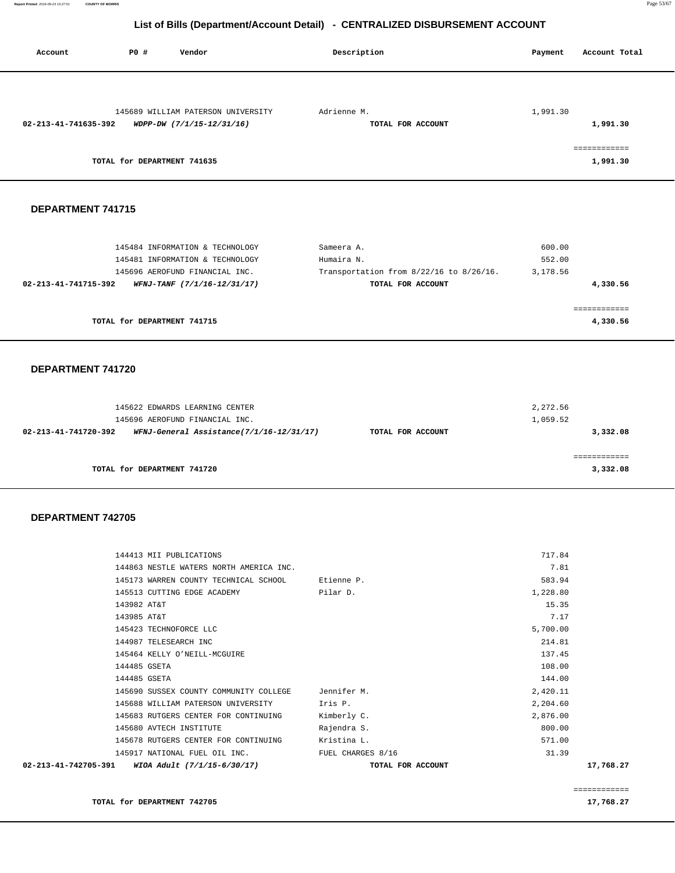| Account              | PO#<br>Vendor                                                   | Description                      | Account Total<br>Payment             |
|----------------------|-----------------------------------------------------------------|----------------------------------|--------------------------------------|
| 02-213-41-741635-392 | 145689 WILLIAM PATERSON UNIVERSITY<br>WDPP-DW (7/1/15-12/31/16) | Adrienne M.<br>TOTAL FOR ACCOUNT | 1,991.30<br>1,991.30<br>============ |
|                      | TOTAL for DEPARTMENT 741635                                     |                                  | 1,991.30                             |
| DEPARTMENT 741715    |                                                                 |                                  |                                      |
|                      | 145494 INFORMATION & TECHNOLOGY                                 | $C2$ moora $\lambda$             | 500.00                               |

| TOTAL for DEPARTMENT 741715                         |                                         | 4,330.56    |
|-----------------------------------------------------|-----------------------------------------|-------------|
|                                                     |                                         | =========== |
| 02-213-41-741715-392<br>WFNJ-TANF (7/1/16-12/31/17) | TOTAL FOR ACCOUNT                       | 4,330.56    |
| 145696 AEROFUND FINANCIAL INC.                      | Transportation from 8/22/16 to 8/26/16. | 3,178.56    |
| 145481 INFORMATION & TECHNOLOGY                     | Humaira N.                              | 552.00      |
| 145484 INFORMATION & TECHNOLOGY                     | sameera A.                              | 600.00      |

#### **DEPARTMENT 741720**

| 145622 EDWARDS LEARNING CENTER<br>145696 AEROFUND FINANCIAL INC. |                   | 2,272.56<br>1,059.52 |
|------------------------------------------------------------------|-------------------|----------------------|
| WFNJ-General Assistance(7/1/16-12/31/17)<br>02-213-41-741720-392 | TOTAL FOR ACCOUNT | 3,332.08             |
| TOTAL for DEPARTMENT 741720                                      |                   | 3,332.08             |

| 02-213-41-742705-391 | WIOA Adult (7/1/15-6/30/17)                         | TOTAL FOR ACCOUNT | 17,768.27 |
|----------------------|-----------------------------------------------------|-------------------|-----------|
|                      | 145917 NATIONAL FUEL OIL INC. THE FUEL CHARGES 8/16 |                   | 31.39     |
|                      | 145678 RUTGERS CENTER FOR CONTINUING                | Kristina L.       | 571.00    |
|                      | 145680 AVTECH INSTITUTE                             | Rajendra S.       | 800.00    |
|                      | 145683 RUTGERS CENTER FOR CONTINUING                | Kimberly C.       | 2,876.00  |
|                      | 145688 WILLIAM PATERSON UNIVERSITY Tris P.          |                   | 2,204.60  |
|                      | 145690 SUSSEX COUNTY COMMUNITY COLLEGE Jennifer M.  |                   | 2,420.11  |
|                      | 144485 GSETA                                        |                   | 144.00    |
|                      | 144485 GSETA                                        |                   | 108.00    |
|                      | 145464 KELLY O'NEILL-MCGUIRE                        |                   | 137.45    |
|                      | 144987 TELESEARCH INC                               |                   | 214.81    |
|                      | 145423 TECHNOFORCE LLC                              |                   | 5,700.00  |
|                      | 143985 AT&T                                         |                   | 7.17      |
|                      | 143982 AT&T                                         |                   | 15.35     |
|                      | 145513 CUTTING EDGE ACADEMY                         | Pilar D.          | 1,228.80  |
|                      | 145173 WARREN COUNTY TECHNICAL SCHOOL Etienne P.    |                   | 583.94    |
|                      | 144863 NESTLE WATERS NORTH AMERICA INC.             |                   | 7.81      |
|                      | 144413 MII PUBLICATIONS                             |                   | 717.84    |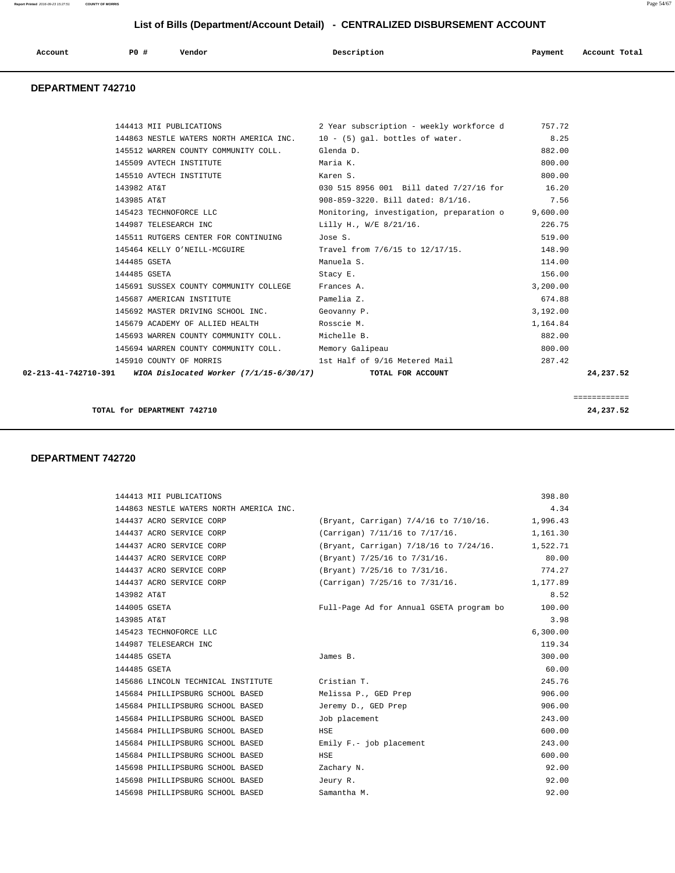| Account | <b>PO #</b> | Vendor | Description | Payment | Account Total |
|---------|-------------|--------|-------------|---------|---------------|
|         |             |        |             |         |               |

#### **DEPARTMENT 742710**

|             |                                                                                | 144413 MII PUBLICATIONS 2 Year subscription - weekly workforce d 757.72      |          |              |
|-------------|--------------------------------------------------------------------------------|------------------------------------------------------------------------------|----------|--------------|
|             |                                                                                | 144863 NESTLE WATERS NORTH AMERICA INC. 10 - (5) gal. bottles of water. 8.25 |          |              |
|             | 145512 WARREN COUNTY COMMUNITY COLL. Glenda D.                                 |                                                                              | 882.00   |              |
|             | 145509 AVTECH INSTITUTE THE Maria K.                                           |                                                                              | 800.00   |              |
|             | 145510 AVTECH INSTITUTE                                                        | Karen S.                                                                     | 800.00   |              |
| 143982 AT&T |                                                                                | 030 515 8956 001 Bill dated 7/27/16 for 16.20                                |          |              |
| 143985 AT&T |                                                                                | 908-859-3220. Bill dated: 8/1/16. 7.56                                       |          |              |
|             |                                                                                | 145423 TECHNOFORCE LLC Monitoring, investigation, preparation o 9,600.00     |          |              |
|             |                                                                                |                                                                              |          |              |
|             | 145511 RUTGERS CENTER FOR CONTINUING Jose S.                                   |                                                                              | 519.00   |              |
|             |                                                                                | 145464 KELLY O'NEILL-MCGUIRE Travel from 7/6/15 to 12/17/15. 148.90          |          |              |
|             | 144485 GSETA                                                                   | Manuela S.                                                                   | 114.00   |              |
|             | 144485 GSETA                                                                   | Stacy E.                                                                     | 156.00   |              |
|             | 145691 SUSSEX COUNTY COMMUNITY COLLEGE Frances A.                              |                                                                              | 3,200.00 |              |
|             | 145687 AMERICAN INSTITUTE THE Ramelia Z.                                       |                                                                              | 674.88   |              |
|             | 145692 MASTER DRIVING SCHOOL INC. Geovanny P.                                  |                                                                              | 3,192.00 |              |
|             | 145679 ACADEMY OF ALLIED HEALTH THE ROSSCIE M.                                 |                                                                              | 1,164.84 |              |
|             | 145693 WARREN COUNTY COMMUNITY COLL. Michelle B.                               |                                                                              | 882.00   |              |
|             | 145694 WARREN COUNTY COMMUNITY COLL. Memory Galipeau                           |                                                                              | 800.00   |              |
|             |                                                                                | 145910 COUNTY OF MORRIS 1st Half of 9/16 Metered Mail                        | 287.42   |              |
|             | 02-213-41-742710-391 WIOA Dislocated Worker (7/1/15-6/30/17) TOTAL FOR ACCOUNT |                                                                              |          | 24,237.52    |
|             |                                                                                |                                                                              |          |              |
|             |                                                                                |                                                                              |          | ============ |

**TOTAL for DEPARTMENT 742710** 24,237.52

| 144413 MII PUBLICATIONS                 |                                          | 398.80   |
|-----------------------------------------|------------------------------------------|----------|
| 144863 NESTLE WATERS NORTH AMERICA INC. |                                          | 4.34     |
| 144437 ACRO SERVICE CORP                | (Bryant, Carrigan) 7/4/16 to 7/10/16.    | 1,996.43 |
| 144437 ACRO SERVICE CORP                | (Carrigan) 7/11/16 to 7/17/16.           | 1,161.30 |
| 144437 ACRO SERVICE CORP                | (Bryant, Carrigan) 7/18/16 to 7/24/16.   | 1,522.71 |
| 144437 ACRO SERVICE CORP                | (Bryant) 7/25/16 to 7/31/16.             | 80.00    |
| 144437 ACRO SERVICE CORP                | (Bryant) 7/25/16 to 7/31/16.             | 774.27   |
| 144437 ACRO SERVICE CORP                | (Carrigan) 7/25/16 to 7/31/16.           | 1,177.89 |
| 143982 AT&T                             |                                          | 8.52     |
| 144005 GSETA                            | Full-Page Ad for Annual GSETA program bo | 100.00   |
| 143985 AT&T                             |                                          | 3.98     |
| 145423 TECHNOFORCE LLC                  |                                          | 6,300.00 |
| 144987 TELESEARCH INC                   |                                          | 119.34   |
| 144485 GSETA                            | James B.                                 | 300.00   |
| 144485 GSETA                            |                                          | 60.00    |
| 145686 LINCOLN TECHNICAL INSTITUTE      | Cristian T.                              | 245.76   |
| 145684 PHILLIPSBURG SCHOOL BASED        | Melissa P., GED Prep                     | 906.00   |
| 145684 PHILLIPSBURG SCHOOL BASED        | Jeremy D., GED Prep                      | 906.00   |
| 145684 PHILLIPSBURG SCHOOL BASED        | Job placement                            | 243.00   |
| 145684 PHILLIPSBURG SCHOOL BASED        | HSE                                      | 600.00   |
| 145684 PHILLIPSBURG SCHOOL BASED        | Emily $F - j$ ob placement               | 243.00   |
| 145684 PHILLIPSBURG SCHOOL BASED        | HSE                                      | 600.00   |
| 145698 PHILLIPSBURG SCHOOL BASED        | Zachary N.                               | 92.00    |
| 145698 PHILLIPSBURG SCHOOL BASED        | Jeury R.                                 | 92.00    |
| 145698 PHILLIPSBURG SCHOOL BASED        | Samantha M.                              | 92.00    |
|                                         |                                          |          |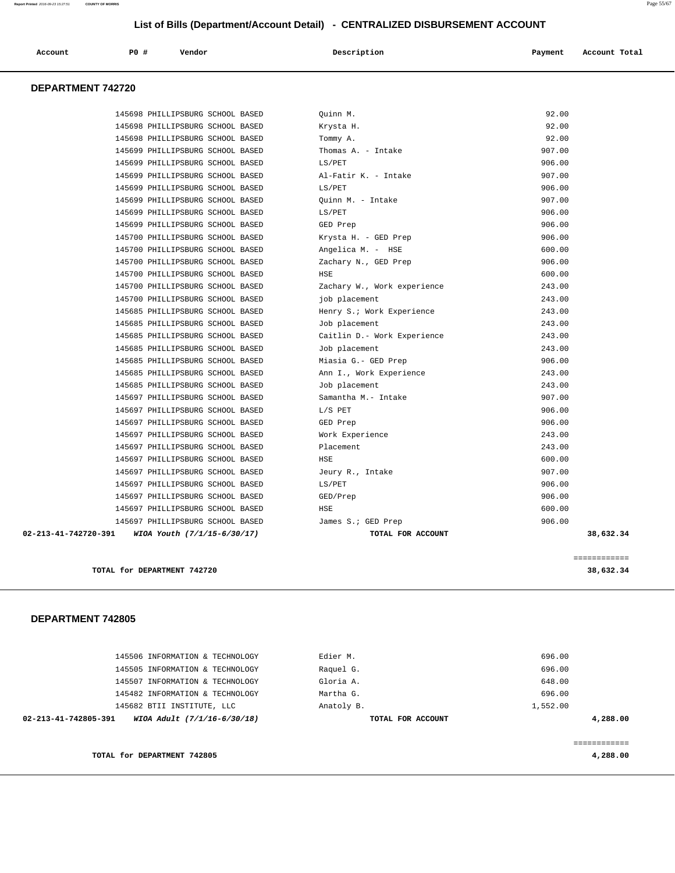| Account                  | PO# | Vendor | Description | Payment | Account Total |
|--------------------------|-----|--------|-------------|---------|---------------|
| <b>DEPARTMENT 742720</b> |     |        |             |         |               |

| 02-213-41-742720-391 | WIOA Youth (7/1/15-6/30/17)      | TOTAL FOR ACCOUNT           | 38,632.34 |
|----------------------|----------------------------------|-----------------------------|-----------|
|                      | 145697 PHILLIPSBURG SCHOOL BASED | James S.; GED Prep          | 906.00    |
|                      | 145697 PHILLIPSBURG SCHOOL BASED | HSE                         | 600.00    |
|                      | 145697 PHILLIPSBURG SCHOOL BASED | GED/Prep                    | 906.00    |
|                      | 145697 PHILLIPSBURG SCHOOL BASED | LS/PET                      | 906.00    |
|                      | 145697 PHILLIPSBURG SCHOOL BASED | Jeury R., Intake            | 907.00    |
|                      | 145697 PHILLIPSBURG SCHOOL BASED | HSE                         | 600.00    |
|                      | 145697 PHILLIPSBURG SCHOOL BASED | Placement                   | 243.00    |
|                      | 145697 PHILLIPSBURG SCHOOL BASED | Work Experience             | 243.00    |
|                      | 145697 PHILLIPSBURG SCHOOL BASED | GED Prep                    | 906.00    |
|                      | 145697 PHILLIPSBURG SCHOOL BASED | L/S PET                     | 906.00    |
|                      | 145697 PHILLIPSBURG SCHOOL BASED | Samantha M.- Intake         | 907.00    |
|                      | 145685 PHILLIPSBURG SCHOOL BASED | Job placement               | 243.00    |
|                      | 145685 PHILLIPSBURG SCHOOL BASED | Ann I., Work Experience     | 243.00    |
|                      | 145685 PHILLIPSBURG SCHOOL BASED | Miasia G.- GED Prep         | 906.00    |
|                      | 145685 PHILLIPSBURG SCHOOL BASED | Job placement               | 243.00    |
|                      | 145685 PHILLIPSBURG SCHOOL BASED | Caitlin D.- Work Experience | 243.00    |
|                      | 145685 PHILLIPSBURG SCHOOL BASED | Job placement               | 243.00    |
|                      | 145685 PHILLIPSBURG SCHOOL BASED | Henry S.; Work Experience   | 243.00    |
|                      | 145700 PHILLIPSBURG SCHOOL BASED | job placement               | 243.00    |
|                      | 145700 PHILLIPSBURG SCHOOL BASED | Zachary W., Work experience | 243.00    |
|                      | 145700 PHILLIPSBURG SCHOOL BASED | HSE                         | 600.00    |
|                      | 145700 PHILLIPSBURG SCHOOL BASED | Zachary N., GED Prep        | 906.00    |
|                      | 145700 PHILLIPSBURG SCHOOL BASED | Angelica M. - HSE           | 600.00    |
|                      | 145700 PHILLIPSBURG SCHOOL BASED | Krysta H. - GED Prep        | 906.00    |
|                      | 145699 PHILLIPSBURG SCHOOL BASED | GED Prep                    | 906.00    |
|                      | 145699 PHILLIPSBURG SCHOOL BASED | LS/PET                      | 906.00    |
|                      | 145699 PHILLIPSBURG SCHOOL BASED | Quinn M. - Intake           | 907.00    |
|                      | 145699 PHILLIPSBURG SCHOOL BASED | LS/PET                      | 906.00    |
|                      | 145699 PHILLIPSBURG SCHOOL BASED | Al-Fatir K. - Intake        | 907.00    |
|                      | 145699 PHILLIPSBURG SCHOOL BASED | LS/PET                      | 906.00    |
|                      | 145699 PHILLIPSBURG SCHOOL BASED | Thomas A. - Intake          | 907.00    |
|                      | 145698 PHILLIPSBURG SCHOOL BASED | Tommy A.                    | 92.00     |
|                      | 145698 PHILLIPSBURG SCHOOL BASED | Krysta H.                   | 92.00     |
|                      | 145698 PHILLIPSBURG SCHOOL BASED | Quinn M.                    | 92.00     |

**TOTAL for DEPARTMENT 742720 38,632.34**

============

| TOTAL for DEPARTMENT 742805                         |                   | 4,288.00 |
|-----------------------------------------------------|-------------------|----------|
|                                                     |                   |          |
| WIOA Adult (7/1/16-6/30/18)<br>02-213-41-742805-391 | TOTAL FOR ACCOUNT | 4,288.00 |
| 145682 BTII INSTITUTE, LLC                          | Anatoly B.        | 1,552.00 |
| 145482 INFORMATION & TECHNOLOGY                     | Martha G.         | 696.00   |
| 145507 INFORMATION & TECHNOLOGY                     | Gloria A.         | 648.00   |
| 145505 INFORMATION & TECHNOLOGY                     | Raquel G.         | 696.00   |
| 145506 INFORMATION & TECHNOLOGY                     | Edier M.          | 696.00   |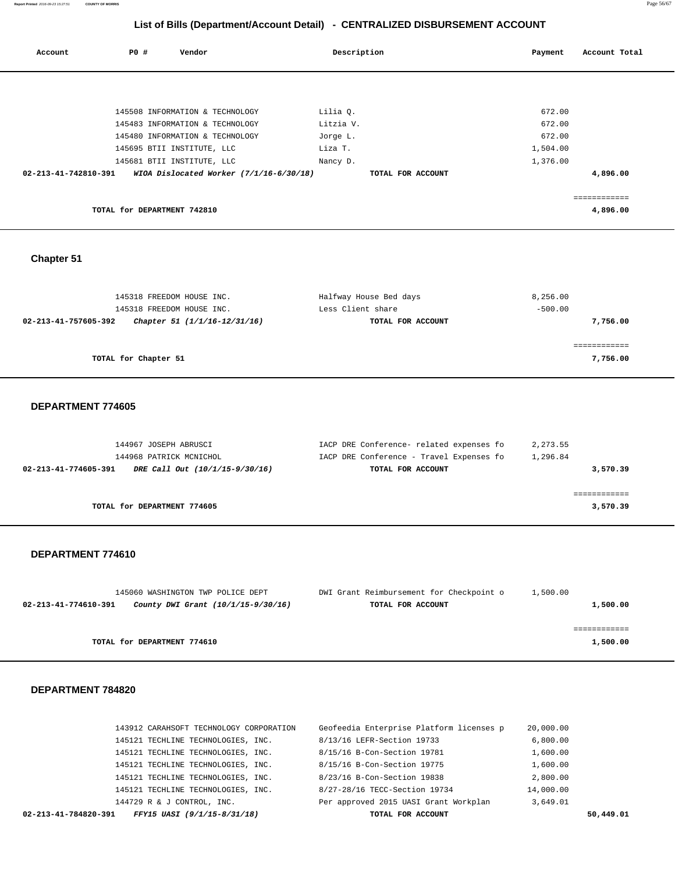**Report Printed** 2016-09-23 15:27:51 **COUNTY OF MORRIS** Page 56/67

## **List of Bills (Department/Account Detail) - CENTRALIZED DISBURSEMENT ACCOUNT**

| Account                        | PO#                         | Vendor                                  | Description       | Payment  | Account Total |
|--------------------------------|-----------------------------|-----------------------------------------|-------------------|----------|---------------|
|                                |                             |                                         |                   |          |               |
|                                |                             | 145508 INFORMATION & TECHNOLOGY         | Lilia Q.          | 672.00   |               |
|                                |                             | 145483 INFORMATION & TECHNOLOGY         | Litzia V.         | 672.00   |               |
|                                |                             | 145480 INFORMATION & TECHNOLOGY         | Jorge L.          | 672.00   |               |
|                                |                             | 145695 BTII INSTITUTE, LLC              | Liza T.           | 1,504.00 |               |
|                                |                             | 145681 BTII INSTITUTE, LLC              | Nancy D.          | 1,376.00 |               |
| $02 - 213 - 41 - 742810 - 391$ |                             | WIOA Dislocated Worker (7/1/16-6/30/18) | TOTAL FOR ACCOUNT |          | 4,896.00      |
|                                |                             |                                         |                   |          |               |
|                                | TOTAL for DEPARTMENT 742810 |                                         |                   |          | 4,896.00      |

# **Chapter 51**

| 145318 FREEDOM HOUSE INC. |                              | Halfway House Bed days | 8,256.00  |
|---------------------------|------------------------------|------------------------|-----------|
| 145318 FREEDOM HOUSE INC. |                              | Less Client share      | $-500.00$ |
| 02-213-41-757605-392      | Chapter 51 (1/1/16-12/31/16) | TOTAL FOR ACCOUNT      | 7,756.00  |
|                           |                              |                        |           |
|                           |                              |                        |           |
| TOTAL for Chapter 51      |                              |                        | 7,756.00  |
|                           |                              |                        |           |

## **DEPARTMENT 774605**

| 144967 JOSEPH ABRUSCI                                  | IACP DRE Conference- related expenses fo | 2,273.55 |
|--------------------------------------------------------|------------------------------------------|----------|
| 144968 PATRICK MCNICHOL                                | IACP DRE Conference - Travel Expenses fo | 1,296.84 |
| 02-213-41-774605-391<br>DRE Call Out (10/1/15-9/30/16) | TOTAL FOR ACCOUNT                        | 3,570.39 |
|                                                        |                                          |          |
|                                                        |                                          |          |
| TOTAL for DEPARTMENT 774605                            |                                          | 3,570.39 |

#### **DEPARTMENT 774610**

| 145060 WASHINGTON TWP POLICE DEPT                          | DWI Grant Reimbursement for Checkpoint o | 1,500.00 |
|------------------------------------------------------------|------------------------------------------|----------|
| County DWI Grant (10/1/15-9/30/16)<br>02-213-41-774610-391 | TOTAL FOR ACCOUNT                        | 1,500.00 |
|                                                            |                                          |          |
|                                                            |                                          |          |
| TOTAL for DEPARTMENT 774610                                |                                          | 1,500.00 |

| FFY15 UASI (9/1/15-8/31/18)<br>02-213-41-784820-391 | TOTAL FOR ACCOUNT                        |           | 50,449.01 |
|-----------------------------------------------------|------------------------------------------|-----------|-----------|
| 144729 R & J CONTROL, INC.                          | Per approved 2015 UASI Grant Workplan    | 3,649.01  |           |
| 145121 TECHLINE TECHNOLOGIES, INC.                  | 8/27-28/16 TECC-Section 19734            | 14,000.00 |           |
| 145121 TECHLINE TECHNOLOGIES, INC.                  | 8/23/16 B-Con-Section 19838              | 2,800.00  |           |
| 145121 TECHLINE TECHNOLOGIES, INC.                  | 8/15/16 B-Con-Section 19775              | 1,600.00  |           |
| 145121 TECHLINE TECHNOLOGIES, INC.                  | 8/15/16 B-Con-Section 19781              | 1,600.00  |           |
| 145121 TECHLINE TECHNOLOGIES, INC.                  | 8/13/16 LEFR-Section 19733               | 6,800.00  |           |
| 143912 CARAHSOFT TECHNOLOGY CORPORATION             | Geofeedia Enterprise Platform licenses p | 20,000.00 |           |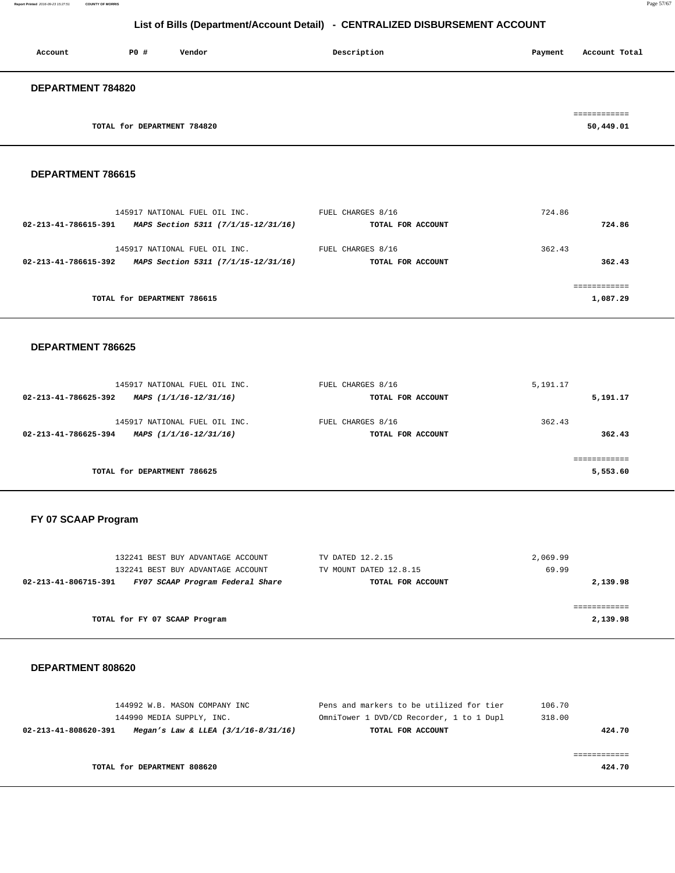| Account                  | P0#                         | Vendor | Description | Payment | Account Total |
|--------------------------|-----------------------------|--------|-------------|---------|---------------|
| <b>DEPARTMENT 784820</b> |                             |        |             |         |               |
|                          |                             |        |             |         | ============  |
|                          | TOTAL for DEPARTMENT 784820 |        |             |         | 50,449.01     |

#### **DEPARTMENT 786615**

| 145917 NATIONAL FUEL OIL INC.<br>MAPS Section 5311 (7/1/15-12/31/16)<br>02-213-41-786615-391 | FUEL CHARGES 8/16<br>TOTAL FOR ACCOUNT | 724.86<br>724.86 |
|----------------------------------------------------------------------------------------------|----------------------------------------|------------------|
| 145917 NATIONAL FUEL OIL INC.<br>MAPS Section 5311 (7/1/15-12/31/16)<br>02-213-41-786615-392 | FUEL CHARGES 8/16<br>TOTAL FOR ACCOUNT | 362.43<br>362.43 |
| TOTAL for DEPARTMENT 786615                                                                  |                                        | 1,087.29         |

#### **DEPARTMENT 786625**

| 145917 NATIONAL FUEL OIL INC.                  | FUEL CHARGES 8/16 | 5,191.17 |
|------------------------------------------------|-------------------|----------|
| 02-213-41-786625-392<br>MAPS (1/1/16-12/31/16) | TOTAL FOR ACCOUNT | 5,191.17 |
| 145917 NATIONAL FUEL OIL INC.                  | FUEL CHARGES 8/16 | 362.43   |
| 02-213-41-786625-394<br>MAPS (1/1/16-12/31/16) | TOTAL FOR ACCOUNT | 362.43   |
|                                                |                   |          |
| TOTAL for DEPARTMENT 786625                    |                   | 5,553.60 |
|                                                |                   |          |

# **FY 07 SCAAP Program**

| 132241 BEST BUY ADVANTAGE ACCOUNT                        | TV DATED 12.2.15       | 2,069.99 |
|----------------------------------------------------------|------------------------|----------|
| 132241 BEST BUY ADVANTAGE ACCOUNT                        | TV MOUNT DATED 12.8.15 | 69.99    |
| FY07 SCAAP Program Federal Share<br>02-213-41-806715-391 | TOTAL FOR ACCOUNT      | 2,139.98 |
|                                                          |                        |          |
|                                                          |                        |          |
| TOTAL for FY 07 SCAAP Program                            |                        | 2,139.98 |
|                                                          |                        |          |

| 144992 W.B. MASON COMPANY INC                                   | Pens and markers to be utilized for tier | 106.70 |
|-----------------------------------------------------------------|------------------------------------------|--------|
| 144990 MEDIA SUPPLY, INC.                                       | OmniTower 1 DVD/CD Recorder, 1 to 1 Dupl | 318.00 |
| 02-213-41-808620-391<br>Megan's Law & LLEA $(3/1/16 - 8/31/16)$ | TOTAL FOR ACCOUNT                        | 424.70 |
|                                                                 |                                          |        |
|                                                                 |                                          |        |
| TOTAL for DEPARTMENT 808620                                     |                                          | 424.70 |
|                                                                 |                                          |        |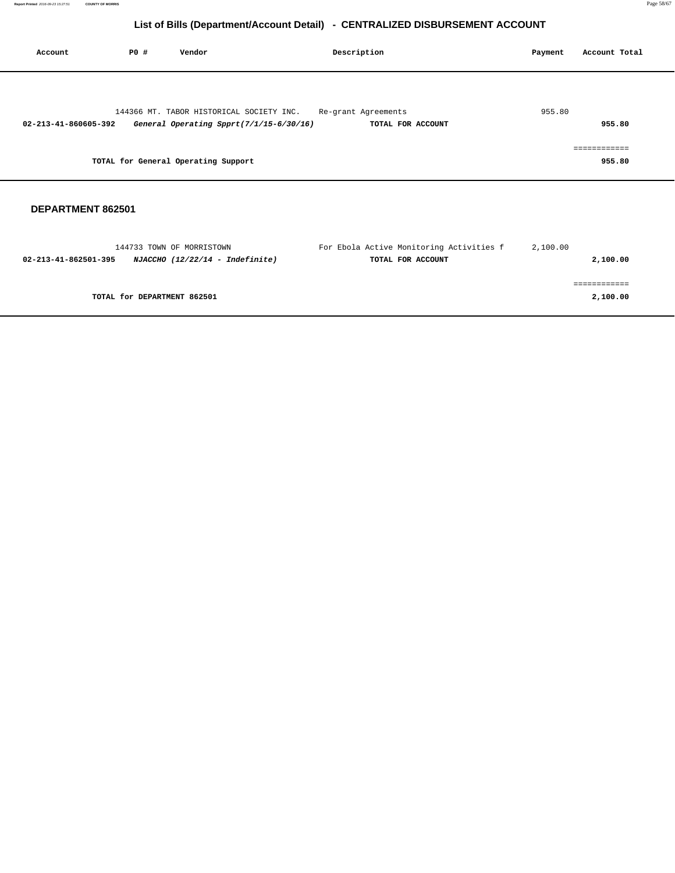| Account              | P0 # | Vendor                                                                              | Description                              | Payment | Account Total       |
|----------------------|------|-------------------------------------------------------------------------------------|------------------------------------------|---------|---------------------|
| 02-213-41-860605-392 |      | 144366 MT. TABOR HISTORICAL SOCIETY INC.<br>General Operating Spprt(7/1/15-6/30/16) | Re-grant Agreements<br>TOTAL FOR ACCOUNT | 955.80  | 955.80              |
|                      |      | TOTAL for General Operating Support                                                 |                                          |         | =========<br>955.80 |

| 144733 TOWN OF MORRISTOWN                               | For Ebola Active Monitoring Activities f | 2,100.00 |
|---------------------------------------------------------|------------------------------------------|----------|
| NJACCHO (12/22/14 - Indefinite)<br>02-213-41-862501-395 | TOTAL FOR ACCOUNT                        | 2,100.00 |
|                                                         |                                          |          |
|                                                         |                                          |          |
| TOTAL for DEPARTMENT 862501                             |                                          | 2,100.00 |
|                                                         |                                          |          |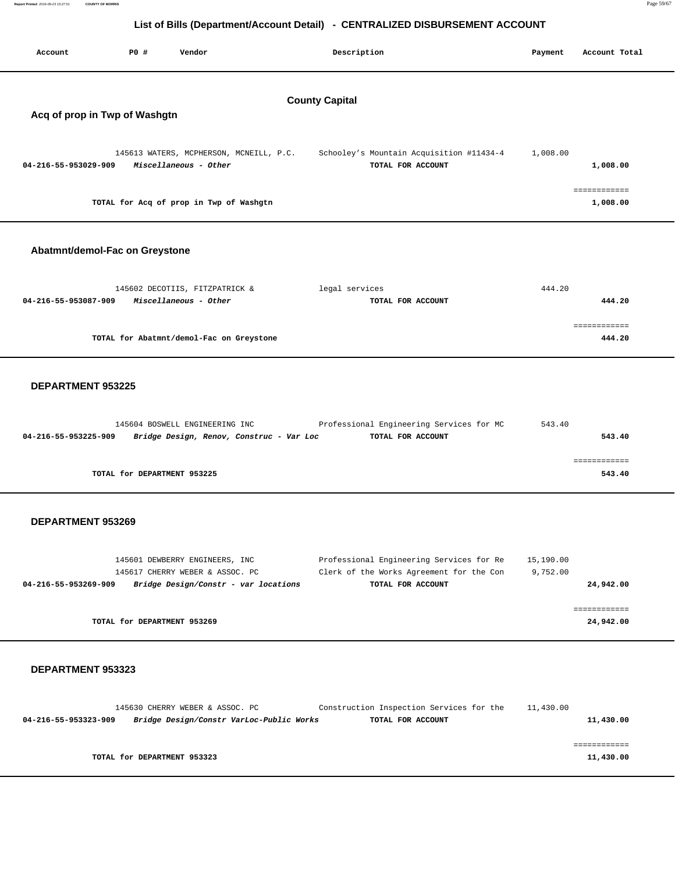| Account                                                | PO#<br>Vendor                                                    | Description                                                   | Account Total<br>Payment |  |  |  |
|--------------------------------------------------------|------------------------------------------------------------------|---------------------------------------------------------------|--------------------------|--|--|--|
| <b>County Capital</b><br>Acq of prop in Twp of Washgtn |                                                                  |                                                               |                          |  |  |  |
| 04-216-55-953029-909                                   | 145613 WATERS, MCPHERSON, MCNEILL, P.C.<br>Miscellaneous - Other | Schooley's Mountain Acquisition #11434-4<br>TOTAL FOR ACCOUNT | 1,008.00<br>1,008.00     |  |  |  |
|                                                        | TOTAL for Acq of prop in Twp of Washgtn                          |                                                               | ============<br>1,008.00 |  |  |  |
|                                                        | Abatmnt/demol-Fac on Greystone                                   |                                                               |                          |  |  |  |
| 04-216-55-953087-909                                   | 145602 DECOTIIS, FITZPATRICK &<br>Miscellaneous - Other          | legal services<br>TOTAL FOR ACCOUNT                           | 444.20<br>444.20         |  |  |  |

**TOTAL for Abatmnt/demol-Fac on Greystone 444.20**

#### **DEPARTMENT 953225**

| 145604 BOSWELL ENGINEERING INC                                   | Professional Engineering Services for MC | 543.40 |
|------------------------------------------------------------------|------------------------------------------|--------|
| Bridge Design, Renov, Construc - Var Loc<br>04-216-55-953225-909 | TOTAL FOR ACCOUNT                        | 543.40 |
|                                                                  |                                          |        |
|                                                                  |                                          |        |
| TOTAL for DEPARTMENT 953225                                      |                                          | 543.40 |
|                                                                  |                                          |        |

============

#### **DEPARTMENT 953269**

| 145601 DEWBERRY ENGINEERS, INC                               | Professional Engineering Services for Re | 15,190.00 |
|--------------------------------------------------------------|------------------------------------------|-----------|
| 145617 CHERRY WEBER & ASSOC. PC                              | Clerk of the Works Agreement for the Con | 9.752.00  |
| Bridge Design/Constr - var locations<br>04-216-55-953269-909 | TOTAL FOR ACCOUNT                        | 24,942,00 |
|                                                              |                                          |           |
|                                                              |                                          |           |
| TOTAL for DEPARTMENT 953269                                  |                                          | 24,942.00 |
|                                                              |                                          |           |

|           | 11,430.00 | Construction Inspection Services for the | 145630 CHERRY WEBER & ASSOC. PC          |                             |  |
|-----------|-----------|------------------------------------------|------------------------------------------|-----------------------------|--|
| 11,430.00 |           | TOTAL FOR ACCOUNT                        | Bridge Design/Constr VarLoc-Public Works | 04-216-55-953323-909        |  |
|           |           |                                          |                                          |                             |  |
|           |           |                                          |                                          |                             |  |
|           |           |                                          |                                          |                             |  |
| 11,430.00 |           |                                          |                                          | TOTAL for DEPARTMENT 953323 |  |
|           |           |                                          |                                          |                             |  |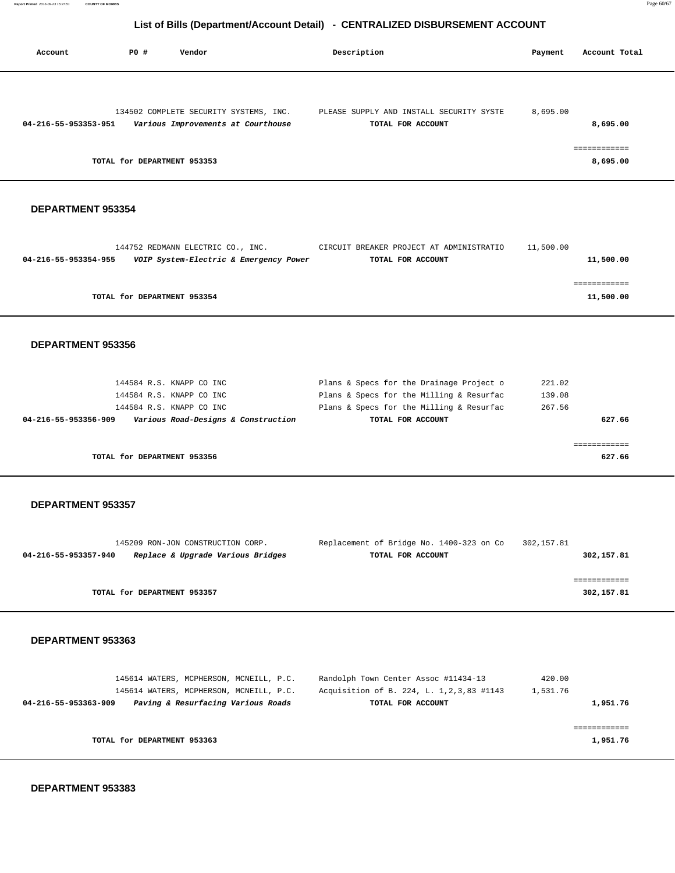| Account              | PO#                         | Vendor                                 | Description                              | Payment  | Account Total |
|----------------------|-----------------------------|----------------------------------------|------------------------------------------|----------|---------------|
|                      |                             |                                        |                                          |          |               |
|                      |                             | 134502 COMPLETE SECURITY SYSTEMS, INC. | PLEASE SUPPLY AND INSTALL SECURITY SYSTE | 8,695.00 |               |
| 04-216-55-953353-951 |                             | Various Improvements at Courthouse     | TOTAL FOR ACCOUNT                        |          | 8,695.00      |
|                      |                             |                                        |                                          |          | ============  |
|                      | TOTAL for DEPARTMENT 953353 |                                        |                                          |          | 8,695.00      |

#### **DEPARTMENT 953354**

|                      | 144752 REDMANN ELECTRIC CO., INC.      | CIRCUIT BREAKER PROJECT AT ADMINISTRATIO | 11,500.00 |
|----------------------|----------------------------------------|------------------------------------------|-----------|
| 04-216-55-953354-955 | VOIP System-Electric & Emergency Power | TOTAL FOR ACCOUNT                        | 11,500.00 |
|                      |                                        |                                          |           |
|                      |                                        |                                          |           |
|                      | TOTAL for DEPARTMENT 953354            |                                          | 11,500.00 |
|                      |                                        |                                          |           |

#### **DEPARTMENT 953356**

| 144584 R.S. KNAPP CO INC                                    | Plans & Specs for the Drainage Project o | 221.02 |
|-------------------------------------------------------------|------------------------------------------|--------|
| 144584 R.S. KNAPP CO INC                                    | Plans & Specs for the Milling & Resurfac | 139.08 |
| 144584 R.S. KNAPP CO INC                                    | Plans & Specs for the Milling & Resurfac | 267.56 |
| Various Road-Designs & Construction<br>04-216-55-953356-909 | TOTAL FOR ACCOUNT                        | 627.66 |
|                                                             |                                          |        |
|                                                             |                                          |        |
| TOTAL for DEPARTMENT 953356                                 |                                          | 627.66 |

#### **DEPARTMENT 953357**

|                      | 145209 RON-JON CONSTRUCTION CORP. | Replacement of Bridge No. 1400-323 on Co | 302,157.81 |
|----------------------|-----------------------------------|------------------------------------------|------------|
| 04-216-55-953357-940 | Replace & Upgrade Various Bridges | TOTAL FOR ACCOUNT                        | 302,157.81 |
|                      |                                   |                                          |            |
|                      |                                   |                                          |            |
|                      | TOTAL for DEPARTMENT 953357       |                                          | 302,157.81 |
|                      |                                   |                                          |            |

#### **DEPARTMENT 953363**

| 145614 WATERS, MCPHERSON, MCNEILL, P.C.                    | Randolph Town Center Assoc #11434-13        | 420.00   |          |
|------------------------------------------------------------|---------------------------------------------|----------|----------|
| 145614 WATERS, MCPHERSON, MCNEILL, P.C.                    | Acquisition of B. 224, L. 1, 2, 3, 83 #1143 | 1,531.76 |          |
| Paving & Resurfacing Various Roads<br>04-216-55-953363-909 | TOTAL FOR ACCOUNT                           |          | 1,951.76 |
|                                                            |                                             |          |          |
|                                                            |                                             |          |          |
| TOTAL for DEPARTMENT 953363                                |                                             |          | 1,951.76 |
|                                                            |                                             |          |          |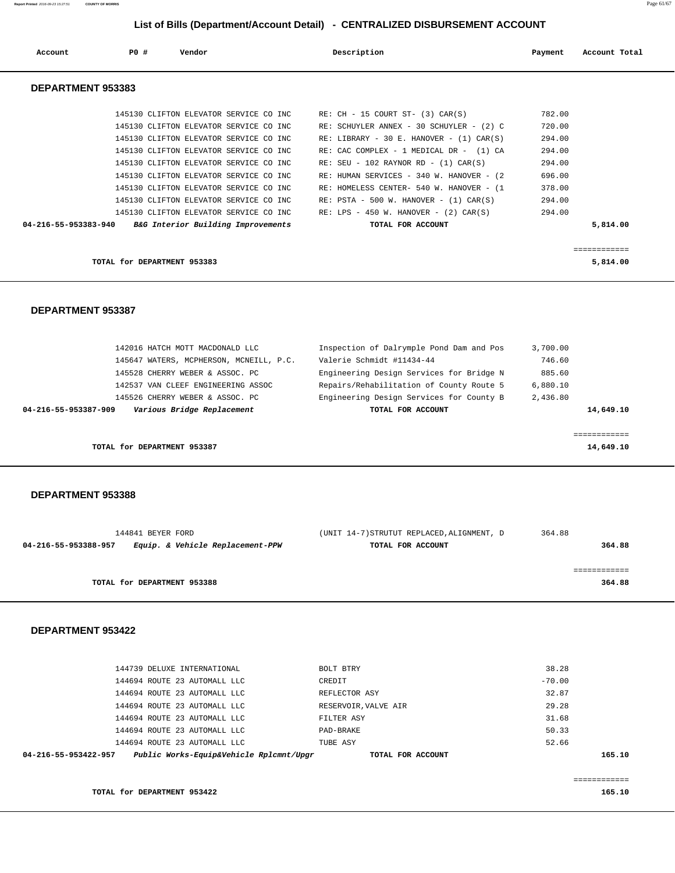| Account                  | PO# | Vendor                                                                                                                                                                                                                                                                                               | Description |                                                                                                                                                                                                                                                                                                              | Payment                                                            | Account Total |
|--------------------------|-----|------------------------------------------------------------------------------------------------------------------------------------------------------------------------------------------------------------------------------------------------------------------------------------------------------|-------------|--------------------------------------------------------------------------------------------------------------------------------------------------------------------------------------------------------------------------------------------------------------------------------------------------------------|--------------------------------------------------------------------|---------------|
| <b>DEPARTMENT 953383</b> |     |                                                                                                                                                                                                                                                                                                      |             |                                                                                                                                                                                                                                                                                                              |                                                                    |               |
|                          |     | 145130 CLIFTON ELEVATOR SERVICE CO INC.<br>145130 CLIFTON ELEVATOR SERVICE CO INC<br>145130 CLIFTON ELEVATOR SERVICE CO INC.<br>145130 CLIFTON ELEVATOR SERVICE CO INC<br>145130 CLIFTON ELEVATOR SERVICE CO INC<br>145130 CLIFTON ELEVATOR SERVICE CO INC<br>145130 CLIFTON ELEVATOR SERVICE CO INC | RE:         | $RE: CH - 15 COURT ST- (3) CAR(S)$<br>RE: SCHUYLER ANNEX - 30 SCHUYLER - (2) C<br>RE: LIBRARY - 30 E. HANOVER - $(1)$ CAR $(S)$<br>RE: CAC COMPLEX - 1 MEDICAL DR - (1) CA<br>RE: SEU - 102 RAYNOR RD - $(1)$ CAR $(S)$<br>RE: HUMAN SERVICES - 340 W. HANOVER - (2)<br>HOMELESS CENTER- 540 W. HANOVER - (1 | 782.00<br>720.00<br>294.00<br>294.00<br>294.00<br>696.00<br>378.00 |               |
| 04-216-55-953383-940     |     | 145130 CLIFTON ELEVATOR SERVICE CO INC.<br>145130 CLIFTON ELEVATOR SERVICE CO INC<br>B&G Interior Building Improvements                                                                                                                                                                              |             | RE: PSTA - 500 W. HANOVER - $(1)$ CAR $(S)$<br>RE: LPS - 450 W. HANOVER - $(2)$ CAR $(S)$<br>TOTAL FOR ACCOUNT                                                                                                                                                                                               | 294.00<br>294.00                                                   | 5,814.00      |

**TOTAL for DEPARTMENT 953383 5,814.00**

============

#### **DEPARTMENT 953387**

| 04-216-55-953387-909 | Various Bridge Replacement              | TOTAL FOR ACCOUNT                        |          | 14,649.10 |
|----------------------|-----------------------------------------|------------------------------------------|----------|-----------|
|                      | 145526 CHERRY WEBER & ASSOC. PC         | Engineering Design Services for County B | 2,436.80 |           |
|                      | 142537 VAN CLEEF ENGINEERING ASSOC      | Repairs/Rehabilitation of County Route 5 | 6,880.10 |           |
|                      | 145528 CHERRY WEBER & ASSOC. PC         | Engineering Design Services for Bridge N | 885.60   |           |
|                      | 145647 WATERS, MCPHERSON, MCNEILL, P.C. | Valerie Schmidt #11434-44                | 746.60   |           |
|                      | 142016 HATCH MOTT MACDONALD LLC         | Inspection of Dalrymple Pond Dam and Pos | 3,700.00 |           |
|                      |                                         |                                          |          |           |

**TOTAL for DEPARTMENT 953387** 14,649.10

 **DEPARTMENT 953388** 

| 144841 BEYER FORD                                        | (UNIT 14-7) STRUTUT REPLACED, ALIGNMENT, D | 364.88 |
|----------------------------------------------------------|--------------------------------------------|--------|
| Equip. & Vehicle Replacement-PPW<br>04-216-55-953388-957 | TOTAL FOR ACCOUNT                          | 364.88 |
| TOTAL for DEPARTMENT 953388                              |                                            | 364.88 |

| Public Works-Equip&Vehicle Rplcmnt/Upgr<br>04-216-55-953422-957 | TOTAL FOR ACCOUNT    |          | 165.10 |
|-----------------------------------------------------------------|----------------------|----------|--------|
| 144694 ROUTE 23 AUTOMALL LLC                                    | TUBE ASY             | 52.66    |        |
| 144694 ROUTE 23 AUTOMALL LLC                                    | PAD-BRAKE            | 50.33    |        |
| 144694 ROUTE 23 AUTOMALL LLC                                    | FILTER ASY           | 31.68    |        |
| 144694 ROUTE 23 AUTOMALL LLC                                    | RESERVOIR, VALVE AIR | 29.28    |        |
| 144694 ROUTE 23 AUTOMALL LLC                                    | REFLECTOR ASY        | 32.87    |        |
| 144694 ROUTE 23 AUTOMALL LLC                                    | CREDIT               | $-70.00$ |        |
| 144739 DELUXE INTERNATIONAL                                     | BOLT BTRY            | 38.28    |        |
|                                                                 |                      |          |        |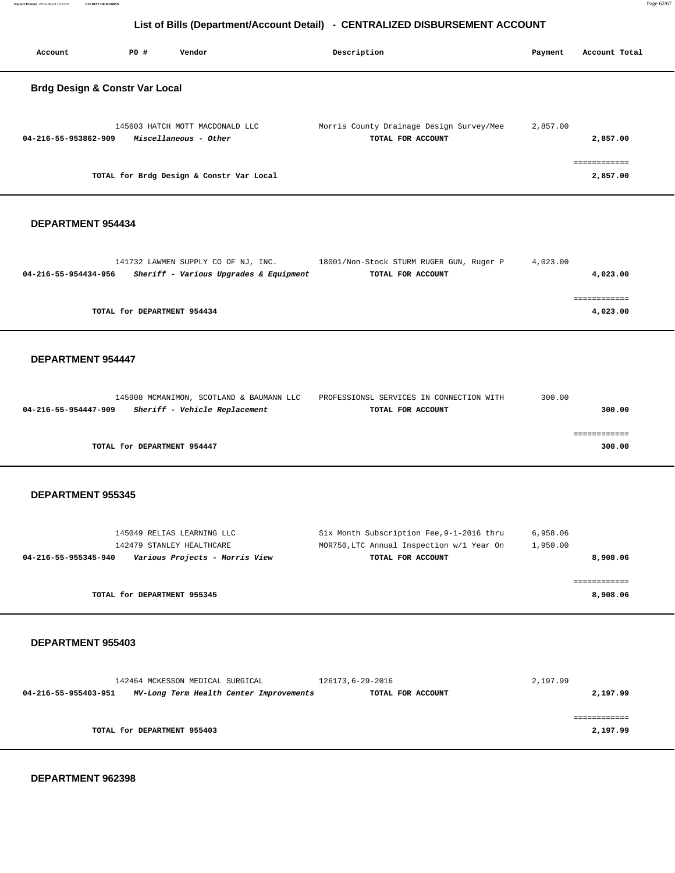| Account                                   | PO# | Vendor                                                   | Description                                                   | Payment  | Account Total            |
|-------------------------------------------|-----|----------------------------------------------------------|---------------------------------------------------------------|----------|--------------------------|
| <b>Brdg Design &amp; Constr Var Local</b> |     |                                                          |                                                               |          |                          |
| 04-216-55-953862-909                      |     | 145603 HATCH MOTT MACDONALD LLC<br>Miscellaneous - Other | Morris County Drainage Design Survey/Mee<br>TOTAL FOR ACCOUNT | 2,857.00 | 2,857.00                 |
|                                           |     | TOTAL for Brdg Design & Constr Var Local                 |                                                               |          | ============<br>2,857.00 |

#### **DEPARTMENT 954434**

|                      | 141732 LAWMEN SUPPLY CO OF NJ, INC.    |  | 18001/Non-Stock STURM RUGER GUN, Ruger P |  | 4,023.00 |          |
|----------------------|----------------------------------------|--|------------------------------------------|--|----------|----------|
| 04-216-55-954434-956 | Sheriff - Various Upgrades & Equipment |  | TOTAL FOR ACCOUNT                        |  |          | 4,023.00 |
|                      |                                        |  |                                          |  |          |          |
|                      |                                        |  |                                          |  |          |          |
|                      | TOTAL for DEPARTMENT 954434            |  |                                          |  |          | 4,023.00 |
|                      |                                        |  |                                          |  |          |          |

#### **DEPARTMENT 954447**

| 145908 MCMANIMON, SCOTLAND & BAUMANN LLC              | PROFESSIONSL SERVICES IN CONNECTION WITH | 300.00 |
|-------------------------------------------------------|------------------------------------------|--------|
| Sheriff - Vehicle Replacement<br>04-216-55-954447-909 | TOTAL FOR ACCOUNT                        | 300.00 |
|                                                       |                                          |        |
|                                                       |                                          |        |
| TOTAL for DEPARTMENT 954447                           |                                          | 300.00 |

#### **DEPARTMENT 955345**

| 145049 RELIAS LEARNING LLC                             | Six Month Subscription Fee, 9-1-2016 thru | 6,958.06 |
|--------------------------------------------------------|-------------------------------------------|----------|
| 142479 STANLEY HEALTHCARE                              | MOR750, LTC Annual Inspection w/1 Year On | 1,950.00 |
| Various Projects - Morris View<br>04-216-55-955345-940 | TOTAL FOR ACCOUNT                         | 8,908.06 |
|                                                        |                                           |          |
|                                                        |                                           |          |
| TOTAL for DEPARTMENT 955345                            |                                           | 8,908.06 |
|                                                        |                                           |          |

|                      | 142464 MCKESSON MEDICAL SURGICAL        | 126173,6-29-2016  | 2,197.99 |
|----------------------|-----------------------------------------|-------------------|----------|
| 04-216-55-955403-951 | MV-Long Term Health Center Improvements | TOTAL FOR ACCOUNT | 2,197.99 |
|                      |                                         |                   |          |
|                      |                                         |                   |          |
|                      | TOTAL for DEPARTMENT 955403             |                   | 2,197.99 |
|                      |                                         |                   |          |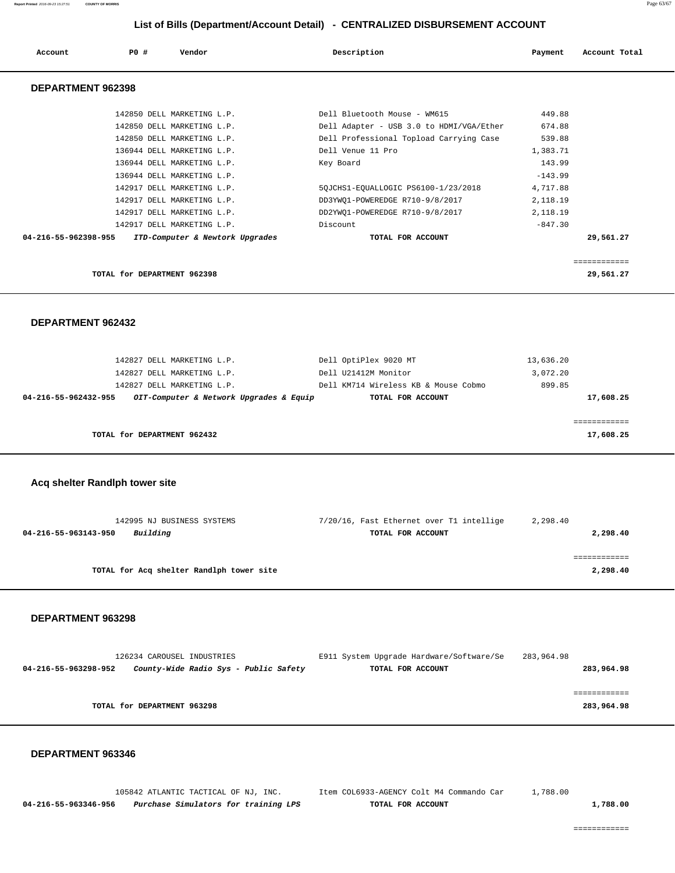| Account              | PO#                         | Vendor                          | Description                              | Payment   | Account Total |
|----------------------|-----------------------------|---------------------------------|------------------------------------------|-----------|---------------|
| DEPARTMENT 962398    |                             |                                 |                                          |           |               |
|                      |                             | 142850 DELL MARKETING L.P.      | Dell Bluetooth Mouse - WM615             | 449.88    |               |
|                      |                             | 142850 DELL MARKETING L.P.      | Dell Adapter - USB 3.0 to HDMI/VGA/Ether | 674.88    |               |
|                      |                             | 142850 DELL MARKETING L.P.      | Dell Professional Topload Carrying Case  | 539.88    |               |
|                      |                             | 136944 DELL MARKETING L.P.      | Dell Venue 11 Pro                        | 1,383.71  |               |
|                      |                             | 136944 DELL MARKETING L.P.      | Key Board                                | 143.99    |               |
|                      |                             | 136944 DELL MARKETING L.P.      |                                          | $-143.99$ |               |
|                      |                             | 142917 DELL MARKETING L.P.      | 5QJCHS1-EQUALLOGIC PS6100-1/23/2018      | 4,717.88  |               |
|                      |                             | 142917 DELL MARKETING L.P.      | DD3YWQ1-POWEREDGE R710-9/8/2017          | 2,118.19  |               |
|                      |                             | 142917 DELL MARKETING L.P.      | DD2YWQ1-POWEREDGE R710-9/8/2017          | 2,118.19  |               |
|                      |                             | 142917 DELL MARKETING L.P.      | Discount                                 | $-847.30$ |               |
| 04-216-55-962398-955 |                             | ITD-Computer & Newtork Upgrades | TOTAL FOR ACCOUNT                        |           | 29,561.27     |
|                      |                             |                                 |                                          |           | ============  |
|                      | TOTAL for DEPARTMENT 962398 |                                 |                                          |           | 29,561.27     |

#### **DEPARTMENT 962432**

| 142827 DELL MARKETING L.P.<br>142827 DELL MARKETING L.P.<br>142827 DELL MARKETING L.P. | Dell OptiPlex 9020 MT<br>Dell U21412M Monitor<br>Dell KM714 Wireless KB & Mouse Cobmo | 13,636.20<br>3,072.20<br>899.85 |
|----------------------------------------------------------------------------------------|---------------------------------------------------------------------------------------|---------------------------------|
| OIT-Computer & Network Upgrades & Equip<br>04-216-55-962432-955                        | TOTAL FOR ACCOUNT                                                                     | 17,608.25                       |
| TOTAL for DEPARTMENT 962432                                                            |                                                                                       | 17,608.25                       |

#### **Acq shelter Randlph tower site**

| 142995 NJ BUSINESS SYSTEMS               | 7/20/16, Fast Ethernet over T1 intellige | 2,298.40 |
|------------------------------------------|------------------------------------------|----------|
| Building<br>04-216-55-963143-950         | TOTAL FOR ACCOUNT                        | 2,298.40 |
|                                          |                                          |          |
|                                          |                                          | .        |
| TOTAL for Acq shelter Randlph tower site |                                          | 2,298.40 |
|                                          |                                          |          |

#### **DEPARTMENT 963298**

| 126234 CAROUSEL INDUSTRIES                                    | E911 System Upgrade Hardware/Software/Se | 283,964.98 |
|---------------------------------------------------------------|------------------------------------------|------------|
| County-Wide Radio Sys - Public Safety<br>04-216-55-963298-952 | TOTAL FOR ACCOUNT                        | 283,964.98 |
|                                                               |                                          |            |
|                                                               |                                          |            |
| TOTAL for DEPARTMENT 963298                                   |                                          | 283,964.98 |
|                                                               |                                          |            |

#### **DEPARTMENT 963346**

 105842 ATLANTIC TACTICAL OF NJ, INC. Item COL6933-AGENCY Colt M4 Commando Car 1,788.00  **04-216-55-963346-956 Purchase Simulators for training LPS TOTAL FOR ACCOUNT 1,788.00**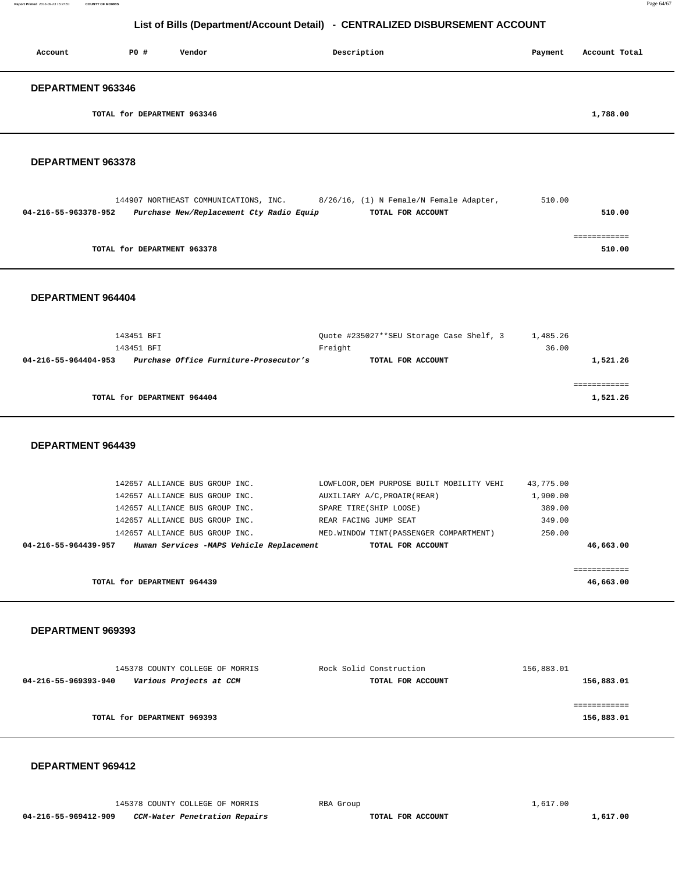| Account                  | P0#                         | Vendor | Description | Payment | Account Total |
|--------------------------|-----------------------------|--------|-------------|---------|---------------|
| <b>DEPARTMENT 963346</b> |                             |        |             |         |               |
|                          | TOTAL for DEPARTMENT 963346 |        |             |         | 1,788.00      |

## **DEPARTMENT 963378**

|                      | 144907 NORTHEAST COMMUNICATIONS, INC.    | 8/26/16, (1) N Female/N Female Adapter, | 510.00 |
|----------------------|------------------------------------------|-----------------------------------------|--------|
| 04-216-55-963378-952 | Purchase New/Replacement Cty Radio Equip | TOTAL FOR ACCOUNT                       | 510.00 |
|                      |                                          |                                         |        |
|                      |                                          |                                         |        |
|                      | TOTAL for DEPARTMENT 963378              |                                         | 510.00 |

 **DEPARTMENT 964404** 

| 143451 BFI                                                     | Ouote #235027**SEU Storage Case Shelf, 3 | 1,485.26 |
|----------------------------------------------------------------|------------------------------------------|----------|
| 143451 BFI                                                     | Freight                                  | 36.00    |
| Purchase Office Furniture-Prosecutor's<br>04-216-55-964404-953 | TOTAL FOR ACCOUNT                        | 1,521.26 |
|                                                                |                                          |          |
|                                                                |                                          |          |
| TOTAL for DEPARTMENT 964404                                    |                                          | 1,521.26 |
|                                                                |                                          |          |

 **DEPARTMENT 964439** 

| 142657 ALLIANCE BUS GROUP INC. |                                          | LOWFLOOR, OEM PURPOSE BUILT MOBILITY VEHI | 43,775.00 |
|--------------------------------|------------------------------------------|-------------------------------------------|-----------|
| 142657 ALLIANCE BUS GROUP INC. |                                          | AUXILIARY A/C. PROAIR (REAR)              | 1,900.00  |
| 142657 ALLIANCE BUS GROUP INC. |                                          | SPARE TIRE(SHIP LOOSE)                    | 389.00    |
| 142657 ALLIANCE BUS GROUP INC. |                                          | REAR FACING JUMP SEAT                     | 349.00    |
| 142657 ALLIANCE BUS GROUP INC. |                                          | MED. WINDOW TINT (PASSENGER COMPARTMENT)  | 250.00    |
| 04-216-55-964439-957           | Human Services -MAPS Vehicle Replacement | TOTAL FOR ACCOUNT                         | 46,663.00 |
|                                |                                          |                                           |           |
|                                |                                          |                                           |           |
| TOTAL for DEPARTMENT 964439    |                                          |                                           | 46,663.00 |
|                                |                                          |                                           |           |

 **DEPARTMENT 969393** 

| 145378 COUNTY COLLEGE OF MORRIS                 | Rock Solid Construction | 156,883.01 |
|-------------------------------------------------|-------------------------|------------|
| Various Projects at CCM<br>04-216-55-969393-940 | TOTAL FOR ACCOUNT       | 156,883.01 |
|                                                 |                         |            |
|                                                 |                         |            |
| TOTAL for DEPARTMENT 969393                     |                         | 156,883.01 |
|                                                 |                         |            |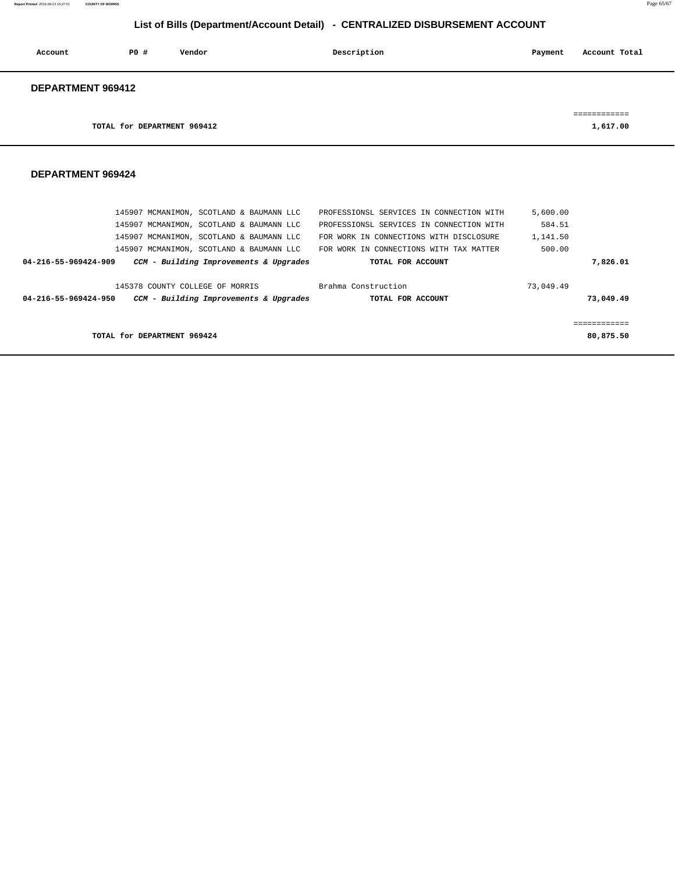**Report Printed** 2016-09-23 15:27:51 **COUNTY OF MORRIS** Page 65/67

# **List of Bills (Department/Account Detail) - CENTRALIZED DISBURSEMENT ACCOUNT**

| Account           | P0#                         | Vendor | Description | Payment | Account Total |
|-------------------|-----------------------------|--------|-------------|---------|---------------|
| DEPARTMENT 969412 |                             |        |             |         |               |
|                   |                             |        |             |         | ------------  |
|                   | TOTAL for DEPARTMENT 969412 |        |             |         | 1,617.00      |

|                                 | 145907 MCMANIMON, SCOTLAND & BAUMANN LLC | PROFESSIONSL SERVICES IN CONNECTION WITH | 5,600.00  |           |
|---------------------------------|------------------------------------------|------------------------------------------|-----------|-----------|
|                                 | 145907 MCMANIMON, SCOTLAND & BAUMANN LLC | PROFESSIONSL SERVICES IN CONNECTION WITH | 584.51    |           |
|                                 | 145907 MCMANIMON, SCOTLAND & BAUMANN LLC | FOR WORK IN CONNECTIONS WITH DISCLOSURE  | 1,141.50  |           |
|                                 | 145907 MCMANIMON, SCOTLAND & BAUMANN LLC | FOR WORK IN CONNECTIONS WITH TAX MATTER  | 500.00    |           |
| 04-216-55-969424-909            | CCM - Building Improvements & Upgrades   | TOTAL FOR ACCOUNT                        |           | 7,826.01  |
| 145378 COUNTY COLLEGE OF MORRIS |                                          | Brahma Construction                      | 73,049.49 |           |
| 04-216-55-969424-950            | CCM - Building Improvements & Upgrades   | TOTAL FOR ACCOUNT                        |           | 73,049.49 |
|                                 |                                          |                                          |           |           |
|                                 |                                          |                                          |           |           |
| TOTAL for DEPARTMENT 969424     |                                          |                                          |           | 80,875.50 |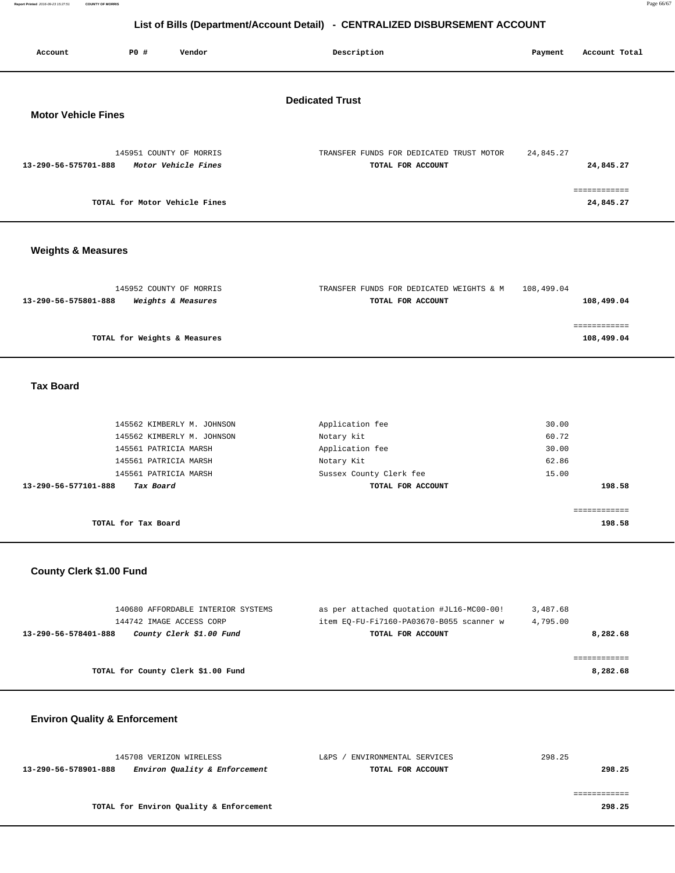| PO#<br>Vendor<br>Account                                               | Description                                                   | Payment    | Account Total              |
|------------------------------------------------------------------------|---------------------------------------------------------------|------------|----------------------------|
| <b>Motor Vehicle Fines</b>                                             | <b>Dedicated Trust</b>                                        |            |                            |
| 145951 COUNTY OF MORRIS<br>Motor Vehicle Fines<br>13-290-56-575701-888 | TRANSFER FUNDS FOR DEDICATED TRUST MOTOR<br>TOTAL FOR ACCOUNT | 24,845.27  | 24,845.27                  |
| TOTAL for Motor Vehicle Fines                                          |                                                               |            | ============<br>24,845.27  |
| <b>Weights &amp; Measures</b>                                          |                                                               |            |                            |
| 145952 COUNTY OF MORRIS<br>13-290-56-575801-888<br>Weights & Measures  | TRANSFER FUNDS FOR DEDICATED WEIGHTS & M<br>TOTAL FOR ACCOUNT | 108,499.04 | 108,499.04                 |
| TOTAL for Weights & Measures                                           |                                                               |            | essessessess<br>108,499.04 |

## **Tax Board**

|                      | TOTAL for Tax Board        |                         | 198.58 |
|----------------------|----------------------------|-------------------------|--------|
| 13-290-56-577101-888 | Tax Board                  | TOTAL FOR ACCOUNT       | 198.58 |
|                      | 145561 PATRICIA MARSH      | Sussex County Clerk fee | 15.00  |
|                      | 145561 PATRICIA MARSH      | Notary Kit              | 62.86  |
|                      | 145561 PATRICIA MARSH      | Application fee         | 30.00  |
|                      | 145562 KIMBERLY M. JOHNSON | Notary kit              | 60.72  |
|                      | 145562 KIMBERLY M. JOHNSON | Application fee         | 30.00  |
|                      |                            |                         |        |

## **County Clerk \$1.00 Fund**

| 140680 AFFORDABLE INTERIOR SYSTEMS               | as per attached quotation #JL16-MC00-00! | 3,487.68 |
|--------------------------------------------------|------------------------------------------|----------|
| 144742 IMAGE ACCESS CORP                         | item EO-FU-Fi7160-PA03670-B055 scanner w | 4,795.00 |
| County Clerk \$1.00 Fund<br>13-290-56-578401-888 | TOTAL FOR ACCOUNT                        | 8,282.68 |
|                                                  |                                          |          |
|                                                  |                                          |          |
| TOTAL for County Clerk \$1.00 Fund               |                                          | 8,282.68 |

# **Environ Quality & Enforcement**

| 145708 VERIZON WIRELESS                               | ENVIRONMENTAL SERVICES<br>L&PS | 298.25 |
|-------------------------------------------------------|--------------------------------|--------|
| Environ Quality & Enforcement<br>13-290-56-578901-888 | TOTAL FOR ACCOUNT              | 298.25 |
|                                                       |                                |        |
|                                                       |                                |        |
| TOTAL for Environ Quality & Enforcement               |                                | 298.25 |